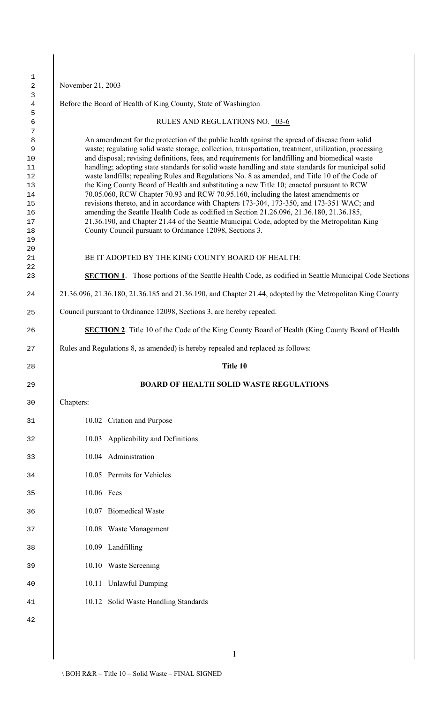November 21, 2003 Before the Board of Health of King County, State of Washington RULES AND REGULATIONS NO. 03-6 8 An amendment for the protection of the public health against the spread of disease from solid waste; regulating solid waste storage, collection, transportation, treatment, utilization, processing and disposal; revising definitions, fees, and requirements for landfilling and biomedical waste 11 handling; adopting state standards for solid waste handling and state standards for municipal solid waste landfills; repealing Rules and Regulations No. 8 as amended, and Title 10 of the Code of the King County Board of Health and substituting a new Title 10; enacted pursuant to RCW 70.05.060, RCW Chapter 70.93 and RCW 70.95.160, including the latest amendments or revisions thereto, and in accordance with Chapters 173-304, 173-350, and 173-351 WAC; and 16 amending the Seattle Health Code as codified in Section 21.26.096, 21.36.180, 21.36.185, 21.36.190, and Chapter 21.44 of the Seattle Municipal Code, adopted by the Metropolitan King County Council pursuant to Ordinance 12098, Sections 3. 21 BE IT ADOPTED BY THE KING COUNTY BOARD OF HEALTH: **SECTION 1**. Those portions of the Seattle Health Code, as codified in Seattle Municipal Code Sections 21.36.096, 21.36.180, 21.36.185 and 21.36.190, and Chapter 21.44, adopted by the Metropolitan King County Council pursuant to Ordinance 12098, Sections 3, are hereby repealed. **SECTION 2**. Title 10 of the Code of the King County Board of Health (King County Board of Health Rules and Regulations 8, as amended) is hereby repealed and replaced as follows: **Title 10 BOARD OF HEALTH SOLID WASTE REGULATIONS** Chapters: 10.02 Citation and Purpose 10.03 Applicability and Definitions 10.04 Administration 10.05 Permits for Vehicles 10.06 Fees 10.07 Biomedical Waste 10.08 Waste Management 10.09 Landfilling 10.10 Waste Screening 10.11 Unlawful Dumping 10.12 Solid Waste Handling Standards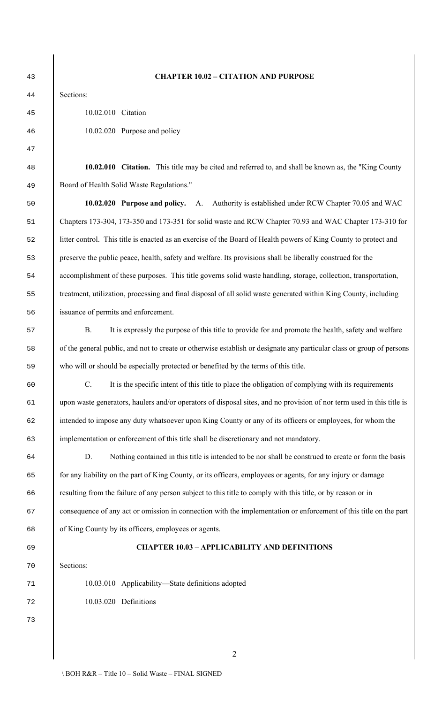# **CHAPTER 10.02 – CITATION AND PURPOSE**

 10.02.010 Citation 10.02.020 Purpose and policy

 **10.02.010 Citation.** This title may be cited and referred to, and shall be known as, the "King County Board of Health Solid Waste Regulations."

 **10.02.020 Purpose and policy.** A. Authority is established under RCW Chapter 70.05 and WAC Chapters 173-304, 173-350 and 173-351 for solid waste and RCW Chapter 70.93 and WAC Chapter 173-310 for litter control. This title is enacted as an exercise of the Board of Health powers of King County to protect and preserve the public peace, health, safety and welfare. Its provisions shall be liberally construed for the accomplishment of these purposes. This title governs solid waste handling, storage, collection, transportation, treatment, utilization, processing and final disposal of all solid waste generated within King County, including issuance of permits and enforcement.

 B. It is expressly the purpose of this title to provide for and promote the health, safety and welfare of the general public, and not to create or otherwise establish or designate any particular class or group of persons who will or should be especially protected or benefited by the terms of this title.

 C. It is the specific intent of this title to place the obligation of complying with its requirements upon waste generators, haulers and/or operators of disposal sites, and no provision of nor term used in this title is intended to impose any duty whatsoever upon King County or any of its officers or employees, for whom the implementation or enforcement of this title shall be discretionary and not mandatory.

 D. Nothing contained in this title is intended to be nor shall be construed to create or form the basis for any liability on the part of King County, or its officers, employees or agents, for any injury or damage resulting from the failure of any person subject to this title to comply with this title, or by reason or in consequence of any act or omission in connection with the implementation or enforcement of this title on the part of King County by its officers, employees or agents.

# **CHAPTER 10.03 – APPLICABILITY AND DEFINITIONS**

Sections:

 10.03.010 Applicability—State definitions adopted 10.03.020 Definitions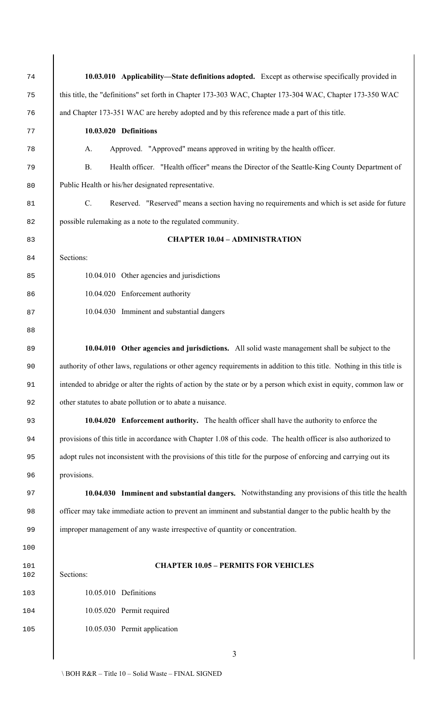| 74         | 10.03.010 Applicability—State definitions adopted. Except as otherwise specifically provided in                       |
|------------|-----------------------------------------------------------------------------------------------------------------------|
| 75         | this title, the "definitions" set forth in Chapter 173-303 WAC, Chapter 173-304 WAC, Chapter 173-350 WAC              |
| 76         | and Chapter 173-351 WAC are hereby adopted and by this reference made a part of this title.                           |
| 77         | 10.03.020 Definitions                                                                                                 |
| 78         | Approved. "Approved" means approved in writing by the health officer.<br>A.                                           |
| 79         | <b>B.</b><br>Health officer. "Health officer" means the Director of the Seattle-King County Department of             |
| 80         | Public Health or his/her designated representative.                                                                   |
| 81         | $C$ .<br>Reserved. "Reserved" means a section having no requirements and which is set aside for future                |
| 82         | possible rulemaking as a note to the regulated community.                                                             |
| 83         | <b>CHAPTER 10.04 - ADMINISTRATION</b>                                                                                 |
| 84         | Sections:                                                                                                             |
| 85         | 10.04.010 Other agencies and jurisdictions                                                                            |
| 86         | 10.04.020 Enforcement authority                                                                                       |
| 87         | 10.04.030 Imminent and substantial dangers                                                                            |
| 88         |                                                                                                                       |
| 89         | 10.04.010 Other agencies and jurisdictions. All solid waste management shall be subject to the                        |
| 90         | authority of other laws, regulations or other agency requirements in addition to this title. Nothing in this title is |
| 91         | intended to abridge or alter the rights of action by the state or by a person which exist in equity, common law or    |
| 92         | other statutes to abate pollution or to abate a nuisance.                                                             |
| 93         | 10.04.020 Enforcement authority. The health officer shall have the authority to enforce the                           |
| 94         | provisions of this title in accordance with Chapter 1.08 of this code. The health officer is also authorized to       |
| 95         | adopt rules not inconsistent with the provisions of this title for the purpose of enforcing and carrying out its      |
| 96         | provisions.                                                                                                           |
| 97         | 10.04.030 Imminent and substantial dangers. Notwithstanding any provisions of this title the health                   |
| 98         | officer may take immediate action to prevent an imminent and substantial danger to the public health by the           |
| 99         | improper management of any waste irrespective of quantity or concentration.                                           |
| 100        |                                                                                                                       |
| 101<br>102 | <b>CHAPTER 10.05 - PERMITS FOR VEHICLES</b><br>Sections:                                                              |
| 103        | 10.05.010 Definitions                                                                                                 |
| 104        | 10.05.020 Permit required                                                                                             |
| 105        | 10.05.030 Permit application                                                                                          |
|            | 3                                                                                                                     |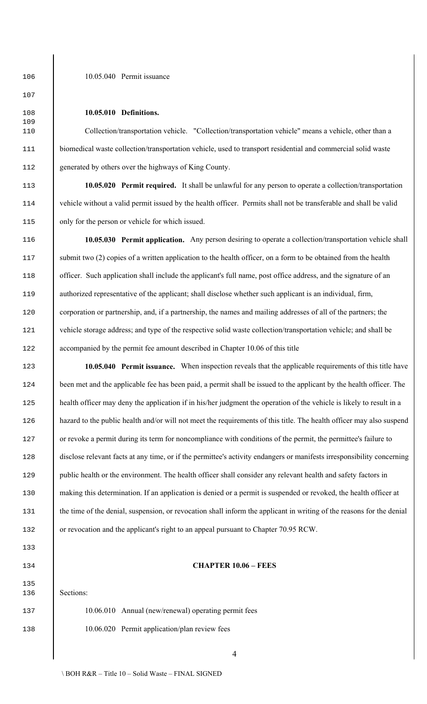106 10.05.040 Permit issuance

108 **10.05.010 Definitions.**

110 Collection/transportation vehicle."Collection/transportation vehicle" means a vehicle, other than a 111 biomedical waste collection/transportation vehicle, used to transport residential and commercial solid waste 112 generated by others over the highways of King County.

113 **10.05.020 Permit required.** It shall be unlawful for any person to operate a collection/transportation 114 vehicle without a valid permit issued by the health officer. Permits shall not be transferable and shall be valid 115 only for the person or vehicle for which issued.

116 **10.05.030 Permit application.** Any person desiring to operate a collection/transportation vehicle shall 117 submit two (2) copies of a written application to the health officer, on a form to be obtained from the health 118 officer. Such application shall include the applicant's full name, post office address, and the signature of an 119 authorized representative of the applicant; shall disclose whether such applicant is an individual, firm, 120 corporation or partnership, and, if a partnership, the names and mailing addresses of all of the partners; the 121 vehicle storage address; and type of the respective solid waste collection/transportation vehicle; and shall be 122 accompanied by the permit fee amount described in Chapter 10.06 of this title

123 **10.05.040 Permit issuance.** When inspection reveals that the applicable requirements of this title have 124 been met and the applicable fee has been paid, a permit shall be issued to the applicant by the health officer. The 125 health officer may deny the application if in his/her judgment the operation of the vehicle is likely to result in a 126 hazard to the public health and/or will not meet the requirements of this title. The health officer may also suspend 127 or revoke a permit during its term for noncompliance with conditions of the permit, the permittee's failure to 128 disclose relevant facts at any time, or if the permittee's activity endangers or manifests irresponsibility concerning 129 public health or the environment. The health officer shall consider any relevant health and safety factors in 130 making this determination. If an application is denied or a permit is suspended or revoked, the health officer at 131 the time of the denial, suspension, or revocation shall inform the applicant in writing of the reasons for the denial 132 or revocation and the applicant's right to an appeal pursuant to Chapter 70.95 RCW.

#### 134 **CHAPTER 10.06 – FEES**

136 Sections:

137 10.06.010 Annual (new/renewal) operating permit fees 138 10.06.020 Permit application/plan review fees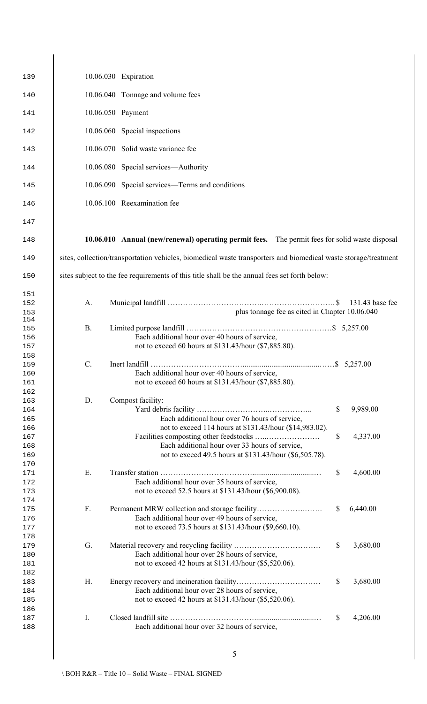| 139 |                 | 10.06.030 Expiration                                                                                            |                           |                 |
|-----|-----------------|-----------------------------------------------------------------------------------------------------------------|---------------------------|-----------------|
| 140 |                 | 10.06.040 Tonnage and volume fees                                                                               |                           |                 |
| 141 |                 | 10.06.050 Payment                                                                                               |                           |                 |
| 142 |                 | 10.06.060 Special inspections                                                                                   |                           |                 |
| 143 |                 | 10.06.070 Solid waste variance fee                                                                              |                           |                 |
| 144 |                 | 10.06.080 Special services—Authority                                                                            |                           |                 |
| 145 |                 | 10.06.090 Special services—Terms and conditions                                                                 |                           |                 |
| 146 |                 | 10.06.100 Reexamination fee                                                                                     |                           |                 |
| 147 |                 |                                                                                                                 |                           |                 |
| 148 |                 | 10.06.010 Annual (new/renewal) operating permit fees. The permit fees for solid waste disposal                  |                           |                 |
| 149 |                 | sites, collection/transportation vehicles, biomedical waste transporters and biomedical waste storage/treatment |                           |                 |
| 150 |                 | sites subject to the fee requirements of this title shall be the annual fees set forth below:                   |                           |                 |
| 151 |                 |                                                                                                                 |                           |                 |
| 152 | A.              |                                                                                                                 |                           | 131.43 base fee |
| 153 |                 | plus tonnage fee as cited in Chapter 10.06.040                                                                  |                           |                 |
| 154 |                 |                                                                                                                 |                           |                 |
| 155 | <b>B.</b>       |                                                                                                                 |                           |                 |
| 156 |                 | Each additional hour over 40 hours of service,                                                                  |                           |                 |
| 157 |                 | not to exceed 60 hours at \$131.43/hour (\$7,885.80).                                                           |                           |                 |
| 158 |                 |                                                                                                                 |                           |                 |
| 159 | $\mathcal{C}$ . |                                                                                                                 |                           |                 |
|     |                 |                                                                                                                 |                           |                 |
| 160 |                 | Each additional hour over 40 hours of service,                                                                  |                           |                 |
| 161 |                 | not to exceed 60 hours at \$131.43/hour (\$7,885.80).                                                           |                           |                 |
| 162 |                 |                                                                                                                 |                           |                 |
| 163 | D.              | Compost facility:                                                                                               |                           |                 |
| 164 |                 |                                                                                                                 | \$                        | 9,989.00        |
| 165 |                 | Each additional hour over 76 hours of service,                                                                  |                           |                 |
| 166 |                 | not to exceed 114 hours at \$131.43/hour (\$14,983.02).                                                         |                           |                 |
|     |                 |                                                                                                                 | \$                        | 4,337.00        |
| 167 |                 |                                                                                                                 |                           |                 |
| 168 |                 | Each additional hour over 33 hours of service,                                                                  |                           |                 |
| 169 |                 | not to exceed 49.5 hours at \$131.43/hour (\$6,505.78).                                                         |                           |                 |
| 170 |                 |                                                                                                                 |                           |                 |
| 171 | Ε.              |                                                                                                                 | \$                        | 4,600.00        |
| 172 |                 | Each additional hour over 35 hours of service,                                                                  |                           |                 |
| 173 |                 | not to exceed 52.5 hours at \$131.43/hour (\$6,900.08).                                                         |                           |                 |
| 174 |                 |                                                                                                                 |                           |                 |
| 175 | F.              |                                                                                                                 | $\mathbb{S}$              | 6,440.00        |
| 176 |                 | Each additional hour over 49 hours of service,                                                                  |                           |                 |
| 177 |                 | not to exceed 73.5 hours at \$131.43/hour (\$9,660.10).                                                         |                           |                 |
|     |                 |                                                                                                                 |                           |                 |
| 178 |                 |                                                                                                                 |                           |                 |
| 179 | G.              |                                                                                                                 | \$                        | 3,680.00        |
| 180 |                 | Each additional hour over 28 hours of service,                                                                  |                           |                 |
| 181 |                 | not to exceed 42 hours at \$131.43/hour (\$5,520.06).                                                           |                           |                 |
| 182 |                 |                                                                                                                 |                           |                 |
| 183 | Н.              |                                                                                                                 | $\mathbb{S}$              | 3,680.00        |
| 184 |                 | Each additional hour over 28 hours of service,                                                                  |                           |                 |
| 185 |                 | not to exceed 42 hours at \$131.43/hour (\$5,520.06).                                                           |                           |                 |
| 186 |                 |                                                                                                                 |                           |                 |
| 187 | I.              |                                                                                                                 | $\boldsymbol{\mathsf{S}}$ | 4,206.00        |
|     |                 | Each additional hour over 32 hours of service,                                                                  |                           |                 |
| 188 |                 |                                                                                                                 |                           |                 |
|     |                 |                                                                                                                 |                           |                 |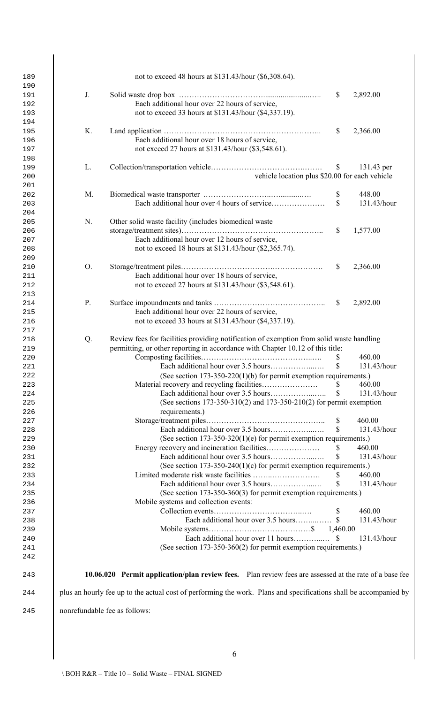| 189 |                | not to exceed 48 hours at \$131.43/hour (\$6,308.64).                                                             |                    |             |
|-----|----------------|-------------------------------------------------------------------------------------------------------------------|--------------------|-------------|
| 190 |                |                                                                                                                   |                    |             |
| 191 | J.             |                                                                                                                   | $\mathbb{S}$       | 2,892.00    |
| 192 |                | Each additional hour over 22 hours of service,                                                                    |                    |             |
| 193 |                | not to exceed 33 hours at \$131.43/hour (\$4,337.19).                                                             |                    |             |
| 194 |                |                                                                                                                   |                    |             |
| 195 | K.             |                                                                                                                   | $\mathbb{S}$       | 2,366.00    |
| 196 |                | Each additional hour over 18 hours of service,                                                                    |                    |             |
| 197 |                | not exceed 27 hours at \$131.43/hour (\$3,548.61).                                                                |                    |             |
| 198 |                |                                                                                                                   |                    |             |
| 199 | L.             |                                                                                                                   | $\mathbb{S}$       | 131.43 per  |
| 200 |                | vehicle location plus \$20.00 for each vehicle                                                                    |                    |             |
| 201 |                |                                                                                                                   |                    |             |
| 202 | M.             |                                                                                                                   | \$                 | 448.00      |
| 203 |                |                                                                                                                   | $\mathbf{\hat{S}}$ | 131.43/hour |
| 204 |                |                                                                                                                   |                    |             |
| 205 | N.             | Other solid waste facility (includes biomedical waste                                                             |                    |             |
| 206 |                |                                                                                                                   | $\mathbb{S}$       | 1,577.00    |
| 207 |                | Each additional hour over 12 hours of service,                                                                    |                    |             |
| 208 |                | not to exceed 18 hours at \$131.43/hour (\$2,365.74).                                                             |                    |             |
| 209 |                |                                                                                                                   |                    |             |
| 210 | O <sub>1</sub> |                                                                                                                   | <sup>S</sup>       | 2,366.00    |
| 211 |                | Each additional hour over 18 hours of service,                                                                    |                    |             |
| 212 |                | not to exceed 27 hours at \$131.43/hour (\$3,548.61).                                                             |                    |             |
| 213 |                |                                                                                                                   |                    |             |
| 214 | P.             |                                                                                                                   | <sup>\$</sup>      | 2,892.00    |
| 215 |                | Each additional hour over 22 hours of service,                                                                    |                    |             |
| 216 |                | not to exceed 33 hours at \$131.43/hour (\$4,337.19).                                                             |                    |             |
| 217 |                |                                                                                                                   |                    |             |
| 218 | Q.             | Review fees for facilities providing notification of exemption from solid waste handling                          |                    |             |
| 219 |                | permitting, or other reporting in accordance with Chapter 10.12 of this title:                                    |                    |             |
| 220 |                |                                                                                                                   | <sup>S</sup>       | 460.00      |
| 221 |                |                                                                                                                   | $\mathbf S$        | 131.43/hour |
| 222 |                | (See section $173-350-220(1)(b)$ for permit exemption requirements.)                                              |                    |             |
| 223 |                |                                                                                                                   |                    | 460.00      |
| 224 |                |                                                                                                                   |                    | 131.43/hour |
| 225 |                | (See sections $173-350-310(2)$ and $173-350-210(2)$ for permit exemption                                          |                    |             |
| 226 |                | requirements.)                                                                                                    |                    |             |
| 227 |                |                                                                                                                   |                    | 460.00      |
| 228 |                |                                                                                                                   | $\mathbf S$        | 131.43/hour |
| 229 |                | (See section $173-350-320(1)(e)$ for permit exemption requirements.)                                              |                    |             |
| 230 |                |                                                                                                                   | <sup>S</sup>       | 460.00      |
| 231 |                |                                                                                                                   | $\mathbb{S}$       | 131.43/hour |
| 232 |                | (See section $173-350-240(1)(c)$ for permit exemption requirements.)                                              |                    |             |
| 233 |                |                                                                                                                   | <sup>S</sup>       | 460.00      |
| 234 |                |                                                                                                                   | $\mathbf S$        | 131.43/hour |
| 235 |                | (See section 173-350-360(3) for permit exemption requirements.)                                                   |                    |             |
| 236 |                | Mobile systems and collection events:                                                                             |                    |             |
| 237 |                |                                                                                                                   | $\mathbb{S}$       | 460.00      |
| 238 |                |                                                                                                                   |                    | 131.43/hour |
| 239 |                |                                                                                                                   |                    |             |
| 240 |                |                                                                                                                   |                    | 131.43/hour |
| 241 |                | (See section 173-350-360(2) for permit exemption requirements.)                                                   |                    |             |
| 242 |                |                                                                                                                   |                    |             |
|     |                |                                                                                                                   |                    |             |
| 243 |                | 10.06.020 Permit application/plan review fees. Plan review fees are assessed at the rate of a base fee            |                    |             |
| 244 |                | plus an hourly fee up to the actual cost of performing the work. Plans and specifications shall be accompanied by |                    |             |
| 245 |                | nonrefundable fee as follows:                                                                                     |                    |             |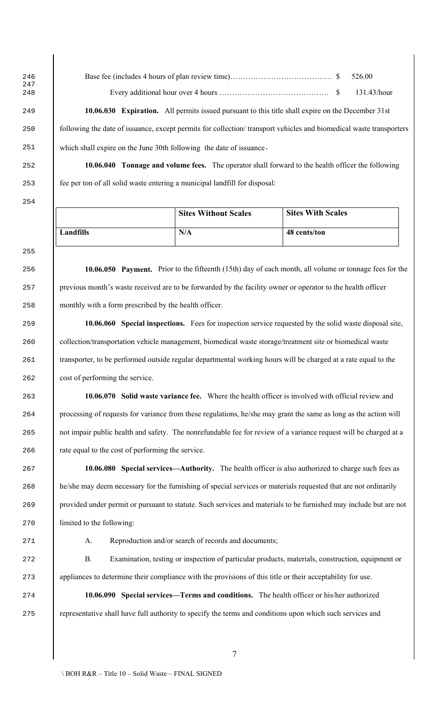Base fee (includes 4 hours of plan review time)…………………………………. \$ 526.00 Every additional hour over 4 hours ……………………………………. \$ 131.43/hour

 **10.06.030 Expiration.** All permits issued pursuant to this title shall expire on the December 31st following the date of issuance, except permits for collection/ transport vehicles and biomedical waste transporters which shall expire on the June 30th following the date of issuance.

 **10.06.040 Tonnage and volume fees.** The operator shall forward to the health officer the following fee per ton of all solid waste entering a municipal landfill for disposal:

|           | <b>Sites Without Scales</b> | <b>Sites With Scales</b> |
|-----------|-----------------------------|--------------------------|
| Landfills | N/A                         | 48 cents/ton             |

 **10.06.050 Payment.** Prior to the fifteenth (15th) day of each month, all volume or tonnage fees for the previous month's waste received are to be forwarded by the facility owner or operator to the health officer monthly with a form prescribed by the health officer.

 **10.06.060 Special inspections.** Fees for inspection service requested by the solid waste disposal site, collection/transportation vehicle management, biomedical waste storage/treatment site or biomedical waste 261 transporter, to be performed outside regular departmental working hours will be charged at a rate equal to the cost of performing the service.

 **10.06.070 Solid waste variance fee.** Where the health officer is involved with official review and processing of requests for variance from these regulations, he/she may grant the same as long as the action will 265 hot impair public health and safety. The nonrefundable fee for review of a variance request will be charged at a rate equal to the cost of performing the service.

 **10.06.080 Special services—Authority.** The health officer is also authorized to charge such fees as 268 he/she may deem necessary for the furnishing of special services or materials requested that are not ordinarily provided under permit or pursuant to statute. Such services and materials to be furnished may include but are not limited to the following:

A. Reproduction and/or search of records and documents;

 B. Examination, testing or inspection of particular products, materials, construction, equipment or 273 appliances to determine their compliance with the provisions of this title or their acceptability for use.

 **10.06.090 Special services—Terms and conditions.** The health officer or his/her authorized representative shall have full authority to specify the terms and conditions upon which such services and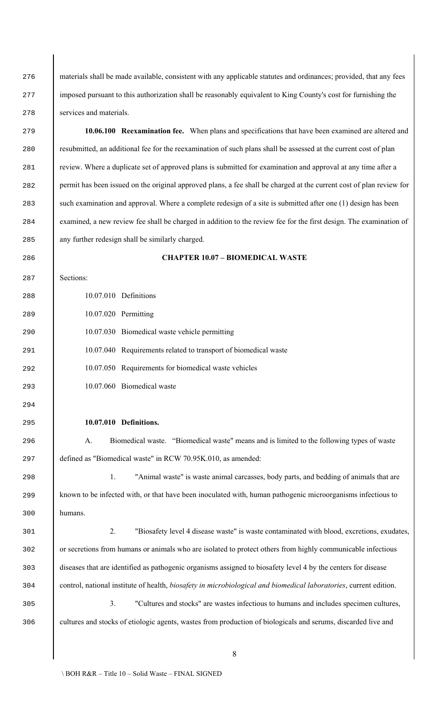materials shall be made available, consistent with any applicable statutes and ordinances; provided, that any fees 277 imposed pursuant to this authorization shall be reasonably equivalent to King County's cost for furnishing the services and materials. **10.06.100 Reexamination fee.** When plans and specifications that have been examined are altered and resubmitted, an additional fee for the reexamination of such plans shall be assessed at the current cost of plan review. Where a duplicate set of approved plans is submitted for examination and approval at any time after a permit has been issued on the original approved plans, a fee shall be charged at the current cost of plan review for 283 such examination and approval. Where a complete redesign of a site is submitted after one (1) design has been examined, a new review fee shall be charged in addition to the review fee for the first design. The examination of any further redesign shall be similarly charged. **CHAPTER 10.07 – BIOMEDICAL WASTE** Sections: 10.07.010 Definitions 10.07.020 Permitting 10.07.030 Biomedical waste vehicle permitting 10.07.040 Requirements related to transport of biomedical waste 10.07.050 Requirements for biomedical waste vehicles 10.07.060 Biomedical waste **10.07.010 Definitions.** A. Biomedical waste. "Biomedical waste" means and is limited to the following types of waste defined as "Biomedical waste" in RCW 70.95K.010, as amended: 1. "Animal waste" is waste animal carcasses, body parts, and bedding of animals that are known to be infected with, or that have been inoculated with, human pathogenic microorganisms infectious to humans. 2. "Biosafety level 4 disease waste" is waste contaminated with blood, excretions, exudates, or secretions from humans or animals who are isolated to protect others from highly communicable infectious diseases that are identified as pathogenic organisms assigned to biosafety level 4 by the centers for disease control, national institute of health, *biosafety in microbiological and biomedical laboratories*, current edition. 3. "Cultures and stocks" are wastes infectious to humans and includes specimen cultures, cultures and stocks of etiologic agents, wastes from production of biologicals and serums, discarded live and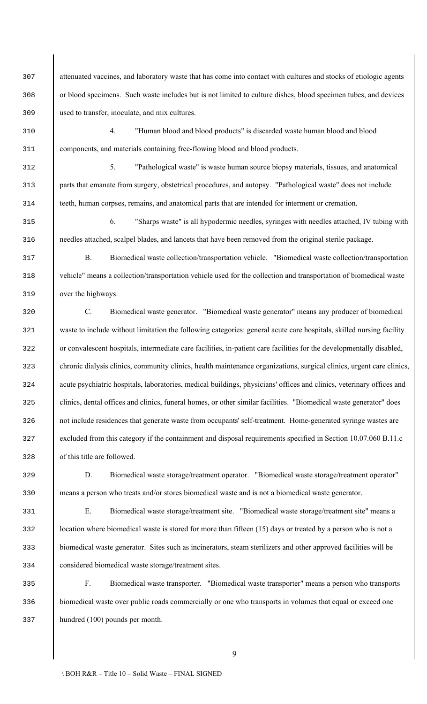attenuated vaccines, and laboratory waste that has come into contact with cultures and stocks of etiologic agents or blood specimens. Such waste includes but is not limited to culture dishes, blood specimen tubes, and devices used to transfer, inoculate, and mix cultures.

 4. "Human blood and blood products" is discarded waste human blood and blood components, and materials containing free-flowing blood and blood products.

 5. "Pathological waste" is waste human source biopsy materials, tissues, and anatomical parts that emanate from surgery, obstetrical procedures, and autopsy. "Pathological waste" does not include teeth, human corpses, remains, and anatomical parts that are intended for interment or cremation.

 6. "Sharps waste" is all hypodermic needles, syringes with needles attached, IV tubing with needles attached, scalpel blades, and lancets that have been removed from the original sterile package.

 B. Biomedical waste collection/transportation vehicle."Biomedical waste collection/transportation vehicle" means a collection/transportation vehicle used for the collection and transportation of biomedical waste over the highways.

 C. Biomedical waste generator."Biomedical waste generator" means any producer of biomedical 321 waste to include without limitation the following categories: general acute care hospitals, skilled nursing facility or convalescent hospitals, intermediate care facilities, in-patient care facilities for the developmentally disabled, 323 chronic dialysis clinics, community clinics, health maintenance organizations, surgical clinics, urgent care clinics, acute psychiatric hospitals, laboratories, medical buildings, physicians' offices and clinics, veterinary offices and clinics, dental offices and clinics, funeral homes, or other similar facilities. "Biomedical waste generator" does 326 not include residences that generate waste from occupants' self-treatment. Home-generated syringe wastes are 327 excluded from this category if the containment and disposal requirements specified in Section 10.07.060 B.11.c of this title are followed.

 D. Biomedical waste storage/treatment operator."Biomedical waste storage/treatment operator" means a person who treats and/or stores biomedical waste and is not a biomedical waste generator.

 E. Biomedical waste storage/treatment site."Biomedical waste storage/treatment site" means a 332 location where biomedical waste is stored for more than fifteen (15) days or treated by a person who is not a biomedical waste generator. Sites such as incinerators, steam sterilizers and other approved facilities will be considered biomedical waste storage/treatment sites.

 F. Biomedical waste transporter."Biomedical waste transporter" means a person who transports biomedical waste over public roads commercially or one who transports in volumes that equal or exceed one hundred (100) pounds per month.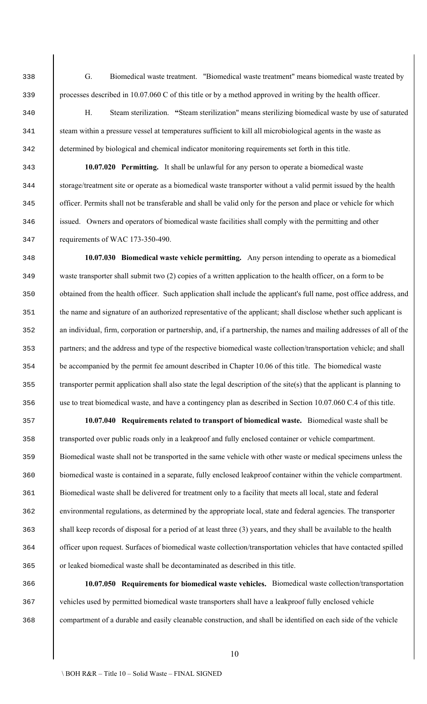G. Biomedical waste treatment."Biomedical waste treatment" means biomedical waste treated by processes described in 10.07.060 C of this title or by a method approved in writing by the health officer.

 H. Steam sterilization. **"**Steam sterilization" means sterilizing biomedical waste by use of saturated steam within a pressure vessel at temperatures sufficient to kill all microbiological agents in the waste as determined by biological and chemical indicator monitoring requirements set forth in this title.

 **10.07.020 Permitting.** It shall be unlawful for any person to operate a biomedical waste storage/treatment site or operate as a biomedical waste transporter without a valid permit issued by the health officer. Permits shall not be transferable and shall be valid only for the person and place or vehicle for which issued. Owners and operators of biomedical waste facilities shall comply with the permitting and other requirements of WAC 173-350-490.

 **10.07.030 Biomedical waste vehicle permitting.** Any person intending to operate as a biomedical waste transporter shall submit two (2) copies of a written application to the health officer, on a form to be 350 botained from the health officer. Such application shall include the applicant's full name, post office address, and the name and signature of an authorized representative of the applicant; shall disclose whether such applicant is an individual, firm, corporation or partnership, and, if a partnership, the names and mailing addresses of all of the 353 partners; and the address and type of the respective biomedical waste collection/transportation vehicle; and shall 354 be accompanied by the permit fee amount described in Chapter 10.06 of this title. The biomedical waste transporter permit application shall also state the legal description of the site(s) that the applicant is planning to use to treat biomedical waste, and have a contingency plan as described in Section 10.07.060 C.4 of this title.

 **10.07.040 Requirements related to transport of biomedical waste.** Biomedical waste shall be transported over public roads only in a leakproof and fully enclosed container or vehicle compartment. Biomedical waste shall not be transported in the same vehicle with other waste or medical specimens unless the biomedical waste is contained in a separate, fully enclosed leakproof container within the vehicle compartment. Biomedical waste shall be delivered for treatment only to a facility that meets all local, state and federal environmental regulations, as determined by the appropriate local, state and federal agencies. The transporter shall keep records of disposal for a period of at least three (3) years, and they shall be available to the health officer upon request. Surfaces of biomedical waste collection/transportation vehicles that have contacted spilled or leaked biomedical waste shall be decontaminated as described in this title.

 **10.07.050 Requirements for biomedical waste vehicles.** Biomedical waste collection/transportation 367 vehicles used by permitted biomedical waste transporters shall have a leakproof fully enclosed vehicle compartment of a durable and easily cleanable construction, and shall be identified on each side of the vehicle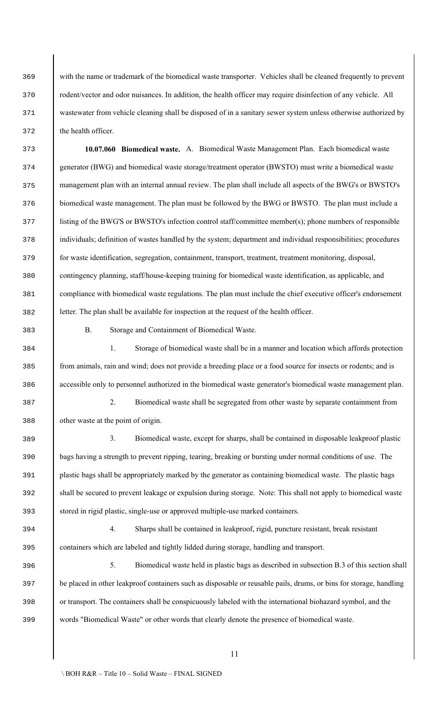with the name or trademark of the biomedical waste transporter. Vehicles shall be cleaned frequently to prevent 370 rodent/vector and odor nuisances. In addition, the health officer may require disinfection of any vehicle. All 371 wastewater from vehicle cleaning shall be disposed of in a sanitary sewer system unless otherwise authorized by the health officer.

 **10.07.060 Biomedical waste.** A. Biomedical Waste Management Plan. Each biomedical waste generator (BWG) and biomedical waste storage/treatment operator (BWSTO) must write a biomedical waste management plan with an internal annual review. The plan shall include all aspects of the BWG's or BWSTO's biomedical waste management. The plan must be followed by the BWG or BWSTO. The plan must include a 377 listing of the BWG'S or BWSTO's infection control staff/committee member(s); phone numbers of responsible individuals; definition of wastes handled by the system; department and individual responsibilities; procedures for waste identification, segregation, containment, transport, treatment, treatment monitoring, disposal, contingency planning, staff/house-keeping training for biomedical waste identification, as applicable, and compliance with biomedical waste regulations. The plan must include the chief executive officer's endorsement letter. The plan shall be available for inspection at the request of the health officer.

B. Storage and Containment of Biomedical Waste.

 1. Storage of biomedical waste shall be in a manner and location which affords protection from animals, rain and wind; does not provide a breeding place or a food source for insects or rodents; and is accessible only to personnel authorized in the biomedical waste generator's biomedical waste management plan.

 2. Biomedical waste shall be segregated from other waste by separate containment from other waste at the point of origin.

 3. Biomedical waste, except for sharps, shall be contained in disposable leakproof plastic bags having a strength to prevent ripping, tearing, breaking or bursting under normal conditions of use. The plastic bags shall be appropriately marked by the generator as containing biomedical waste. The plastic bags shall be secured to prevent leakage or expulsion during storage. Note: This shall not apply to biomedical waste stored in rigid plastic, single-use or approved multiple-use marked containers.

 4. Sharps shall be contained in leakproof, rigid, puncture resistant, break resistant containers which are labeled and tightly lidded during storage, handling and transport.

 5. Biomedical waste held in plastic bags as described in subsection B.3 of this section shall 397 be placed in other leakproof containers such as disposable or reusable pails, drums, or bins for storage, handling or transport. The containers shall be conspicuously labeled with the international biohazard symbol, and the words "Biomedical Waste" or other words that clearly denote the presence of biomedical waste.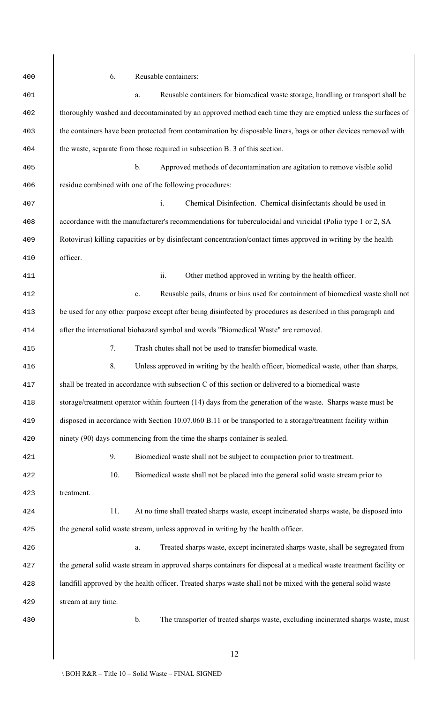| 400 | 6.<br>Reusable containers:                                                                                         |
|-----|--------------------------------------------------------------------------------------------------------------------|
| 401 | Reusable containers for biomedical waste storage, handling or transport shall be<br>$a$ .                          |
| 402 | thoroughly washed and decontaminated by an approved method each time they are emptied unless the surfaces of       |
| 403 | the containers have been protected from contamination by disposable liners, bags or other devices removed with     |
| 404 | the waste, separate from those required in subsection B. 3 of this section.                                        |
| 405 | $\mathbf b$ .<br>Approved methods of decontamination are agitation to remove visible solid                         |
| 406 | residue combined with one of the following procedures:                                                             |
| 407 | $i$ .<br>Chemical Disinfection. Chemical disinfectants should be used in                                           |
| 408 | accordance with the manufacturer's recommendations for tuberculocidal and viricidal (Polio type 1 or 2, SA         |
| 409 | Rotovirus) killing capacities or by disinfectant concentration/contact times approved in writing by the health     |
| 410 | officer.                                                                                                           |
| 411 | ii.<br>Other method approved in writing by the health officer.                                                     |
| 412 | Reusable pails, drums or bins used for containment of biomedical waste shall not<br>$\mathbf{c}$ .                 |
| 413 | be used for any other purpose except after being disinfected by procedures as described in this paragraph and      |
| 414 | after the international biohazard symbol and words "Biomedical Waste" are removed.                                 |
| 415 | 7.<br>Trash chutes shall not be used to transfer biomedical waste.                                                 |
| 416 | 8.<br>Unless approved in writing by the health officer, biomedical waste, other than sharps,                       |
| 417 | shall be treated in accordance with subsection C of this section or delivered to a biomedical waste                |
| 418 | storage/treatment operator within fourteen (14) days from the generation of the waste. Sharps waste must be        |
| 419 | disposed in accordance with Section 10.07.060 B.11 or be transported to a storage/treatment facility within        |
| 420 | ninety (90) days commencing from the time the sharps container is sealed.                                          |
| 421 | 9.<br>Biomedical waste shall not be subject to compaction prior to treatment.                                      |
| 422 | 10.<br>Biomedical waste shall not be placed into the general solid waste stream prior to                           |
| 423 | treatment.                                                                                                         |
| 424 | At no time shall treated sharps waste, except incinerated sharps waste, be disposed into<br>11.                    |
| 425 | the general solid waste stream, unless approved in writing by the health officer.                                  |
| 426 | Treated sharps waste, except incinerated sharps waste, shall be segregated from<br>$\mathbf{a}.$                   |
| 427 | the general solid waste stream in approved sharps containers for disposal at a medical waste treatment facility or |
| 428 | landfill approved by the health officer. Treated sharps waste shall not be mixed with the general solid waste      |
| 429 | stream at any time.                                                                                                |
| 430 | $\mathbf b$ .<br>The transporter of treated sharps waste, excluding incinerated sharps waste, must                 |
|     | 12                                                                                                                 |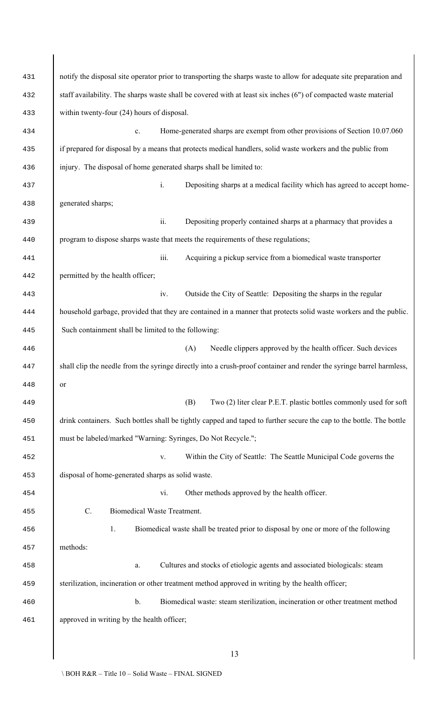| 431 | notify the disposal site operator prior to transporting the sharps waste to allow for adequate site preparation and  |
|-----|----------------------------------------------------------------------------------------------------------------------|
| 432 | staff availability. The sharps waste shall be covered with at least six inches (6") of compacted waste material      |
| 433 | within twenty-four (24) hours of disposal.                                                                           |
| 434 | Home-generated sharps are exempt from other provisions of Section 10.07.060<br>$\mathbf{c}$ .                        |
| 435 | if prepared for disposal by a means that protects medical handlers, solid waste workers and the public from          |
| 436 | injury. The disposal of home generated sharps shall be limited to:                                                   |
| 437 | $\mathbf{i}$ .<br>Depositing sharps at a medical facility which has agreed to accept home-                           |
| 438 | generated sharps;                                                                                                    |
| 439 | ii.<br>Depositing properly contained sharps at a pharmacy that provides a                                            |
| 440 | program to dispose sharps waste that meets the requirements of these regulations;                                    |
| 441 | iii.<br>Acquiring a pickup service from a biomedical waste transporter                                               |
| 442 | permitted by the health officer;                                                                                     |
| 443 | Outside the City of Seattle: Depositing the sharps in the regular<br>iv.                                             |
| 444 | household garbage, provided that they are contained in a manner that protects solid waste workers and the public.    |
| 445 | Such containment shall be limited to the following:                                                                  |
| 446 | (A)<br>Needle clippers approved by the health officer. Such devices                                                  |
| 447 | shall clip the needle from the syringe directly into a crush-proof container and render the syringe barrel harmless, |
| 448 | or                                                                                                                   |
| 449 | Two (2) liter clear P.E.T. plastic bottles commonly used for soft<br>(B)                                             |
| 450 | drink containers. Such bottles shall be tightly capped and taped to further secure the cap to the bottle. The bottle |
| 451 | must be labeled/marked "Warning: Syringes, Do Not Recycle.";                                                         |
| 452 | Within the City of Seattle: The Seattle Municipal Code governs the<br>${\bf V}.$                                     |
| 453 | disposal of home-generated sharps as solid waste.                                                                    |
| 454 | vi.<br>Other methods approved by the health officer.                                                                 |
| 455 | $C$ .<br>Biomedical Waste Treatment.                                                                                 |
| 456 | 1.<br>Biomedical waste shall be treated prior to disposal by one or more of the following                            |
| 457 | methods:                                                                                                             |
| 458 | Cultures and stocks of etiologic agents and associated biologicals: steam<br>a.                                      |
| 459 | sterilization, incineration or other treatment method approved in writing by the health officer;                     |
| 460 | $\mathbf b$ .<br>Biomedical waste: steam sterilization, incineration or other treatment method                       |
| 461 | approved in writing by the health officer;                                                                           |
|     |                                                                                                                      |
|     | 13                                                                                                                   |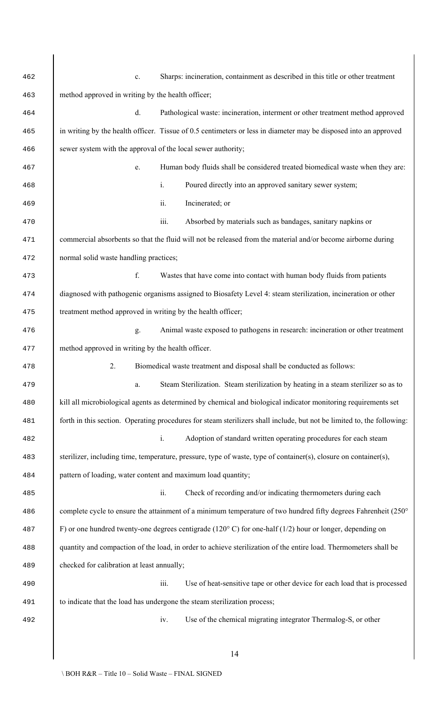| 462 | Sharps: incineration, containment as described in this title or other treatment<br>c.                                  |
|-----|------------------------------------------------------------------------------------------------------------------------|
| 463 | method approved in writing by the health officer;                                                                      |
| 464 | $d$ .<br>Pathological waste: incineration, interment or other treatment method approved                                |
| 465 | in writing by the health officer. Tissue of 0.5 centimeters or less in diameter may be disposed into an approved       |
| 466 | sewer system with the approval of the local sewer authority;                                                           |
| 467 | Human body fluids shall be considered treated biomedical waste when they are:<br>e.                                    |
| 468 | $i$ .<br>Poured directly into an approved sanitary sewer system;                                                       |
| 469 | ii.<br>Incinerated; or                                                                                                 |
| 470 | iii.<br>Absorbed by materials such as bandages, sanitary napkins or                                                    |
| 471 | commercial absorbents so that the fluid will not be released from the material and/or become airborne during           |
| 472 | normal solid waste handling practices;                                                                                 |
| 473 | f.<br>Wastes that have come into contact with human body fluids from patients                                          |
| 474 | diagnosed with pathogenic organisms assigned to Biosafety Level 4: steam sterilization, incineration or other          |
| 475 | treatment method approved in writing by the health officer;                                                            |
| 476 | Animal waste exposed to pathogens in research: incineration or other treatment<br>g.                                   |
| 477 | method approved in writing by the health officer.                                                                      |
| 478 | Biomedical waste treatment and disposal shall be conducted as follows:<br>2.                                           |
| 479 | Steam Sterilization. Steam sterilization by heating in a steam sterilizer so as to<br>a.                               |
| 480 | kill all microbiological agents as determined by chemical and biological indicator monitoring requirements set         |
| 481 | forth in this section. Operating procedures for steam sterilizers shall include, but not be limited to, the following: |
| 482 | $i$ .<br>Adoption of standard written operating procedures for each steam                                              |
| 483 | sterilizer, including time, temperature, pressure, type of waste, type of container(s), closure on container(s),       |
| 484 | pattern of loading, water content and maximum load quantity;                                                           |
| 485 | ii.<br>Check of recording and/or indicating thermometers during each                                                   |
| 486 | complete cycle to ensure the attainment of a minimum temperature of two hundred fifty degrees Fahrenheit (250°         |
| 487 | F) or one hundred twenty-one degrees centigrade (120 $\degree$ C) for one-half (1/2) hour or longer, depending on      |
| 488 | quantity and compaction of the load, in order to achieve sterilization of the entire load. Thermometers shall be       |
| 489 | checked for calibration at least annually;                                                                             |
| 490 | iii.<br>Use of heat-sensitive tape or other device for each load that is processed                                     |
| 491 | to indicate that the load has undergone the steam sterilization process;                                               |
| 492 | Use of the chemical migrating integrator Thermalog-S, or other<br>iv.                                                  |
|     |                                                                                                                        |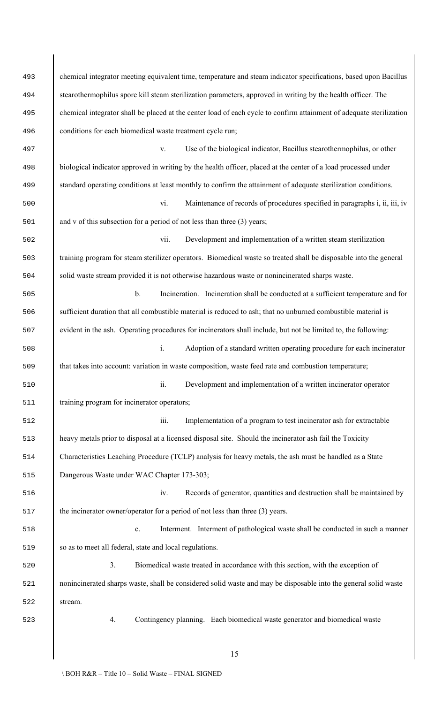| 493 | chemical integrator meeting equivalent time, temperature and steam indicator specifications, based upon Bacillus     |
|-----|----------------------------------------------------------------------------------------------------------------------|
| 494 | stearothermophilus spore kill steam sterilization parameters, approved in writing by the health officer. The         |
| 495 | chemical integrator shall be placed at the center load of each cycle to confirm attainment of adequate sterilization |
| 496 | conditions for each biomedical waste treatment cycle run;                                                            |
| 497 | Use of the biological indicator, Bacillus stearothermophilus, or other<br>V.                                         |
| 498 | biological indicator approved in writing by the health officer, placed at the center of a load processed under       |
| 499 | standard operating conditions at least monthly to confirm the attainment of adequate sterilization conditions.       |
| 500 | vi.<br>Maintenance of records of procedures specified in paragraphs i, ii, iii, iv                                   |
| 501 | and $v$ of this subsection for a period of not less than three $(3)$ years;                                          |
| 502 | vii.<br>Development and implementation of a written steam sterilization                                              |
| 503 | training program for steam sterilizer operators. Biomedical waste so treated shall be disposable into the general    |
| 504 | solid waste stream provided it is not otherwise hazardous waste or nonincinerated sharps waste.                      |
| 505 | $b$ .<br>Incineration. Incineration shall be conducted at a sufficient temperature and for                           |
| 506 | sufficient duration that all combustible material is reduced to ash; that no unburned combustible material is        |
| 507 | evident in the ash. Operating procedures for incinerators shall include, but not be limited to, the following:       |
| 508 | $\mathbf{i}$ .<br>Adoption of a standard written operating procedure for each incinerator                            |
| 509 | that takes into account: variation in waste composition, waste feed rate and combustion temperature;                 |
| 510 | ii.<br>Development and implementation of a written incinerator operator                                              |
| 511 | training program for incinerator operators;                                                                          |
| 512 | iii.<br>Implementation of a program to test incinerator ash for extractable                                          |
| 513 | heavy metals prior to disposal at a licensed disposal site. Should the incinerator ash fail the Toxicity             |
| 514 | Characteristics Leaching Procedure (TCLP) analysis for heavy metals, the ash must be handled as a State              |
| 515 | Dangerous Waste under WAC Chapter 173-303;                                                                           |
| 516 | iv.<br>Records of generator, quantities and destruction shall be maintained by                                       |
| 517 | the incinerator owner/operator for a period of not less than three (3) years.                                        |
| 518 | Interment. Interment of pathological waste shall be conducted in such a manner<br>$\mathbf{c}$ .                     |
| 519 | so as to meet all federal, state and local regulations.                                                              |
| 520 | 3.<br>Biomedical waste treated in accordance with this section, with the exception of                                |
| 521 | nonincinerated sharps waste, shall be considered solid waste and may be disposable into the general solid waste      |
| 522 | stream.                                                                                                              |
| 523 | Contingency planning. Each biomedical waste generator and biomedical waste<br>4.                                     |
|     |                                                                                                                      |
|     | 15                                                                                                                   |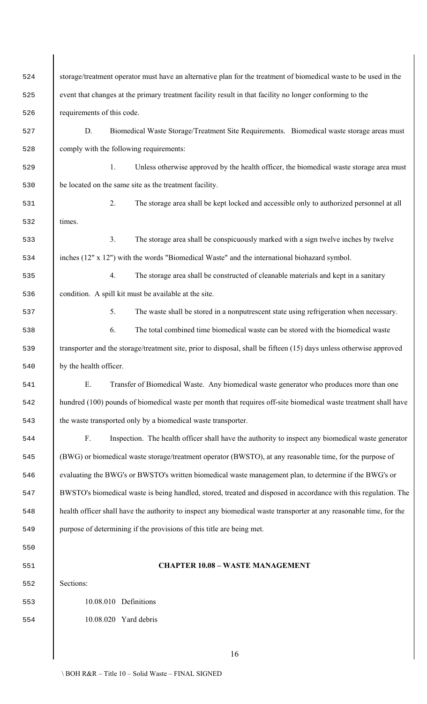| 524 | storage/treatment operator must have an alternative plan for the treatment of biomedical waste to be used in the    |  |  |
|-----|---------------------------------------------------------------------------------------------------------------------|--|--|
| 525 | event that changes at the primary treatment facility result in that facility no longer conforming to the            |  |  |
| 526 | requirements of this code.                                                                                          |  |  |
| 527 | D.<br>Biomedical Waste Storage/Treatment Site Requirements. Biomedical waste storage areas must                     |  |  |
| 528 | comply with the following requirements:                                                                             |  |  |
| 529 | Unless otherwise approved by the health officer, the biomedical waste storage area must<br>1.                       |  |  |
| 530 | be located on the same site as the treatment facility.                                                              |  |  |
| 531 | 2.<br>The storage area shall be kept locked and accessible only to authorized personnel at all                      |  |  |
| 532 | times.                                                                                                              |  |  |
| 533 | 3.<br>The storage area shall be conspicuously marked with a sign twelve inches by twelve                            |  |  |
| 534 | inches (12" x 12") with the words "Biomedical Waste" and the international biohazard symbol.                        |  |  |
| 535 | The storage area shall be constructed of cleanable materials and kept in a sanitary<br>4.                           |  |  |
| 536 | condition. A spill kit must be available at the site.                                                               |  |  |
| 537 | The waste shall be stored in a nonputrescent state using refrigeration when necessary.<br>5.                        |  |  |
| 538 | The total combined time biomedical waste can be stored with the biomedical waste<br>6.                              |  |  |
| 539 | transporter and the storage/treatment site, prior to disposal, shall be fifteen (15) days unless otherwise approved |  |  |
| 540 | by the health officer.                                                                                              |  |  |
| 541 | E.<br>Transfer of Biomedical Waste. Any biomedical waste generator who produces more than one                       |  |  |
| 542 | hundred (100) pounds of biomedical waste per month that requires off-site biomedical waste treatment shall have     |  |  |
| 543 | the waste transported only by a biomedical waste transporter.                                                       |  |  |
| 544 | F.<br>Inspection. The health officer shall have the authority to inspect any biomedical waste generator             |  |  |
| 545 | (BWG) or biomedical waste storage/treatment operator (BWSTO), at any reasonable time, for the purpose of            |  |  |
| 546 | evaluating the BWG's or BWSTO's written biomedical waste management plan, to determine if the BWG's or              |  |  |
| 547 | BWSTO's biomedical waste is being handled, stored, treated and disposed in accordance with this regulation. The     |  |  |
| 548 | health officer shall have the authority to inspect any biomedical waste transporter at any reasonable time, for the |  |  |
| 549 | purpose of determining if the provisions of this title are being met.                                               |  |  |
| 550 |                                                                                                                     |  |  |
| 551 | <b>CHAPTER 10.08 - WASTE MANAGEMENT</b>                                                                             |  |  |
| 552 | Sections:                                                                                                           |  |  |
| 553 | 10.08.010 Definitions                                                                                               |  |  |
| 554 | 10.08.020 Yard debris                                                                                               |  |  |
|     |                                                                                                                     |  |  |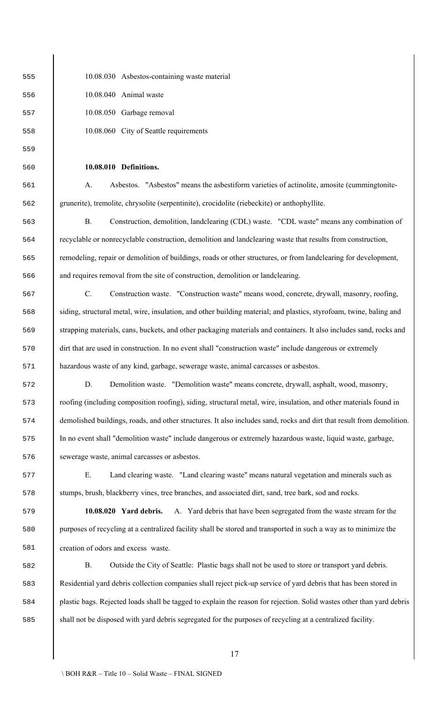10.08.030 Asbestos-containing waste material

10.08.040 Animal waste

10.08.050 Garbage removal

10.08.060 City of Seattle requirements

### **10.08.010 Definitions.**

 A. Asbestos."Asbestos" means the asbestiform varieties of actinolite, amosite (cummingtonite-grunerite), tremolite, chrysolite (serpentinite), crocidolite (riebeckite) or anthophyllite.

 B. Construction, demolition, landclearing (CDL) waste. "CDL waste" means any combination of recyclable or nonrecyclable construction, demolition and landclearing waste that results from construction, remodeling, repair or demolition of buildings, roads or other structures, or from landclearing for development, and requires removal from the site of construction, demolition or landclearing.

 C. Construction waste. "Construction waste" means wood, concrete, drywall, masonry, roofing, siding, structural metal, wire, insulation, and other building material; and plastics, styrofoam, twine, baling and strapping materials, cans, buckets, and other packaging materials and containers. It also includes sand, rocks and dirt that are used in construction. In no event shall "construction waste" include dangerous or extremely hazardous waste of any kind, garbage, sewerage waste, animal carcasses or asbestos.

 D. Demolition waste. "Demolition waste" means concrete, drywall, asphalt, wood, masonry, roofing (including composition roofing), siding, structural metal, wire, insulation, and other materials found in demolished buildings, roads, and other structures. It also includes sand, rocks and dirt that result from demolition. In no event shall "demolition waste" include dangerous or extremely hazardous waste, liquid waste, garbage, sewerage waste, animal carcasses or asbestos.

 E. Land clearing waste. "Land clearing waste" means natural vegetation and minerals such as stumps, brush, blackberry vines, tree branches, and associated dirt, sand, tree bark, sod and rocks.

 **10.08.020 Yard debris.** A. Yard debris that have been segregated from the waste stream for the purposes of recycling at a centralized facility shall be stored and transported in such a way as to minimize the creation of odors and excess waste.

 B. Outside the City of Seattle: Plastic bags shall not be used to store or transport yard debris. Residential yard debris collection companies shall reject pick-up service of yard debris that has been stored in plastic bags. Rejected loads shall be tagged to explain the reason for rejection. Solid wastes other than yard debris shall not be disposed with yard debris segregated for the purposes of recycling at a centralized facility.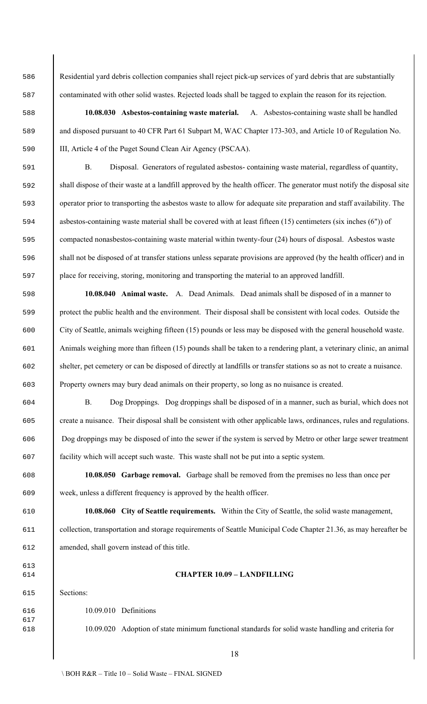Residential yard debris collection companies shall reject pick-up services of yard debris that are substantially contaminated with other solid wastes. Rejected loads shall be tagged to explain the reason for its rejection.

 **10.08.030 Asbestos-containing waste material.** A.Asbestos-containing waste shall be handled and disposed pursuant to 40 CFR Part 61 Subpart M, WAC Chapter 173-303, and Article 10 of Regulation No. III, Article 4 of the Puget Sound Clean Air Agency (PSCAA).

 B. Disposal. Generators of regulated asbestos- containing waste material, regardless of quantity, shall dispose of their waste at a landfill approved by the health officer. The generator must notify the disposal site operator prior to transporting the asbestos waste to allow for adequate site preparation and staff availability. The asbestos-containing waste material shall be covered with at least fifteen (15) centimeters (six inches (6")) of compacted nonasbestos-containing waste material within twenty-four (24) hours of disposal. Asbestos waste shall not be disposed of at transfer stations unless separate provisions are approved (by the health officer) and in place for receiving, storing, monitoring and transporting the material to an approved landfill.

 **10.08.040 Animal waste.** A. Dead Animals. Dead animals shall be disposed of in a manner to protect the public health and the environment. Their disposal shall be consistent with local codes. Outside the City of Seattle, animals weighing fifteen (15) pounds or less may be disposed with the general household waste. Animals weighing more than fifteen (15) pounds shall be taken to a rendering plant, a veterinary clinic, an animal shelter, pet cemetery or can be disposed of directly at landfills or transfer stations so as not to create a nuisance. Property owners may bury dead animals on their property, so long as no nuisance is created.

 B. Dog Droppings. Dog droppings shall be disposed of in a manner, such as burial, which does not create a nuisance. Their disposal shall be consistent with other applicable laws, ordinances, rules and regulations. Dog droppings may be disposed of into the sewer if the system is served by Metro or other large sewer treatment facility which will accept such waste. This waste shall not be put into a septic system.

 **10.08.050 Garbage removal.** Garbage shall be removed from the premises no less than once per week, unless a different frequency is approved by the health officer.

 **10.08.060 City of Seattle requirements.** Within the City of Seattle, the solid waste management, collection, transportation and storage requirements of Seattle Municipal Code Chapter 21.36, as may hereafter be amended, shall govern instead of this title.

## **CHAPTER 10.09 – LANDFILLING**

Sections:

10.09.010 Definitions

10.09.020 Adoption of state minimum functional standards for solid waste handling and criteria for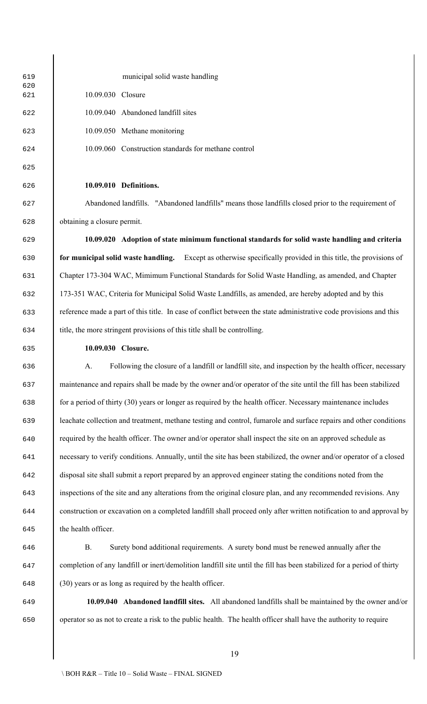municipal solid waste handling 10.09.030 Closure 10.09.040 Abandoned landfill sites 10.09.050 Methane monitoring 10.09.060 Construction standards for methane control **10.09.010 Definitions.** Abandoned landfills."Abandoned landfills" means those landfills closed prior to the requirement of obtaining a closure permit.

 **10.09.020 Adoption of state minimum functional standards for solid waste handling and criteria for municipal solid waste handling.** Except as otherwise specifically provided in this title, the provisions of Chapter 173-304 WAC, Mimimum Functional Standards for Solid Waste Handling, as amended, and Chapter 173-351 WAC, Criteria for Municipal Solid Waste Landfills, as amended, are hereby adopted and by this reference made a part of this title. In case of conflict between the state administrative code provisions and this title, the more stringent provisions of this title shall be controlling.

# **10.09.030 Closure.**

 A. Following the closure of a landfill or landfill site, and inspection by the health officer, necessary maintenance and repairs shall be made by the owner and/or operator of the site until the fill has been stabilized for a period of thirty (30) years or longer as required by the health officer. Necessary maintenance includes leachate collection and treatment, methane testing and control, fumarole and surface repairs and other conditions required by the health officer. The owner and/or operator shall inspect the site on an approved schedule as necessary to verify conditions. Annually, until the site has been stabilized, the owner and/or operator of a closed disposal site shall submit a report prepared by an approved engineer stating the conditions noted from the inspections of the site and any alterations from the original closure plan, and any recommended revisions. Any construction or excavation on a completed landfill shall proceed only after written notification to and approval by the health officer.

 B. Surety bond additional requirements. A surety bond must be renewed annually after the completion of any landfill or inert/demolition landfill site until the fill has been stabilized for a period of thirty (30) years or as long as required by the health officer.

 **10.09.040 Abandoned landfill sites.** All abandoned landfills shall be maintained by the owner and/or operator so as not to create a risk to the public health. The health officer shall have the authority to require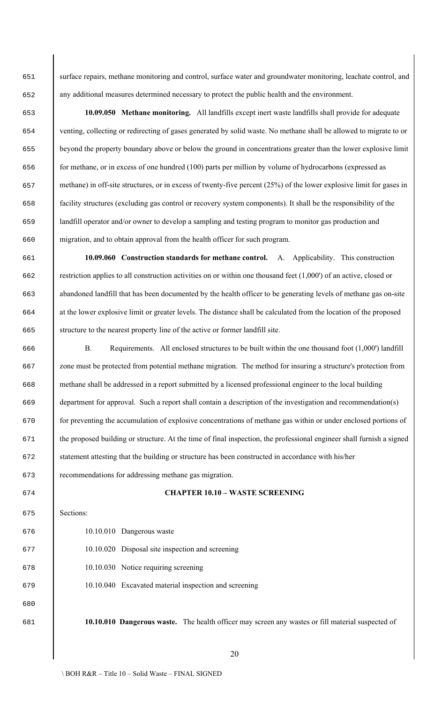surface repairs, methane monitoring and control, surface water and groundwater monitoring, leachate control, and any additional measures determined necessary to protect the public health and the environment.

 **10.09.050 Methane monitoring.** All landfills except inert waste landfills shall provide for adequate venting, collecting or redirecting of gases generated by solid waste. No methane shall be allowed to migrate to or beyond the property boundary above or below the ground in concentrations greater than the lower explosive limit for methane, or in excess of one hundred (100) parts per million by volume of hydrocarbons (expressed as methane) in off-site structures, or in excess of twenty-five percent (25%) of the lower explosive limit for gases in facility structures (excluding gas control or recovery system components). It shall be the responsibility of the landfill operator and/or owner to develop a sampling and testing program to monitor gas production and migration, and to obtain approval from the health officer for such program.

 **10.09.060 Construction standards for methane control.** A. Applicability. This construction 662 restriction applies to all construction activities on or within one thousand feet (1,000') of an active, closed or abandoned landfill that has been documented by the health officer to be generating levels of methane gas on-site at the lower explosive limit or greater levels. The distance shall be calculated from the location of the proposed structure to the nearest property line of the active or former landfill site.

 B. Requirements. All enclosed structures to be built within the one thousand foot (1,000') landfill zone must be protected from potential methane migration. The method for insuring a structure's protection from methane shall be addressed in a report submitted by a licensed professional engineer to the local building department for approval. Such a report shall contain a description of the investigation and recommendation(s) for preventing the accumulation of explosive concentrations of methane gas within or under enclosed portions of the proposed building or structure. At the time of final inspection, the professional engineer shall furnish a signed statement attesting that the building or structure has been constructed in accordance with his/her recommendations for addressing methane gas migration.

### **CHAPTER 10.10 – WASTE SCREENING**

Sections:

- 10.10.010 Dangerous waste
- 10.10.020 Disposal site inspection and screening
- 10.10.030 Notice requiring screening
- 10.10.040 Excavated material inspection and screening

**10.10.010 Dangerous waste.** The health officer may screen any wastes or fill material suspected of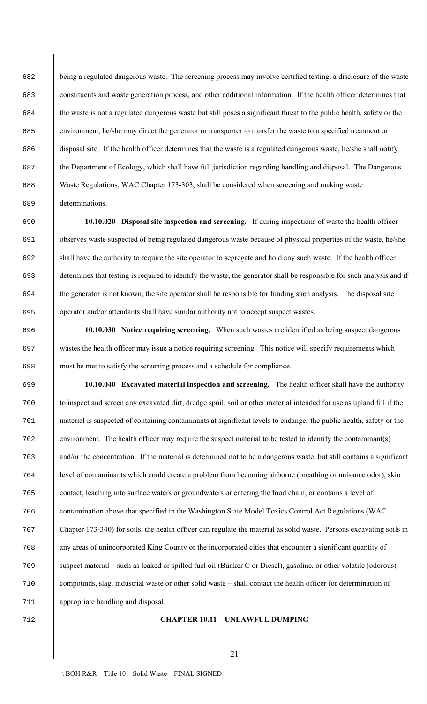being a regulated dangerous waste. The screening process may involve certified testing, a disclosure of the waste constituents and waste generation process, and other additional information. If the health officer determines that the waste is not a regulated dangerous waste but still poses a significant threat to the public health, safety or the environment, he/she may direct the generator or transporter to transfer the waste to a specified treatment or disposal site. If the health officer determines that the waste is a regulated dangerous waste, he/she shall notify the Department of Ecology, which shall have full jurisdiction regarding handling and disposal. The Dangerous Waste Regulations, WAC Chapter 173-303, shall be considered when screening and making waste determinations.

 **10.10.020 Disposal site inspection and screening.** If during inspections of waste the health officer observes waste suspected of being regulated dangerous waste because of physical properties of the waste, he/she shall have the authority to require the site operator to segregate and hold any such waste. If the health officer determines that testing is required to identify the waste, the generator shall be responsible for such analysis and if the generator is not known, the site operator shall be responsible for funding such analysis. The disposal site operator and/or attendants shall have similar authority not to accept suspect wastes.

 **10.10.030 Notice requiring screening.** When such wastes are identified as being suspect dangerous wastes the health officer may issue a notice requiring screening. This notice will specify requirements which must be met to satisfy the screening process and a schedule for compliance.

 **10.10.040 Excavated material inspection and screening.** The health officer shall have the authority to inspect and screen any excavated dirt, dredge spoil, soil or other material intended for use as upland fill if the material is suspected of containing contaminants at significant levels to endanger the public health, safety or the environment. The health officer may require the suspect material to be tested to identify the contaminant(s) and/or the concentration. If the material is determined not to be a dangerous waste, but still contains a significant level of contaminants which could create a problem from becoming airborne (breathing or nuisance odor), skin contact, leaching into surface waters or groundwaters or entering the food chain, or contains a level of contamination above that specified in the Washington State Model Toxics Control Act Regulations (WAC Chapter 173-340) for soils, the health officer can regulate the material as solid waste. Persons excavating soils in any areas of unincorporated King County or the incorporated cities that encounter a significant quantity of suspect material – such as leaked or spilled fuel oil (Bunker C or Diesel), gasoline, or other volatile (odorous) compounds, slag, industrial waste or other solid waste – shall contact the health officer for determination of appropriate handling and disposal.

# **CHAPTER 10.11 – UNLAWFUL DUMPING**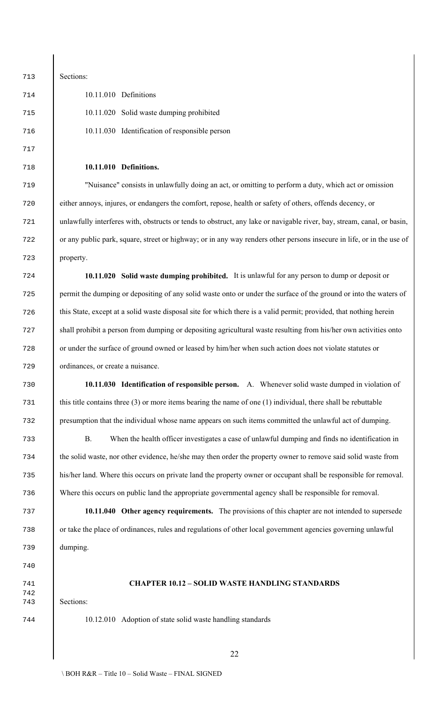Sections: 10.11.010 Definitions 10.11.020 Solid waste dumping prohibited 10.11.030 Identification of responsible person

## **10.11.010 Definitions.**

 "Nuisance" consists in unlawfully doing an act, or omitting to perform a duty, which act or omission either annoys, injures, or endangers the comfort, repose, health or safety of others, offends decency, or unlawfully interferes with, obstructs or tends to obstruct, any lake or navigable river, bay, stream, canal, or basin, or any public park, square, street or highway; or in any way renders other persons insecure in life, or in the use of property.

 **10.11.020 Solid waste dumping prohibited.** It is unlawful for any person to dump or deposit or permit the dumping or depositing of any solid waste onto or under the surface of the ground or into the waters of this State, except at a solid waste disposal site for which there is a valid permit; provided, that nothing herein shall prohibit a person from dumping or depositing agricultural waste resulting from his/her own activities onto or under the surface of ground owned or leased by him/her when such action does not violate statutes or ordinances, or create a nuisance.

 **10.11.030 Identification of responsible person.** A. Whenever solid waste dumped in violation of this title contains three (3) or more items bearing the name of one (1) individual, there shall be rebuttable presumption that the individual whose name appears on such items committed the unlawful act of dumping.

 B. When the health officer investigates a case of unlawful dumping and finds no identification in the solid waste, nor other evidence, he/she may then order the property owner to remove said solid waste from his/her land. Where this occurs on private land the property owner or occupant shall be responsible for removal. Where this occurs on public land the appropriate governmental agency shall be responsible for removal.

 **10.11.040 Other agency requirements.** The provisions of this chapter are not intended to supersede or take the place of ordinances, rules and regulations of other local government agencies governing unlawful dumping.

# **CHAPTER 10.12 – SOLID WASTE HANDLING STANDARDS**

Sections:

10.12.010 Adoption of state solid waste handling standards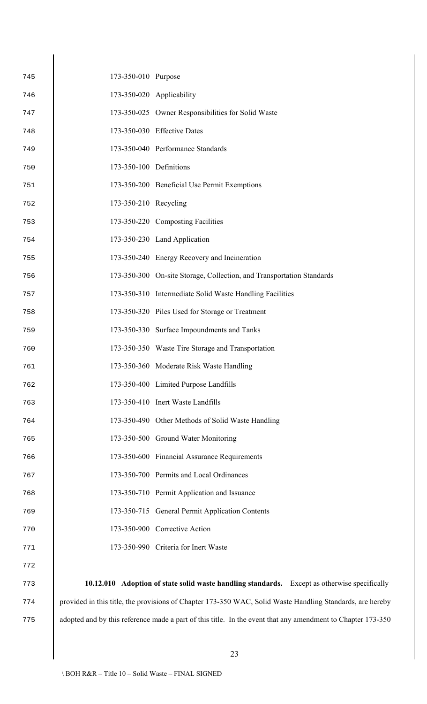| 745 | 173-350-010 Purpose     |                                                                                                           |
|-----|-------------------------|-----------------------------------------------------------------------------------------------------------|
| 746 |                         | 173-350-020 Applicability                                                                                 |
| 747 |                         | 173-350-025 Owner Responsibilities for Solid Waste                                                        |
| 748 |                         | 173-350-030 Effective Dates                                                                               |
| 749 |                         | 173-350-040 Performance Standards                                                                         |
| 750 | 173-350-100 Definitions |                                                                                                           |
| 751 |                         | 173-350-200 Beneficial Use Permit Exemptions                                                              |
| 752 | 173-350-210 Recycling   |                                                                                                           |
| 753 |                         | 173-350-220 Composting Facilities                                                                         |
| 754 |                         | 173-350-230 Land Application                                                                              |
| 755 |                         | 173-350-240 Energy Recovery and Incineration                                                              |
| 756 |                         | 173-350-300 On-site Storage, Collection, and Transportation Standards                                     |
| 757 |                         | 173-350-310 Intermediate Solid Waste Handling Facilities                                                  |
| 758 |                         | 173-350-320 Piles Used for Storage or Treatment                                                           |
| 759 |                         | 173-350-330 Surface Impoundments and Tanks                                                                |
| 760 |                         | 173-350-350 Waste Tire Storage and Transportation                                                         |
| 761 |                         | 173-350-360 Moderate Risk Waste Handling                                                                  |
| 762 |                         | 173-350-400 Limited Purpose Landfills                                                                     |
| 763 |                         | 173-350-410 Inert Waste Landfills                                                                         |
| 764 |                         | 173-350-490 Other Methods of Solid Waste Handling                                                         |
| 765 |                         | 173-350-500 Ground Water Monitoring                                                                       |
| 766 |                         | 173-350-600 Financial Assurance Requirements                                                              |
| 767 |                         | 173-350-700 Permits and Local Ordinances                                                                  |
| 768 |                         | 173-350-710 Permit Application and Issuance                                                               |
| 769 |                         | 173-350-715 General Permit Application Contents                                                           |
| 770 |                         | 173-350-900 Corrective Action                                                                             |
| 771 |                         | 173-350-990 Criteria for Inert Waste                                                                      |
| 772 |                         |                                                                                                           |
| 773 |                         | 10.12.010 Adoption of state solid waste handling standards. Except as otherwise specifically              |
| 774 |                         | provided in this title, the provisions of Chapter 173-350 WAC, Solid Waste Handling Standards, are hereby |
|     |                         |                                                                                                           |

adopted and by this reference made a part of this title. In the event that any amendment to Chapter 173-350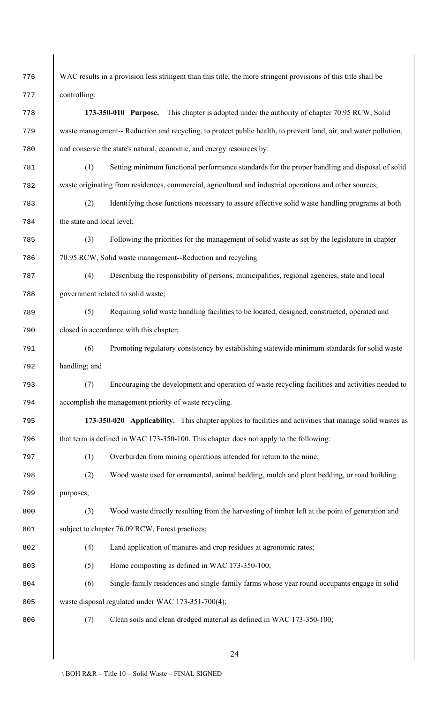WAC results in a provision less stringent than this title, the more stringent provisions of this title shall be controlling. **173-350-010 Purpose.** This chapter is adopted under the authority of chapter 70.95 RCW, Solid waste management-- Reduction and recycling, to protect public health, to prevent land, air, and water pollution, and conserve the state's natural, economic, and energy resources by: (1) Setting minimum functional performance standards for the proper handling and disposal of solid waste originating from residences, commercial, agricultural and industrial operations and other sources; (2) Identifying those functions necessary to assure effective solid waste handling programs at both the state and local level; (3) Following the priorities for the management of solid waste as set by the legislature in chapter 70.95 RCW, Solid waste management--Reduction and recycling. (4) Describing the responsibility of persons, municipalities, regional agencies, state and local government related to solid waste; (5) Requiring solid waste handling facilities to be located, designed, constructed, operated and closed in accordance with this chapter; (6) Promoting regulatory consistency by establishing statewide minimum standards for solid waste handling; and (7) Encouraging the development and operation of waste recycling facilities and activities needed to accomplish the management priority of waste recycling. **173-350-020 Applicability.** This chapter applies to facilities and activities that manage solid wastes as that term is defined in WAC 173-350-100. This chapter does not apply to the following: (1) Overburden from mining operations intended for return to the mine; (2) Wood waste used for ornamental, animal bedding, mulch and plant bedding, or road building purposes; (3) Wood waste directly resulting from the harvesting of timber left at the point of generation and 801 subject to chapter 76.09 RCW, Forest practices; 802 (4) Land application of manures and crop residues at agronomic rates; (5) Home composting as defined in WAC 173-350-100; (6) Single-family residences and single-family farms whose year round occupants engage in solid waste disposal regulated under WAC 173-351-700(4); (7) Clean soils and clean dredged material as defined in WAC 173-350-100;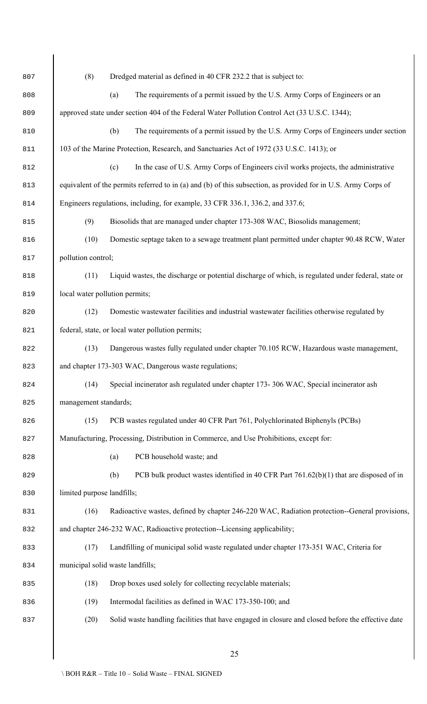| 807 | (8)                                                                            | Dredged material as defined in 40 CFR 232.2 that is subject to:                                                |  |
|-----|--------------------------------------------------------------------------------|----------------------------------------------------------------------------------------------------------------|--|
| 808 |                                                                                | The requirements of a permit issued by the U.S. Army Corps of Engineers or an<br>(a)                           |  |
| 809 |                                                                                | approved state under section 404 of the Federal Water Pollution Control Act (33 U.S.C. 1344);                  |  |
| 810 |                                                                                | (b)<br>The requirements of a permit issued by the U.S. Army Corps of Engineers under section                   |  |
| 811 |                                                                                | 103 of the Marine Protection, Research, and Sanctuaries Act of 1972 (33 U.S.C. 1413); or                       |  |
| 812 |                                                                                | In the case of U.S. Army Corps of Engineers civil works projects, the administrative<br>(c)                    |  |
| 813 |                                                                                | equivalent of the permits referred to in (a) and (b) of this subsection, as provided for in U.S. Army Corps of |  |
| 814 | Engineers regulations, including, for example, 33 CFR 336.1, 336.2, and 337.6; |                                                                                                                |  |
| 815 | (9)                                                                            | Biosolids that are managed under chapter 173-308 WAC, Biosolids management;                                    |  |
| 816 | (10)                                                                           | Domestic septage taken to a sewage treatment plant permitted under chapter 90.48 RCW, Water                    |  |
| 817 | pollution control;                                                             |                                                                                                                |  |
| 818 | (11)                                                                           | Liquid wastes, the discharge or potential discharge of which, is regulated under federal, state or             |  |
| 819 | local water pollution permits;                                                 |                                                                                                                |  |
| 820 | (12)                                                                           | Domestic wastewater facilities and industrial wastewater facilities otherwise regulated by                     |  |
| 821 |                                                                                | federal, state, or local water pollution permits;                                                              |  |
| 822 | (13)                                                                           | Dangerous wastes fully regulated under chapter 70.105 RCW, Hazardous waste management,                         |  |
| 823 |                                                                                | and chapter 173-303 WAC, Dangerous waste regulations;                                                          |  |
| 824 | (14)                                                                           | Special incinerator ash regulated under chapter 173- 306 WAC, Special incinerator ash                          |  |
| 825 | management standards;                                                          |                                                                                                                |  |
| 826 | (15)                                                                           | PCB wastes regulated under 40 CFR Part 761, Polychlorinated Biphenyls (PCBs)                                   |  |
| 827 |                                                                                | Manufacturing, Processing, Distribution in Commerce, and Use Prohibitions, except for:                         |  |
| 828 |                                                                                | PCB household waste; and<br>(a)                                                                                |  |
| 829 |                                                                                | (b)<br>PCB bulk product wastes identified in 40 CFR Part $761.62(b)(1)$ that are disposed of in                |  |
| 830 | limited purpose landfills;                                                     |                                                                                                                |  |
| 831 | (16)                                                                           | Radioactive wastes, defined by chapter 246-220 WAC, Radiation protection--General provisions,                  |  |
| 832 | and chapter 246-232 WAC, Radioactive protection--Licensing applicability;      |                                                                                                                |  |
| 833 | (17)                                                                           | Landfilling of municipal solid waste regulated under chapter 173-351 WAC, Criteria for                         |  |
| 834 |                                                                                | municipal solid waste landfills;                                                                               |  |
| 835 | (18)                                                                           | Drop boxes used solely for collecting recyclable materials;                                                    |  |
| 836 | (19)                                                                           | Intermodal facilities as defined in WAC 173-350-100; and                                                       |  |
| 837 | (20)                                                                           | Solid waste handling facilities that have engaged in closure and closed before the effective date              |  |
|     |                                                                                |                                                                                                                |  |
|     |                                                                                | 25                                                                                                             |  |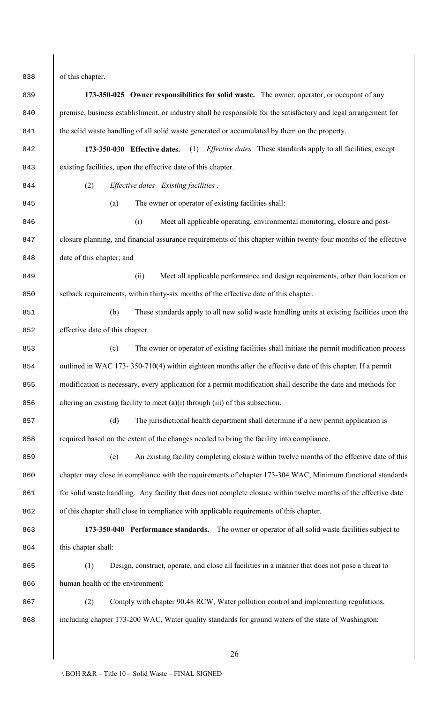of this chapter.

 **173-350-025 Owner responsibilities for solid waste.** The owner, operator, or occupant of any premise, business establishment, or industry shall be responsible for the satisfactory and legal arrangement for 841 the solid waste handling of all solid waste generated or accumulated by them on the property. **173-350-030 Effective dates.** (1) *Effective dates.* These standards apply to all facilities, except existing facilities, upon the effective date of this chapter. (2) *Effective dates - Existing facilities* . (a) The owner or operator of existing facilities shall: (i) Meet all applicable operating, environmental monitoring, closure and post- closure planning, and financial assurance requirements of this chapter within twenty-four months of the effective date of this chapter; and (ii) Meet all applicable performance and design requirements, other than location or setback requirements, within thirty-six months of the effective date of this chapter. (b) These standards apply to all new solid waste handling units at existing facilities upon the effective date of this chapter. (c) The owner or operator of existing facilities shall initiate the permit modification process 854 utilined in WAC 173- 350-710(4) within eighteen months after the effective date of this chapter. If a permit 855 modification is necessary, every application for a permit modification shall describe the date and methods for 856 altering an existing facility to meet (a)(i) through (iii) of this subsection. (d) The jurisdictional health department shall determine if a new permit application is required based on the extent of the changes needed to bring the facility into compliance. (e) An existing facility completing closure within twelve months of the effective date of this 860 chapter may close in compliance with the requirements of chapter 173-304 WAC, Minimum functional standards 861 for solid waste handling. Any facility that does not complete closure within twelve months of the effective date 862 of this chapter shall close in compliance with applicable requirements of this chapter. **173-350-040 Performance standards.** The owner or operator of all solid waste facilities subject to this chapter shall: (1) Design, construct, operate, and close all facilities in a manner that does not pose a threat to 866 human health or the environment; 867 (2) Comply with chapter 90.48 RCW, Water pollution control and implementing regulations, 868 including chapter 173-200 WAC, Water quality standards for ground waters of the state of Washington;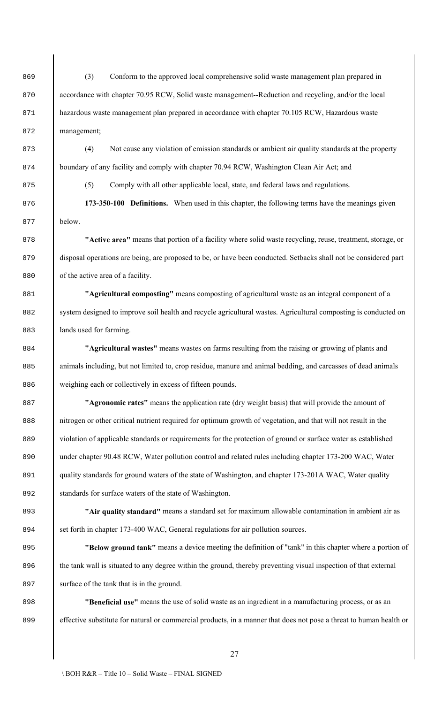869 (3) Conform to the approved local comprehensive solid waste management plan prepared in 870 accordance with chapter 70.95 RCW, Solid waste management--Reduction and recycling, and/or the local 871 hazardous waste management plan prepared in accordance with chapter 70.105 RCW, Hazardous waste 872 management;

873 (4) Not cause any violation of emission standards or ambient air quality standards at the property 874 boundary of any facility and comply with chapter 70.94 RCW, Washington Clean Air Act; and

875 (5) Comply with all other applicable local, state, and federal laws and regulations.

876 **173-350-100 Definitions.** When used in this chapter, the following terms have the meanings given 877 below.

878 **"Active area"** means that portion of a facility where solid waste recycling, reuse, treatment, storage, or 879 disposal operations are being, are proposed to be, or have been conducted. Setbacks shall not be considered part 880 of the active area of a facility.

881 **"Agricultural composting"** means composting of agricultural waste as an integral component of a 882 system designed to improve soil health and recycle agricultural wastes. Agricultural composting is conducted on 883 **lands** used for farming.

884 **"Agricultural wastes"** means wastes on farms resulting from the raising or growing of plants and 885 animals including, but not limited to, crop residue, manure and animal bedding, and carcasses of dead animals 886 weighing each or collectively in excess of fifteen pounds.

887 **"Agronomic rates"** means the application rate (dry weight basis) that will provide the amount of 888 nitrogen or other critical nutrient required for optimum growth of vegetation, and that will not result in the 889 violation of applicable standards or requirements for the protection of ground or surface water as established 890 under chapter 90.48 RCW, Water pollution control and related rules including chapter 173-200 WAC, Water 891 quality standards for ground waters of the state of Washington, and chapter 173-201A WAC, Water quality 892 standards for surface waters of the state of Washington.

893 **"Air quality standard"** means a standard set for maximum allowable contamination in ambient air as 894 set forth in chapter 173-400 WAC, General regulations for air pollution sources.

895 **"Below ground tank"** means a device meeting the definition of "tank" in this chapter where a portion of 896 the tank wall is situated to any degree within the ground, thereby preventing visual inspection of that external 897 surface of the tank that is in the ground.

898 **"Beneficial use"** means the use of solid waste as an ingredient in a manufacturing process, or as an 899 effective substitute for natural or commercial products, in a manner that does not pose a threat to human health or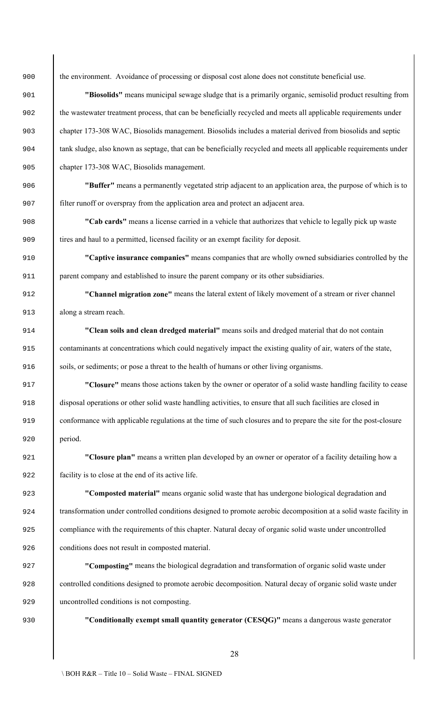the environment. Avoidance of processing or disposal cost alone does not constitute beneficial use.

 **"Biosolids"** means municipal sewage sludge that is a primarily organic, semisolid product resulting from 902 the wastewater treatment process, that can be beneficially recycled and meets all applicable requirements under chapter 173-308 WAC, Biosolids management. Biosolids includes a material derived from biosolids and septic tank sludge, also known as septage, that can be beneficially recycled and meets all applicable requirements under chapter 173-308 WAC, Biosolids management.

 **"Buffer"** means a permanently vegetated strip adjacent to an application area, the purpose of which is to filter runoff or overspray from the application area and protect an adjacent area.

 **"Cab cards"** means a license carried in a vehicle that authorizes that vehicle to legally pick up waste 909 itires and haul to a permitted, licensed facility or an exempt facility for deposit.

 **"Captive insurance companies"** means companies that are wholly owned subsidiaries controlled by the 911 parent company and established to insure the parent company or its other subsidiaries.

 **"Channel migration zone"** means the lateral extent of likely movement of a stream or river channel along a stream reach.

 **"Clean soils and clean dredged material"** means soils and dredged material that do not contain contaminants at concentrations which could negatively impact the existing quality of air, waters of the state, soils, or sediments; or pose a threat to the health of humans or other living organisms.

 **"Closure"** means those actions taken by the owner or operator of a solid waste handling facility to cease disposal operations or other solid waste handling activities, to ensure that all such facilities are closed in conformance with applicable regulations at the time of such closures and to prepare the site for the post-closure period.

 **"Closure plan"** means a written plan developed by an owner or operator of a facility detailing how a facility is to close at the end of its active life.

 **"Composted material"** means organic solid waste that has undergone biological degradation and transformation under controlled conditions designed to promote aerobic decomposition at a solid waste facility in 925 compliance with the requirements of this chapter. Natural decay of organic solid waste under uncontrolled conditions does not result in composted material.

 **"Composting"** means the biological degradation and transformation of organic solid waste under controlled conditions designed to promote aerobic decomposition. Natural decay of organic solid waste under uncontrolled conditions is not composting.

**"Conditionally exempt small quantity generator (CESQG)"** means a dangerous waste generator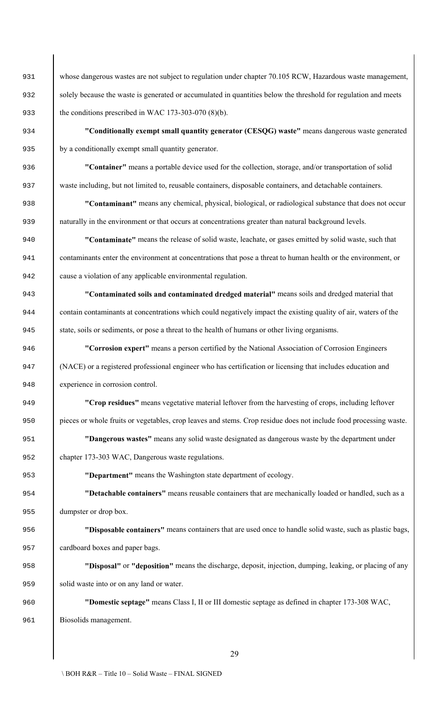931 Whose dangerous wastes are not subject to regulation under chapter 70.105 RCW, Hazardous waste management, solely because the waste is generated or accumulated in quantities below the threshold for regulation and meets 933 the conditions prescribed in WAC 173-303-070 (8)(b).

 **"Conditionally exempt small quantity generator (CESQG) waste"** means dangerous waste generated by a conditionally exempt small quantity generator.

 **"Container"** means a portable device used for the collection, storage, and/or transportation of solid waste including, but not limited to, reusable containers, disposable containers, and detachable containers.

 **"Contaminant"** means any chemical, physical, biological, or radiological substance that does not occur naturally in the environment or that occurs at concentrations greater than natural background levels.

 **"Contaminate"** means the release of solid waste, leachate, or gases emitted by solid waste, such that contaminants enter the environment at concentrations that pose a threat to human health or the environment, or cause a violation of any applicable environmental regulation.

 **"Contaminated soils and contaminated dredged material"** means soils and dredged material that contain contaminants at concentrations which could negatively impact the existing quality of air, waters of the 945 state, soils or sediments, or pose a threat to the health of humans or other living organisms.

 **"Corrosion expert"** means a person certified by the National Association of Corrosion Engineers (NACE) or a registered professional engineer who has certification or licensing that includes education and experience in corrosion control.

 **"Crop residues"** means vegetative material leftover from the harvesting of crops, including leftover pieces or whole fruits or vegetables, crop leaves and stems. Crop residue does not include food processing waste.

 **"Dangerous wastes"** means any solid waste designated as dangerous waste by the department under chapter 173-303 WAC, Dangerous waste regulations.

**"Department"** means the Washington state department of ecology.

 **"Detachable containers"** means reusable containers that are mechanically loaded or handled, such as a 955 dumpster or drop box.

 **"Disposable containers"** means containers that are used once to handle solid waste, such as plastic bags, cardboard boxes and paper bags.

 **"Disposal"** or **"deposition"** means the discharge, deposit, injection, dumping, leaking, or placing of any solid waste into or on any land or water.

 **"Domestic septage"** means Class I, II or III domestic septage as defined in chapter 173-308 WAC, Biosolids management.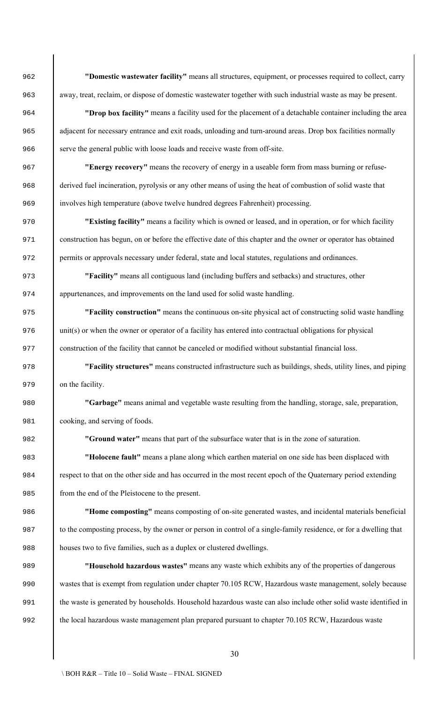**"Domestic wastewater facility"** means all structures, equipment, or processes required to collect, carry away, treat, reclaim, or dispose of domestic wastewater together with such industrial waste as may be present.

 **"Drop box facility"** means a facility used for the placement of a detachable container including the area 965 adjacent for necessary entrance and exit roads, unloading and turn-around areas. Drop box facilities normally 966 serve the general public with loose loads and receive waste from off-site.

 **"Energy recovery"** means the recovery of energy in a useable form from mass burning or refuse- derived fuel incineration, pyrolysis or any other means of using the heat of combustion of solid waste that involves high temperature (above twelve hundred degrees Fahrenheit) processing.

 **"Existing facility"** means a facility which is owned or leased, and in operation, or for which facility construction has begun, on or before the effective date of this chapter and the owner or operator has obtained permits or approvals necessary under federal, state and local statutes, regulations and ordinances.

 **"Facility"** means all contiguous land (including buffers and setbacks) and structures, other appurtenances, and improvements on the land used for solid waste handling.

 **"Facility construction"** means the continuous on-site physical act of constructing solid waste handling unit(s) or when the owner or operator of a facility has entered into contractual obligations for physical construction of the facility that cannot be canceled or modified without substantial financial loss.

 **"Facility structures"** means constructed infrastructure such as buildings, sheds, utility lines, and piping on the facility.

 **"Garbage"** means animal and vegetable waste resulting from the handling, storage, sale, preparation, cooking, and serving of foods.

**"Ground water"** means that part of the subsurface water that is in the zone of saturation.

 **"Holocene fault"** means a plane along which earthen material on one side has been displaced with 984 respect to that on the other side and has occurred in the most recent epoch of the Quaternary period extending 985 from the end of the Pleistocene to the present.

 **"Home composting"** means composting of on-site generated wastes, and incidental materials beneficial to the composting process, by the owner or person in control of a single-family residence, or for a dwelling that houses two to five families, such as a duplex or clustered dwellings.

 **"Household hazardous wastes"** means any waste which exhibits any of the properties of dangerous wastes that is exempt from regulation under chapter 70.105 RCW, Hazardous waste management, solely because the waste is generated by households. Household hazardous waste can also include other solid waste identified in 992 the local hazardous waste management plan prepared pursuant to chapter 70.105 RCW, Hazardous waste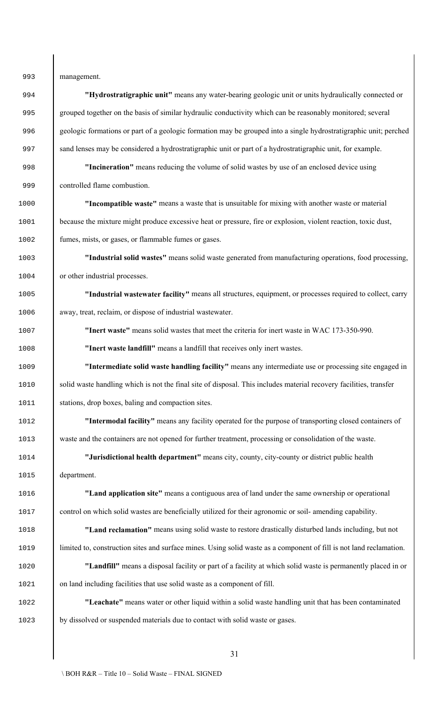management.

 **"Hydrostratigraphic unit"** means any water-bearing geologic unit or units hydraulically connected or grouped together on the basis of similar hydraulic conductivity which can be reasonably monitored; several geologic formations or part of a geologic formation may be grouped into a single hydrostratigraphic unit; perched 997 sand lenses may be considered a hydrostratigraphic unit or part of a hydrostratigraphic unit, for example. **"Incineration"** means reducing the volume of solid wastes by use of an enclosed device using controlled flame combustion. **"Incompatible waste"** means a waste that is unsuitable for mixing with another waste or material 1001 because the mixture might produce excessive heat or pressure, fire or explosion, violent reaction, toxic dust, fumes, mists, or gases, or flammable fumes or gases. **"Industrial solid wastes"** means solid waste generated from manufacturing operations, food processing, or other industrial processes. **"Industrial wastewater facility"** means all structures, equipment, or processes required to collect, carry away, treat, reclaim, or dispose of industrial wastewater. **"Inert waste"** means solid wastes that meet the criteria for inert waste in WAC 173-350-990. **"Inert waste landfill"** means a landfill that receives only inert wastes. **"Intermediate solid waste handling facility"** means any intermediate use or processing site engaged in 1010 solid waste handling which is not the final site of disposal. This includes material recovery facilities, transfer 1011 stations, drop boxes, baling and compaction sites. **"Intermodal facility"** means any facility operated for the purpose of transporting closed containers of waste and the containers are not opened for further treatment, processing or consolidation of the waste. **"Jurisdictional health department"** means city, county, city-county or district public health department. **"Land application site"** means a contiguous area of land under the same ownership or operational control on which solid wastes are beneficially utilized for their agronomic or soil- amending capability. **"Land reclamation"** means using solid waste to restore drastically disturbed lands including, but not limited to, construction sites and surface mines. Using solid waste as a component of fill is not land reclamation. **"Landfill"** means a disposal facility or part of a facility at which solid waste is permanently placed in or on land including facilities that use solid waste as a component of fill. **"Leachate"** means water or other liquid within a solid waste handling unit that has been contaminated by dissolved or suspended materials due to contact with solid waste or gases.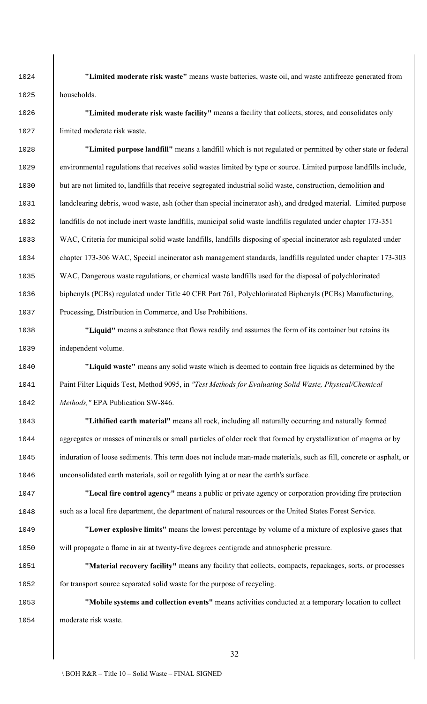**"Limited moderate risk waste"** means waste batteries, waste oil, and waste antifreeze generated from households.

 **"Limited moderate risk waste facility"** means a facility that collects, stores, and consolidates only 1027 limited moderate risk waste.

 **"Limited purpose landfill"** means a landfill which is not regulated or permitted by other state or federal environmental regulations that receives solid wastes limited by type or source. Limited purpose landfills include, 1030 but are not limited to, landfills that receive segregated industrial solid waste, construction, demolition and 1031 and clearing debris, wood waste, ash (other than special incinerator ash), and dredged material. Limited purpose 1032 | landfills do not include inert waste landfills, municipal solid waste landfills regulated under chapter 173-351 WAC, Criteria for municipal solid waste landfills, landfills disposing of special incinerator ash regulated under chapter 173-306 WAC, Special incinerator ash management standards, landfills regulated under chapter 173-303 WAC, Dangerous waste regulations, or chemical waste landfills used for the disposal of polychlorinated biphenyls (PCBs) regulated under Title 40 CFR Part 761, Polychlorinated Biphenyls (PCBs) Manufacturing, Processing, Distribution in Commerce, and Use Prohibitions.

 **"Liquid"** means a substance that flows readily and assumes the form of its container but retains its independent volume.

 **"Liquid waste"** means any solid waste which is deemed to contain free liquids as determined by the Paint Filter Liquids Test, Method 9095, in *"Test Methods for Evaluating Solid Waste, Physical/Chemical Methods,"* EPA Publication SW-846.

 **"Lithified earth material"** means all rock, including all naturally occurring and naturally formed aggregates or masses of minerals or small particles of older rock that formed by crystallization of magma or by induration of loose sediments. This term does not include man-made materials, such as fill, concrete or asphalt, or unconsolidated earth materials, soil or regolith lying at or near the earth's surface.

 **"Local fire control agency"** means a public or private agency or corporation providing fire protection 1048 such as a local fire department, the department of natural resources or the United States Forest Service.

 **"Lower explosive limits"** means the lowest percentage by volume of a mixture of explosive gases that will propagate a flame in air at twenty-five degrees centigrade and atmospheric pressure.

 **"Material recovery facility"** means any facility that collects, compacts, repackages, sorts, or processes 1052 for transport source separated solid waste for the purpose of recycling.

 **"Mobile systems and collection events"** means activities conducted at a temporary location to collect moderate risk waste.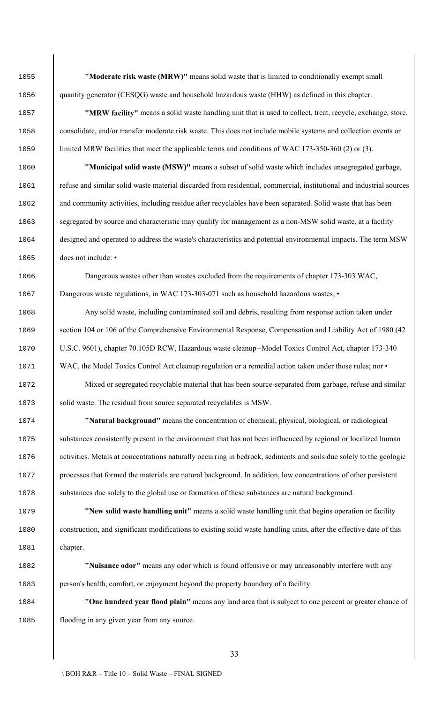**"Moderate risk waste (MRW)"** means solid waste that is limited to conditionally exempt small 1056 quantity generator (CESQG) waste and household hazardous waste (HHW) as defined in this chapter.

 **"MRW facility"** means a solid waste handling unit that is used to collect, treat, recycle, exchange, store, consolidate, and/or transfer moderate risk waste. This does not include mobile systems and collection events or 1059 limited MRW facilities that meet the applicable terms and conditions of WAC 173-350-360 (2) or (3).

 **"Municipal solid waste (MSW)"** means a subset of solid waste which includes unsegregated garbage, refuse and similar solid waste material discarded from residential, commercial, institutional and industrial sources 1062 and community activities, including residue after recyclables have been separated. Solid waste that has been 1063 segregated by source and characteristic may qualify for management as a non-MSW solid waste, at a facility designed and operated to address the waste's characteristics and potential environmental impacts. The term MSW 1065 does not include: •

 Dangerous wastes other than wastes excluded from the requirements of chapter 173-303 WAC, 1067 Dangerous waste regulations, in WAC 173-303-071 such as household hazardous wastes;

 Any solid waste, including contaminated soil and debris, resulting from response action taken under 1069 section 104 or 106 of the Comprehensive Environmental Response, Compensation and Liability Act of 1980 (42 U.S.C. 9601), chapter 70.105D RCW, Hazardous waste cleanup--Model Toxics Control Act, chapter 173-340 1071 WAC, the Model Toxics Control Act cleanup regulation or a remedial action taken under those rules; nor •

 Mixed or segregated recyclable material that has been source-separated from garbage, refuse and similar 1073 Solid waste. The residual from source separated recyclables is MSW.

 **"Natural background"** means the concentration of chemical, physical, biological, or radiological substances consistently present in the environment that has not been influenced by regional or localized human 1076 activities. Metals at concentrations naturally occurring in bedrock, sediments and soils due solely to the geologic processes that formed the materials are natural background. In addition, low concentrations of other persistent substances due solely to the global use or formation of these substances are natural background.

 **"New solid waste handling unit"** means a solid waste handling unit that begins operation or facility construction, and significant modifications to existing solid waste handling units, after the effective date of this chapter.

 **"Nuisance odor"** means any odor which is found offensive or may unreasonably interfere with any person's health, comfort, or enjoyment beyond the property boundary of a facility.

 **"One hundred year flood plain"** means any land area that is subject to one percent or greater chance of flooding in any given year from any source.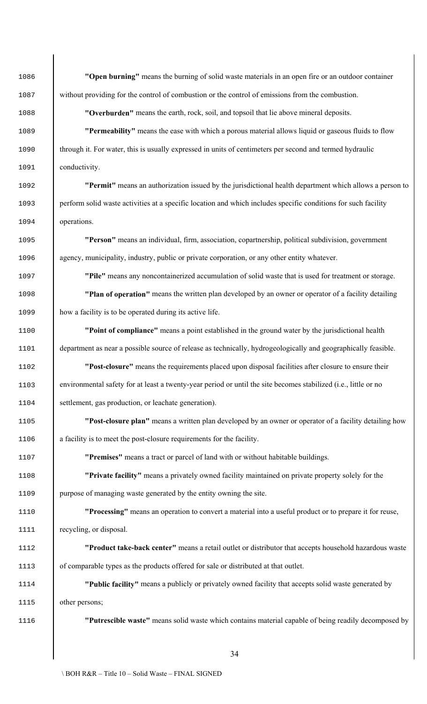**"Open burning"** means the burning of solid waste materials in an open fire or an outdoor container without providing for the control of combustion or the control of emissions from the combustion.

**"Overburden"** means the earth, rock, soil, and topsoil that lie above mineral deposits.

 **"Permeability"** means the ease with which a porous material allows liquid or gaseous fluids to flow 1090 through it. For water, this is usually expressed in units of centimeters per second and termed hydraulic 1091 conductivity.

 **"Permit"** means an authorization issued by the jurisdictional health department which allows a person to perform solid waste activities at a specific location and which includes specific conditions for such facility operations.

 **"Person"** means an individual, firm, association, copartnership, political subdivision, government agency, municipality, industry, public or private corporation, or any other entity whatever.

**"Pile"** means any noncontainerized accumulation of solid waste that is used for treatment or storage.

 **"Plan of operation"** means the written plan developed by an owner or operator of a facility detailing how a facility is to be operated during its active life.

 **"Point of compliance"** means a point established in the ground water by the jurisdictional health department as near a possible source of release as technically, hydrogeologically and geographically feasible.

 **"Post-closure"** means the requirements placed upon disposal facilities after closure to ensure their environmental safety for at least a twenty-year period or until the site becomes stabilized (i.e., little or no settlement, gas production, or leachate generation).

 **"Post-closure plan"** means a written plan developed by an owner or operator of a facility detailing how a facility is to meet the post-closure requirements for the facility.

**"Premises"** means a tract or parcel of land with or without habitable buildings.

 **"Private facility"** means a privately owned facility maintained on private property solely for the purpose of managing waste generated by the entity owning the site.

 **"Processing"** means an operation to convert a material into a useful product or to prepare it for reuse, 1111 recycling, or disposal.

 **"Product take-back center"** means a retail outlet or distributor that accepts household hazardous waste of comparable types as the products offered for sale or distributed at that outlet.

 **"Public facility"** means a publicly or privately owned facility that accepts solid waste generated by other persons;

**"Putrescible waste"** means solid waste which contains material capable of being readily decomposed by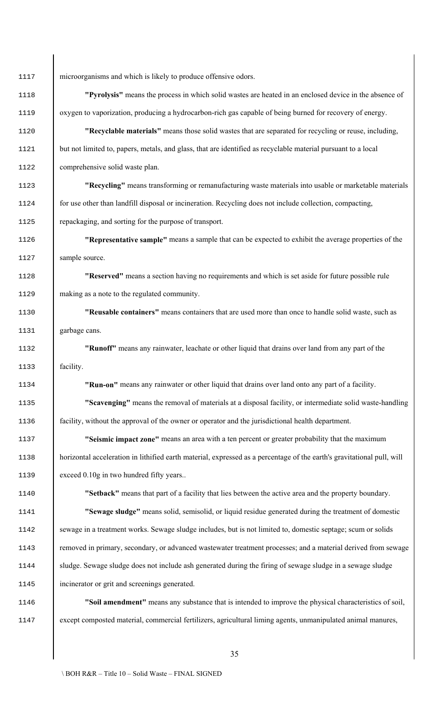microorganisms and which is likely to produce offensive odors.

 **"Pyrolysis"** means the process in which solid wastes are heated in an enclosed device in the absence of oxygen to vaporization, producing a hydrocarbon-rich gas capable of being burned for recovery of energy.

 **"Recyclable materials"** means those solid wastes that are separated for recycling or reuse, including, 1121 but not limited to, papers, metals, and glass, that are identified as recyclable material pursuant to a local comprehensive solid waste plan.

 **"Recycling"** means transforming or remanufacturing waste materials into usable or marketable materials 1124 for use other than landfill disposal or incineration. Recycling does not include collection, compacting, repackaging, and sorting for the purpose of transport.

 **"Representative sample"** means a sample that can be expected to exhibit the average properties of the sample source.

 **"Reserved"** means a section having no requirements and which is set aside for future possible rule making as a note to the regulated community.

 **"Reusable containers"** means containers that are used more than once to handle solid waste, such as garbage cans.

 **"Runoff"** means any rainwater, leachate or other liquid that drains over land from any part of the facility.

**"Run-on"** means any rainwater or other liquid that drains over land onto any part of a facility.

 **"Scavenging"** means the removal of materials at a disposal facility, or intermediate solid waste-handling facility, without the approval of the owner or operator and the jurisdictional health department.

 **"Seismic impact zone"** means an area with a ten percent or greater probability that the maximum horizontal acceleration in lithified earth material, expressed as a percentage of the earth's gravitational pull, will 1139 exceed 0.10g in two hundred fifty years..

**"Setback"** means that part of a facility that lies between the active area and the property boundary.

 **"Sewage sludge"** means solid, semisolid, or liquid residue generated during the treatment of domestic sewage in a treatment works. Sewage sludge includes, but is not limited to, domestic septage; scum or solids removed in primary, secondary, or advanced wastewater treatment processes; and a material derived from sewage sludge. Sewage sludge does not include ash generated during the firing of sewage sludge in a sewage sludge incinerator or grit and screenings generated.

 **"Soil amendment"** means any substance that is intended to improve the physical characteristics of soil, except composted material, commercial fertilizers, agricultural liming agents, unmanipulated animal manures,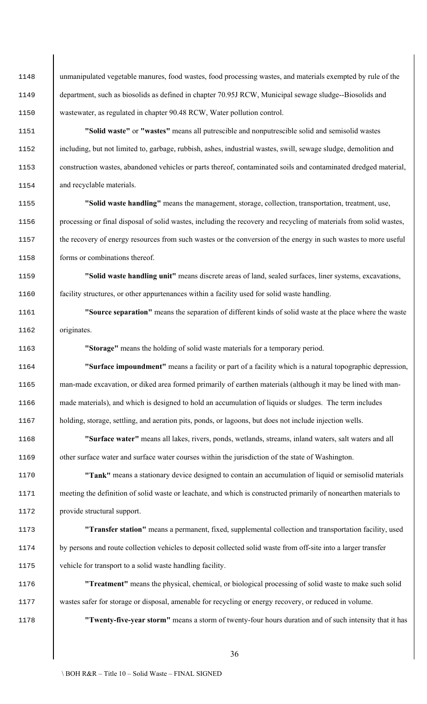unmanipulated vegetable manures, food wastes, food processing wastes, and materials exempted by rule of the 1149 department, such as biosolids as defined in chapter 70.95J RCW, Municipal sewage sludge--Biosolids and wastewater, as regulated in chapter 90.48 RCW, Water pollution control.

 **"Solid waste"** or **"wastes"** means all putrescible and nonputrescible solid and semisolid wastes including, but not limited to, garbage, rubbish, ashes, industrial wastes, swill, sewage sludge, demolition and construction wastes, abandoned vehicles or parts thereof, contaminated soils and contaminated dredged material, 1154 and recyclable materials.

 **"Solid waste handling"** means the management, storage, collection, transportation, treatment, use, processing or final disposal of solid wastes, including the recovery and recycling of materials from solid wastes, 1157 he recovery of energy resources from such wastes or the conversion of the energy in such wastes to more useful 1158 forms or combinations thereof.

 **"Solid waste handling unit"** means discrete areas of land, sealed surfaces, liner systems, excavations, facility structures, or other appurtenances within a facility used for solid waste handling.

 **"Source separation"** means the separation of different kinds of solid waste at the place where the waste originates.

**"Storage"** means the holding of solid waste materials for a temporary period.

 **"Surface impoundment"** means a facility or part of a facility which is a natural topographic depression, 1165 man-made excavation, or diked area formed primarily of earthen materials (although it may be lined with man-1166 made materials), and which is designed to hold an accumulation of liquids or sludges. The term includes holding, storage, settling, and aeration pits, ponds, or lagoons, but does not include injection wells.

 **"Surface water"** means all lakes, rivers, ponds, wetlands, streams, inland waters, salt waters and all other surface water and surface water courses within the jurisdiction of the state of Washington.

 **"Tank"** means a stationary device designed to contain an accumulation of liquid or semisolid materials meeting the definition of solid waste or leachate, and which is constructed primarily of nonearthen materials to provide structural support.

 **"Transfer station"** means a permanent, fixed, supplemental collection and transportation facility, used by persons and route collection vehicles to deposit collected solid waste from off-site into a larger transfer vehicle for transport to a solid waste handling facility.

 **"Treatment"** means the physical, chemical, or biological processing of solid waste to make such solid wastes safer for storage or disposal, amenable for recycling or energy recovery, or reduced in volume.

**"Twenty-five-year storm"** means a storm of twenty-four hours duration and of such intensity that it has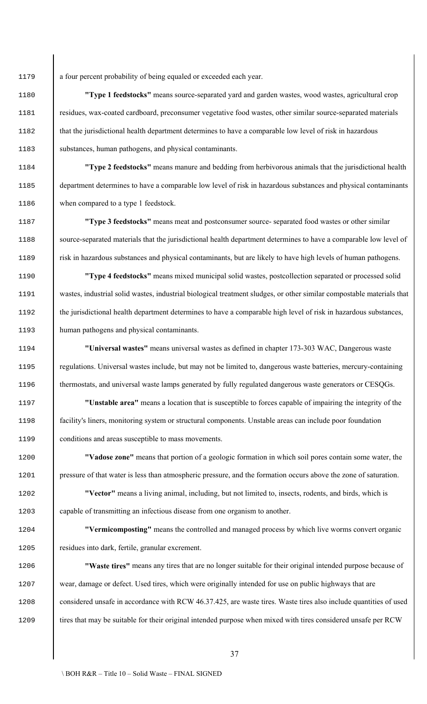a four percent probability of being equaled or exceeded each year.

 **"Type 1 feedstocks"** means source-separated yard and garden wastes, wood wastes, agricultural crop residues, wax-coated cardboard, preconsumer vegetative food wastes, other similar source-separated materials 1182 that the jurisdictional health department determines to have a comparable low level of risk in hazardous substances, human pathogens, and physical contaminants.

 **"Type 2 feedstocks"** means manure and bedding from herbivorous animals that the jurisdictional health department determines to have a comparable low level of risk in hazardous substances and physical contaminants when compared to a type 1 feedstock.

 **"Type 3 feedstocks"** means meat and postconsumer source- separated food wastes or other similar source-separated materials that the jurisdictional health department determines to have a comparable low level of risk in hazardous substances and physical contaminants, but are likely to have high levels of human pathogens.

 **"Type 4 feedstocks"** means mixed municipal solid wastes, postcollection separated or processed solid wastes, industrial solid wastes, industrial biological treatment sludges, or other similar compostable materials that 1192 the jurisdictional health department determines to have a comparable high level of risk in hazardous substances, human pathogens and physical contaminants.

 **"Universal wastes"** means universal wastes as defined in chapter 173-303 WAC, Dangerous waste regulations. Universal wastes include, but may not be limited to, dangerous waste batteries, mercury-containing 1196 thermostats, and universal waste lamps generated by fully regulated dangerous waste generators or CESQGs.

 **"Unstable area"** means a location that is susceptible to forces capable of impairing the integrity of the facility's liners, monitoring system or structural components. Unstable areas can include poor foundation conditions and areas susceptible to mass movements.

 **"Vadose zone"** means that portion of a geologic formation in which soil pores contain some water, the pressure of that water is less than atmospheric pressure, and the formation occurs above the zone of saturation.

 **"Vector"** means a living animal, including, but not limited to, insects, rodents, and birds, which is capable of transmitting an infectious disease from one organism to another.

 **"Vermicomposting"** means the controlled and managed process by which live worms convert organic residues into dark, fertile, granular excrement.

 **"Waste tires"** means any tires that are no longer suitable for their original intended purpose because of 1207 wear, damage or defect. Used tires, which were originally intended for use on public highways that are 1208 considered unsafe in accordance with RCW 46.37.425, are waste tires. Waste tires also include quantities of used 1209 tires that may be suitable for their original intended purpose when mixed with tires considered unsafe per RCW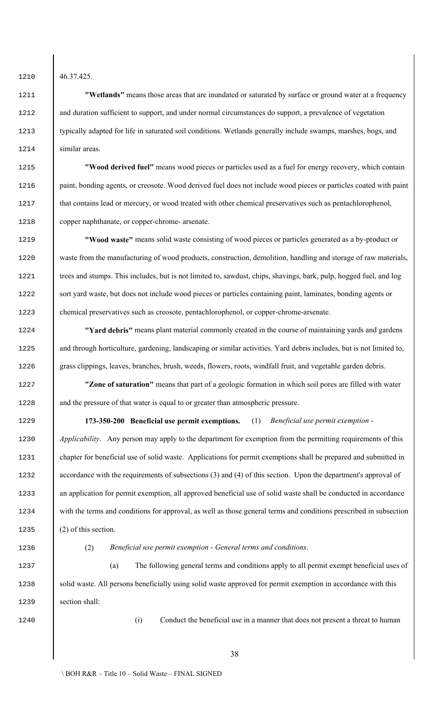1210 46.37.425.

 **"Wetlands"** means those areas that are inundated or saturated by surface or ground water at a frequency and duration sufficient to support, and under normal circumstances do support, a prevalence of vegetation 1213 bypically adapted for life in saturated soil conditions. Wetlands generally include swamps, marshes, bogs, and similar areas.

 **"Wood derived fuel"** means wood pieces or particles used as a fuel for energy recovery, which contain paint, bonding agents, or creosote. Wood derived fuel does not include wood pieces or particles coated with paint 1217 that contains lead or mercury, or wood treated with other chemical preservatives such as pentachlorophenol, copper naphthanate, or copper-chrome- arsenate.

 **"Wood waste"** means solid waste consisting of wood pieces or particles generated as a by-product or waste from the manufacturing of wood products, construction, demolition, handling and storage of raw materials, 1221 I trees and stumps. This includes, but is not limited to, sawdust, chips, shavings, bark, pulp, hogged fuel, and log 1222 sort yard waste, but does not include wood pieces or particles containing paint, laminates, bonding agents or chemical preservatives such as creosote, pentachlorophenol, or copper-chrome-arsenate.

 **"Yard debris"** means plant material commonly created in the course of maintaining yards and gardens 1225 and through horticulture, gardening, landscaping or similar activities. Yard debris includes, but is not limited to, grass clippings, leaves, branches, brush, weeds, flowers, roots, windfall fruit, and vegetable garden debris.

 **"Zone of saturation"** means that part of a geologic formation in which soil pores are filled with water and the pressure of that water is equal to or greater than atmospheric pressure.

**173-350-200 Beneficial use permit exemptions.** (1) *Beneficial use permit exemption -*

 *Applicability*. Any person may apply to the department for exemption from the permitting requirements of this chapter for beneficial use of solid waste. Applications for permit exemptions shall be prepared and submitted in 1232 accordance with the requirements of subsections (3) and (4) of this section. Upon the department's approval of an application for permit exemption, all approved beneficial use of solid waste shall be conducted in accordance 1234 with the terms and conditions for approval, as well as those general terms and conditions prescribed in subsection (2) of this section.

## (2) *Beneficial use permit exemption - General terms and conditions*.

 (a) The following general terms and conditions apply to all permit exempt beneficial uses of 1238 solid waste. All persons beneficially using solid waste approved for permit exemption in accordance with this section shall:

(i) Conduct the beneficial use in a manner that does not present a threat to human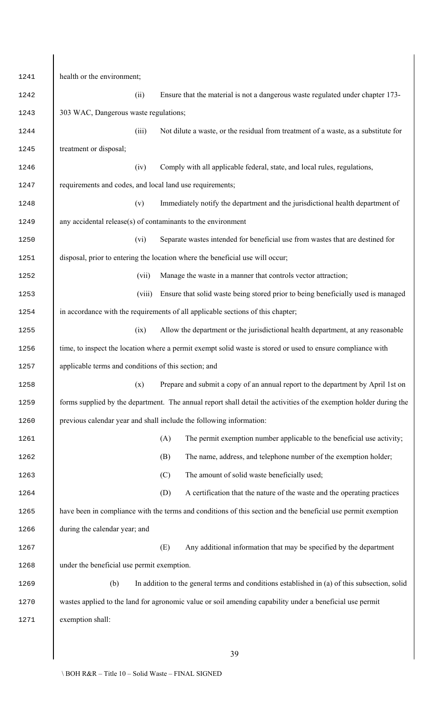| 1241 | health or the environment;                                                                                         |
|------|--------------------------------------------------------------------------------------------------------------------|
| 1242 | (ii)<br>Ensure that the material is not a dangerous waste regulated under chapter 173-                             |
| 1243 | 303 WAC, Dangerous waste regulations;                                                                              |
| 1244 | Not dilute a waste, or the residual from treatment of a waste, as a substitute for<br>(iii)                        |
| 1245 | treatment or disposal;                                                                                             |
| 1246 | Comply with all applicable federal, state, and local rules, regulations,<br>(iv)                                   |
| 1247 | requirements and codes, and local land use requirements;                                                           |
| 1248 | Immediately notify the department and the jurisdictional health department of<br>(v)                               |
| 1249 | any accidental release(s) of contaminants to the environment                                                       |
| 1250 | Separate wastes intended for beneficial use from wastes that are destined for<br>(vi)                              |
| 1251 | disposal, prior to entering the location where the beneficial use will occur;                                      |
| 1252 | (vii)<br>Manage the waste in a manner that controls vector attraction;                                             |
| 1253 | (viii)<br>Ensure that solid waste being stored prior to being beneficially used is managed                         |
| 1254 | in accordance with the requirements of all applicable sections of this chapter;                                    |
| 1255 | Allow the department or the jurisdictional health department, at any reasonable<br>(ix)                            |
| 1256 | time, to inspect the location where a permit exempt solid waste is stored or used to ensure compliance with        |
| 1257 | applicable terms and conditions of this section; and                                                               |
| 1258 | Prepare and submit a copy of an annual report to the department by April 1st on<br>(x)                             |
| 1259 | forms supplied by the department. The annual report shall detail the activities of the exemption holder during the |
| 1260 | previous calendar year and shall include the following information:                                                |
| 1261 | The permit exemption number applicable to the beneficial use activity;<br>(A)                                      |
| 1262 | The name, address, and telephone number of the exemption holder;<br>(B)                                            |
| 1263 | The amount of solid waste beneficially used;<br>(C)                                                                |
| 1264 | (D)<br>A certification that the nature of the waste and the operating practices                                    |
| 1265 | have been in compliance with the terms and conditions of this section and the beneficial use permit exemption      |
| 1266 | during the calendar year; and                                                                                      |
| 1267 | Any additional information that may be specified by the department<br>(E)                                          |
| 1268 | under the beneficial use permit exemption.                                                                         |
| 1269 | (b)<br>In addition to the general terms and conditions established in (a) of this subsection, solid                |
| 1270 | wastes applied to the land for agronomic value or soil amending capability under a beneficial use permit           |
| 1271 | exemption shall:                                                                                                   |
|      |                                                                                                                    |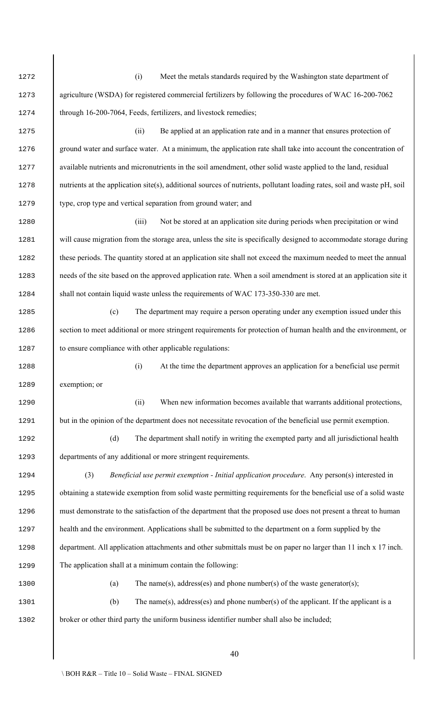(i) Meet the metals standards required by the Washington state department of agriculture (WSDA) for registered commercial fertilizers by following the procedures of WAC 16-200-7062 1274 through 16-200-7064, Feeds, fertilizers, and livestock remedies; (ii) Be applied at an application rate and in a manner that ensures protection of 1276 ground water and surface water. At a minimum, the application rate shall take into account the concentration of available nutrients and micronutrients in the soil amendment, other solid waste applied to the land, residual nutrients at the application site(s), additional sources of nutrients, pollutant loading rates, soil and waste pH, soil 1279 bype, crop type and vertical separation from ground water; and (iii) Not be stored at an application site during periods when precipitation or wind 1281 will cause migration from the storage area, unless the site is specifically designed to accommodate storage during 1282 these periods. The quantity stored at an application site shall not exceed the maximum needed to meet the annual 1283 electrical needs of the site based on the approved application rate. When a soil amendment is stored at an application site it 1284 shall not contain liquid waste unless the requirements of WAC 173-350-330 are met. (c) The department may require a person operating under any exemption issued under this 1286 section to meet additional or more stringent requirements for protection of human health and the environment, or 1287 to ensure compliance with other applicable regulations: (i) At the time the department approves an application for a beneficial use permit exemption; or (ii) When new information becomes available that warrants additional protections, 1291 but in the opinion of the department does not necessitate revocation of the beneficial use permit exemption. (d) The department shall notify in writing the exempted party and all jurisdictional health 1293 departments of any additional or more stringent requirements. (3) *Beneficial use permit exemption - Initial application procedure*. Any person(s) interested in obtaining a statewide exemption from solid waste permitting requirements for the beneficial use of a solid waste must demonstrate to the satisfaction of the department that the proposed use does not present a threat to human health and the environment. Applications shall be submitted to the department on a form supplied by the department. All application attachments and other submittals must be on paper no larger than 11 inch x 17 inch. The application shall at a minimum contain the following: 1300 (a) The name(s), address(es) and phone number(s) of the waste generator(s); (b) The name(s), address(es) and phone number(s) of the applicant. If the applicant is a broker or other third party the uniform business identifier number shall also be included;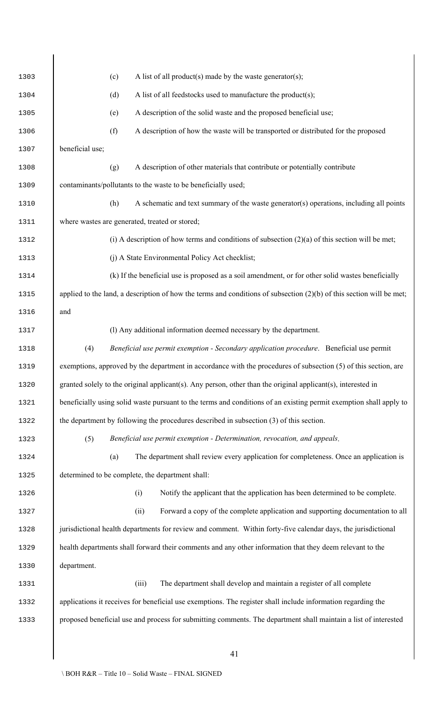| 1303 | A list of all product(s) made by the waste generator(s);<br>(c)                                                        |  |  |  |  |  |  |  |
|------|------------------------------------------------------------------------------------------------------------------------|--|--|--|--|--|--|--|
| 1304 | A list of all feedstocks used to manufacture the product(s);<br>(d)                                                    |  |  |  |  |  |  |  |
| 1305 | A description of the solid waste and the proposed beneficial use;<br>(e)                                               |  |  |  |  |  |  |  |
| 1306 | (f)<br>A description of how the waste will be transported or distributed for the proposed                              |  |  |  |  |  |  |  |
| 1307 | beneficial use;                                                                                                        |  |  |  |  |  |  |  |
| 1308 | A description of other materials that contribute or potentially contribute<br>(g)                                      |  |  |  |  |  |  |  |
| 1309 | contaminants/pollutants to the waste to be beneficially used;                                                          |  |  |  |  |  |  |  |
| 1310 | A schematic and text summary of the waste generator( $s$ ) operations, including all points<br>(h)                     |  |  |  |  |  |  |  |
| 1311 | where wastes are generated, treated or stored;                                                                         |  |  |  |  |  |  |  |
| 1312 | (i) A description of how terms and conditions of subsection $(2)(a)$ of this section will be met;                      |  |  |  |  |  |  |  |
| 1313 | (j) A State Environmental Policy Act checklist;                                                                        |  |  |  |  |  |  |  |
| 1314 | (k) If the beneficial use is proposed as a soil amendment, or for other solid wastes beneficially                      |  |  |  |  |  |  |  |
| 1315 | applied to the land, a description of how the terms and conditions of subsection $(2)(b)$ of this section will be met; |  |  |  |  |  |  |  |
| 1316 | and                                                                                                                    |  |  |  |  |  |  |  |
| 1317 | (l) Any additional information deemed necessary by the department.                                                     |  |  |  |  |  |  |  |
| 1318 | (4)<br>Beneficial use permit exemption - Secondary application procedure. Beneficial use permit                        |  |  |  |  |  |  |  |
| 1319 | exemptions, approved by the department in accordance with the procedures of subsection (5) of this section, are        |  |  |  |  |  |  |  |
| 1320 | granted solely to the original applicant(s). Any person, other than the original applicant(s), interested in           |  |  |  |  |  |  |  |
| 1321 | beneficially using solid waste pursuant to the terms and conditions of an existing permit exemption shall apply to     |  |  |  |  |  |  |  |
| 1322 | the department by following the procedures described in subsection (3) of this section.                                |  |  |  |  |  |  |  |
| 1323 | Beneficial use permit exemption - Determination, revocation, and appeals.<br>(5)                                       |  |  |  |  |  |  |  |
| 1324 | The department shall review every application for completeness. Once an application is<br>(a)                          |  |  |  |  |  |  |  |
| 1325 | determined to be complete, the department shall:                                                                       |  |  |  |  |  |  |  |
| 1326 | Notify the applicant that the application has been determined to be complete.<br>(i)                                   |  |  |  |  |  |  |  |
| 1327 | (ii)<br>Forward a copy of the complete application and supporting documentation to all                                 |  |  |  |  |  |  |  |
| 1328 | jurisdictional health departments for review and comment. Within forty-five calendar days, the jurisdictional          |  |  |  |  |  |  |  |
| 1329 | health departments shall forward their comments and any other information that they deem relevant to the               |  |  |  |  |  |  |  |
| 1330 | department.                                                                                                            |  |  |  |  |  |  |  |
| 1331 | The department shall develop and maintain a register of all complete<br>(iii)                                          |  |  |  |  |  |  |  |
| 1332 | applications it receives for beneficial use exemptions. The register shall include information regarding the           |  |  |  |  |  |  |  |
| 1333 | proposed beneficial use and process for submitting comments. The department shall maintain a list of interested        |  |  |  |  |  |  |  |
|      |                                                                                                                        |  |  |  |  |  |  |  |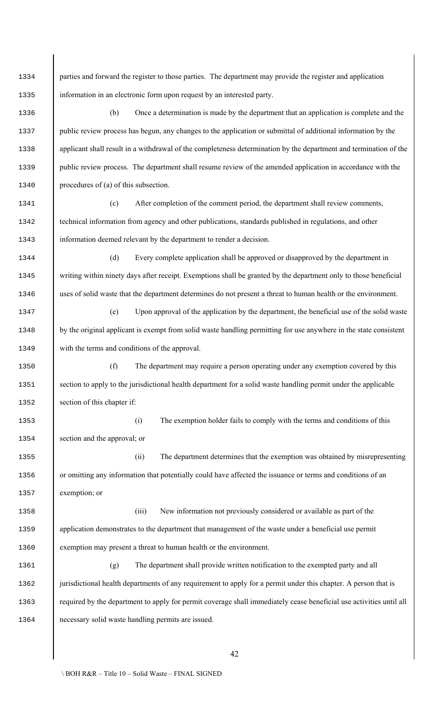1334 parties and forward the register to those parties. The department may provide the register and application information in an electronic form upon request by an interested party.

 (b) Once a determination is made by the department that an application is complete and the 1337 public review process has begun, any changes to the application or submittal of additional information by the 1338 applicant shall result in a withdrawal of the completeness determination by the department and termination of the 1339 public review process. The department shall resume review of the amended application in accordance with the procedures of (a) of this subsection.

 (c) After completion of the comment period, the department shall review comments, technical information from agency and other publications, standards published in regulations, and other information deemed relevant by the department to render a decision.

 (d) Every complete application shall be approved or disapproved by the department in 1345 writing within ninety days after receipt. Exemptions shall be granted by the department only to those beneficial uses of solid waste that the department determines do not present a threat to human health or the environment.

 (e) Upon approval of the application by the department, the beneficial use of the solid waste 1348 by the original applicant is exempt from solid waste handling permitting for use anywhere in the state consistent with the terms and conditions of the approval.

 (f) The department may require a person operating under any exemption covered by this 1351 section to apply to the jurisdictional health department for a solid waste handling permit under the applicable 1352 section of this chapter if:

 (i) The exemption holder fails to comply with the terms and conditions of this section and the approval; or

 (ii) The department determines that the exemption was obtained by misrepresenting or omitting any information that potentially could have affected the issuance or terms and conditions of an exemption; or

 (iii) New information not previously considered or available as part of the 1359 application demonstrates to the department that management of the waste under a beneficial use permit exemption may present a threat to human health or the environment.

 (g) The department shall provide written notification to the exempted party and all 1362 | jurisdictional health departments of any requirement to apply for a permit under this chapter. A person that is required by the department to apply for permit coverage shall immediately cease beneficial use activities until all necessary solid waste handling permits are issued.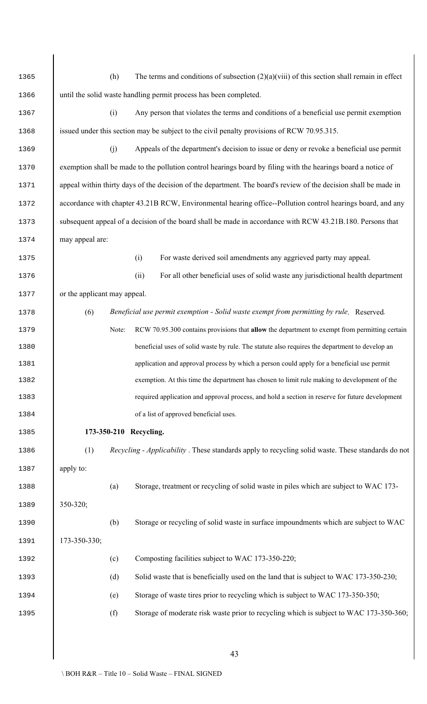| 1365 | (h)<br>The terms and conditions of subsection $(2)(a)(viii)$ of this section shall remain in effect              |  |  |  |  |  |  |  |
|------|------------------------------------------------------------------------------------------------------------------|--|--|--|--|--|--|--|
| 1366 | until the solid waste handling permit process has been completed.                                                |  |  |  |  |  |  |  |
| 1367 | (i)<br>Any person that violates the terms and conditions of a beneficial use permit exemption                    |  |  |  |  |  |  |  |
| 1368 | issued under this section may be subject to the civil penalty provisions of RCW 70.95.315.                       |  |  |  |  |  |  |  |
| 1369 | Appeals of the department's decision to issue or deny or revoke a beneficial use permit<br>(j)                   |  |  |  |  |  |  |  |
| 1370 | exemption shall be made to the pollution control hearings board by filing with the hearings board a notice of    |  |  |  |  |  |  |  |
| 1371 | appeal within thirty days of the decision of the department. The board's review of the decision shall be made in |  |  |  |  |  |  |  |
| 1372 | accordance with chapter 43.21B RCW, Environmental hearing office--Pollution control hearings board, and any      |  |  |  |  |  |  |  |
| 1373 | subsequent appeal of a decision of the board shall be made in accordance with RCW 43.21B.180. Persons that       |  |  |  |  |  |  |  |
| 1374 | may appeal are:                                                                                                  |  |  |  |  |  |  |  |
| 1375 | For waste derived soil amendments any aggrieved party may appeal.<br>(i)                                         |  |  |  |  |  |  |  |
| 1376 | For all other beneficial uses of solid waste any jurisdictional health department<br>(ii)                        |  |  |  |  |  |  |  |
| 1377 | or the applicant may appeal.                                                                                     |  |  |  |  |  |  |  |
| 1378 | (6)<br>Beneficial use permit exemption - Solid waste exempt from permitting by rule. Reserved.                   |  |  |  |  |  |  |  |
| 1379 | Note:<br>RCW 70.95.300 contains provisions that allow the department to exempt from permitting certain           |  |  |  |  |  |  |  |
| 1380 | beneficial uses of solid waste by rule. The statute also requires the department to develop an                   |  |  |  |  |  |  |  |
| 1381 | application and approval process by which a person could apply for a beneficial use permit                       |  |  |  |  |  |  |  |
| 1382 | exemption. At this time the department has chosen to limit rule making to development of the                     |  |  |  |  |  |  |  |
| 1383 | required application and approval process, and hold a section in reserve for future development                  |  |  |  |  |  |  |  |
| 1384 | of a list of approved beneficial uses.                                                                           |  |  |  |  |  |  |  |
| 1385 | 173-350-210 Recycling.                                                                                           |  |  |  |  |  |  |  |
| 1386 | (1)<br><i>Recycling - Applicability</i> . These standards apply to recycling solid waste. These standards do not |  |  |  |  |  |  |  |
| 1387 | apply to:                                                                                                        |  |  |  |  |  |  |  |
| 1388 | Storage, treatment or recycling of solid waste in piles which are subject to WAC 173-<br>(a)                     |  |  |  |  |  |  |  |
| 1389 | 350-320;                                                                                                         |  |  |  |  |  |  |  |
| 1390 | Storage or recycling of solid waste in surface impoundments which are subject to WAC<br>(b)                      |  |  |  |  |  |  |  |
| 1391 | 173-350-330;                                                                                                     |  |  |  |  |  |  |  |
| 1392 | Composting facilities subject to WAC 173-350-220;<br>(c)                                                         |  |  |  |  |  |  |  |
| 1393 | Solid waste that is beneficially used on the land that is subject to WAC 173-350-230;<br>(d)                     |  |  |  |  |  |  |  |
| 1394 | Storage of waste tires prior to recycling which is subject to WAC 173-350-350;<br>(e)                            |  |  |  |  |  |  |  |
| 1395 | Storage of moderate risk waste prior to recycling which is subject to WAC 173-350-360;<br>(f)                    |  |  |  |  |  |  |  |
|      |                                                                                                                  |  |  |  |  |  |  |  |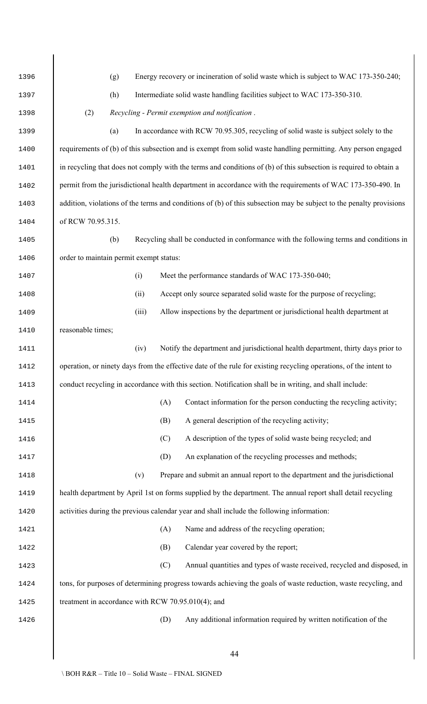| 1396 | Energy recovery or incineration of solid waste which is subject to WAC 173-350-240;<br>(g)                          |  |  |  |  |  |  |
|------|---------------------------------------------------------------------------------------------------------------------|--|--|--|--|--|--|
| 1397 | (h)<br>Intermediate solid waste handling facilities subject to WAC 173-350-310.                                     |  |  |  |  |  |  |
| 1398 | (2)<br>Recycling - Permit exemption and notification.                                                               |  |  |  |  |  |  |
| 1399 | In accordance with RCW 70.95.305, recycling of solid waste is subject solely to the<br>(a)                          |  |  |  |  |  |  |
| 1400 | requirements of (b) of this subsection and is exempt from solid waste handling permitting. Any person engaged       |  |  |  |  |  |  |
| 1401 | in recycling that does not comply with the terms and conditions of (b) of this subsection is required to obtain a   |  |  |  |  |  |  |
| 1402 | permit from the jurisdictional health department in accordance with the requirements of WAC 173-350-490. In         |  |  |  |  |  |  |
| 1403 | addition, violations of the terms and conditions of (b) of this subsection may be subject to the penalty provisions |  |  |  |  |  |  |
| 1404 | of RCW 70.95.315.                                                                                                   |  |  |  |  |  |  |
| 1405 | Recycling shall be conducted in conformance with the following terms and conditions in<br>(b)                       |  |  |  |  |  |  |
| 1406 | order to maintain permit exempt status:                                                                             |  |  |  |  |  |  |
| 1407 | Meet the performance standards of WAC 173-350-040;<br>(i)                                                           |  |  |  |  |  |  |
| 1408 | Accept only source separated solid waste for the purpose of recycling;<br>(ii)                                      |  |  |  |  |  |  |
| 1409 | (iii)<br>Allow inspections by the department or jurisdictional health department at                                 |  |  |  |  |  |  |
| 1410 | reasonable times;                                                                                                   |  |  |  |  |  |  |
| 1411 | Notify the department and jurisdictional health department, thirty days prior to<br>(iv)                            |  |  |  |  |  |  |
| 1412 | operation, or ninety days from the effective date of the rule for existing recycling operations, of the intent to   |  |  |  |  |  |  |
| 1413 | conduct recycling in accordance with this section. Notification shall be in writing, and shall include:             |  |  |  |  |  |  |
| 1414 | (A)<br>Contact information for the person conducting the recycling activity;                                        |  |  |  |  |  |  |
| 1415 | A general description of the recycling activity;<br>(B)                                                             |  |  |  |  |  |  |
| 1416 | A description of the types of solid waste being recycled; and<br>(C)                                                |  |  |  |  |  |  |
| 1417 | An explanation of the recycling processes and methods;<br>(D)                                                       |  |  |  |  |  |  |
| 1418 | Prepare and submit an annual report to the department and the jurisdictional<br>(v)                                 |  |  |  |  |  |  |
| 1419 | health department by April 1st on forms supplied by the department. The annual report shall detail recycling        |  |  |  |  |  |  |
| 1420 | activities during the previous calendar year and shall include the following information:                           |  |  |  |  |  |  |
| 1421 | (A)<br>Name and address of the recycling operation;                                                                 |  |  |  |  |  |  |
| 1422 | Calendar year covered by the report;<br>(B)                                                                         |  |  |  |  |  |  |
| 1423 | Annual quantities and types of waste received, recycled and disposed, in<br>(C)                                     |  |  |  |  |  |  |
| 1424 | tons, for purposes of determining progress towards achieving the goals of waste reduction, waste recycling, and     |  |  |  |  |  |  |
| 1425 | treatment in accordance with RCW 70.95.010(4); and                                                                  |  |  |  |  |  |  |
| 1426 | Any additional information required by written notification of the<br>(D)                                           |  |  |  |  |  |  |
|      |                                                                                                                     |  |  |  |  |  |  |
|      | 44                                                                                                                  |  |  |  |  |  |  |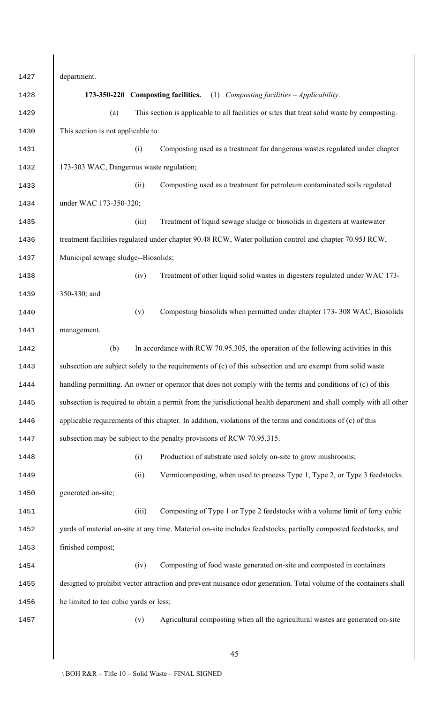department. **173-350-220 Composting facilities.** (1) *Composting facilities – Applicability*. (a) This section is applicable to all facilities or sites that treat solid waste by composting. This section is not applicable to: (i) Composting used as a treatment for dangerous wastes regulated under chapter 173-303 WAC, Dangerous waste regulation; (ii) Composting used as a treatment for petroleum contaminated soils regulated under WAC 173-350-320; (iii) Treatment of liquid sewage sludge or biosolids in digesters at wastewater 1436 treatment facilities regulated under chapter 90.48 RCW, Water pollution control and chapter 70.95J RCW, Municipal sewage sludge--Biosolids; (iv) Treatment of other liquid solid wastes in digesters regulated under WAC 173- 1439 350-330; and (v) Composting biosolids when permitted under chapter 173- 308 WAC, Biosolids management. (b) In accordance with RCW 70.95.305, the operation of the following activities in this 1443 subsection are subject solely to the requirements of (c) of this subsection and are exempt from solid waste 1444 handling permitting. An owner or operator that does not comply with the terms and conditions of (c) of this subsection is required to obtain a permit from the jurisdictional health department and shall comply with all other 1446 applicable requirements of this chapter. In addition, violations of the terms and conditions of (c) of this 1447 subsection may be subject to the penalty provisions of RCW 70.95.315. (i) Production of substrate used solely on-site to grow mushrooms; (ii) Vermicomposting, when used to process Type 1, Type 2, or Type 3 feedstocks generated on-site; (iii) Composting of Type 1 or Type 2 feedstocks with a volume limit of forty cubic 1452 vards of material on-site at any time. Material on-site includes feedstocks, partially composted feedstocks, and finished compost; (iv) Composting of food waste generated on-site and composted in containers 1455 designed to prohibit vector attraction and prevent nuisance odor generation. Total volume of the containers shall be limited to ten cubic yards or less; (v) Agricultural composting when all the agricultural wastes are generated on-site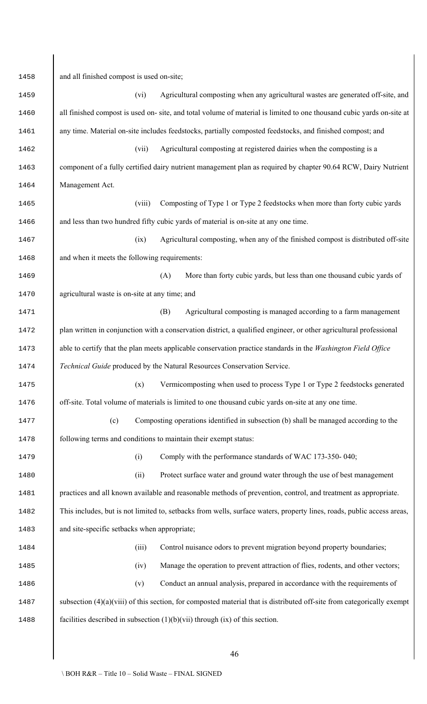and all finished compost is used on-site; (vi) Agricultural composting when any agricultural wastes are generated off-site, and 1460 all finished compost is used on- site, and total volume of material is limited to one thousand cubic yards on-site at any time. Material on-site includes feedstocks, partially composted feedstocks, and finished compost; and (vii) Agricultural composting at registered dairies when the composting is a 1463 component of a fully certified dairy nutrient management plan as required by chapter 90.64 RCW, Dairy Nutrient Management Act. (viii) Composting of Type 1 or Type 2 feedstocks when more than forty cubic yards 1466 and less than two hundred fifty cubic yards of material is on-site at any one time. (ix) Agricultural composting, when any of the finished compost is distributed off-site 1468 and when it meets the following requirements: (A) More than forty cubic yards, but less than one thousand cubic yards of agricultural waste is on-site at any time; and (B) Agricultural composting is managed according to a farm management **plan written in conjunction with a conservation district, a qualified engineer, or other agricultural professional**  able to certify that the plan meets applicable conservation practice standards in the *Washington Field Office Technical Guide* produced by the Natural Resources Conservation Service. (x) Vermicomposting when used to process Type 1 or Type 2 feedstocks generated 1476 | off-site. Total volume of materials is limited to one thousand cubic yards on-site at any one time. (c) Composting operations identified in subsection (b) shall be managed according to the following terms and conditions to maintain their exempt status: (i) Comply with the performance standards of WAC 173-350- 040; (ii) Protect surface water and ground water through the use of best management practices and all known available and reasonable methods of prevention, control, and treatment as appropriate. 1482 | This includes, but is not limited to, setbacks from wells, surface waters, property lines, roads, public access areas, and site-specific setbacks when appropriate; (iii) Control nuisance odors to prevent migration beyond property boundaries; (iv) Manage the operation to prevent attraction of flies, rodents, and other vectors; (v) Conduct an annual analysis, prepared in accordance with the requirements of 1487 subsection (4)(a)(viii) of this section, for composted material that is distributed off-site from categorically exempt 1488 facilities described in subsection  $(1)(b)(vii)$  through  $(ix)$  of this section.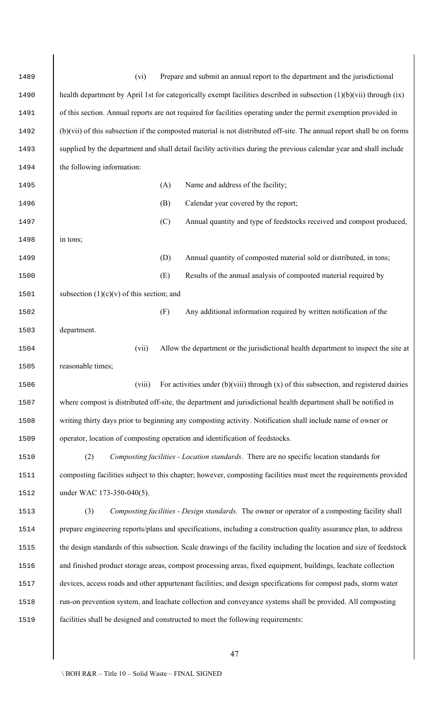| 1489 | Prepare and submit an annual report to the department and the jurisdictional<br>(vi)                                   |  |  |  |  |  |  |
|------|------------------------------------------------------------------------------------------------------------------------|--|--|--|--|--|--|
| 1490 | health department by April 1st for categorically exempt facilities described in subsection (1)(b)(vii) through (ix)    |  |  |  |  |  |  |
| 1491 | of this section. Annual reports are not required for facilities operating under the permit exemption provided in       |  |  |  |  |  |  |
| 1492 | (b)(vii) of this subsection if the composted material is not distributed off-site. The annual report shall be on forms |  |  |  |  |  |  |
| 1493 | supplied by the department and shall detail facility activities during the previous calendar year and shall include    |  |  |  |  |  |  |
| 1494 | the following information:                                                                                             |  |  |  |  |  |  |
| 1495 | Name and address of the facility;<br>(A)                                                                               |  |  |  |  |  |  |
| 1496 | Calendar year covered by the report;<br>(B)                                                                            |  |  |  |  |  |  |
| 1497 | (C)<br>Annual quantity and type of feedstocks received and compost produced,                                           |  |  |  |  |  |  |
| 1498 | in tons;                                                                                                               |  |  |  |  |  |  |
| 1499 | Annual quantity of composted material sold or distributed, in tons;<br>(D)                                             |  |  |  |  |  |  |
| 1500 | Results of the annual analysis of composted material required by<br>(E)                                                |  |  |  |  |  |  |
| 1501 | subsection $(1)(c)(v)$ of this section; and                                                                            |  |  |  |  |  |  |
| 1502 | (F)<br>Any additional information required by written notification of the                                              |  |  |  |  |  |  |
| 1503 | department.                                                                                                            |  |  |  |  |  |  |
| 1504 | Allow the department or the jurisdictional health department to inspect the site at<br>(vii)                           |  |  |  |  |  |  |
| 1505 | reasonable times;                                                                                                      |  |  |  |  |  |  |
| 1506 | For activities under $(b)(viii)$ through $(x)$ of this subsection, and registered dairies<br>(viii)                    |  |  |  |  |  |  |
| 1507 | where compost is distributed off-site, the department and jurisdictional health department shall be notified in        |  |  |  |  |  |  |
| 1508 | writing thirty days prior to beginning any composting activity. Notification shall include name of owner or            |  |  |  |  |  |  |
| 1509 | operator, location of composting operation and identification of feedstocks.                                           |  |  |  |  |  |  |
| 1510 | Composting facilities - Location standards. There are no specific location standards for<br>(2)                        |  |  |  |  |  |  |
| 1511 | composting facilities subject to this chapter; however, composting facilities must meet the requirements provided      |  |  |  |  |  |  |
| 1512 | under WAC 173-350-040(5).                                                                                              |  |  |  |  |  |  |
| 1513 | (3)<br>Composting facilities - Design standards. The owner or operator of a composting facility shall                  |  |  |  |  |  |  |
| 1514 | prepare engineering reports/plans and specifications, including a construction quality assurance plan, to address      |  |  |  |  |  |  |
| 1515 | the design standards of this subsection. Scale drawings of the facility including the location and size of feedstock   |  |  |  |  |  |  |
| 1516 | and finished product storage areas, compost processing areas, fixed equipment, buildings, leachate collection          |  |  |  |  |  |  |
| 1517 | devices, access roads and other appurtenant facilities; and design specifications for compost pads, storm water        |  |  |  |  |  |  |
| 1518 | run-on prevention system, and leachate collection and conveyance systems shall be provided. All composting             |  |  |  |  |  |  |
| 1519 | facilities shall be designed and constructed to meet the following requirements:                                       |  |  |  |  |  |  |
|      |                                                                                                                        |  |  |  |  |  |  |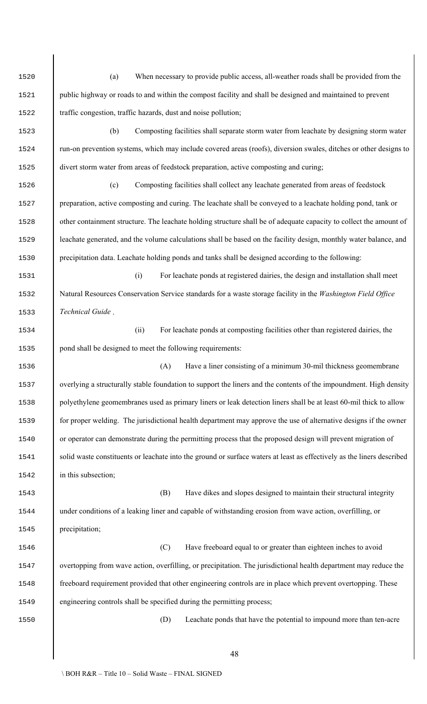(a) When necessary to provide public access, all-weather roads shall be provided from the 1521 | public highway or roads to and within the compost facility and shall be designed and maintained to prevent traffic congestion, traffic hazards, dust and noise pollution; (b) Composting facilities shall separate storm water from leachate by designing storm water run-on prevention systems, which may include covered areas (roofs), diversion swales, ditches or other designs to divert storm water from areas of feedstock preparation, active composting and curing; (c) Composting facilities shall collect any leachate generated from areas of feedstock 1527 preparation, active composting and curing. The leachate shall be conveyed to a leachate holding pond, tank or 1528 cther containment structure. The leachate holding structure shall be of adequate capacity to collect the amount of 1529 | leachate generated, and the volume calculations shall be based on the facility design, monthly water balance, and precipitation data. Leachate holding ponds and tanks shall be designed according to the following: (i) For leachate ponds at registered dairies, the design and installation shall meet Natural Resources Conservation Service standards for a waste storage facility in the *Washington Field Office Technical Guide* . (ii) For leachate ponds at composting facilities other than registered dairies, the 1535 | pond shall be designed to meet the following requirements: (A) Have a liner consisting of a minimum 30-mil thickness geomembrane 1537 verlying a structurally stable foundation to support the liners and the contents of the impoundment. High density 1538 polyethylene geomembranes used as primary liners or leak detection liners shall be at least 60-mil thick to allow 1539 for proper welding. The jurisdictional health department may approve the use of alternative designs if the owner or operator can demonstrate during the permitting process that the proposed design will prevent migration of 1541 solid waste constituents or leachate into the ground or surface waters at least as effectively as the liners described in this subsection; (B) Have dikes and slopes designed to maintain their structural integrity under conditions of a leaking liner and capable of withstanding erosion from wave action, overfilling, or precipitation; (C) Have freeboard equal to or greater than eighteen inches to avoid overtopping from wave action, overfilling, or precipitation. The jurisdictional health department may reduce the **freeboard requirement provided that other engineering controls are in place which prevent overtopping. These** 1549 engineering controls shall be specified during the permitting process; (D) Leachate ponds that have the potential to impound more than ten-acre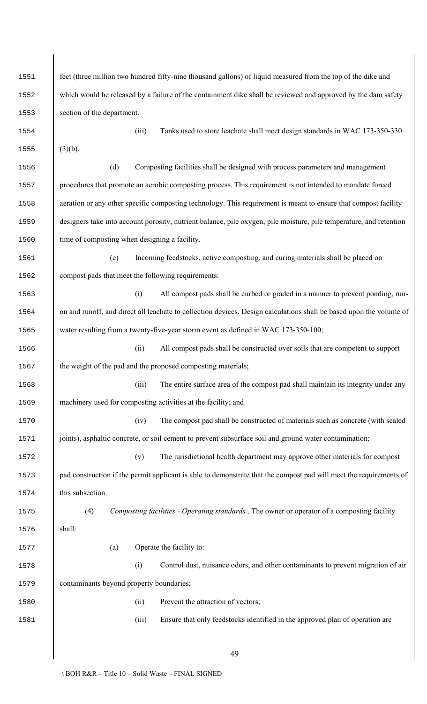| 1551 | feet (three million two hundred fifty-nine thousand gallons) of liquid measured from the top of the dike and        |
|------|---------------------------------------------------------------------------------------------------------------------|
| 1552 | which would be released by a failure of the containment dike shall be reviewed and approved by the dam safety       |
| 1553 | section of the department.                                                                                          |
| 1554 | Tanks used to store leachate shall meet design standards in WAC 173-350-330<br>(iii)                                |
| 1555 | $(3)(b)$ .                                                                                                          |
| 1556 | (d)<br>Composting facilities shall be designed with process parameters and management                               |
| 1557 | procedures that promote an aerobic composting process. This requirement is not intended to mandate forced           |
| 1558 | aeration or any other specific composting technology. This requirement is meant to ensure that compost facility     |
| 1559 | designers take into account porosity, nutrient balance, pile oxygen, pile moisture, pile temperature, and retention |
| 1560 | time of composting when designing a facility.                                                                       |
| 1561 | Incoming feedstocks, active composting, and curing materials shall be placed on<br>(e)                              |
| 1562 | compost pads that meet the following requirements:                                                                  |
| 1563 | All compost pads shall be curbed or graded in a manner to prevent ponding, run-<br>(i)                              |
| 1564 | on and runoff, and direct all leachate to collection devices. Design calculations shall be based upon the volume of |
| 1565 | water resulting from a twenty-five-year storm event as defined in WAC 173-350-100;                                  |
| 1566 | All compost pads shall be constructed over soils that are competent to support<br>(ii)                              |
| 1567 | the weight of the pad and the proposed composting materials;                                                        |
| 1568 | (iii)<br>The entire surface area of the compost pad shall maintain its integrity under any                          |
| 1569 | machinery used for composting activities at the facility; and                                                       |
| 1570 | (iv)<br>The compost pad shall be constructed of materials such as concrete (with sealed                             |
| 1571 | joints), asphaltic concrete, or soil cement to prevent subsurface soil and ground water contamination;              |
| 1572 | The jurisdictional health department may approve other materials for compost<br>(v)                                 |
| 1573 | pad construction if the permit applicant is able to demonstrate that the compost pad will meet the requirements of  |
| 1574 | this subsection.                                                                                                    |
| 1575 | (4)<br>Composting facilities - Operating standards. The owner or operator of a composting facility                  |
| 1576 | shall:                                                                                                              |
| 1577 | Operate the facility to:<br>(a)                                                                                     |
| 1578 | Control dust, nuisance odors, and other contaminants to prevent migration of air<br>(i)                             |
| 1579 | contaminants beyond property boundaries;                                                                            |
| 1580 | Prevent the attraction of vectors;<br>(ii)                                                                          |
| 1581 | (iii)<br>Ensure that only feedstocks identified in the approved plan of operation are                               |
|      |                                                                                                                     |
|      | 49                                                                                                                  |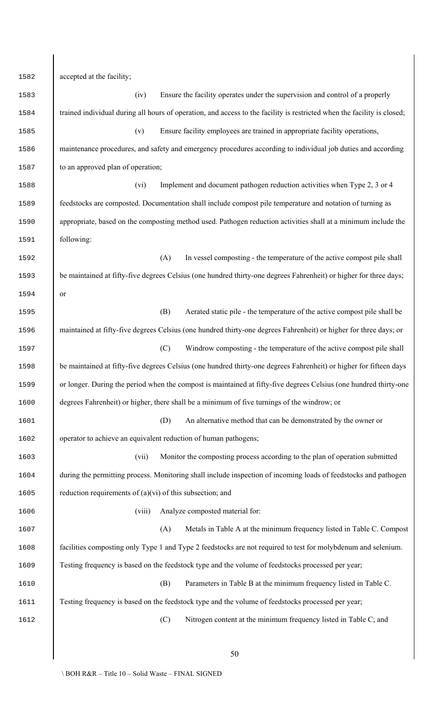accepted at the facility; (iv) Ensure the facility operates under the supervision and control of a properly 1584 trained individual during all hours of operation, and access to the facility is restricted when the facility is closed; (v) Ensure facility employees are trained in appropriate facility operations, maintenance procedures, and safety and emergency procedures according to individual job duties and according 1587 to an approved plan of operation; (vi) Implement and document pathogen reduction activities when Type 2, 3 or 4 feedstocks are composted. Documentation shall include compost pile temperature and notation of turning as appropriate, based on the composting method used. Pathogen reduction activities shall at a minimum include the following: (A) In vessel composting - the temperature of the active compost pile shall 1593 be maintained at fifty-five degrees Celsius (one hundred thirty-one degrees Fahrenheit) or higher for three days; or (B) Aerated static pile - the temperature of the active compost pile shall be 1596 maintained at fifty-five degrees Celsius (one hundred thirty-one degrees Fahrenheit) or higher for three days; or (C) Windrow composting - the temperature of the active compost pile shall 1598 be maintained at fifty-five degrees Celsius (one hundred thirty-one degrees Fahrenheit) or higher for fifteen days or longer. During the period when the compost is maintained at fifty-five degrees Celsius (one hundred thirty-one degrees Fahrenheit) or higher, there shall be a minimum of five turnings of the windrow; or (D) An alternative method that can be demonstrated by the owner or operator to achieve an equivalent reduction of human pathogens; (vii) Monitor the composting process according to the plan of operation submitted during the permitting process. Monitoring shall include inspection of incoming loads of feedstocks and pathogen 1605 reduction requirements of  $(a)(vi)$  of this subsection; and 1606 (viii) Analyze composted material for: (A) Metals in Table A at the minimum frequency listed in Table C. Compost facilities composting only Type 1 and Type 2 feedstocks are not required to test for molybdenum and selenium. Testing frequency is based on the feedstock type and the volume of feedstocks processed per year; (B) Parameters in Table B at the minimum frequency listed in Table C. Testing frequency is based on the feedstock type and the volume of feedstocks processed per year; (C) Nitrogen content at the minimum frequency listed in Table C; and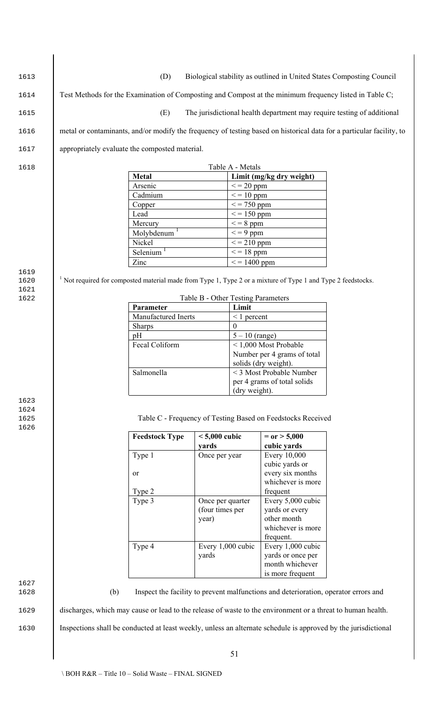| 1613                 |                                                                                                                | (D)                   |                                    |                                             |                                                                                     | Biological stability as outlined in United States Composting Council                                                 |  |
|----------------------|----------------------------------------------------------------------------------------------------------------|-----------------------|------------------------------------|---------------------------------------------|-------------------------------------------------------------------------------------|----------------------------------------------------------------------------------------------------------------------|--|
| 1614                 | Test Methods for the Examination of Composting and Compost at the minimum frequency listed in Table C;         |                       |                                    |                                             |                                                                                     |                                                                                                                      |  |
|                      |                                                                                                                |                       |                                    |                                             |                                                                                     |                                                                                                                      |  |
| 1615                 |                                                                                                                | (E)                   |                                    |                                             |                                                                                     | The jurisdictional health department may require testing of additional                                               |  |
| 1616                 |                                                                                                                |                       |                                    |                                             |                                                                                     | metal or contaminants, and/or modify the frequency of testing based on historical data for a particular facility, to |  |
| 1617                 | appropriately evaluate the composted material.                                                                 |                       |                                    |                                             |                                                                                     |                                                                                                                      |  |
| 1618                 |                                                                                                                |                       |                                    | Table A - Metals                            |                                                                                     |                                                                                                                      |  |
|                      |                                                                                                                | <b>Metal</b>          |                                    |                                             | Limit (mg/kg dry weight)                                                            |                                                                                                                      |  |
|                      |                                                                                                                | Arsenic               |                                    | $\epsilon$ = 20 ppm                         |                                                                                     |                                                                                                                      |  |
|                      |                                                                                                                | Cadmium<br>Copper     |                                    | $\epsilon$ = 10 ppm<br>$\epsilon$ = 750 ppm |                                                                                     |                                                                                                                      |  |
|                      |                                                                                                                | Lead                  |                                    | $\epsilon$ = 150 ppm                        |                                                                                     |                                                                                                                      |  |
|                      |                                                                                                                | Mercury               |                                    | $\leq$ = 8 ppm                              |                                                                                     |                                                                                                                      |  |
|                      |                                                                                                                | Molybdenum            |                                    | $\epsilon$ = 9 ppm                          |                                                                                     |                                                                                                                      |  |
|                      |                                                                                                                | Nickel                |                                    | $\epsilon$ = 210 ppm                        |                                                                                     |                                                                                                                      |  |
|                      |                                                                                                                | Selenium              |                                    | $\epsilon$ = 18 ppm                         |                                                                                     |                                                                                                                      |  |
|                      |                                                                                                                | Zinc                  |                                    | $\epsilon$ = 1400 ppm                       |                                                                                     |                                                                                                                      |  |
| 1619<br>1620<br>1621 | $1$ Not required for composted material made from Type 1, Type 2 or a mixture of Type 1 and Type 2 feedstocks. |                       |                                    |                                             |                                                                                     |                                                                                                                      |  |
| 1622                 |                                                                                                                |                       | Table B - Other Testing Parameters |                                             |                                                                                     |                                                                                                                      |  |
|                      |                                                                                                                | Parameter             |                                    | Limit                                       |                                                                                     |                                                                                                                      |  |
|                      |                                                                                                                | Manufactured Inerts   |                                    | $\leq$ 1 percent                            |                                                                                     |                                                                                                                      |  |
|                      |                                                                                                                | Sharps                |                                    | $\theta$                                    |                                                                                     |                                                                                                                      |  |
|                      |                                                                                                                | pH<br>Fecal Coliform  |                                    | $5 - 10$ (range)                            | <1,000 Most Probable                                                                |                                                                                                                      |  |
|                      |                                                                                                                |                       |                                    |                                             | Number per 4 grams of total                                                         |                                                                                                                      |  |
|                      |                                                                                                                |                       |                                    |                                             | solids (dry weight).                                                                |                                                                                                                      |  |
|                      |                                                                                                                | Salmonella            |                                    |                                             | < 3 Most Probable Number                                                            |                                                                                                                      |  |
|                      |                                                                                                                |                       |                                    |                                             | per 4 grams of total solids                                                         |                                                                                                                      |  |
|                      |                                                                                                                |                       |                                    | (dry weight).                               |                                                                                     |                                                                                                                      |  |
| 1623<br>1624<br>1625 |                                                                                                                |                       |                                    |                                             | Table C - Frequency of Testing Based on Feedstocks Received                         |                                                                                                                      |  |
| 1626                 |                                                                                                                | <b>Feedstock Type</b> | $< 5,000$ cubic                    |                                             | $=$ or $> 5,000$                                                                    |                                                                                                                      |  |
|                      |                                                                                                                |                       | yards                              |                                             | cubic yards                                                                         |                                                                                                                      |  |
|                      |                                                                                                                | Type 1                | Once per year                      |                                             | Every 10,000<br>cubic yards or                                                      |                                                                                                                      |  |
|                      |                                                                                                                | or                    |                                    |                                             | every six months                                                                    |                                                                                                                      |  |
|                      |                                                                                                                |                       |                                    |                                             | whichever is more                                                                   |                                                                                                                      |  |
|                      |                                                                                                                | Type 2                |                                    |                                             | frequent                                                                            |                                                                                                                      |  |
|                      |                                                                                                                | Type 3                | Once per quarter                   |                                             | Every 5,000 cubic                                                                   |                                                                                                                      |  |
|                      |                                                                                                                |                       | (four times per                    |                                             | yards or every                                                                      |                                                                                                                      |  |
|                      |                                                                                                                |                       | year)                              |                                             | other month<br>whichever is more                                                    |                                                                                                                      |  |
|                      |                                                                                                                |                       |                                    |                                             | frequent.                                                                           |                                                                                                                      |  |
|                      |                                                                                                                | Type 4                | Every 1,000 cubic                  |                                             | Every 1,000 cubic                                                                   |                                                                                                                      |  |
|                      |                                                                                                                |                       | yards                              |                                             | yards or once per                                                                   |                                                                                                                      |  |
|                      |                                                                                                                |                       |                                    |                                             | month whichever                                                                     |                                                                                                                      |  |
|                      |                                                                                                                |                       |                                    |                                             | is more frequent                                                                    |                                                                                                                      |  |
| 1627<br>1628         | (b)                                                                                                            |                       |                                    |                                             | Inspect the facility to prevent malfunctions and deterioration, operator errors and |                                                                                                                      |  |
| 1629                 | discharges, which may cause or lead to the release of waste to the environment or a threat to human health.    |                       |                                    |                                             |                                                                                     |                                                                                                                      |  |
| 1630                 |                                                                                                                |                       |                                    |                                             |                                                                                     | Inspections shall be conducted at least weekly, unless an alternate schedule is approved by the jurisdictional       |  |
|                      |                                                                                                                |                       |                                    | 51                                          |                                                                                     |                                                                                                                      |  |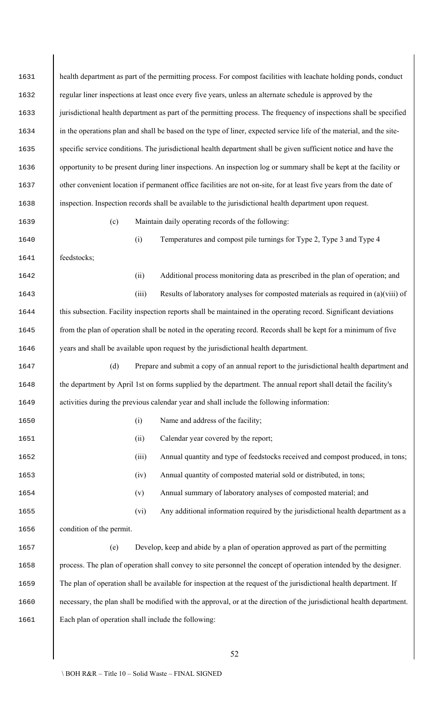| 1631 |                                                                                                                      |       | health department as part of the permitting process. For compost facilities with leachate holding ponds, conduct      |  |  |  |  |
|------|----------------------------------------------------------------------------------------------------------------------|-------|-----------------------------------------------------------------------------------------------------------------------|--|--|--|--|
| 1632 | regular liner inspections at least once every five years, unless an alternate schedule is approved by the            |       |                                                                                                                       |  |  |  |  |
| 1633 | jurisdictional health department as part of the permitting process. The frequency of inspections shall be specified  |       |                                                                                                                       |  |  |  |  |
| 1634 | in the operations plan and shall be based on the type of liner, expected service life of the material, and the site- |       |                                                                                                                       |  |  |  |  |
| 1635 |                                                                                                                      |       | specific service conditions. The jurisdictional health department shall be given sufficient notice and have the       |  |  |  |  |
| 1636 |                                                                                                                      |       | opportunity to be present during liner inspections. An inspection log or summary shall be kept at the facility or     |  |  |  |  |
| 1637 |                                                                                                                      |       | other convenient location if permanent office facilities are not on-site, for at least five years from the date of    |  |  |  |  |
| 1638 |                                                                                                                      |       | inspection. Inspection records shall be available to the jurisdictional health department upon request.               |  |  |  |  |
| 1639 | (c)                                                                                                                  |       | Maintain daily operating records of the following:                                                                    |  |  |  |  |
| 1640 |                                                                                                                      | (i)   | Temperatures and compost pile turnings for Type 2, Type 3 and Type 4                                                  |  |  |  |  |
| 1641 | feedstocks;                                                                                                          |       |                                                                                                                       |  |  |  |  |
| 1642 |                                                                                                                      | (ii)  | Additional process monitoring data as prescribed in the plan of operation; and                                        |  |  |  |  |
| 1643 |                                                                                                                      | (iii) | Results of laboratory analyses for composted materials as required in (a)(viii) of                                    |  |  |  |  |
| 1644 |                                                                                                                      |       | this subsection. Facility inspection reports shall be maintained in the operating record. Significant deviations      |  |  |  |  |
| 1645 |                                                                                                                      |       | from the plan of operation shall be noted in the operating record. Records shall be kept for a minimum of five        |  |  |  |  |
| 1646 |                                                                                                                      |       | years and shall be available upon request by the jurisdictional health department.                                    |  |  |  |  |
| 1647 | (d)                                                                                                                  |       | Prepare and submit a copy of an annual report to the jurisdictional health department and                             |  |  |  |  |
| 1648 | the department by April 1st on forms supplied by the department. The annual report shall detail the facility's       |       |                                                                                                                       |  |  |  |  |
| 1649 |                                                                                                                      |       | activities during the previous calendar year and shall include the following information:                             |  |  |  |  |
| 1650 |                                                                                                                      | (i)   | Name and address of the facility;                                                                                     |  |  |  |  |
| 1651 |                                                                                                                      | (ii)  | Calendar year covered by the report;                                                                                  |  |  |  |  |
| 1652 |                                                                                                                      | (iii) | Annual quantity and type of feedstocks received and compost produced, in tons;                                        |  |  |  |  |
| 1653 |                                                                                                                      | (iv)  | Annual quantity of composted material sold or distributed, in tons;                                                   |  |  |  |  |
| 1654 |                                                                                                                      | (v)   | Annual summary of laboratory analyses of composted material; and                                                      |  |  |  |  |
| 1655 |                                                                                                                      | (vi)  | Any additional information required by the jurisdictional health department as a                                      |  |  |  |  |
| 1656 | condition of the permit.                                                                                             |       |                                                                                                                       |  |  |  |  |
| 1657 | (e)                                                                                                                  |       | Develop, keep and abide by a plan of operation approved as part of the permitting                                     |  |  |  |  |
| 1658 |                                                                                                                      |       | process. The plan of operation shall convey to site personnel the concept of operation intended by the designer.      |  |  |  |  |
| 1659 |                                                                                                                      |       | The plan of operation shall be available for inspection at the request of the jurisdictional health department. If    |  |  |  |  |
| 1660 |                                                                                                                      |       | necessary, the plan shall be modified with the approval, or at the direction of the jurisdictional health department. |  |  |  |  |
| 1661 | Each plan of operation shall include the following:                                                                  |       |                                                                                                                       |  |  |  |  |
|      |                                                                                                                      |       |                                                                                                                       |  |  |  |  |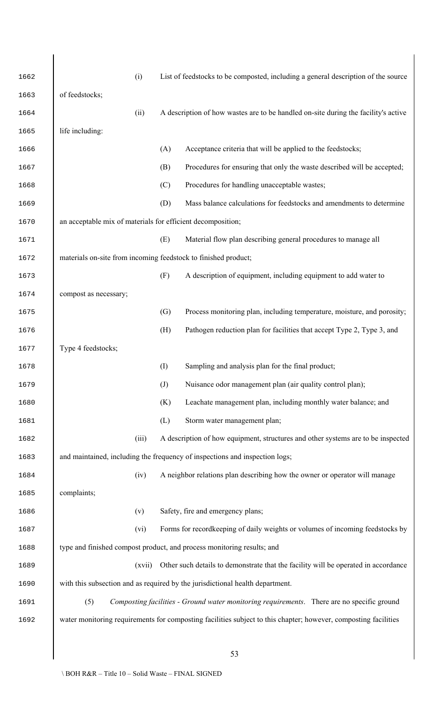| 1662 |                                                                | (i)    |                   | List of feedstocks to be composted, including a general description of the source                               |
|------|----------------------------------------------------------------|--------|-------------------|-----------------------------------------------------------------------------------------------------------------|
| 1663 | of feedstocks;                                                 |        |                   |                                                                                                                 |
| 1664 |                                                                | (ii)   |                   | A description of how wastes are to be handled on-site during the facility's active                              |
| 1665 | life including:                                                |        |                   |                                                                                                                 |
| 1666 |                                                                |        | (A)               | Acceptance criteria that will be applied to the feedstocks;                                                     |
| 1667 |                                                                |        | (B)               | Procedures for ensuring that only the waste described will be accepted;                                         |
| 1668 |                                                                |        | (C)               | Procedures for handling unacceptable wastes;                                                                    |
| 1669 |                                                                |        | (D)               | Mass balance calculations for feedstocks and amendments to determine                                            |
| 1670 | an acceptable mix of materials for efficient decomposition;    |        |                   |                                                                                                                 |
| 1671 |                                                                |        | (E)               | Material flow plan describing general procedures to manage all                                                  |
| 1672 | materials on-site from incoming feedstock to finished product; |        |                   |                                                                                                                 |
| 1673 |                                                                |        | (F)               | A description of equipment, including equipment to add water to                                                 |
| 1674 | compost as necessary;                                          |        |                   |                                                                                                                 |
| 1675 |                                                                |        | (G)               | Process monitoring plan, including temperature, moisture, and porosity;                                         |
| 1676 |                                                                |        | (H)               | Pathogen reduction plan for facilities that accept Type 2, Type 3, and                                          |
| 1677 | Type 4 feedstocks;                                             |        |                   |                                                                                                                 |
| 1678 |                                                                |        | (I)               | Sampling and analysis plan for the final product;                                                               |
| 1679 |                                                                |        | $\left( J\right)$ | Nuisance odor management plan (air quality control plan);                                                       |
| 1680 |                                                                |        | (K)               | Leachate management plan, including monthly water balance; and                                                  |
| 1681 |                                                                |        | (L)               | Storm water management plan;                                                                                    |
| 1682 |                                                                | (iii)  |                   | A description of how equipment, structures and other systems are to be inspected                                |
| 1683 |                                                                |        |                   | and maintained, including the frequency of inspections and inspection logs;                                     |
| 1684 |                                                                | (iv)   |                   | A neighbor relations plan describing how the owner or operator will manage                                      |
| 1685 | complaints;                                                    |        |                   |                                                                                                                 |
| 1686 |                                                                | (v)    |                   | Safety, fire and emergency plans;                                                                               |
| 1687 |                                                                | (vi)   |                   | Forms for recordkeeping of daily weights or volumes of incoming feedstocks by                                   |
| 1688 |                                                                |        |                   | type and finished compost product, and process monitoring results; and                                          |
| 1689 |                                                                | (xvii) |                   | Other such details to demonstrate that the facility will be operated in accordance                              |
| 1690 |                                                                |        |                   | with this subsection and as required by the jurisdictional health department.                                   |
| 1691 | (5)                                                            |        |                   | Composting facilities - Ground water monitoring requirements. There are no specific ground                      |
| 1692 |                                                                |        |                   | water monitoring requirements for composting facilities subject to this chapter; however, composting facilities |
|      |                                                                |        |                   |                                                                                                                 |
|      |                                                                |        |                   |                                                                                                                 |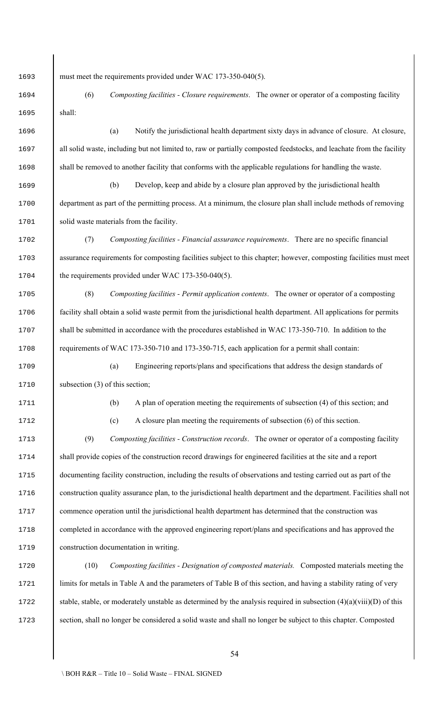must meet the requirements provided under WAC 173-350-040(5).

 (6) *Composting facilities - Closure requirements*. The owner or operator of a composting facility shall:

 (a) Notify the jurisdictional health department sixty days in advance of closure. At closure, 1697 all solid waste, including but not limited to, raw or partially composted feedstocks, and leachate from the facility shall be removed to another facility that conforms with the applicable regulations for handling the waste.

 (b) Develop, keep and abide by a closure plan approved by the jurisdictional health department as part of the permitting process. At a minimum, the closure plan shall include methods of removing solid waste materials from the facility.

 (7) *Composting facilities - Financial assurance requirements*. There are no specific financial assurance requirements for composting facilities subject to this chapter; however, composting facilities must meet 1704 the requirements provided under WAC 173-350-040(5).

 (8) *Composting facilities - Permit application contents*. The owner or operator of a composting facility shall obtain a solid waste permit from the jurisdictional health department. All applications for permits 1707 shall be submitted in accordance with the procedures established in WAC 173-350-710. In addition to the requirements of WAC 173-350-710 and 173-350-715, each application for a permit shall contain:

 (a) Engineering reports/plans and specifications that address the design standards of 1710 subsection (3) of this section;

(b) A plan of operation meeting the requirements of subsection (4) of this section; and

(c) A closure plan meeting the requirements of subsection (6) of this section.

 (9) *Composting facilities - Construction records*. The owner or operator of a composting facility 1714 shall provide copies of the construction record drawings for engineered facilities at the site and a report documenting facility construction, including the results of observations and testing carried out as part of the construction quality assurance plan, to the jurisdictional health department and the department. Facilities shall not commence operation until the jurisdictional health department has determined that the construction was completed in accordance with the approved engineering report/plans and specifications and has approved the construction documentation in writing.

 (10) *Composting facilities - Designation of composted materials.* Composted materials meeting the 1721 limits for metals in Table A and the parameters of Table B of this section, and having a stability rating of very 1722 stable, stable, or moderately unstable as determined by the analysis required in subsection  $(4)(a)(viii)(D)$  of this 1723 section, shall no longer be considered a solid waste and shall no longer be subject to this chapter. Composted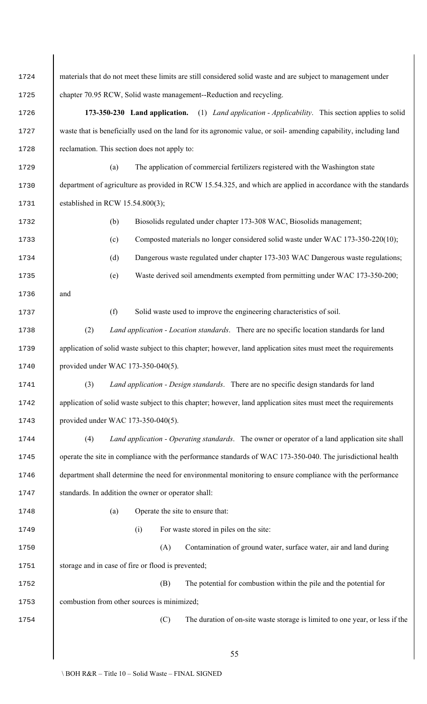materials that do not meet these limits are still considered solid waste and are subject to management under chapter 70.95 RCW, Solid waste management--Reduction and recycling. **173-350-230 Land application.** (1) *Land application - Applicability*. This section applies to solid waste that is beneficially used on the land for its agronomic value, or soil- amending capability, including land 1728 reclamation. This section does not apply to: (a) The application of commercial fertilizers registered with the Washington state 1730 department of agriculture as provided in RCW 15.54.325, and which are applied in accordance with the standards 1731 established in RCW 15.54.800(3); (b) Biosolids regulated under chapter 173-308 WAC, Biosolids management; (c) Composted materials no longer considered solid waste under WAC 173-350-220(10); (d) Dangerous waste regulated under chapter 173-303 WAC Dangerous waste regulations; (e) Waste derived soil amendments exempted from permitting under WAC 173-350-200; and (f) Solid waste used to improve the engineering characteristics of soil. (2) *Land application - Location standards*. There are no specific location standards for land 1739 application of solid waste subject to this chapter; however, land application sites must meet the requirements provided under WAC 173-350-040(5). (3) *Land application - Design standards*. There are no specific design standards for land 1742 application of solid waste subject to this chapter; however, land application sites must meet the requirements provided under WAC 173-350-040(5). (4) *Land application - Operating standards*. The owner or operator of a land application site shall 1745 perate the site in compliance with the performance standards of WAC 173-350-040. The jurisdictional health department shall determine the need for environmental monitoring to ensure compliance with the performance 1747 standards. In addition the owner or operator shall: (a) Operate the site to ensure that: (i) For waste stored in piles on the site: (A) Contamination of ground water, surface water, air and land during 1751 storage and in case of fire or flood is prevented; (B) The potential for combustion within the pile and the potential for 1753 combustion from other sources is minimized; (C) The duration of on-site waste storage is limited to one year, or less if the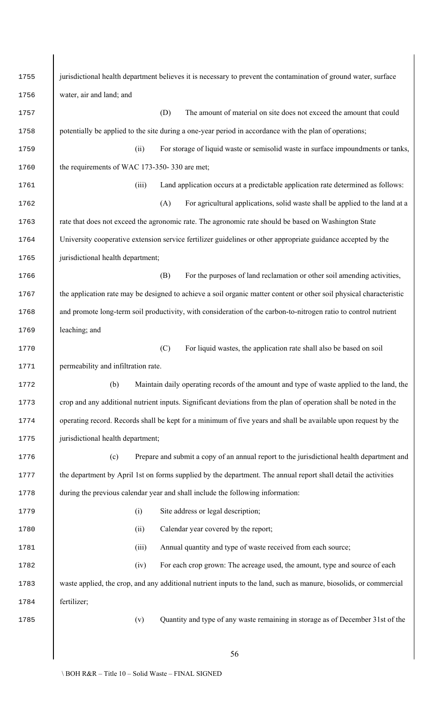| 1755 | jurisdictional health department believes it is necessary to prevent the contamination of ground water, surface     |  |  |  |  |  |
|------|---------------------------------------------------------------------------------------------------------------------|--|--|--|--|--|
| 1756 | water, air and land; and                                                                                            |  |  |  |  |  |
| 1757 | (D)<br>The amount of material on site does not exceed the amount that could                                         |  |  |  |  |  |
| 1758 | potentially be applied to the site during a one-year period in accordance with the plan of operations;              |  |  |  |  |  |
| 1759 | For storage of liquid waste or semisolid waste in surface impoundments or tanks,<br>(ii)                            |  |  |  |  |  |
| 1760 | the requirements of WAC 173-350-330 are met;                                                                        |  |  |  |  |  |
| 1761 | (iii)<br>Land application occurs at a predictable application rate determined as follows:                           |  |  |  |  |  |
| 1762 | For agricultural applications, solid waste shall be applied to the land at a<br>(A)                                 |  |  |  |  |  |
| 1763 | rate that does not exceed the agronomic rate. The agronomic rate should be based on Washington State                |  |  |  |  |  |
| 1764 | University cooperative extension service fertilizer guidelines or other appropriate guidance accepted by the        |  |  |  |  |  |
| 1765 | jurisdictional health department;                                                                                   |  |  |  |  |  |
| 1766 | For the purposes of land reclamation or other soil amending activities,<br>(B)                                      |  |  |  |  |  |
| 1767 | the application rate may be designed to achieve a soil organic matter content or other soil physical characteristic |  |  |  |  |  |
| 1768 | and promote long-term soil productivity, with consideration of the carbon-to-nitrogen ratio to control nutrient     |  |  |  |  |  |
| 1769 | leaching; and                                                                                                       |  |  |  |  |  |
| 1770 | For liquid wastes, the application rate shall also be based on soil<br>(C)                                          |  |  |  |  |  |
| 1771 | permeability and infiltration rate.                                                                                 |  |  |  |  |  |
| 1772 | (b)<br>Maintain daily operating records of the amount and type of waste applied to the land, the                    |  |  |  |  |  |
| 1773 | crop and any additional nutrient inputs. Significant deviations from the plan of operation shall be noted in the    |  |  |  |  |  |
| 1774 | operating record. Records shall be kept for a minimum of five years and shall be available upon request by the      |  |  |  |  |  |
| 1775 | jurisdictional health department;                                                                                   |  |  |  |  |  |
| 1776 | Prepare and submit a copy of an annual report to the jurisdictional health department and<br>(c)                    |  |  |  |  |  |
| 1777 | the department by April 1st on forms supplied by the department. The annual report shall detail the activities      |  |  |  |  |  |
| 1778 | during the previous calendar year and shall include the following information:                                      |  |  |  |  |  |
| 1779 | Site address or legal description;<br>(i)                                                                           |  |  |  |  |  |
| 1780 | Calendar year covered by the report;<br>(ii)                                                                        |  |  |  |  |  |
| 1781 | (iii)<br>Annual quantity and type of waste received from each source;                                               |  |  |  |  |  |
| 1782 | For each crop grown: The acreage used, the amount, type and source of each<br>(iv)                                  |  |  |  |  |  |
| 1783 | waste applied, the crop, and any additional nutrient inputs to the land, such as manure, biosolids, or commercial   |  |  |  |  |  |
| 1784 | fertilizer;                                                                                                         |  |  |  |  |  |
| 1785 | Quantity and type of any waste remaining in storage as of December 31st of the<br>(v)                               |  |  |  |  |  |
|      |                                                                                                                     |  |  |  |  |  |
|      | 56                                                                                                                  |  |  |  |  |  |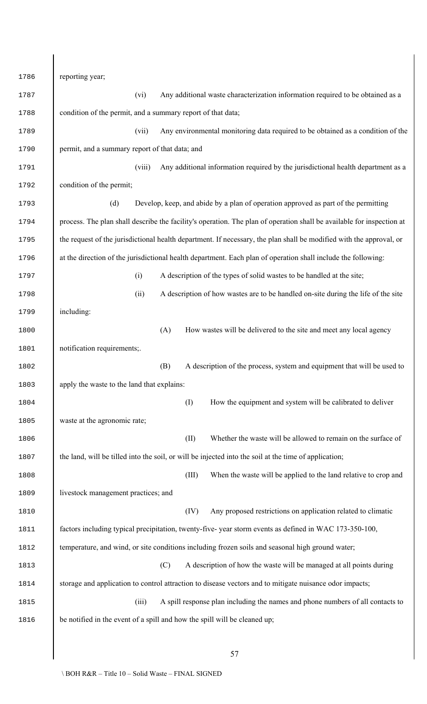reporting year; (vi) Any additional waste characterization information required to be obtained as a condition of the permit, and a summary report of that data; (vii) Any environmental monitoring data required to be obtained as a condition of the 1790 permit, and a summary report of that data; and (viii) Any additional information required by the jurisdictional health department as a condition of the permit; (d) Develop, keep, and abide by a plan of operation approved as part of the permitting process. The plan shall describe the facility's operation. The plan of operation shall be available for inspection at the request of the jurisdictional health department. If necessary, the plan shall be modified with the approval, or at the direction of the jurisdictional health department. Each plan of operation shall include the following: (i) A description of the types of solid wastes to be handled at the site; (ii) A description of how wastes are to be handled on-site during the life of the site including: (A) How wastes will be delivered to the site and meet any local agency 1801 notification requirements; (B) A description of the process, system and equipment that will be used to apply the waste to the land that explains: (I) How the equipment and system will be calibrated to deliver waste at the agronomic rate; (II) Whether the waste will be allowed to remain on the surface of 1807 the land, will be tilled into the soil, or will be injected into the soil at the time of application; (III) When the waste will be applied to the land relative to crop and 1809 livestock management practices; and (IV) Any proposed restrictions on application related to climatic factors including typical precipitation, twenty-five- year storm events as defined in WAC 173-350-100, 1812 temperature, and wind, or site conditions including frozen soils and seasonal high ground water; (C) A description of how the waste will be managed at all points during storage and application to control attraction to disease vectors and to mitigate nuisance odor impacts; (iii) A spill response plan including the names and phone numbers of all contacts to 1816 be notified in the event of a spill and how the spill will be cleaned up;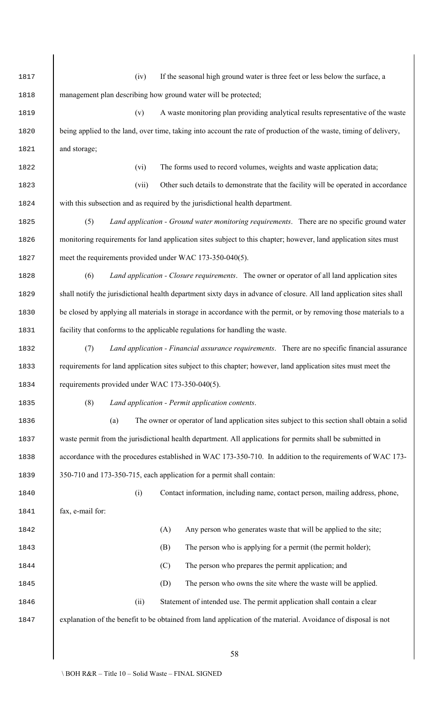(iv) If the seasonal high ground water is three feet or less below the surface, a 1818 management plan describing how ground water will be protected; (v) A waste monitoring plan providing analytical results representative of the waste 1820 being applied to the land, over time, taking into account the rate of production of the waste, timing of delivery, and storage; (vi) The forms used to record volumes, weights and waste application data; (vii) Other such details to demonstrate that the facility will be operated in accordance with this subsection and as required by the jurisdictional health department. (5) *Land application - Ground water monitoring requirements*. There are no specific ground water monitoring requirements for land application sites subject to this chapter; however, land application sites must 1827 meet the requirements provided under WAC 173-350-040(5). (6) *Land application - Closure requirements*. The owner or operator of all land application sites 1829 shall notify the jurisdictional health department sixty days in advance of closure. All land application sites shall 1830 be closed by applying all materials in storage in accordance with the permit, or by removing those materials to a facility that conforms to the applicable regulations for handling the waste. (7) *Land application - Financial assurance requirements*. There are no specific financial assurance requirements for land application sites subject to this chapter; however, land application sites must meet the requirements provided under WAC 173-350-040(5). (8) *Land application - Permit application contents*. (a) The owner or operator of land application sites subject to this section shall obtain a solid waste permit from the jurisdictional health department. All applications for permits shall be submitted in 1838 accordance with the procedures established in WAC 173-350-710. In addition to the requirements of WAC 173- 350-710 and 173-350-715, each application for a permit shall contain: (i) Contact information, including name, contact person, mailing address, phone, 1841 fax, e-mail for: (A) Any person who generates waste that will be applied to the site; (B) The person who is applying for a permit (the permit holder); 1844 (C) The person who prepares the permit application; and (D) The person who owns the site where the waste will be applied. (ii) Statement of intended use. The permit application shall contain a clear explanation of the benefit to be obtained from land application of the material. Avoidance of disposal is not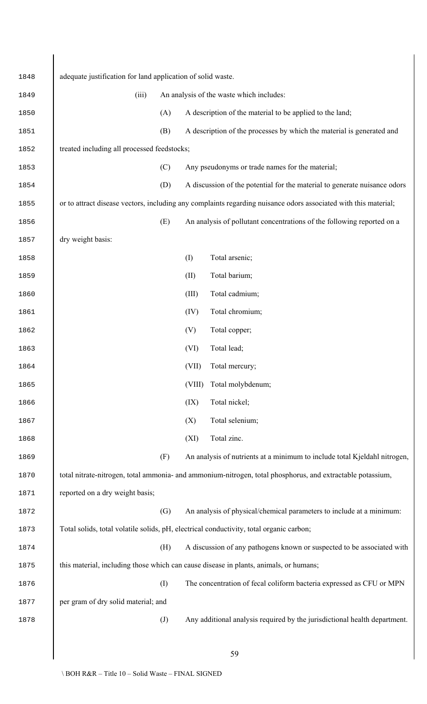| 1848 | adequate justification for land application of solid waste. |                   |        |                                                                                                                 |  |  |
|------|-------------------------------------------------------------|-------------------|--------|-----------------------------------------------------------------------------------------------------------------|--|--|
| 1849 | (iii)                                                       |                   |        | An analysis of the waste which includes:                                                                        |  |  |
| 1850 |                                                             | (A)               |        | A description of the material to be applied to the land;                                                        |  |  |
| 1851 |                                                             | (B)               |        | A description of the processes by which the material is generated and                                           |  |  |
| 1852 | treated including all processed feedstocks;                 |                   |        |                                                                                                                 |  |  |
| 1853 |                                                             | (C)               |        | Any pseudonyms or trade names for the material;                                                                 |  |  |
| 1854 |                                                             | (D)               |        | A discussion of the potential for the material to generate nuisance odors                                       |  |  |
| 1855 |                                                             |                   |        | or to attract disease vectors, including any complaints regarding nuisance odors associated with this material; |  |  |
| 1856 |                                                             | (E)               |        | An analysis of pollutant concentrations of the following reported on a                                          |  |  |
| 1857 | dry weight basis:                                           |                   |        |                                                                                                                 |  |  |
| 1858 |                                                             |                   | (I)    | Total arsenic;                                                                                                  |  |  |
| 1859 |                                                             |                   | (II)   | Total barium;                                                                                                   |  |  |
| 1860 |                                                             |                   | (III)  | Total cadmium;                                                                                                  |  |  |
| 1861 |                                                             |                   | (IV)   | Total chromium;                                                                                                 |  |  |
| 1862 |                                                             |                   | (V)    | Total copper;                                                                                                   |  |  |
| 1863 |                                                             |                   | (VI)   | Total lead;                                                                                                     |  |  |
| 1864 |                                                             |                   | (VII)  | Total mercury;                                                                                                  |  |  |
| 1865 |                                                             |                   | (VIII) | Total molybdenum;                                                                                               |  |  |
| 1866 |                                                             |                   | (IX)   | Total nickel;                                                                                                   |  |  |
| 1867 |                                                             |                   | (X)    | Total selenium;                                                                                                 |  |  |
| 1868 |                                                             |                   | (XI)   | Total zinc.                                                                                                     |  |  |
| 1869 |                                                             | (F)               |        | An analysis of nutrients at a minimum to include total Kjeldahl nitrogen,                                       |  |  |
| 1870 |                                                             |                   |        | total nitrate-nitrogen, total ammonia- and ammonium-nitrogen, total phosphorus, and extractable potassium,      |  |  |
| 1871 | reported on a dry weight basis;                             |                   |        |                                                                                                                 |  |  |
| 1872 |                                                             | (G)               |        | An analysis of physical/chemical parameters to include at a minimum:                                            |  |  |
| 1873 |                                                             |                   |        | Total solids, total volatile solids, pH, electrical conductivity, total organic carbon;                         |  |  |
| 1874 |                                                             | (H)               |        | A discussion of any pathogens known or suspected to be associated with                                          |  |  |
| 1875 |                                                             |                   |        | this material, including those which can cause disease in plants, animals, or humans;                           |  |  |
| 1876 |                                                             | (I)               |        | The concentration of fecal coliform bacteria expressed as CFU or MPN                                            |  |  |
| 1877 | per gram of dry solid material; and                         |                   |        |                                                                                                                 |  |  |
| 1878 |                                                             | $\left( J\right)$ |        | Any additional analysis required by the jurisdictional health department.                                       |  |  |
|      |                                                             |                   |        |                                                                                                                 |  |  |
|      |                                                             |                   |        | 59                                                                                                              |  |  |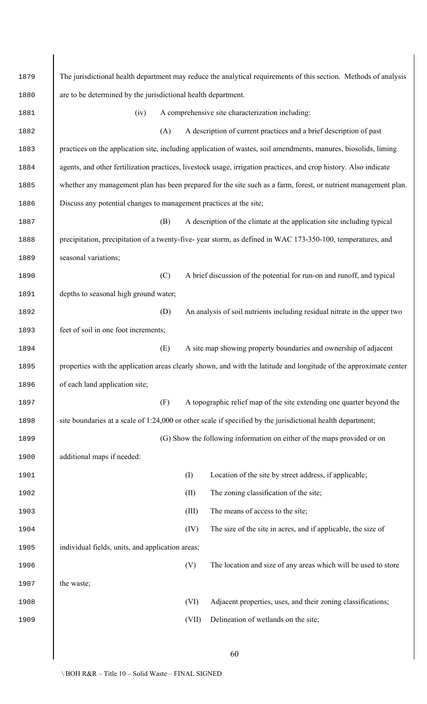| 1879 | The jurisdictional health department may reduce the analytical requirements of this section. Methods of analysis   |  |  |  |  |  |  |
|------|--------------------------------------------------------------------------------------------------------------------|--|--|--|--|--|--|
| 1880 | are to be determined by the jurisdictional health department.                                                      |  |  |  |  |  |  |
| 1881 | A comprehensive site characterization including:<br>(iv)                                                           |  |  |  |  |  |  |
| 1882 | (A)<br>A description of current practices and a brief description of past                                          |  |  |  |  |  |  |
| 1883 | practices on the application site, including application of wastes, soil amendments, manures, biosolids, liming    |  |  |  |  |  |  |
| 1884 | agents, and other fertilization practices, livestock usage, irrigation practices, and crop history. Also indicate  |  |  |  |  |  |  |
| 1885 | whether any management plan has been prepared for the site such as a farm, forest, or nutrient management plan.    |  |  |  |  |  |  |
| 1886 | Discuss any potential changes to management practices at the site;                                                 |  |  |  |  |  |  |
| 1887 | A description of the climate at the application site including typical<br>(B)                                      |  |  |  |  |  |  |
| 1888 | precipitation, precipitation of a twenty-five-year storm, as defined in WAC 173-350-100, temperatures, and         |  |  |  |  |  |  |
| 1889 | seasonal variations;                                                                                               |  |  |  |  |  |  |
| 1890 | (C)<br>A brief discussion of the potential for run-on and runoff, and typical                                      |  |  |  |  |  |  |
| 1891 | depths to seasonal high ground water;                                                                              |  |  |  |  |  |  |
| 1892 | (D)<br>An analysis of soil nutrients including residual nitrate in the upper two                                   |  |  |  |  |  |  |
| 1893 | feet of soil in one foot increments;                                                                               |  |  |  |  |  |  |
| 1894 | (E)<br>A site map showing property boundaries and ownership of adjacent                                            |  |  |  |  |  |  |
| 1895 | properties with the application areas clearly shown, and with the latitude and longitude of the approximate center |  |  |  |  |  |  |
| 1896 | of each land application site;                                                                                     |  |  |  |  |  |  |
| 1897 | A topographic relief map of the site extending one quarter beyond the<br>(F)                                       |  |  |  |  |  |  |
| 1898 | site boundaries at a scale of 1:24,000 or other scale if specified by the jurisdictional health department;        |  |  |  |  |  |  |
| 1899 | (G) Show the following information on either of the maps provided or on                                            |  |  |  |  |  |  |
| 1900 | additional maps if needed:                                                                                         |  |  |  |  |  |  |
| 1901 | (I)<br>Location of the site by street address, if applicable;                                                      |  |  |  |  |  |  |
| 1902 | The zoning classification of the site;<br>(II)                                                                     |  |  |  |  |  |  |
| 1903 | (III)<br>The means of access to the site;                                                                          |  |  |  |  |  |  |
| 1904 | (IV)<br>The size of the site in acres, and if applicable, the size of                                              |  |  |  |  |  |  |
| 1905 | individual fields, units, and application areas;                                                                   |  |  |  |  |  |  |
| 1906 | (V)<br>The location and size of any areas which will be used to store                                              |  |  |  |  |  |  |
| 1907 | the waste;                                                                                                         |  |  |  |  |  |  |
| 1908 | (VI)<br>Adjacent properties, uses, and their zoning classifications;                                               |  |  |  |  |  |  |
| 1909 | Delineation of wetlands on the site;<br>(VII)                                                                      |  |  |  |  |  |  |
|      |                                                                                                                    |  |  |  |  |  |  |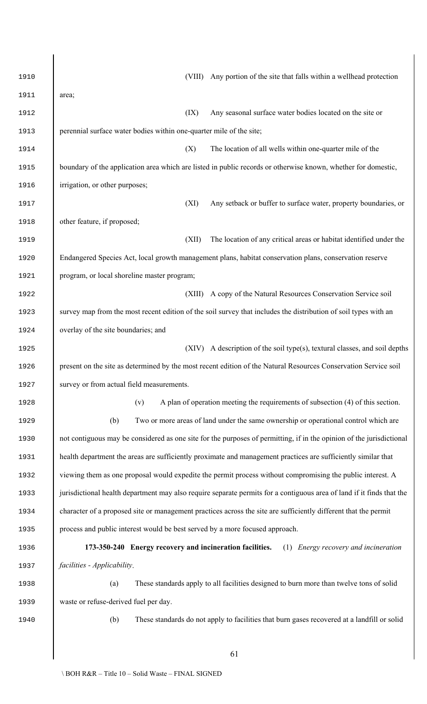| 1910 | Any portion of the site that falls within a wellhead protection<br>(VIII)                                             |
|------|-----------------------------------------------------------------------------------------------------------------------|
| 1911 | area;                                                                                                                 |
| 1912 | (IX)<br>Any seasonal surface water bodies located on the site or                                                      |
| 1913 | perennial surface water bodies within one-quarter mile of the site;                                                   |
| 1914 | The location of all wells within one-quarter mile of the<br>(X)                                                       |
| 1915 | boundary of the application area which are listed in public records or otherwise known, whether for domestic,         |
| 1916 | irrigation, or other purposes;                                                                                        |
| 1917 | Any setback or buffer to surface water, property boundaries, or<br>(XI)                                               |
| 1918 | other feature, if proposed;                                                                                           |
| 1919 | The location of any critical areas or habitat identified under the<br>(XII)                                           |
| 1920 | Endangered Species Act, local growth management plans, habitat conservation plans, conservation reserve               |
| 1921 | program, or local shoreline master program;                                                                           |
| 1922 | (XIII)<br>A copy of the Natural Resources Conservation Service soil                                                   |
| 1923 | survey map from the most recent edition of the soil survey that includes the distribution of soil types with an       |
| 1924 | overlay of the site boundaries; and                                                                                   |
| 1925 | A description of the soil type(s), textural classes, and soil depths<br>(XIV)                                         |
| 1926 | present on the site as determined by the most recent edition of the Natural Resources Conservation Service soil       |
| 1927 | survey or from actual field measurements.                                                                             |
| 1928 | A plan of operation meeting the requirements of subsection (4) of this section.<br>(v)                                |
| 1929 | Two or more areas of land under the same ownership or operational control which are<br>(b)                            |
| 1930 | not contiguous may be considered as one site for the purposes of permitting, if in the opinion of the jurisdictional  |
| 1931 | health department the areas are sufficiently proximate and management practices are sufficiently similar that         |
| 1932 | viewing them as one proposal would expedite the permit process without compromising the public interest. A            |
| 1933 | jurisdictional health department may also require separate permits for a contiguous area of land if it finds that the |
| 1934 | character of a proposed site or management practices across the site are sufficiently different that the permit       |
| 1935 | process and public interest would be best served by a more focused approach.                                          |
| 1936 | 173-350-240 Energy recovery and incineration facilities.<br>(1) <i>Energy recovery and incineration</i>               |
| 1937 | facilities - Applicability.                                                                                           |
| 1938 | These standards apply to all facilities designed to burn more than twelve tons of solid<br>(a)                        |
| 1939 | waste or refuse-derived fuel per day.                                                                                 |
| 1940 | (b)<br>These standards do not apply to facilities that burn gases recovered at a landfill or solid                    |
|      |                                                                                                                       |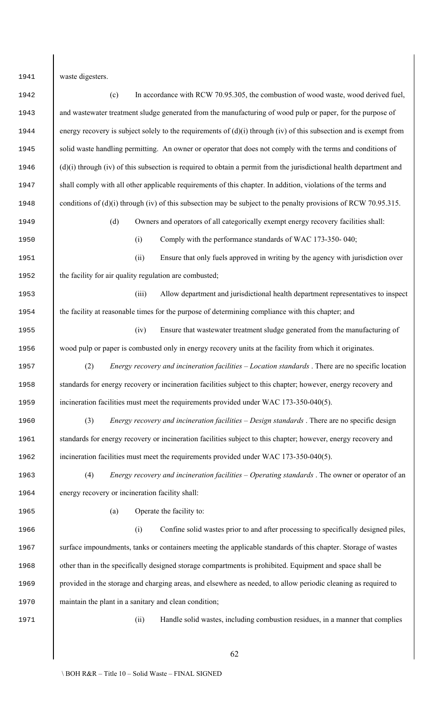waste digesters.

 (c) In accordance with RCW 70.95.305, the combustion of wood waste, wood derived fuel, and wastewater treatment sludge generated from the manufacturing of wood pulp or paper, for the purpose of 1944 energy recovery is subject solely to the requirements of (d)(i) through (iv) of this subsection and is exempt from 1945 solid waste handling permitting. An owner or operator that does not comply with the terms and conditions of 1946 (d)(i) through (iv) of this subsection is required to obtain a permit from the jurisdictional health department and 1947 shall comply with all other applicable requirements of this chapter. In addition, violations of the terms and 1948 conditions of (d)(i) through (iv) of this subsection may be subject to the penalty provisions of RCW 70.95.315. (d) Owners and operators of all categorically exempt energy recovery facilities shall: (i) Comply with the performance standards of WAC 173-350- 040; (ii) Ensure that only fuels approved in writing by the agency with jurisdiction over 1952 the facility for air quality regulation are combusted; (iii) Allow department and jurisdictional health department representatives to inspect the facility at reasonable times for the purpose of determining compliance with this chapter; and (iv) Ensure that wastewater treatment sludge generated from the manufacturing of wood pulp or paper is combusted only in energy recovery units at the facility from which it originates. (2) *Energy recovery and incineration facilities – Location standards* . There are no specific location 1958 standards for energy recovery or incineration facilities subject to this chapter; however, energy recovery and 1959 incineration facilities must meet the requirements provided under WAC 173-350-040(5). (3) *Energy recovery and incineration facilities – Design standards* . There are no specific design 1961 standards for energy recovery or incineration facilities subject to this chapter; however, energy recovery and 1962 incineration facilities must meet the requirements provided under WAC 173-350-040(5). (4) *Energy recovery and incineration facilities – Operating standards* . The owner or operator of an energy recovery or incineration facility shall: (a) Operate the facility to: (i) Confine solid wastes prior to and after processing to specifically designed piles, 1967 surface impoundments, tanks or containers meeting the applicable standards of this chapter. Storage of wastes other than in the specifically designed storage compartments is prohibited. Equipment and space shall be provided in the storage and charging areas, and elsewhere as needed, to allow periodic cleaning as required to maintain the plant in a sanitary and clean condition; (ii) Handle solid wastes, including combustion residues, in a manner that complies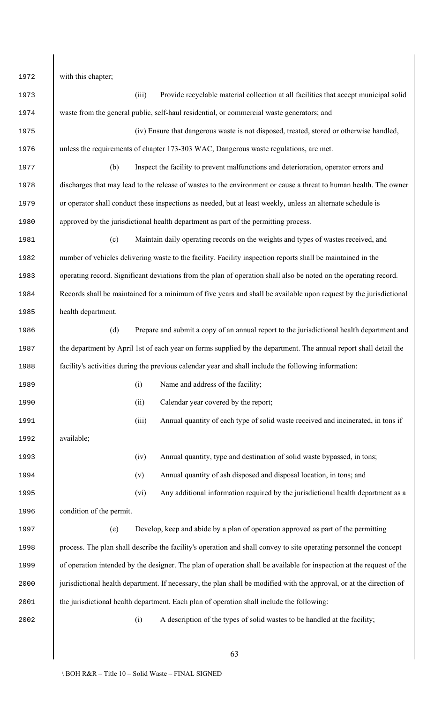1972 with this chapter;

| 1973 |                          | (iii) | Provide recyclable material collection at all facilities that accept municipal solid                                 |
|------|--------------------------|-------|----------------------------------------------------------------------------------------------------------------------|
| 1974 |                          |       | waste from the general public, self-haul residential, or commercial waste generators; and                            |
| 1975 |                          |       | (iv) Ensure that dangerous waste is not disposed, treated, stored or otherwise handled,                              |
| 1976 |                          |       | unless the requirements of chapter 173-303 WAC, Dangerous waste regulations, are met.                                |
| 1977 | (b)                      |       | Inspect the facility to prevent malfunctions and deterioration, operator errors and                                  |
| 1978 |                          |       | discharges that may lead to the release of wastes to the environment or cause a threat to human health. The owner    |
| 1979 |                          |       | or operator shall conduct these inspections as needed, but at least weekly, unless an alternate schedule is          |
| 1980 |                          |       | approved by the jurisdictional health department as part of the permitting process.                                  |
| 1981 | (c)                      |       | Maintain daily operating records on the weights and types of wastes received, and                                    |
| 1982 |                          |       | number of vehicles delivering waste to the facility. Facility inspection reports shall be maintained in the          |
| 1983 |                          |       | operating record. Significant deviations from the plan of operation shall also be noted on the operating record.     |
| 1984 |                          |       | Records shall be maintained for a minimum of five years and shall be available upon request by the jurisdictional    |
| 1985 | health department.       |       |                                                                                                                      |
| 1986 | (d)                      |       | Prepare and submit a copy of an annual report to the jurisdictional health department and                            |
| 1987 |                          |       | the department by April 1st of each year on forms supplied by the department. The annual report shall detail the     |
| 1988 |                          |       | facility's activities during the previous calendar year and shall include the following information:                 |
| 1989 |                          | (i)   | Name and address of the facility;                                                                                    |
| 1990 |                          | (ii)  | Calendar year covered by the report;                                                                                 |
| 1991 |                          | (iii) | Annual quantity of each type of solid waste received and incinerated, in tons if                                     |
| 1992 | available;               |       |                                                                                                                      |
| 1993 |                          | (iv)  | Annual quantity, type and destination of solid waste bypassed, in tons;                                              |
| 1994 |                          | (v)   | Annual quantity of ash disposed and disposal location, in tons; and                                                  |
| 1995 |                          | (vi)  | Any additional information required by the jurisdictional health department as a                                     |
| 1996 | condition of the permit. |       |                                                                                                                      |
| 1997 | (e)                      |       | Develop, keep and abide by a plan of operation approved as part of the permitting                                    |
| 1998 |                          |       | process. The plan shall describe the facility's operation and shall convey to site operating personnel the concept   |
| 1999 |                          |       | of operation intended by the designer. The plan of operation shall be available for inspection at the request of the |
| 2000 |                          |       | jurisdictional health department. If necessary, the plan shall be modified with the approval, or at the direction of |
| 2001 |                          |       | the jurisdictional health department. Each plan of operation shall include the following:                            |
| 2002 |                          | (i)   | A description of the types of solid wastes to be handled at the facility;                                            |
|      |                          |       |                                                                                                                      |
|      |                          |       | 63                                                                                                                   |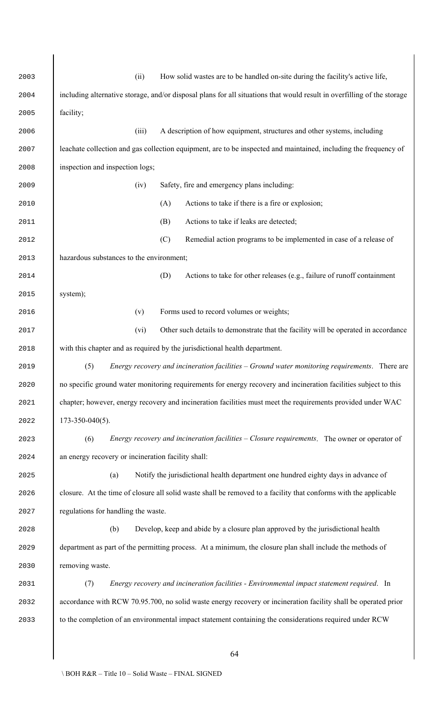| 2003 | (ii)<br>How solid wastes are to be handled on-site during the facility's active life,                                   |
|------|-------------------------------------------------------------------------------------------------------------------------|
| 2004 | including alternative storage, and/or disposal plans for all situations that would result in overfilling of the storage |
| 2005 | facility;                                                                                                               |
| 2006 | A description of how equipment, structures and other systems, including<br>(iii)                                        |
| 2007 | leachate collection and gas collection equipment, are to be inspected and maintained, including the frequency of        |
| 2008 | inspection and inspection logs;                                                                                         |
| 2009 | Safety, fire and emergency plans including:<br>(iv)                                                                     |
| 2010 | Actions to take if there is a fire or explosion;<br>(A)                                                                 |
| 2011 | Actions to take if leaks are detected;<br>(B)                                                                           |
| 2012 | Remedial action programs to be implemented in case of a release of<br>(C)                                               |
| 2013 | hazardous substances to the environment;                                                                                |
| 2014 | (D)<br>Actions to take for other releases (e.g., failure of runoff containment                                          |
| 2015 | system);                                                                                                                |
| 2016 | Forms used to record volumes or weights;<br>(v)                                                                         |
| 2017 | (vi)<br>Other such details to demonstrate that the facility will be operated in accordance                              |
| 2018 | with this chapter and as required by the jurisdictional health department.                                              |
| 2019 | (5)<br>Energy recovery and incineration facilities – Ground water monitoring requirements. There are                    |
| 2020 | no specific ground water monitoring requirements for energy recovery and incineration facilities subject to this        |
| 2021 | chapter; however, energy recovery and incineration facilities must meet the requirements provided under WAC             |
| 2022 | $173 - 350 - 040(5)$ .                                                                                                  |
| 2023 | <i>Energy recovery and incineration facilities – Closure requirements.</i> The owner or operator of<br>(6)              |
| 2024 | an energy recovery or incineration facility shall:                                                                      |
| 2025 | Notify the jurisdictional health department one hundred eighty days in advance of<br>(a)                                |
| 2026 | closure. At the time of closure all solid waste shall be removed to a facility that conforms with the applicable        |
| 2027 | regulations for handling the waste.                                                                                     |
| 2028 | Develop, keep and abide by a closure plan approved by the jurisdictional health<br>(b)                                  |
| 2029 | department as part of the permitting process. At a minimum, the closure plan shall include the methods of               |
| 2030 | removing waste.                                                                                                         |
| 2031 | Energy recovery and incineration facilities - Environmental impact statement required. In<br>(7)                        |
| 2032 | accordance with RCW 70.95.700, no solid waste energy recovery or incineration facility shall be operated prior          |
| 2033 | to the completion of an environmental impact statement containing the considerations required under RCW                 |
|      |                                                                                                                         |
|      | 64                                                                                                                      |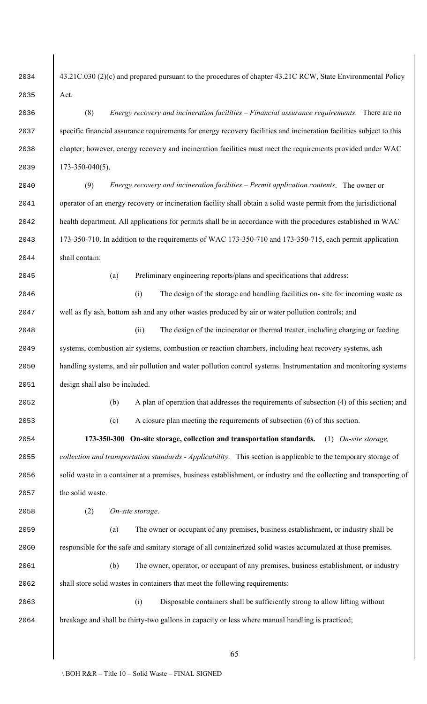2034 43.21C.030 (2)(c) and prepared pursuant to the procedures of chapter 43.21C RCW, State Environmental Policy Act.

 (8) *Energy recovery and incineration facilities – Financial assurance requirements*. There are no specific financial assurance requirements for energy recovery facilities and incineration facilities subject to this chapter; however, energy recovery and incineration facilities must meet the requirements provided under WAC 173-350-040(5).

 (9) *Energy recovery and incineration facilities – Permit application contents*. The owner or operator of an energy recovery or incineration facility shall obtain a solid waste permit from the jurisdictional health department. All applications for permits shall be in accordance with the procedures established in WAC 173-350-710. In addition to the requirements of WAC 173-350-710 and 173-350-715, each permit application shall contain:

(a) Preliminary engineering reports/plans and specifications that address:

 (i) The design of the storage and handling facilities on- site for incoming waste as well as fly ash, bottom ash and any other wastes produced by air or water pollution controls; and

 (ii) The design of the incinerator or thermal treater, including charging or feeding systems, combustion air systems, combustion or reaction chambers, including heat recovery systems, ash handling systems, and air pollution and water pollution control systems. Instrumentation and monitoring systems design shall also be included.

(b) A plan of operation that addresses the requirements of subsection (4) of this section; and

(c) A closure plan meeting the requirements of subsection (6) of this section.

 **173-350-300 On-site storage, collection and transportation standards.** (1) *On-site storage, collection and transportation standards - Applicability*. This section is applicable to the temporary storage of 2056 solid waste in a container at a premises, business establishment, or industry and the collecting and transporting of the solid waste.

(2) *On-site storage*.

 (a) The owner or occupant of any premises, business establishment, or industry shall be responsible for the safe and sanitary storage of all containerized solid wastes accumulated at those premises.

 (b) The owner, operator, or occupant of any premises, business establishment, or industry shall store solid wastes in containers that meet the following requirements:

 (i) Disposable containers shall be sufficiently strong to allow lifting without breakage and shall be thirty-two gallons in capacity or less where manual handling is practiced;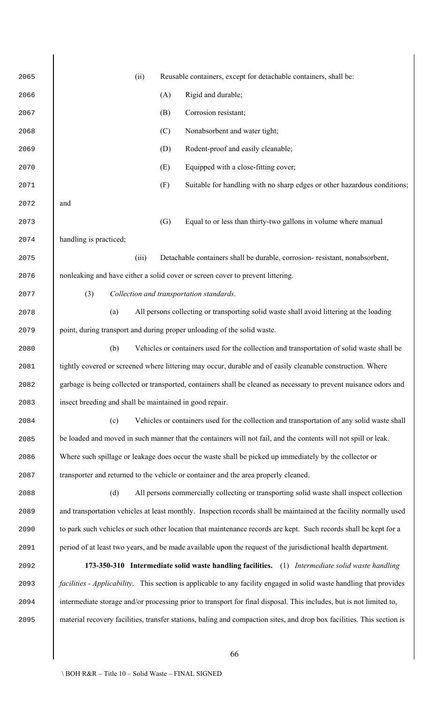(ii) Reusable containers, except for detachable containers, shall be: (A) Rigid and durable; (B) Corrosion resistant; (C) Nonabsorbent and water tight; 2069 (D) Rodent-proof and easily cleanable; (E) Equipped with a close-fitting cover; (F) Suitable for handling with no sharp edges or other hazardous conditions; and (G) Equal to or less than thirty-two gallons in volume where manual handling is practiced; (iii) Detachable containers shall be durable, corrosion- resistant, nonabsorbent, nonleaking and have either a solid cover or screen cover to prevent littering. (3) *Collection and transportation standards*. (a) All persons collecting or transporting solid waste shall avoid littering at the loading point, during transport and during proper unloading of the solid waste. (b) Vehicles or containers used for the collection and transportation of solid waste shall be 2081 bightly covered or screened where littering may occur, durable and of easily cleanable construction. Where garbage is being collected or transported, containers shall be cleaned as necessary to prevent nuisance odors and **insect breeding and shall be maintained in good repair.**  (c) Vehicles or containers used for the collection and transportation of any solid waste shall 2085 be loaded and moved in such manner that the containers will not fail, and the contents will not spill or leak. Where such spillage or leakage does occur the waste shall be picked up immediately by the collector or transporter and returned to the vehicle or container and the area properly cleaned. (d) All persons commercially collecting or transporting solid waste shall inspect collection and transportation vehicles at least monthly. Inspection records shall be maintained at the facility normally used 2090 to park such vehicles or such other location that maintenance records are kept. Such records shall be kept for a period of at least two years, and be made available upon the request of the jurisdictional health department. **173-350-310 Intermediate solid waste handling facilities.** (1) *Intermediate solid waste handling facilities - Applicability*. This section is applicable to any facility engaged in solid waste handling that provides intermediate storage and/or processing prior to transport for final disposal. This includes, but is not limited to, material recovery facilities, transfer stations, baling and compaction sites, and drop box facilities. This section is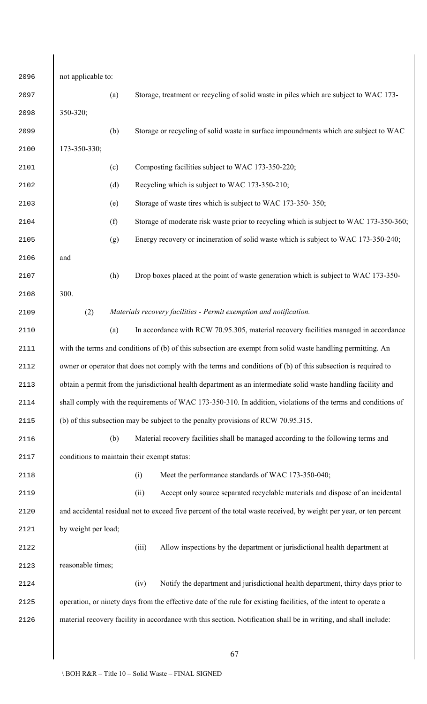| 2096 | not applicable to:                                                                                            |     |                                                                                                                    |
|------|---------------------------------------------------------------------------------------------------------------|-----|--------------------------------------------------------------------------------------------------------------------|
| 2097 |                                                                                                               | (a) | Storage, treatment or recycling of solid waste in piles which are subject to WAC 173-                              |
| 2098 | 350-320;                                                                                                      |     |                                                                                                                    |
| 2099 |                                                                                                               | (b) | Storage or recycling of solid waste in surface impoundments which are subject to WAC                               |
| 2100 | 173-350-330;                                                                                                  |     |                                                                                                                    |
| 2101 |                                                                                                               | (c) | Composting facilities subject to WAC 173-350-220;                                                                  |
| 2102 |                                                                                                               | (d) | Recycling which is subject to WAC 173-350-210;                                                                     |
| 2103 |                                                                                                               | (e) | Storage of waste tires which is subject to WAC 173-350-350;                                                        |
| 2104 |                                                                                                               | (f) | Storage of moderate risk waste prior to recycling which is subject to WAC 173-350-360;                             |
| 2105 |                                                                                                               | (g) | Energy recovery or incineration of solid waste which is subject to WAC 173-350-240;                                |
| 2106 | and                                                                                                           |     |                                                                                                                    |
| 2107 |                                                                                                               | (h) | Drop boxes placed at the point of waste generation which is subject to WAC 173-350-                                |
| 2108 | 300.                                                                                                          |     |                                                                                                                    |
| 2109 | (2)                                                                                                           |     | Materials recovery facilities - Permit exemption and notification.                                                 |
| 2110 |                                                                                                               | (a) | In accordance with RCW 70.95.305, material recovery facilities managed in accordance                               |
| 2111 | with the terms and conditions of (b) of this subsection are exempt from solid waste handling permitting. An   |     |                                                                                                                    |
| 2112 |                                                                                                               |     | owner or operator that does not comply with the terms and conditions of (b) of this subsection is required to      |
| 2113 |                                                                                                               |     | obtain a permit from the jurisdictional health department as an intermediate solid waste handling facility and     |
| 2114 | shall comply with the requirements of WAC 173-350-310. In addition, violations of the terms and conditions of |     |                                                                                                                    |
| 2115 |                                                                                                               |     | (b) of this subsection may be subject to the penalty provisions of RCW 70.95.315.                                  |
| 2116 |                                                                                                               | (b) | Material recovery facilities shall be managed according to the following terms and                                 |
| 2117 |                                                                                                               |     | conditions to maintain their exempt status:                                                                        |
| 2118 |                                                                                                               |     | Meet the performance standards of WAC 173-350-040;<br>(i)                                                          |
| 2119 |                                                                                                               |     | Accept only source separated recyclable materials and dispose of an incidental<br>(ii)                             |
| 2120 |                                                                                                               |     | and accidental residual not to exceed five percent of the total waste received, by weight per year, or ten percent |
| 2121 | by weight per load;                                                                                           |     |                                                                                                                    |
| 2122 |                                                                                                               |     | (iii)<br>Allow inspections by the department or jurisdictional health department at                                |
| 2123 | reasonable times;                                                                                             |     |                                                                                                                    |
| 2124 |                                                                                                               |     | Notify the department and jurisdictional health department, thirty days prior to<br>(iv)                           |
| 2125 |                                                                                                               |     | operation, or ninety days from the effective date of the rule for existing facilities, of the intent to operate a  |
| 2126 |                                                                                                               |     | material recovery facility in accordance with this section. Notification shall be in writing, and shall include:   |
|      |                                                                                                               |     |                                                                                                                    |
|      |                                                                                                               |     | 67                                                                                                                 |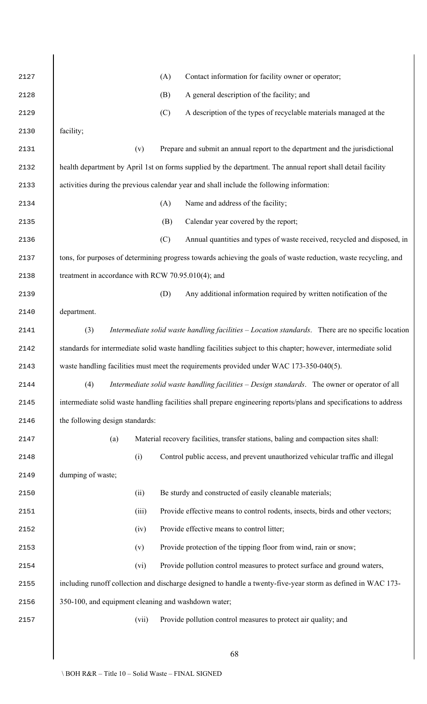| 2127 | Contact information for facility owner or operator;<br>(A)                                                         |
|------|--------------------------------------------------------------------------------------------------------------------|
| 2128 | A general description of the facility; and<br>(B)                                                                  |
| 2129 | (C)<br>A description of the types of recyclable materials managed at the                                           |
| 2130 | facility;                                                                                                          |
| 2131 | Prepare and submit an annual report to the department and the jurisdictional<br>(v)                                |
| 2132 | health department by April 1st on forms supplied by the department. The annual report shall detail facility        |
| 2133 | activities during the previous calendar year and shall include the following information:                          |
| 2134 | Name and address of the facility;<br>(A)                                                                           |
| 2135 | Calendar year covered by the report;<br>(B)                                                                        |
| 2136 | (C)<br>Annual quantities and types of waste received, recycled and disposed, in                                    |
| 2137 | tons, for purposes of determining progress towards achieving the goals of waste reduction, waste recycling, and    |
| 2138 | treatment in accordance with RCW 70.95.010(4); and                                                                 |
| 2139 | Any additional information required by written notification of the<br>(D)                                          |
| 2140 | department.                                                                                                        |
| 2141 | (3)<br>Intermediate solid waste handling facilities - Location standards. There are no specific location           |
| 2142 | standards for intermediate solid waste handling facilities subject to this chapter; however, intermediate solid    |
| 2143 | waste handling facilities must meet the requirements provided under WAC 173-350-040(5).                            |
| 2144 | Intermediate solid waste handling facilities – Design standards. The owner or operator of all<br>(4)               |
| 2145 | intermediate solid waste handling facilities shall prepare engineering reports/plans and specifications to address |
| 2146 | the following design standards:                                                                                    |
| 2147 | Material recovery facilities, transfer stations, baling and compaction sites shall:<br>(a)                         |
| 2148 | Control public access, and prevent unauthorized vehicular traffic and illegal<br>(i)                               |
| 2149 | dumping of waste;                                                                                                  |
| 2150 | Be sturdy and constructed of easily cleanable materials;<br>(ii)                                                   |
| 2151 | Provide effective means to control rodents, insects, birds and other vectors;<br>(iii)                             |
| 2152 | Provide effective means to control litter;<br>(iv)                                                                 |
| 2153 | Provide protection of the tipping floor from wind, rain or snow;<br>(v)                                            |
| 2154 | Provide pollution control measures to protect surface and ground waters,<br>(vi)                                   |
| 2155 | including runoff collection and discharge designed to handle a twenty-five-year storm as defined in WAC 173-       |
| 2156 | 350-100, and equipment cleaning and washdown water;                                                                |
| 2157 | Provide pollution control measures to protect air quality; and<br>(vii)                                            |
|      |                                                                                                                    |
|      | 68                                                                                                                 |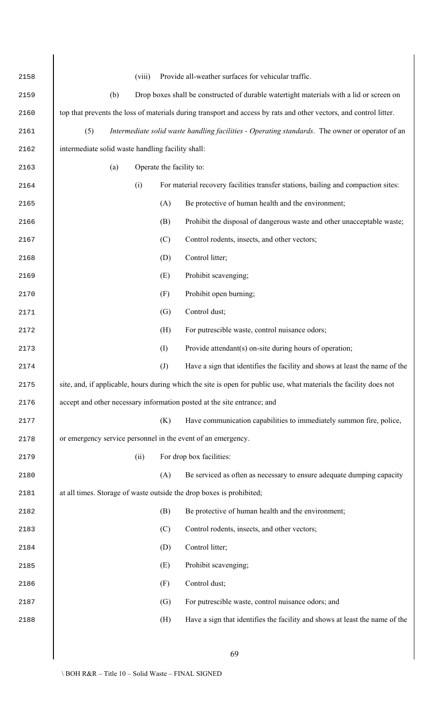| 2158 | Provide all-weather surfaces for vehicular traffic.<br>(viii)                                                      |
|------|--------------------------------------------------------------------------------------------------------------------|
| 2159 | Drop boxes shall be constructed of durable watertight materials with a lid or screen on<br>(b)                     |
| 2160 | top that prevents the loss of materials during transport and access by rats and other vectors, and control litter. |
| 2161 | (5)<br>Intermediate solid waste handling facilities - Operating standards. The owner or operator of an             |
| 2162 | intermediate solid waste handling facility shall:                                                                  |
| 2163 | Operate the facility to:<br>(a)                                                                                    |
| 2164 | For material recovery facilities transfer stations, bailing and compaction sites:<br>(i)                           |
| 2165 | Be protective of human health and the environment;<br>(A)                                                          |
| 2166 | Prohibit the disposal of dangerous waste and other unacceptable waste;<br>(B)                                      |
| 2167 | Control rodents, insects, and other vectors;<br>(C)                                                                |
| 2168 | Control litter;<br>(D)                                                                                             |
| 2169 | Prohibit scavenging;<br>(E)                                                                                        |
| 2170 | Prohibit open burning;<br>(F)                                                                                      |
| 2171 | Control dust;<br>(G)                                                                                               |
| 2172 | For putrescible waste, control nuisance odors;<br>(H)                                                              |
| 2173 | (I)<br>Provide attendant(s) on-site during hours of operation;                                                     |
| 2174 | Have a sign that identifies the facility and shows at least the name of the<br>$\left( J\right)$                   |
| 2175 | site, and, if applicable, hours during which the site is open for public use, what materials the facility does not |
| 2176 | accept and other necessary information posted at the site entrance; and                                            |
| 2177 | Have communication capabilities to immediately summon fire, police,<br>(K)                                         |
| 2178 | or emergency service personnel in the event of an emergency.                                                       |
| 2179 | For drop box facilities:<br>(ii)                                                                                   |
| 2180 | (A)<br>Be serviced as often as necessary to ensure adequate dumping capacity                                       |
| 2181 | at all times. Storage of waste outside the drop boxes is prohibited;                                               |
| 2182 | Be protective of human health and the environment;<br>(B)                                                          |
| 2183 | Control rodents, insects, and other vectors;<br>(C)                                                                |
| 2184 | Control litter;<br>(D)                                                                                             |
| 2185 | (E)<br>Prohibit scavenging;                                                                                        |
| 2186 | (F)<br>Control dust;                                                                                               |
| 2187 | (G)<br>For putrescible waste, control nuisance odors; and                                                          |
| 2188 | Have a sign that identifies the facility and shows at least the name of the<br>(H)                                 |
|      |                                                                                                                    |
|      | 69                                                                                                                 |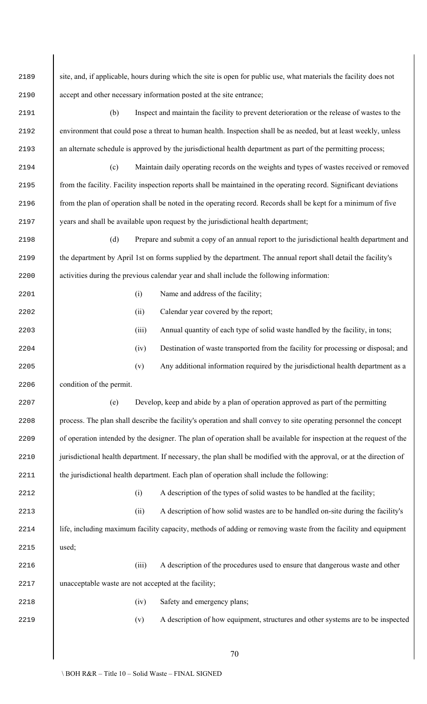| 2189 | site, and, if applicable, hours during which the site is open for public use, what materials the facility does not   |       |                                                                                                                    |
|------|----------------------------------------------------------------------------------------------------------------------|-------|--------------------------------------------------------------------------------------------------------------------|
| 2190 | accept and other necessary information posted at the site entrance;                                                  |       |                                                                                                                    |
| 2191 | (b)                                                                                                                  |       | Inspect and maintain the facility to prevent deterioration or the release of wastes to the                         |
| 2192 | environment that could pose a threat to human health. Inspection shall be as needed, but at least weekly, unless     |       |                                                                                                                    |
| 2193 |                                                                                                                      |       | an alternate schedule is approved by the jurisdictional health department as part of the permitting process;       |
| 2194 | (c)                                                                                                                  |       | Maintain daily operating records on the weights and types of wastes received or removed                            |
| 2195 | from the facility. Facility inspection reports shall be maintained in the operating record. Significant deviations   |       |                                                                                                                    |
| 2196 | from the plan of operation shall be noted in the operating record. Records shall be kept for a minimum of five       |       |                                                                                                                    |
| 2197 |                                                                                                                      |       | years and shall be available upon request by the jurisdictional health department;                                 |
| 2198 | (d)                                                                                                                  |       | Prepare and submit a copy of an annual report to the jurisdictional health department and                          |
| 2199 | the department by April 1st on forms supplied by the department. The annual report shall detail the facility's       |       |                                                                                                                    |
| 2200 | activities during the previous calendar year and shall include the following information:                            |       |                                                                                                                    |
| 2201 |                                                                                                                      | (i)   | Name and address of the facility;                                                                                  |
| 2202 |                                                                                                                      | (ii)  | Calendar year covered by the report;                                                                               |
| 2203 |                                                                                                                      | (iii) | Annual quantity of each type of solid waste handled by the facility, in tons;                                      |
| 2204 |                                                                                                                      | (iv)  | Destination of waste transported from the facility for processing or disposal; and                                 |
| 2205 |                                                                                                                      | (v)   | Any additional information required by the jurisdictional health department as a                                   |
| 2206 | condition of the permit.                                                                                             |       |                                                                                                                    |
| 2207 | (e)                                                                                                                  |       | Develop, keep and abide by a plan of operation approved as part of the permitting                                  |
| 2208 |                                                                                                                      |       | process. The plan shall describe the facility's operation and shall convey to site operating personnel the concept |
| 2209 | of operation intended by the designer. The plan of operation shall be available for inspection at the request of the |       |                                                                                                                    |
| 2210 | jurisdictional health department. If necessary, the plan shall be modified with the approval, or at the direction of |       |                                                                                                                    |
| 2211 |                                                                                                                      |       | the jurisdictional health department. Each plan of operation shall include the following:                          |
| 2212 |                                                                                                                      | (i)   | A description of the types of solid wastes to be handled at the facility;                                          |
| 2213 |                                                                                                                      | (ii)  | A description of how solid wastes are to be handled on-site during the facility's                                  |
| 2214 |                                                                                                                      |       | life, including maximum facility capacity, methods of adding or removing waste from the facility and equipment     |
| 2215 | used;                                                                                                                |       |                                                                                                                    |
| 2216 |                                                                                                                      | (iii) | A description of the procedures used to ensure that dangerous waste and other                                      |
| 2217 | unacceptable waste are not accepted at the facility;                                                                 |       |                                                                                                                    |
| 2218 |                                                                                                                      | (iv)  | Safety and emergency plans;                                                                                        |
| 2219 |                                                                                                                      | (v)   | A description of how equipment, structures and other systems are to be inspected                                   |
|      |                                                                                                                      |       | 70                                                                                                                 |

 $\Big\}$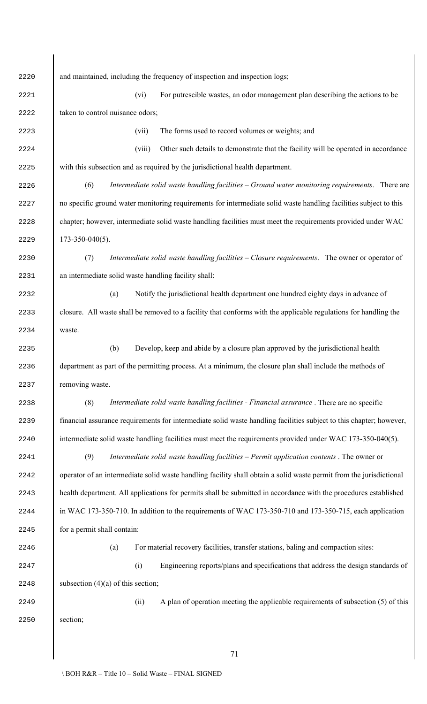and maintained, including the frequency of inspection and inspection logs; (vi) For putrescible wastes, an odor management plan describing the actions to be 2222 taken to control nuisance odors; (vii) The forms used to record volumes or weights; and (viii) Other such details to demonstrate that the facility will be operated in accordance with this subsection and as required by the jurisdictional health department. (6) *Intermediate solid waste handling facilities – Ground water monitoring requirements*. There are 2227 no specific ground water monitoring requirements for intermediate solid waste handling facilities subject to this 2228 chapter; however, intermediate solid waste handling facilities must meet the requirements provided under WAC 173-350-040(5). (7) *Intermediate solid waste handling facilities – Closure requirements*. The owner or operator of an intermediate solid waste handling facility shall: (a) Notify the jurisdictional health department one hundred eighty days in advance of closure. All waste shall be removed to a facility that conforms with the applicable regulations for handling the waste. (b) Develop, keep and abide by a closure plan approved by the jurisdictional health department as part of the permitting process. At a minimum, the closure plan shall include the methods of removing waste. (8) *Intermediate solid waste handling facilities - Financial assurance* . There are no specific financial assurance requirements for intermediate solid waste handling facilities subject to this chapter; however, intermediate solid waste handling facilities must meet the requirements provided under WAC 173-350-040(5). (9) *Intermediate solid waste handling facilities – Permit application contents* . The owner or operator of an intermediate solid waste handling facility shall obtain a solid waste permit from the jurisdictional health department. All applications for permits shall be submitted in accordance with the procedures established in WAC 173-350-710. In addition to the requirements of WAC 173-350-710 and 173-350-715, each application for a permit shall contain: (a) For material recovery facilities, transfer stations, baling and compaction sites: (i) Engineering reports/plans and specifications that address the design standards of 2248 subsection  $(4)(a)$  of this section; (ii) A plan of operation meeting the applicable requirements of subsection (5) of this section;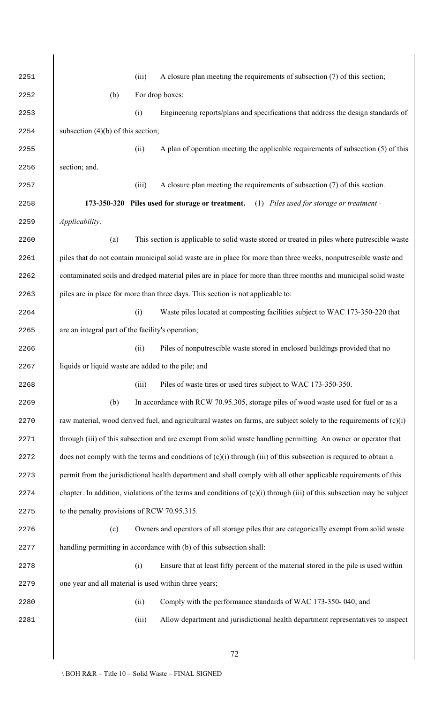| 2251 | A closure plan meeting the requirements of subsection (7) of this section;<br>(iii)                                      |
|------|--------------------------------------------------------------------------------------------------------------------------|
| 2252 | For drop boxes:<br>(b)                                                                                                   |
| 2253 | (i)<br>Engineering reports/plans and specifications that address the design standards of                                 |
| 2254 | subsection $(4)(b)$ of this section;                                                                                     |
| 2255 | A plan of operation meeting the applicable requirements of subsection $(5)$ of this<br>(ii)                              |
| 2256 | section; and.                                                                                                            |
| 2257 | A closure plan meeting the requirements of subsection (7) of this section.<br>(iii)                                      |
| 2258 | 173-350-320 Piles used for storage or treatment. (1) Piles used for storage or treatment -                               |
| 2259 | Applicability.                                                                                                           |
| 2260 | This section is applicable to solid waste stored or treated in piles where putrescible waste<br>(a)                      |
| 2261 | piles that do not contain municipal solid waste are in place for more than three weeks, nonputrescible waste and         |
| 2262 | contaminated soils and dredged material piles are in place for more than three months and municipal solid waste          |
| 2263 | piles are in place for more than three days. This section is not applicable to:                                          |
| 2264 | (i)<br>Waste piles located at composting facilities subject to WAC 173-350-220 that                                      |
| 2265 | are an integral part of the facility's operation;                                                                        |
| 2266 | Piles of nonputrescible waste stored in enclosed buildings provided that no<br>(ii)                                      |
| 2267 | liquids or liquid waste are added to the pile; and                                                                       |
| 2268 | Piles of waste tires or used tires subject to WAC 173-350-350.<br>(iii)                                                  |
| 2269 | (b)<br>In accordance with RCW 70.95.305, storage piles of wood waste used for fuel or as a                               |
| 2270 | raw material, wood derived fuel, and agricultural wastes on farms, are subject solely to the requirements of $(c)(i)$    |
| 2271 | through (iii) of this subsection and are exempt from solid waste handling permitting. An owner or operator that          |
| 2272 | does not comply with the terms and conditions of $(c)(i)$ through $(iii)$ of this subsection is required to obtain a     |
| 2273 | permit from the jurisdictional health department and shall comply with all other applicable requirements of this         |
| 2274 | chapter. In addition, violations of the terms and conditions of $(c)(i)$ through (iii) of this subsection may be subject |
| 2275 | to the penalty provisions of RCW 70.95.315.                                                                              |
| 2276 | Owners and operators of all storage piles that are categorically exempt from solid waste<br>(c)                          |
| 2277 | handling permitting in accordance with (b) of this subsection shall:                                                     |
| 2278 | Ensure that at least fifty percent of the material stored in the pile is used within<br>(i)                              |
| 2279 | one year and all material is used within three years;                                                                    |
| 2280 | Comply with the performance standards of WAC 173-350-040; and<br>(ii)                                                    |
| 2281 | Allow department and jurisdictional health department representatives to inspect<br>(iii)                                |
|      |                                                                                                                          |
|      | 72                                                                                                                       |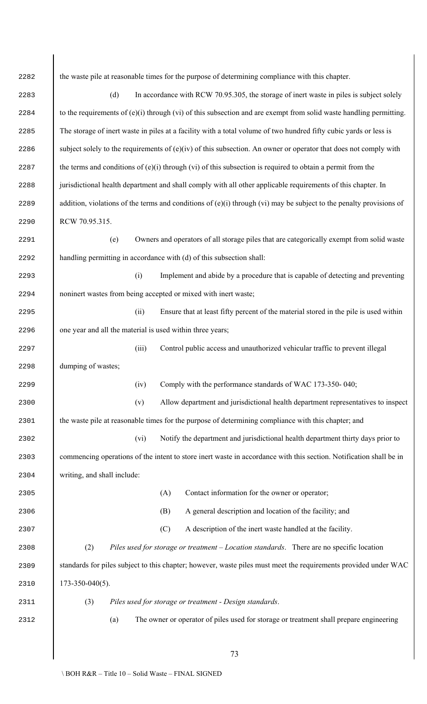2282 bld the waste pile at reasonable times for the purpose of determining compliance with this chapter. 2283 (d) In accordance with RCW 70.95.305, the storage of inert waste in piles is subject solely 2284 to the requirements of (e)(i) through (vi) of this subsection and are exempt from solid waste handling permitting. The storage of inert waste in piles at a facility with a total volume of two hundred fifty cubic yards or less is 2286 subject solely to the requirements of  $(e)(iv)$  of this subsection. An owner or operator that does not comply with 2287 the terms and conditions of  $(e)(i)$  through (vi) of this subsection is required to obtain a permit from the 2288 jurisdictional health department and shall comply with all other applicable requirements of this chapter. In 2289 addition, violations of the terms and conditions of  $(e)(i)$  through  $(vi)$  may be subject to the penalty provisions of RCW 70.95.315. (e) Owners and operators of all storage piles that are categorically exempt from solid waste handling permitting in accordance with (d) of this subsection shall: (i) Implement and abide by a procedure that is capable of detecting and preventing noninert wastes from being accepted or mixed with inert waste; (ii) Ensure that at least fifty percent of the material stored in the pile is used within one year and all the material is used within three years; (iii) Control public access and unauthorized vehicular traffic to prevent illegal dumping of wastes; (iv) Comply with the performance standards of WAC 173-350- 040; (v) Allow department and jurisdictional health department representatives to inspect 2301 the waste pile at reasonable times for the purpose of determining compliance with this chapter; and (vi) Notify the department and jurisdictional health department thirty days prior to commencing operations of the intent to store inert waste in accordance with this section. Notification shall be in writing, and shall include: (A) Contact information for the owner or operator; (B) A general description and location of the facility; and (C) A description of the inert waste handled at the facility. (2) *Piles used for storage or treatment – Location standards*. There are no specific location 2309 standards for piles subject to this chapter; however, waste piles must meet the requirements provided under WAC 173-350-040(5). (3) *Piles used for storage or treatment - Design standards*. (a) The owner or operator of piles used for storage or treatment shall prepare engineering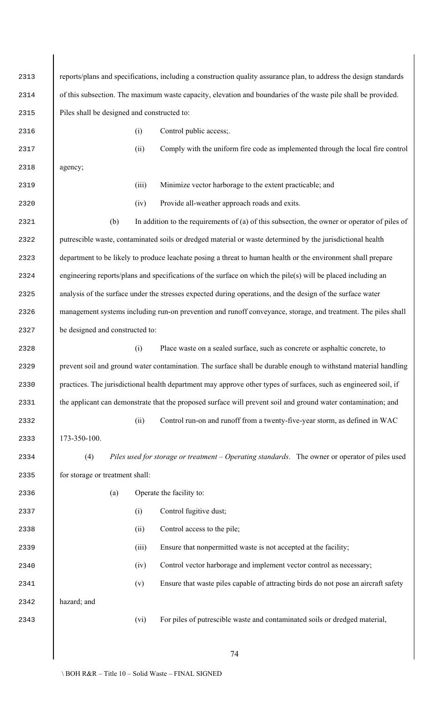reports/plans and specifications, including a construction quality assurance plan, to address the design standards of this subsection. The maximum waste capacity, elevation and boundaries of the waste pile shall be provided. Piles shall be designed and constructed to: (i) Control public access;. (ii) Comply with the uniform fire code as implemented through the local fire control agency; (iii) Minimize vector harborage to the extent practicable; and (iv) Provide all-weather approach roads and exits. (b) In addition to the requirements of (a) of this subsection, the owner or operator of piles of putrescible waste, contaminated soils or dredged material or waste determined by the jurisdictional health department to be likely to produce leachate posing a threat to human health or the environment shall prepare engineering reports/plans and specifications of the surface on which the pile(s) will be placed including an 2325 analysis of the surface under the stresses expected during operations, and the design of the surface water management systems including run-on prevention and runoff conveyance, storage, and treatment. The piles shall 2327 be designed and constructed to: (i) Place waste on a sealed surface, such as concrete or asphaltic concrete, to prevent soil and ground water contamination. The surface shall be durable enough to withstand material handling practices. The jurisdictional health department may approve other types of surfaces, such as engineered soil, if 2331 the applicant can demonstrate that the proposed surface will prevent soil and ground water contamination; and (ii) Control run-on and runoff from a twenty-five-year storm, as defined in WAC 173-350-100. (4) *Piles used for storage or treatment – Operating standards*. The owner or operator of piles used 2335 for storage or treatment shall: (a) Operate the facility to: (i) Control fugitive dust; (ii) Control access to the pile; 2339 (iii) Ensure that nonpermitted waste is not accepted at the facility; (iv) Control vector harborage and implement vector control as necessary; (v) Ensure that waste piles capable of attracting birds do not pose an aircraft safety hazard; and (vi) For piles of putrescible waste and contaminated soils or dredged material,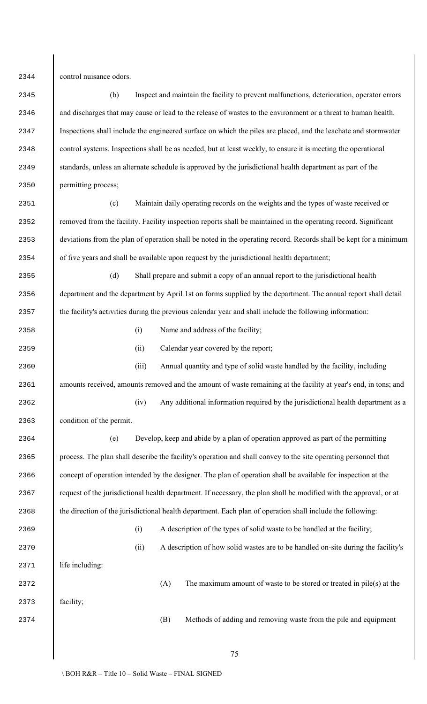control nuisance odors.

 (b) Inspect and maintain the facility to prevent malfunctions, deterioration, operator errors and discharges that may cause or lead to the release of wastes to the environment or a threat to human health. Inspections shall include the engineered surface on which the piles are placed, and the leachate and stormwater control systems. Inspections shall be as needed, but at least weekly, to ensure it is meeting the operational standards, unless an alternate schedule is approved by the jurisdictional health department as part of the permitting process;

 (c) Maintain daily operating records on the weights and the types of waste received or 2352 removed from the facility. Facility inspection reports shall be maintained in the operating record. Significant deviations from the plan of operation shall be noted in the operating record. Records shall be kept for a minimum of five years and shall be available upon request by the jurisdictional health department;

 (d) Shall prepare and submit a copy of an annual report to the jurisdictional health department and the department by April 1st on forms supplied by the department. The annual report shall detail 2357 the facility's activities during the previous calendar year and shall include the following information:

- 2358 (i) Name and address of the facility;
- (ii) Calendar year covered by the report;

 (iii) Annual quantity and type of solid waste handled by the facility, including amounts received, amounts removed and the amount of waste remaining at the facility at year's end, in tons; and

 (iv) Any additional information required by the jurisdictional health department as a condition of the permit.

 (e) Develop, keep and abide by a plan of operation approved as part of the permitting process. The plan shall describe the facility's operation and shall convey to the site operating personnel that concept of operation intended by the designer. The plan of operation shall be available for inspection at the request of the jurisdictional health department. If necessary, the plan shall be modified with the approval, or at 2368 the direction of the jurisdictional health department. Each plan of operation shall include the following:

(A) The maximum amount of waste to be stored or treated in pile(s) at the

- (i) A description of the types of solid waste to be handled at the facility;
- (ii) A description of how solid wastes are to be handled on-site during the facility's

2371 life including:

facility;

(B) Methods of adding and removing waste from the pile and equipment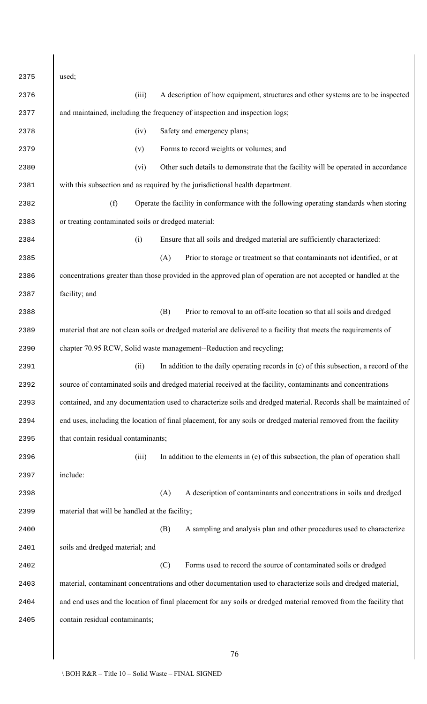| 2375 | used;                                                                                                             |
|------|-------------------------------------------------------------------------------------------------------------------|
| 2376 | (iii)<br>A description of how equipment, structures and other systems are to be inspected                         |
| 2377 | and maintained, including the frequency of inspection and inspection logs;                                        |
| 2378 | Safety and emergency plans;<br>(iv)                                                                               |
| 2379 | Forms to record weights or volumes; and<br>(v)                                                                    |
| 2380 | Other such details to demonstrate that the facility will be operated in accordance<br>(vi)                        |
| 2381 | with this subsection and as required by the jurisdictional health department.                                     |
| 2382 | (f)<br>Operate the facility in conformance with the following operating standards when storing                    |
| 2383 | or treating contaminated soils or dredged material:                                                               |
| 2384 | Ensure that all soils and dredged material are sufficiently characterized:<br>(i)                                 |
| 2385 | Prior to storage or treatment so that contaminants not identified, or at<br>(A)                                   |
| 2386 | concentrations greater than those provided in the approved plan of operation are not accepted or handled at the   |
| 2387 | facility; and                                                                                                     |
| 2388 | Prior to removal to an off-site location so that all soils and dredged<br>(B)                                     |
| 2389 | material that are not clean soils or dredged material are delivered to a facility that meets the requirements of  |
| 2390 | chapter 70.95 RCW, Solid waste management--Reduction and recycling;                                               |
| 2391 | In addition to the daily operating records in (c) of this subsection, a record of the<br>(ii)                     |
| 2392 | source of contaminated soils and dredged material received at the facility, contaminants and concentrations       |
| 2393 | contained, and any documentation used to characterize soils and dredged material. Records shall be maintained of  |
| 2394 | end uses, including the location of final placement, for any soils or dredged material removed from the facility  |
| 2395 | that contain residual contaminants;                                                                               |
| 2396 | (iii)<br>In addition to the elements in $(e)$ of this subsection, the plan of operation shall                     |
| 2397 | include:                                                                                                          |
| 2398 | A description of contaminants and concentrations in soils and dredged<br>(A)                                      |
| 2399 | material that will be handled at the facility;                                                                    |
| 2400 | (B)<br>A sampling and analysis plan and other procedures used to characterize                                     |
| 2401 | soils and dredged material; and                                                                                   |
| 2402 | Forms used to record the source of contaminated soils or dredged<br>(C)                                           |
| 2403 | material, contaminant concentrations and other documentation used to characterize soils and dredged material,     |
| 2404 | and end uses and the location of final placement for any soils or dredged material removed from the facility that |
| 2405 | contain residual contaminants;                                                                                    |
|      |                                                                                                                   |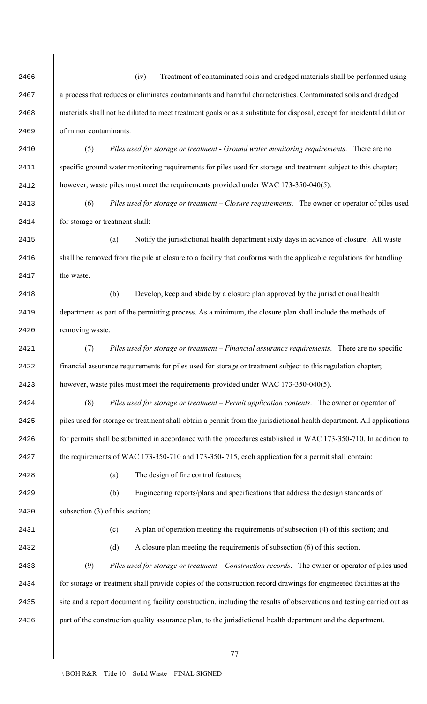(iv) Treatment of contaminated soils and dredged materials shall be performed using a process that reduces or eliminates contaminants and harmful characteristics. Contaminated soils and dredged materials shall not be diluted to meet treatment goals or as a substitute for disposal, except for incidental dilution of minor contaminants.

 (5) *Piles used for storage or treatment - Ground water monitoring requirements*. There are no specific ground water monitoring requirements for piles used for storage and treatment subject to this chapter; however, waste piles must meet the requirements provided under WAC 173-350-040(5).

 (6) *Piles used for storage or treatment – Closure requirements*. The owner or operator of piles used for storage or treatment shall:

 (a) Notify the jurisdictional health department sixty days in advance of closure. All waste 2416 shall be removed from the pile at closure to a facility that conforms with the applicable regulations for handling **the waste** 

 (b) Develop, keep and abide by a closure plan approved by the jurisdictional health department as part of the permitting process. As a minimum, the closure plan shall include the methods of removing waste.

 (7) *Piles used for storage or treatment – Financial assurance requirements*. There are no specific financial assurance requirements for piles used for storage or treatment subject to this regulation chapter; however, waste piles must meet the requirements provided under WAC 173-350-040(5).

 (8) *Piles used for storage or treatment – Permit application contents*. The owner or operator of piles used for storage or treatment shall obtain a permit from the jurisdictional health department. All applications 2426 for permits shall be submitted in accordance with the procedures established in WAC 173-350-710. In addition to 2427 blue requirements of WAC 173-350-710 and 173-350-715, each application for a permit shall contain:

(a) The design of fire control features;

 (b) Engineering reports/plans and specifications that address the design standards of 2430 subsection (3) of this section;

(c) A plan of operation meeting the requirements of subsection (4) of this section; and

(d) A closure plan meeting the requirements of subsection (6) of this section.

 (9) *Piles used for storage or treatment – Construction records*. The owner or operator of piles used for storage or treatment shall provide copies of the construction record drawings for engineered facilities at the 2435 site and a report documenting facility construction, including the results of observations and testing carried out as part of the construction quality assurance plan, to the jurisdictional health department and the department.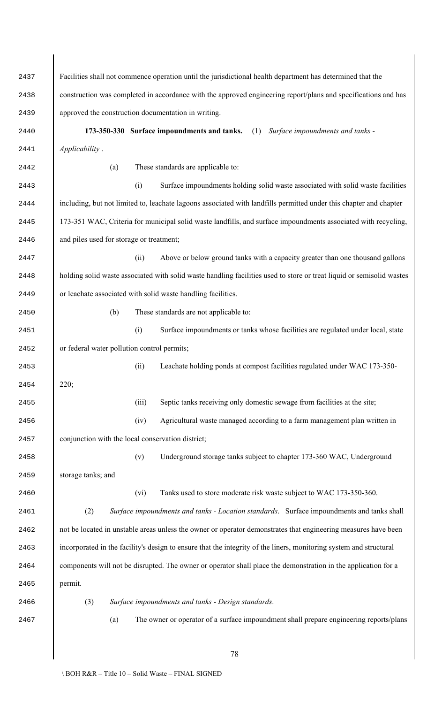| 2437 | Facilities shall not commence operation until the jurisdictional health department has determined that the            |  |  |  |  |
|------|-----------------------------------------------------------------------------------------------------------------------|--|--|--|--|
| 2438 | construction was completed in accordance with the approved engineering report/plans and specifications and has        |  |  |  |  |
| 2439 | approved the construction documentation in writing.                                                                   |  |  |  |  |
| 2440 | 173-350-330 Surface impoundments and tanks. (1)<br>Surface impoundments and tanks -                                   |  |  |  |  |
| 2441 | Applicability.                                                                                                        |  |  |  |  |
| 2442 | These standards are applicable to:<br>(a)                                                                             |  |  |  |  |
| 2443 | (i)<br>Surface impoundments holding solid waste associated with solid waste facilities                                |  |  |  |  |
| 2444 | including, but not limited to, leachate lagoons associated with landfills permitted under this chapter and chapter    |  |  |  |  |
| 2445 | 173-351 WAC, Criteria for municipal solid waste landfills, and surface impoundments associated with recycling,        |  |  |  |  |
| 2446 | and piles used for storage or treatment;                                                                              |  |  |  |  |
| 2447 | Above or below ground tanks with a capacity greater than one thousand gallons<br>(ii)                                 |  |  |  |  |
| 2448 | holding solid waste associated with solid waste handling facilities used to store or treat liquid or semisolid wastes |  |  |  |  |
| 2449 | or leachate associated with solid waste handling facilities.                                                          |  |  |  |  |
| 2450 | These standards are not applicable to:<br>(b)                                                                         |  |  |  |  |
| 2451 | (i)<br>Surface impoundments or tanks whose facilities are regulated under local, state                                |  |  |  |  |
| 2452 | or federal water pollution control permits;                                                                           |  |  |  |  |
| 2453 | Leachate holding ponds at compost facilities regulated under WAC 173-350-<br>(ii)                                     |  |  |  |  |
| 2454 | 220:                                                                                                                  |  |  |  |  |
| 2455 | Septic tanks receiving only domestic sewage from facilities at the site;<br>(iii)                                     |  |  |  |  |
| 2456 | Agricultural waste managed according to a farm management plan written in<br>(iv)                                     |  |  |  |  |
| 2457 | conjunction with the local conservation district;                                                                     |  |  |  |  |
| 2458 | (v)<br>Underground storage tanks subject to chapter 173-360 WAC, Underground                                          |  |  |  |  |
| 2459 | storage tanks; and                                                                                                    |  |  |  |  |
| 2460 | Tanks used to store moderate risk waste subject to WAC 173-350-360.<br>(vi)                                           |  |  |  |  |
| 2461 | (2)<br>Surface impoundments and tanks - Location standards. Surface impoundments and tanks shall                      |  |  |  |  |
| 2462 | not be located in unstable areas unless the owner or operator demonstrates that engineering measures have been        |  |  |  |  |
| 2463 | incorporated in the facility's design to ensure that the integrity of the liners, monitoring system and structural    |  |  |  |  |
| 2464 | components will not be disrupted. The owner or operator shall place the demonstration in the application for a        |  |  |  |  |
| 2465 | permit.                                                                                                               |  |  |  |  |
| 2466 | (3)<br>Surface impoundments and tanks - Design standards.                                                             |  |  |  |  |
| 2467 | (a)<br>The owner or operator of a surface impoundment shall prepare engineering reports/plans                         |  |  |  |  |
|      |                                                                                                                       |  |  |  |  |
|      | 78                                                                                                                    |  |  |  |  |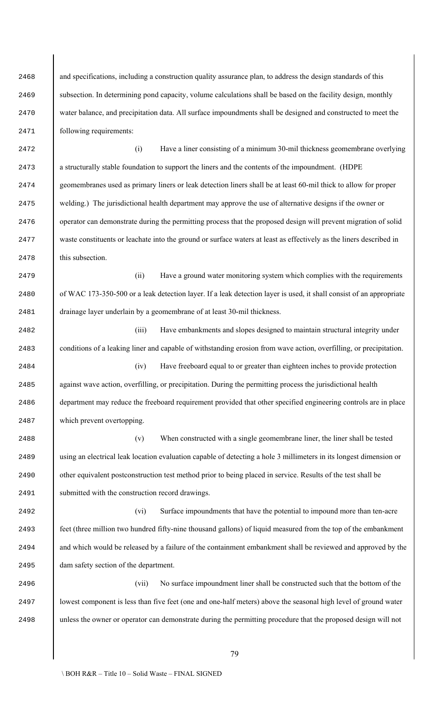2468 and specifications, including a construction quality assurance plan, to address the design standards of this subsection. In determining pond capacity, volume calculations shall be based on the facility design, monthly water balance, and precipitation data. All surface impoundments shall be designed and constructed to meet the following requirements:

 (i) Have a liner consisting of a minimum 30-mil thickness geomembrane overlying a structurally stable foundation to support the liners and the contents of the impoundment. (HDPE geomembranes used as primary liners or leak detection liners shall be at least 60-mil thick to allow for proper welding.) The jurisdictional health department may approve the use of alternative designs if the owner or operator can demonstrate during the permitting process that the proposed design will prevent migration of solid waste constituents or leachate into the ground or surface waters at least as effectively as the liners described in this subsection.

 (ii) Have a ground water monitoring system which complies with the requirements of WAC 173-350-500 or a leak detection layer. If a leak detection layer is used, it shall consist of an appropriate drainage layer underlain by a geomembrane of at least 30-mil thickness.

 (iii) Have embankments and slopes designed to maintain structural integrity under conditions of a leaking liner and capable of withstanding erosion from wave action, overfilling, or precipitation.

 (iv) Have freeboard equal to or greater than eighteen inches to provide protection 2485 against wave action, overfilling, or precipitation. During the permitting process the jurisdictional health department may reduce the freeboard requirement provided that other specified engineering controls are in place which prevent overtopping.

 (v) When constructed with a single geomembrane liner, the liner shall be tested using an electrical leak location evaluation capable of detecting a hole 3 millimeters in its longest dimension or other equivalent postconstruction test method prior to being placed in service. Results of the test shall be submitted with the construction record drawings.

 (vi) Surface impoundments that have the potential to impound more than ten-acre feet (three million two hundred fifty-nine thousand gallons) of liquid measured from the top of the embankment 2494 and which would be released by a failure of the containment embankment shall be reviewed and approved by the dam safety section of the department.

 (vii) No surface impoundment liner shall be constructed such that the bottom of the lowest component is less than five feet (one and one-half meters) above the seasonal high level of ground water unless the owner or operator can demonstrate during the permitting procedure that the proposed design will not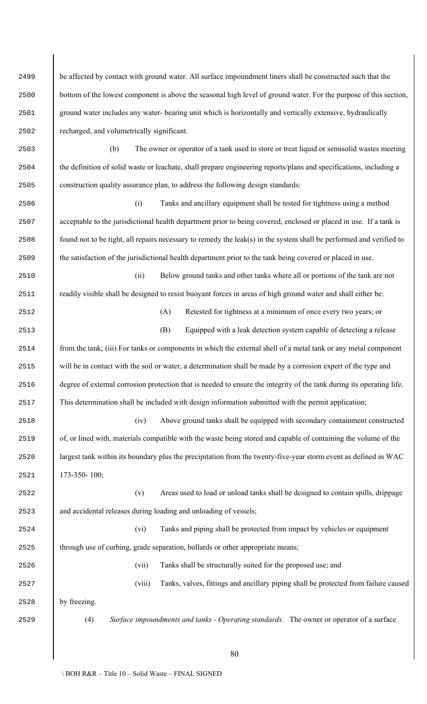| 2499 | be affected by contact with ground water. All surface impoundment liners shall be constructed such that the           |  |  |  |  |  |  |
|------|-----------------------------------------------------------------------------------------------------------------------|--|--|--|--|--|--|
| 2500 | bottom of the lowest component is above the seasonal high level of ground water. For the purpose of this section,     |  |  |  |  |  |  |
| 2501 | ground water includes any water-bearing unit which is horizontally and vertically extensive, hydraulically            |  |  |  |  |  |  |
| 2502 | recharged, and volumetrically significant.                                                                            |  |  |  |  |  |  |
| 2503 | The owner or operator of a tank used to store or treat liquid or semisolid wastes meeting<br>(b)                      |  |  |  |  |  |  |
| 2504 | the definition of solid waste or leachate, shall prepare engineering reports/plans and specifications, including a    |  |  |  |  |  |  |
| 2505 | construction quality assurance plan, to address the following design standards:                                       |  |  |  |  |  |  |
| 2506 | Tanks and ancillary equipment shall be tested for tightness using a method<br>(i)                                     |  |  |  |  |  |  |
| 2507 | acceptable to the jurisdictional health department prior to being covered, enclosed or placed in use. If a tank is    |  |  |  |  |  |  |
| 2508 | found not to be tight, all repairs necessary to remedy the leak(s) in the system shall be performed and verified to   |  |  |  |  |  |  |
| 2509 | the satisfaction of the jurisdictional health department prior to the tank being covered or placed in use.            |  |  |  |  |  |  |
| 2510 | (ii)<br>Below ground tanks and other tanks where all or portions of the tank are not                                  |  |  |  |  |  |  |
| 2511 | readily visible shall be designed to resist buoyant forces in areas of high ground water and shall either be:         |  |  |  |  |  |  |
| 2512 | Retested for tightness at a minimum of once every two years; or<br>(A)                                                |  |  |  |  |  |  |
| 2513 | Equipped with a leak detection system capable of detecting a release<br>(B)                                           |  |  |  |  |  |  |
| 2514 | from the tank; (iii) For tanks or components in which the external shell of a metal tank or any metal component       |  |  |  |  |  |  |
| 2515 | will be in contact with the soil or water, a determination shall be made by a corrosion expert of the type and        |  |  |  |  |  |  |
| 2516 | degree of external corrosion protection that is needed to ensure the integrity of the tank during its operating life. |  |  |  |  |  |  |
| 2517 | This determination shall be included with design information submitted with the permit application;                   |  |  |  |  |  |  |
| 2518 | Above ground tanks shall be equipped with secondary containment constructed<br>(iv)                                   |  |  |  |  |  |  |
| 2519 | of, or lined with, materials compatible with the waste being stored and capable of containing the volume of the       |  |  |  |  |  |  |
| 2520 | largest tank within its boundary plus the precipitation from the twenty-five-year storm event as defined in WAC       |  |  |  |  |  |  |
| 2521 | 173-350-100;                                                                                                          |  |  |  |  |  |  |
| 2522 | (v)<br>Areas used to load or unload tanks shall be designed to contain spills, drippage                               |  |  |  |  |  |  |
| 2523 | and accidental releases during loading and unloading of vessels;                                                      |  |  |  |  |  |  |
| 2524 | Tanks and piping shall be protected from impact by vehicles or equipment<br>(vi)                                      |  |  |  |  |  |  |
| 2525 | through use of curbing, grade separation, bollards or other appropriate means;                                        |  |  |  |  |  |  |
| 2526 | (vii)<br>Tanks shall be structurally suited for the proposed use; and                                                 |  |  |  |  |  |  |
| 2527 | (viii)<br>Tanks, valves, fittings and ancillary piping shall be protected from failure caused                         |  |  |  |  |  |  |
| 2528 | by freezing.                                                                                                          |  |  |  |  |  |  |
| 2529 | (4)<br>Surface impoundments and tanks - Operating standards. The owner or operator of a surface                       |  |  |  |  |  |  |
|      | 80                                                                                                                    |  |  |  |  |  |  |

 $\overline{\phantom{a}}$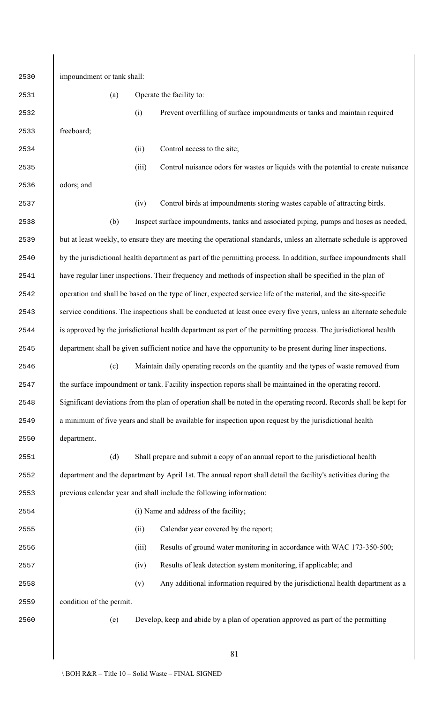| 2530 | impoundment or tank shall:                                                                                          |                                                                                                                     |  |  |  |
|------|---------------------------------------------------------------------------------------------------------------------|---------------------------------------------------------------------------------------------------------------------|--|--|--|
| 2531 | (a)                                                                                                                 | Operate the facility to:                                                                                            |  |  |  |
| 2532 |                                                                                                                     | Prevent overfilling of surface impoundments or tanks and maintain required<br>(i)                                   |  |  |  |
| 2533 | freeboard;                                                                                                          |                                                                                                                     |  |  |  |
| 2534 |                                                                                                                     | Control access to the site;<br>(ii)                                                                                 |  |  |  |
| 2535 |                                                                                                                     | Control nuisance odors for wastes or liquids with the potential to create nuisance<br>(iii)                         |  |  |  |
| 2536 | odors; and                                                                                                          |                                                                                                                     |  |  |  |
| 2537 |                                                                                                                     | Control birds at impoundments storing wastes capable of attracting birds.<br>(iv)                                   |  |  |  |
| 2538 | (b)                                                                                                                 | Inspect surface impoundments, tanks and associated piping, pumps and hoses as needed,                               |  |  |  |
| 2539 |                                                                                                                     | but at least weekly, to ensure they are meeting the operational standards, unless an alternate schedule is approved |  |  |  |
| 2540 |                                                                                                                     | by the jurisdictional health department as part of the permitting process. In addition, surface impoundments shall  |  |  |  |
| 2541 |                                                                                                                     | have regular liner inspections. Their frequency and methods of inspection shall be specified in the plan of         |  |  |  |
| 2542 |                                                                                                                     | operation and shall be based on the type of liner, expected service life of the material, and the site-specific     |  |  |  |
| 2543 |                                                                                                                     | service conditions. The inspections shall be conducted at least once every five years, unless an alternate schedule |  |  |  |
| 2544 |                                                                                                                     | is approved by the jurisdictional health department as part of the permitting process. The jurisdictional health    |  |  |  |
| 2545 |                                                                                                                     | department shall be given sufficient notice and have the opportunity to be present during liner inspections.        |  |  |  |
| 2546 | Maintain daily operating records on the quantity and the types of waste removed from<br>(c)                         |                                                                                                                     |  |  |  |
| 2547 | the surface impoundment or tank. Facility inspection reports shall be maintained in the operating record.           |                                                                                                                     |  |  |  |
| 2548 | Significant deviations from the plan of operation shall be noted in the operating record. Records shall be kept for |                                                                                                                     |  |  |  |
| 2549 | a minimum of five years and shall be available for inspection upon request by the jurisdictional health             |                                                                                                                     |  |  |  |
| 2550 | department.                                                                                                         |                                                                                                                     |  |  |  |
| 2551 | (d)                                                                                                                 | Shall prepare and submit a copy of an annual report to the jurisdictional health                                    |  |  |  |
| 2552 | department and the department by April 1st. The annual report shall detail the facility's activities during the     |                                                                                                                     |  |  |  |
| 2553 | previous calendar year and shall include the following information:                                                 |                                                                                                                     |  |  |  |
| 2554 |                                                                                                                     | (i) Name and address of the facility;                                                                               |  |  |  |
| 2555 |                                                                                                                     | Calendar year covered by the report;<br>(ii)                                                                        |  |  |  |
| 2556 |                                                                                                                     | Results of ground water monitoring in accordance with WAC 173-350-500;<br>(iii)                                     |  |  |  |
| 2557 |                                                                                                                     | Results of leak detection system monitoring, if applicable; and<br>(iv)                                             |  |  |  |
| 2558 |                                                                                                                     | Any additional information required by the jurisdictional health department as a<br>(v)                             |  |  |  |
| 2559 | condition of the permit.                                                                                            |                                                                                                                     |  |  |  |
| 2560 | (e)                                                                                                                 | Develop, keep and abide by a plan of operation approved as part of the permitting                                   |  |  |  |
|      |                                                                                                                     |                                                                                                                     |  |  |  |
|      |                                                                                                                     | 81                                                                                                                  |  |  |  |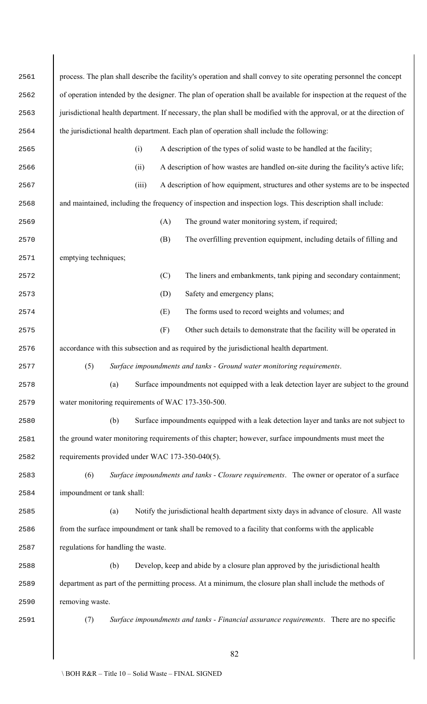| 2561 | process. The plan shall describe the facility's operation and shall convey to site operating personnel the concept   |  |  |  |  |
|------|----------------------------------------------------------------------------------------------------------------------|--|--|--|--|
| 2562 | of operation intended by the designer. The plan of operation shall be available for inspection at the request of the |  |  |  |  |
| 2563 | jurisdictional health department. If necessary, the plan shall be modified with the approval, or at the direction of |  |  |  |  |
| 2564 | the jurisdictional health department. Each plan of operation shall include the following:                            |  |  |  |  |
| 2565 | A description of the types of solid waste to be handled at the facility;<br>(i)                                      |  |  |  |  |
| 2566 | A description of how wastes are handled on-site during the facility's active life;<br>(ii)                           |  |  |  |  |
| 2567 | (iii)<br>A description of how equipment, structures and other systems are to be inspected                            |  |  |  |  |
| 2568 | and maintained, including the frequency of inspection and inspection logs. This description shall include:           |  |  |  |  |
| 2569 | The ground water monitoring system, if required;<br>(A)                                                              |  |  |  |  |
| 2570 | The overfilling prevention equipment, including details of filling and<br>(B)                                        |  |  |  |  |
| 2571 | emptying techniques;                                                                                                 |  |  |  |  |
| 2572 | (C)<br>The liners and embankments, tank piping and secondary containment;                                            |  |  |  |  |
| 2573 | Safety and emergency plans;<br>(D)                                                                                   |  |  |  |  |
| 2574 | (E)<br>The forms used to record weights and volumes; and                                                             |  |  |  |  |
| 2575 | Other such details to demonstrate that the facility will be operated in<br>(F)                                       |  |  |  |  |
| 2576 | accordance with this subsection and as required by the jurisdictional health department.                             |  |  |  |  |
| 2577 | (5)<br>Surface impoundments and tanks - Ground water monitoring requirements.                                        |  |  |  |  |
| 2578 | (a)<br>Surface impoundments not equipped with a leak detection layer are subject to the ground                       |  |  |  |  |
| 2579 | water monitoring requirements of WAC 173-350-500.                                                                    |  |  |  |  |
| 2580 | Surface impoundments equipped with a leak detection layer and tanks are not subject to<br>(b)                        |  |  |  |  |
| 2581 | the ground water monitoring requirements of this chapter; however, surface impoundments must meet the                |  |  |  |  |
| 2582 | requirements provided under WAC 173-350-040(5).                                                                      |  |  |  |  |
| 2583 | (6)<br>Surface impoundments and tanks - Closure requirements. The owner or operator of a surface                     |  |  |  |  |
| 2584 | impoundment or tank shall:                                                                                           |  |  |  |  |
| 2585 | Notify the jurisdictional health department sixty days in advance of closure. All waste<br>(a)                       |  |  |  |  |
| 2586 | from the surface impoundment or tank shall be removed to a facility that conforms with the applicable                |  |  |  |  |
| 2587 | regulations for handling the waste.                                                                                  |  |  |  |  |
| 2588 | (b)<br>Develop, keep and abide by a closure plan approved by the jurisdictional health                               |  |  |  |  |
| 2589 | department as part of the permitting process. At a minimum, the closure plan shall include the methods of            |  |  |  |  |
| 2590 | removing waste.                                                                                                      |  |  |  |  |
| 2591 | (7)<br>Surface impoundments and tanks - Financial assurance requirements. There are no specific                      |  |  |  |  |
|      |                                                                                                                      |  |  |  |  |
|      | 82                                                                                                                   |  |  |  |  |

 $\overline{\phantom{a}}$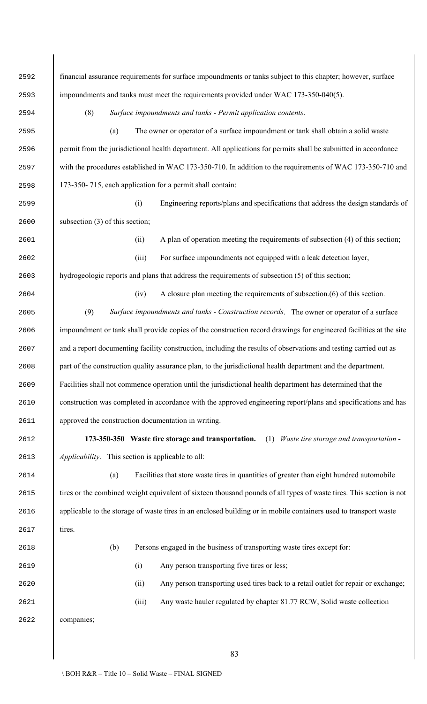financial assurance requirements for surface impoundments or tanks subject to this chapter; however, surface impoundments and tanks must meet the requirements provided under WAC 173-350-040(5).

(8) *Surface impoundments and tanks - Permit application contents*.

 (a) The owner or operator of a surface impoundment or tank shall obtain a solid waste permit from the jurisdictional health department. All applications for permits shall be submitted in accordance with the procedures established in WAC 173-350-710. In addition to the requirements of WAC 173-350-710 and 173-350- 715, each application for a permit shall contain:

 (i) Engineering reports/plans and specifications that address the design standards of 2600 subsection (3) of this section;

(ii) A plan of operation meeting the requirements of subsection (4) of this section;

(iii) For surface impoundments not equipped with a leak detection layer,

hydrogeologic reports and plans that address the requirements of subsection (5) of this section;

(iv) A closure plan meeting the requirements of subsection.(6) of this section.

 (9) *Surface impoundments and tanks - Construction records*. The owner or operator of a surface impoundment or tank shall provide copies of the construction record drawings for engineered facilities at the site 2607 and a report documenting facility construction, including the results of observations and testing carried out as part of the construction quality assurance plan, to the jurisdictional health department and the department. Facilities shall not commence operation until the jurisdictional health department has determined that the construction was completed in accordance with the approved engineering report/plans and specifications and has approved the construction documentation in writing.

 **173-350-350 Waste tire storage and transportation.** (1) *Waste tire storage and transportation - Applicability*. This section is applicable to all:

 (a) Facilities that store waste tires in quantities of greater than eight hundred automobile 2615 tires or the combined weight equivalent of sixteen thousand pounds of all types of waste tires. This section is not applicable to the storage of waste tires in an enclosed building or in mobile containers used to transport waste tires.

(b) Persons engaged in the business of transporting waste tires except for:

(i) Any person transporting five tires or less;

(ii) Any person transporting used tires back to a retail outlet for repair or exchange;

(iii) Any waste hauler regulated by chapter 81.77 RCW, Solid waste collection

companies;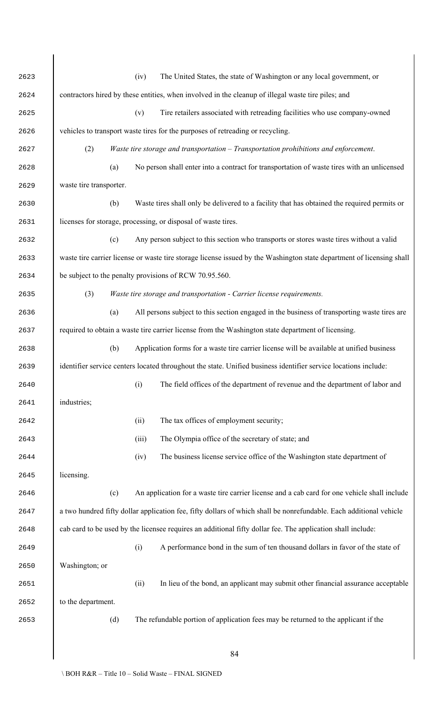| 2623 |                                                                                                                    |                                                                                                                 | (iv)  | The United States, the state of Washington or any local government, or                                                |  |  |  |
|------|--------------------------------------------------------------------------------------------------------------------|-----------------------------------------------------------------------------------------------------------------|-------|-----------------------------------------------------------------------------------------------------------------------|--|--|--|
| 2624 |                                                                                                                    |                                                                                                                 |       | contractors hired by these entities, when involved in the cleanup of illegal waste tire piles; and                    |  |  |  |
| 2625 |                                                                                                                    |                                                                                                                 | (v)   | Tire retailers associated with retreading facilities who use company-owned                                            |  |  |  |
| 2626 |                                                                                                                    |                                                                                                                 |       | vehicles to transport waste tires for the purposes of retreading or recycling.                                        |  |  |  |
| 2627 | (2)                                                                                                                |                                                                                                                 |       | Waste tire storage and transportation - Transportation prohibitions and enforcement.                                  |  |  |  |
| 2628 |                                                                                                                    | (a)                                                                                                             |       | No person shall enter into a contract for transportation of waste tires with an unlicensed                            |  |  |  |
| 2629 | waste tire transporter.                                                                                            |                                                                                                                 |       |                                                                                                                       |  |  |  |
| 2630 |                                                                                                                    | (b)                                                                                                             |       | Waste tires shall only be delivered to a facility that has obtained the required permits or                           |  |  |  |
| 2631 |                                                                                                                    |                                                                                                                 |       | licenses for storage, processing, or disposal of waste tires.                                                         |  |  |  |
| 2632 |                                                                                                                    | (c)                                                                                                             |       | Any person subject to this section who transports or stores waste tires without a valid                               |  |  |  |
| 2633 |                                                                                                                    |                                                                                                                 |       | waste tire carrier license or waste tire storage license issued by the Washington state department of licensing shall |  |  |  |
| 2634 |                                                                                                                    |                                                                                                                 |       | be subject to the penalty provisions of RCW 70.95.560.                                                                |  |  |  |
| 2635 | (3)                                                                                                                |                                                                                                                 |       | Waste tire storage and transportation - Carrier license requirements.                                                 |  |  |  |
| 2636 |                                                                                                                    | (a)                                                                                                             |       | All persons subject to this section engaged in the business of transporting waste tires are                           |  |  |  |
| 2637 | required to obtain a waste tire carrier license from the Washington state department of licensing.                 |                                                                                                                 |       |                                                                                                                       |  |  |  |
| 2638 |                                                                                                                    | Application forms for a waste tire carrier license will be available at unified business<br>(b)                 |       |                                                                                                                       |  |  |  |
| 2639 |                                                                                                                    | identifier service centers located throughout the state. Unified business identifier service locations include: |       |                                                                                                                       |  |  |  |
| 2640 |                                                                                                                    |                                                                                                                 | (i)   | The field offices of the department of revenue and the department of labor and                                        |  |  |  |
| 2641 | industries;                                                                                                        |                                                                                                                 |       |                                                                                                                       |  |  |  |
| 2642 |                                                                                                                    |                                                                                                                 | (ii)  | The tax offices of employment security;                                                                               |  |  |  |
| 2643 |                                                                                                                    |                                                                                                                 | (iii) | The Olympia office of the secretary of state; and                                                                     |  |  |  |
| 2644 |                                                                                                                    |                                                                                                                 | (iv)  | The business license service office of the Washington state department of                                             |  |  |  |
| 2645 | licensing.                                                                                                         |                                                                                                                 |       |                                                                                                                       |  |  |  |
| 2646 |                                                                                                                    | (c)                                                                                                             |       | An application for a waste tire carrier license and a cab card for one vehicle shall include                          |  |  |  |
| 2647 | a two hundred fifty dollar application fee, fifty dollars of which shall be nonrefundable. Each additional vehicle |                                                                                                                 |       |                                                                                                                       |  |  |  |
| 2648 | cab card to be used by the licensee requires an additional fifty dollar fee. The application shall include:        |                                                                                                                 |       |                                                                                                                       |  |  |  |
| 2649 |                                                                                                                    |                                                                                                                 | (i)   | A performance bond in the sum of ten thousand dollars in favor of the state of                                        |  |  |  |
| 2650 | Washington; or                                                                                                     |                                                                                                                 |       |                                                                                                                       |  |  |  |
| 2651 |                                                                                                                    |                                                                                                                 | (ii)  | In lieu of the bond, an applicant may submit other financial assurance acceptable                                     |  |  |  |
| 2652 | to the department.                                                                                                 |                                                                                                                 |       |                                                                                                                       |  |  |  |
| 2653 |                                                                                                                    | (d)                                                                                                             |       | The refundable portion of application fees may be returned to the applicant if the                                    |  |  |  |
|      |                                                                                                                    |                                                                                                                 |       |                                                                                                                       |  |  |  |
|      |                                                                                                                    |                                                                                                                 |       | 84                                                                                                                    |  |  |  |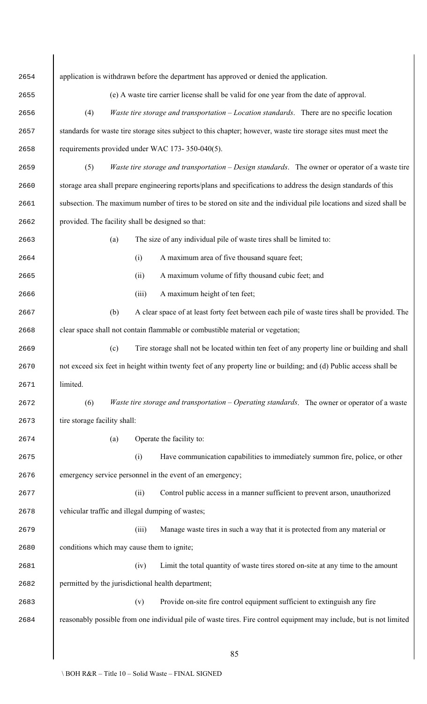| 2654 | application is withdrawn before the department has approved or denied the application.                              |  |  |  |  |
|------|---------------------------------------------------------------------------------------------------------------------|--|--|--|--|
| 2655 | (e) A waste tire carrier license shall be valid for one year from the date of approval.                             |  |  |  |  |
| 2656 | Waste tire storage and transportation $-$ Location standards. There are no specific location<br>(4)                 |  |  |  |  |
| 2657 | standards for waste tire storage sites subject to this chapter; however, waste tire storage sites must meet the     |  |  |  |  |
| 2658 | requirements provided under WAC 173-350-040(5).                                                                     |  |  |  |  |
| 2659 | Waste tire storage and transportation – Design standards. The owner or operator of a waste tire<br>(5)              |  |  |  |  |
| 2660 | storage area shall prepare engineering reports/plans and specifications to address the design standards of this     |  |  |  |  |
| 2661 | subsection. The maximum number of tires to be stored on site and the individual pile locations and sized shall be   |  |  |  |  |
| 2662 | provided. The facility shall be designed so that:                                                                   |  |  |  |  |
| 2663 | The size of any individual pile of waste tires shall be limited to:<br>(a)                                          |  |  |  |  |
| 2664 | A maximum area of five thousand square feet;<br>(i)                                                                 |  |  |  |  |
| 2665 | A maximum volume of fifty thousand cubic feet; and<br>(ii)                                                          |  |  |  |  |
| 2666 | A maximum height of ten feet;<br>(iii)                                                                              |  |  |  |  |
| 2667 | (b)<br>A clear space of at least forty feet between each pile of waste tires shall be provided. The                 |  |  |  |  |
| 2668 | clear space shall not contain flammable or combustible material or vegetation;                                      |  |  |  |  |
| 2669 | (c)<br>Tire storage shall not be located within ten feet of any property line or building and shall                 |  |  |  |  |
| 2670 | not exceed six feet in height within twenty feet of any property line or building; and (d) Public access shall be   |  |  |  |  |
| 2671 | limited.                                                                                                            |  |  |  |  |
| 2672 | (6)<br><i>Waste tire storage and transportation – Operating standards.</i> The owner or operator of a waste         |  |  |  |  |
| 2673 | tire storage facility shall:                                                                                        |  |  |  |  |
| 2674 | Operate the facility to:<br>(a)                                                                                     |  |  |  |  |
| 2675 | Have communication capabilities to immediately summon fire, police, or other<br>(i)                                 |  |  |  |  |
| 2676 | emergency service personnel in the event of an emergency;                                                           |  |  |  |  |
| 2677 | Control public access in a manner sufficient to prevent arson, unauthorized<br>(ii)                                 |  |  |  |  |
| 2678 | vehicular traffic and illegal dumping of wastes;                                                                    |  |  |  |  |
| 2679 | Manage waste tires in such a way that it is protected from any material or<br>(iii)                                 |  |  |  |  |
| 2680 | conditions which may cause them to ignite;                                                                          |  |  |  |  |
| 2681 | Limit the total quantity of waste tires stored on-site at any time to the amount<br>(iv)                            |  |  |  |  |
| 2682 | permitted by the jurisdictional health department;                                                                  |  |  |  |  |
| 2683 | Provide on-site fire control equipment sufficient to extinguish any fire<br>(v)                                     |  |  |  |  |
| 2684 | reasonably possible from one individual pile of waste tires. Fire control equipment may include, but is not limited |  |  |  |  |
|      |                                                                                                                     |  |  |  |  |
|      | 85                                                                                                                  |  |  |  |  |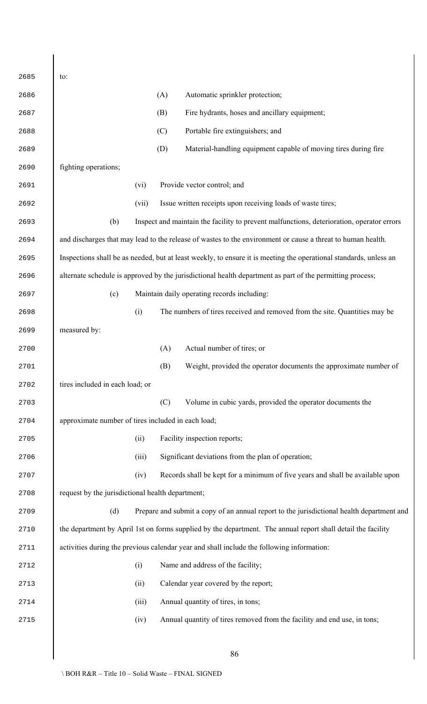| 2685 | to:                                                                                                               |       |     |                                                                                                              |  |
|------|-------------------------------------------------------------------------------------------------------------------|-------|-----|--------------------------------------------------------------------------------------------------------------|--|
| 2686 |                                                                                                                   |       | (A) | Automatic sprinkler protection;                                                                              |  |
| 2687 |                                                                                                                   |       | (B) | Fire hydrants, hoses and ancillary equipment;                                                                |  |
| 2688 |                                                                                                                   |       | (C) | Portable fire extinguishers; and                                                                             |  |
| 2689 |                                                                                                                   |       | (D) | Material-handling equipment capable of moving tires during fire                                              |  |
| 2690 | fighting operations;                                                                                              |       |     |                                                                                                              |  |
| 2691 |                                                                                                                   | (vi)  |     | Provide vector control; and                                                                                  |  |
| 2692 |                                                                                                                   | (vii) |     | Issue written receipts upon receiving loads of waste tires;                                                  |  |
| 2693 | (b)                                                                                                               |       |     | Inspect and maintain the facility to prevent malfunctions, deterioration, operator errors                    |  |
| 2694 |                                                                                                                   |       |     | and discharges that may lead to the release of wastes to the environment or cause a threat to human health.  |  |
| 2695 | Inspections shall be as needed, but at least weekly, to ensure it is meeting the operational standards, unless an |       |     |                                                                                                              |  |
| 2696 | alternate schedule is approved by the jurisdictional health department as part of the permitting process;         |       |     |                                                                                                              |  |
| 2697 | (c)                                                                                                               |       |     | Maintain daily operating records including:                                                                  |  |
| 2698 |                                                                                                                   | (i)   |     | The numbers of tires received and removed from the site. Quantities may be                                   |  |
| 2699 | measured by:                                                                                                      |       |     |                                                                                                              |  |
| 2700 |                                                                                                                   |       | (A) | Actual number of tires; or                                                                                   |  |
| 2701 |                                                                                                                   |       | (B) | Weight, provided the operator documents the approximate number of                                            |  |
| 2702 | tires included in each load; or                                                                                   |       |     |                                                                                                              |  |
| 2703 |                                                                                                                   |       | (C) | Volume in cubic yards, provided the operator documents the                                                   |  |
| 2704 | approximate number of tires included in each load;                                                                |       |     |                                                                                                              |  |
| 2705 |                                                                                                                   | (ii)  |     | Facility inspection reports;                                                                                 |  |
| 2706 |                                                                                                                   | (iii) |     | Significant deviations from the plan of operation;                                                           |  |
| 2707 |                                                                                                                   | (iv)  |     | Records shall be kept for a minimum of five years and shall be available upon                                |  |
| 2708 | request by the jurisdictional health department;                                                                  |       |     |                                                                                                              |  |
| 2709 | (d)                                                                                                               |       |     | Prepare and submit a copy of an annual report to the jurisdictional health department and                    |  |
| 2710 |                                                                                                                   |       |     | the department by April 1st on forms supplied by the department. The annual report shall detail the facility |  |
| 2711 |                                                                                                                   |       |     | activities during the previous calendar year and shall include the following information:                    |  |
| 2712 |                                                                                                                   | (i)   |     | Name and address of the facility;                                                                            |  |
| 2713 |                                                                                                                   | (ii)  |     | Calendar year covered by the report;                                                                         |  |
| 2714 |                                                                                                                   | (iii) |     | Annual quantity of tires, in tons;                                                                           |  |
| 2715 |                                                                                                                   | (iv)  |     | Annual quantity of tires removed from the facility and end use, in tons;                                     |  |
|      |                                                                                                                   |       |     |                                                                                                              |  |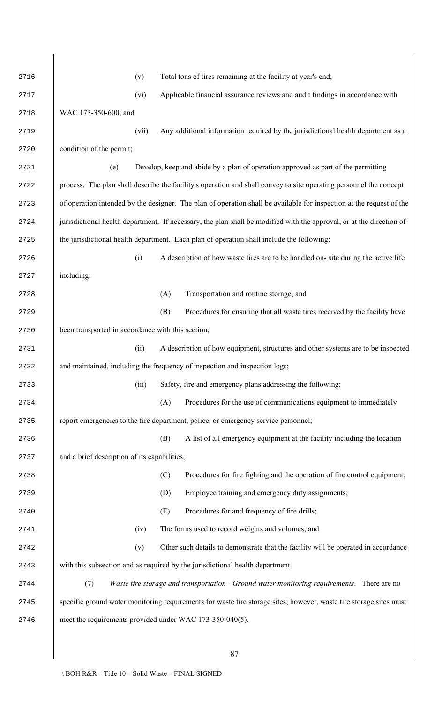| 2716 | Total tons of tires remaining at the facility at year's end;<br>(v)                                                  |
|------|----------------------------------------------------------------------------------------------------------------------|
| 2717 | Applicable financial assurance reviews and audit findings in accordance with<br>(vi)                                 |
| 2718 | WAC 173-350-600; and                                                                                                 |
| 2719 | Any additional information required by the jurisdictional health department as a<br>(vii)                            |
| 2720 | condition of the permit;                                                                                             |
| 2721 | Develop, keep and abide by a plan of operation approved as part of the permitting<br>(e)                             |
| 2722 | process. The plan shall describe the facility's operation and shall convey to site operating personnel the concept   |
| 2723 | of operation intended by the designer. The plan of operation shall be available for inspection at the request of the |
| 2724 | jurisdictional health department. If necessary, the plan shall be modified with the approval, or at the direction of |
| 2725 | the jurisdictional health department. Each plan of operation shall include the following:                            |
| 2726 | A description of how waste tires are to be handled on-site during the active life<br>(i)                             |
| 2727 | including:                                                                                                           |
| 2728 | (A)<br>Transportation and routine storage; and                                                                       |
| 2729 | Procedures for ensuring that all waste tires received by the facility have<br>(B)                                    |
| 2730 | been transported in accordance with this section;                                                                    |
| 2731 | (ii)<br>A description of how equipment, structures and other systems are to be inspected                             |
| 2732 | and maintained, including the frequency of inspection and inspection logs;                                           |
| 2733 | Safety, fire and emergency plans addressing the following:<br>(iii)                                                  |
| 2734 | Procedures for the use of communications equipment to immediately<br>(A)                                             |
| 2735 | report emergencies to the fire department, police, or emergency service personnel;                                   |
| 2736 | A list of all emergency equipment at the facility including the location<br>(B)                                      |
| 2737 | and a brief description of its capabilities;                                                                         |
| 2738 | Procedures for fire fighting and the operation of fire control equipment;<br>(C)                                     |
| 2739 | Employee training and emergency duty assignments;<br>(D)                                                             |
| 2740 | Procedures for and frequency of fire drills;<br>(E)                                                                  |
| 2741 | The forms used to record weights and volumes; and<br>(iv)                                                            |
| 2742 | Other such details to demonstrate that the facility will be operated in accordance<br>(v)                            |
| 2743 | with this subsection and as required by the jurisdictional health department.                                        |
| 2744 | Waste tire storage and transportation - Ground water monitoring requirements. There are no<br>(7)                    |
| 2745 | specific ground water monitoring requirements for waste tire storage sites; however, waste tire storage sites must   |
| 2746 | meet the requirements provided under WAC 173-350-040(5).                                                             |
|      |                                                                                                                      |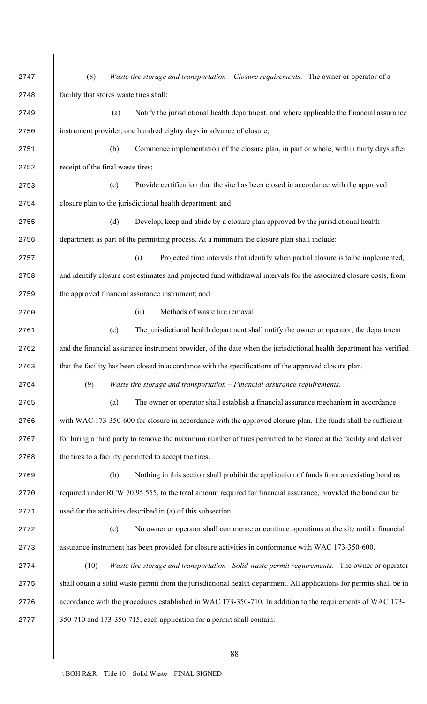(8) *Waste tire storage and transportation – Closure requirements*. The owner or operator of a facility that stores waste tires shall: (a) Notify the jurisdictional health department, and where applicable the financial assurance instrument provider, one hundred eighty days in advance of closure; (b) Commence implementation of the closure plan, in part or whole, within thirty days after 2752 receipt of the final waste tires; (c) Provide certification that the site has been closed in accordance with the approved closure plan to the jurisdictional health department; and (d) Develop, keep and abide by a closure plan approved by the jurisdictional health department as part of the permitting process. At a minimum the closure plan shall include: (i) Projected time intervals that identify when partial closure is to be implemented, and identify closure cost estimates and projected fund withdrawal intervals for the associated closure costs, from the approved financial assurance instrument; and (ii) Methods of waste tire removal. (e) The jurisdictional health department shall notify the owner or operator, the department and the financial assurance instrument provider, of the date when the jurisdictional health department has verified 2763 that the facility has been closed in accordance with the specifications of the approved closure plan. (9) *Waste tire storage and transportation – Financial assurance requirements*. (a) The owner or operator shall establish a financial assurance mechanism in accordance 2766 with WAC 173-350-600 for closure in accordance with the approved closure plan. The funds shall be sufficient for hiring a third party to remove the maximum number of tires permitted to be stored at the facility and deliver 2768 the tires to a facility permitted to accept the tires. (b) Nothing in this section shall prohibit the application of funds from an existing bond as 2770 required under RCW 70.95.555, to the total amount required for financial assurance, provided the bond can be used for the activities described in (a) of this subsection. (c) No owner or operator shall commence or continue operations at the site until a financial 2773 assurance instrument has been provided for closure activities in conformance with WAC 173-350-600. (10) *Waste tire storage and transportation - Solid waste permit requirements*. The owner or operator shall obtain a solid waste permit from the jurisdictional health department. All applications for permits shall be in 2776 accordance with the procedures established in WAC 173-350-710. In addition to the requirements of WAC 173-2777 350-710 and 173-350-715, each application for a permit shall contain: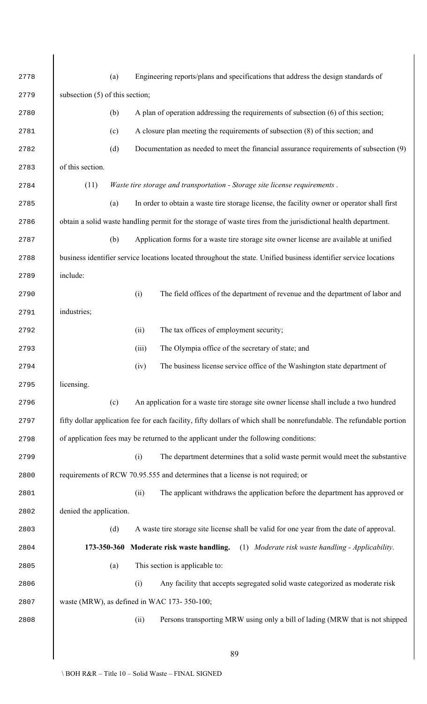| 2778 | (a)                                                                                                                   |       | Engineering reports/plans and specifications that address the design standards of                                 |  |  |
|------|-----------------------------------------------------------------------------------------------------------------------|-------|-------------------------------------------------------------------------------------------------------------------|--|--|
| 2779 | subsection (5) of this section;                                                                                       |       |                                                                                                                   |  |  |
| 2780 | (b)                                                                                                                   |       | A plan of operation addressing the requirements of subsection (6) of this section;                                |  |  |
| 2781 | (c)                                                                                                                   |       | A closure plan meeting the requirements of subsection (8) of this section; and                                    |  |  |
| 2782 | (d)                                                                                                                   |       | Documentation as needed to meet the financial assurance requirements of subsection (9)                            |  |  |
| 2783 | of this section.                                                                                                      |       |                                                                                                                   |  |  |
| 2784 | (11)                                                                                                                  |       | Waste tire storage and transportation - Storage site license requirements.                                        |  |  |
| 2785 | (a)                                                                                                                   |       | In order to obtain a waste tire storage license, the facility owner or operator shall first                       |  |  |
| 2786 |                                                                                                                       |       | obtain a solid waste handling permit for the storage of waste tires from the jurisdictional health department.    |  |  |
| 2787 | (b)                                                                                                                   |       | Application forms for a waste tire storage site owner license are available at unified                            |  |  |
| 2788 |                                                                                                                       |       | business identifier service locations located throughout the state. Unified business identifier service locations |  |  |
| 2789 | include:                                                                                                              |       |                                                                                                                   |  |  |
| 2790 |                                                                                                                       | (i)   | The field offices of the department of revenue and the department of labor and                                    |  |  |
| 2791 | industries;                                                                                                           |       |                                                                                                                   |  |  |
| 2792 |                                                                                                                       | (ii)  | The tax offices of employment security;                                                                           |  |  |
| 2793 |                                                                                                                       | (iii) | The Olympia office of the secretary of state; and                                                                 |  |  |
| 2794 |                                                                                                                       | (iv)  | The business license service office of the Washington state department of                                         |  |  |
| 2795 | licensing.                                                                                                            |       |                                                                                                                   |  |  |
| 2796 | (c)                                                                                                                   |       | An application for a waste tire storage site owner license shall include a two hundred                            |  |  |
| 2797 | fifty dollar application fee for each facility, fifty dollars of which shall be nonrefundable. The refundable portion |       |                                                                                                                   |  |  |
| 2798 | of application fees may be returned to the applicant under the following conditions:                                  |       |                                                                                                                   |  |  |
| 2799 |                                                                                                                       | (i)   | The department determines that a solid waste permit would meet the substantive                                    |  |  |
| 2800 |                                                                                                                       |       | requirements of RCW 70.95.555 and determines that a license is not required; or                                   |  |  |
| 2801 |                                                                                                                       | (ii)  | The applicant withdraws the application before the department has approved or                                     |  |  |
| 2802 | denied the application.                                                                                               |       |                                                                                                                   |  |  |
| 2803 | (d)                                                                                                                   |       | A waste tire storage site license shall be valid for one year from the date of approval.                          |  |  |
| 2804 | 173-350-360                                                                                                           |       | (1) Moderate risk waste handling - Applicability.<br>Moderate risk waste handling.                                |  |  |
| 2805 | (a)                                                                                                                   |       | This section is applicable to:                                                                                    |  |  |
| 2806 |                                                                                                                       | (i)   | Any facility that accepts segregated solid waste categorized as moderate risk                                     |  |  |
| 2807 | waste (MRW), as defined in WAC 173-350-100;                                                                           |       |                                                                                                                   |  |  |
| 2808 |                                                                                                                       | (ii)  | Persons transporting MRW using only a bill of lading (MRW that is not shipped                                     |  |  |
|      |                                                                                                                       |       |                                                                                                                   |  |  |
|      |                                                                                                                       |       | 89                                                                                                                |  |  |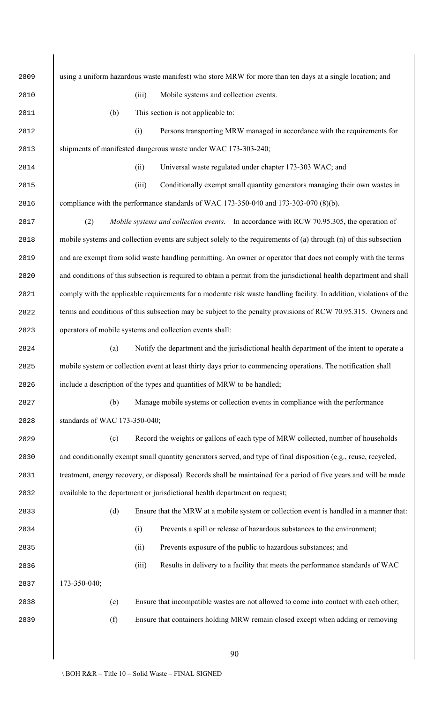using a uniform hazardous waste manifest) who store MRW for more than ten days at a single location; and (iii) Mobile systems and collection events. 2811 (b) This section is not applicable to: (i) Persons transporting MRW managed in accordance with the requirements for shipments of manifested dangerous waste under WAC 173-303-240; (ii) Universal waste regulated under chapter 173-303 WAC; and (iii) Conditionally exempt small quantity generators managing their own wastes in compliance with the performance standards of WAC 173-350-040 and 173-303-070 (8)(b). (2) *Mobile systems and collection events*. In accordance with RCW 70.95.305, the operation of mobile systems and collection events are subject solely to the requirements of (a) through (n) of this subsection and are exempt from solid waste handling permitting. An owner or operator that does not comply with the terms and conditions of this subsection is required to obtain a permit from the jurisdictional health department and shall comply with the applicable requirements for a moderate risk waste handling facility. In addition, violations of the 2822 terms and conditions of this subsection may be subject to the penalty provisions of RCW 70.95.315. Owners and operators of mobile systems and collection events shall: (a) Notify the department and the jurisdictional health department of the intent to operate a mobile system or collection event at least thirty days prior to commencing operations. The notification shall 2826 include a description of the types and quantities of MRW to be handled; (b) Manage mobile systems or collection events in compliance with the performance standards of WAC 173-350-040; (c) Record the weights or gallons of each type of MRW collected, number of households and conditionally exempt small quantity generators served, and type of final disposition (e.g., reuse, recycled, treatment, energy recovery, or disposal). Records shall be maintained for a period of five years and will be made available to the department or jurisdictional health department on request; (d) Ensure that the MRW at a mobile system or collection event is handled in a manner that: (i) Prevents a spill or release of hazardous substances to the environment; (ii) Prevents exposure of the public to hazardous substances; and (iii) Results in delivery to a facility that meets the performance standards of WAC 173-350-040; (e) Ensure that incompatible wastes are not allowed to come into contact with each other; (f) Ensure that containers holding MRW remain closed except when adding or removing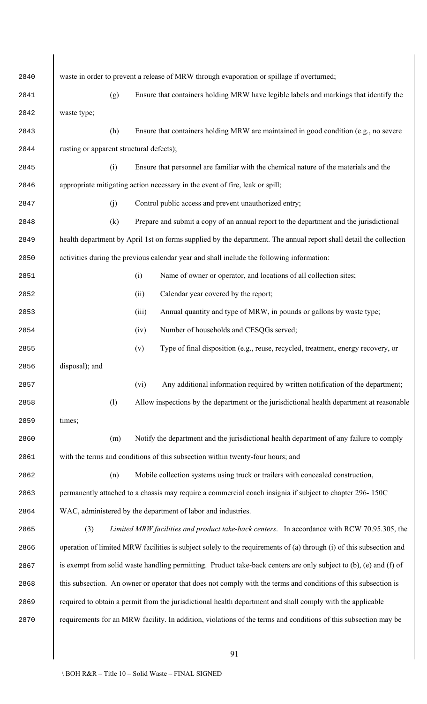| 2840 |                                                                                                                |     | waste in order to prevent a release of MRW through evaporation or spillage if overturned;                           |  |  |  |
|------|----------------------------------------------------------------------------------------------------------------|-----|---------------------------------------------------------------------------------------------------------------------|--|--|--|
| 2841 |                                                                                                                | (g) | Ensure that containers holding MRW have legible labels and markings that identify the                               |  |  |  |
| 2842 | waste type;                                                                                                    |     |                                                                                                                     |  |  |  |
| 2843 |                                                                                                                | (h) | Ensure that containers holding MRW are maintained in good condition (e.g., no severe                                |  |  |  |
| 2844 | rusting or apparent structural defects);                                                                       |     |                                                                                                                     |  |  |  |
| 2845 |                                                                                                                | (i) | Ensure that personnel are familiar with the chemical nature of the materials and the                                |  |  |  |
| 2846 |                                                                                                                |     | appropriate mitigating action necessary in the event of fire, leak or spill;                                        |  |  |  |
| 2847 |                                                                                                                | (j) | Control public access and prevent unauthorized entry;                                                               |  |  |  |
| 2848 |                                                                                                                | (k) | Prepare and submit a copy of an annual report to the department and the jurisdictional                              |  |  |  |
| 2849 |                                                                                                                |     | health department by April 1st on forms supplied by the department. The annual report shall detail the collection   |  |  |  |
| 2850 |                                                                                                                |     | activities during the previous calendar year and shall include the following information:                           |  |  |  |
| 2851 |                                                                                                                |     | Name of owner or operator, and locations of all collection sites;<br>(i)                                            |  |  |  |
| 2852 |                                                                                                                |     | Calendar year covered by the report;<br>(ii)                                                                        |  |  |  |
| 2853 |                                                                                                                |     | (iii)<br>Annual quantity and type of MRW, in pounds or gallons by waste type;                                       |  |  |  |
| 2854 |                                                                                                                |     | Number of households and CESQGs served;<br>(iv)                                                                     |  |  |  |
| 2855 |                                                                                                                |     | Type of final disposition (e.g., reuse, recycled, treatment, energy recovery, or<br>(v)                             |  |  |  |
| 2856 | disposal); and                                                                                                 |     |                                                                                                                     |  |  |  |
| 2857 |                                                                                                                |     | Any additional information required by written notification of the department;<br>(vi)                              |  |  |  |
| 2858 |                                                                                                                | (1) | Allow inspections by the department or the jurisdictional health department at reasonable                           |  |  |  |
| 2859 | times;                                                                                                         |     |                                                                                                                     |  |  |  |
| 2860 |                                                                                                                | (m) | Notify the department and the jurisdictional health department of any failure to comply                             |  |  |  |
| 2861 |                                                                                                                |     | with the terms and conditions of this subsection within twenty-four hours; and                                      |  |  |  |
| 2862 |                                                                                                                | (n) | Mobile collection systems using truck or trailers with concealed construction,                                      |  |  |  |
| 2863 | permanently attached to a chassis may require a commercial coach insignia if subject to chapter 296-150C       |     |                                                                                                                     |  |  |  |
| 2864 |                                                                                                                |     | WAC, administered by the department of labor and industries.                                                        |  |  |  |
| 2865 | (3)                                                                                                            |     | Limited MRW facilities and product take-back centers. In accordance with RCW 70.95.305, the                         |  |  |  |
| 2866 |                                                                                                                |     | operation of limited MRW facilities is subject solely to the requirements of (a) through (i) of this subsection and |  |  |  |
| 2867 |                                                                                                                |     | is exempt from solid waste handling permitting. Product take-back centers are only subject to (b), (e) and (f) of   |  |  |  |
| 2868 | this subsection. An owner or operator that does not comply with the terms and conditions of this subsection is |     |                                                                                                                     |  |  |  |
| 2869 |                                                                                                                |     | required to obtain a permit from the jurisdictional health department and shall comply with the applicable          |  |  |  |
| 2870 |                                                                                                                |     | requirements for an MRW facility. In addition, violations of the terms and conditions of this subsection may be     |  |  |  |
|      |                                                                                                                |     |                                                                                                                     |  |  |  |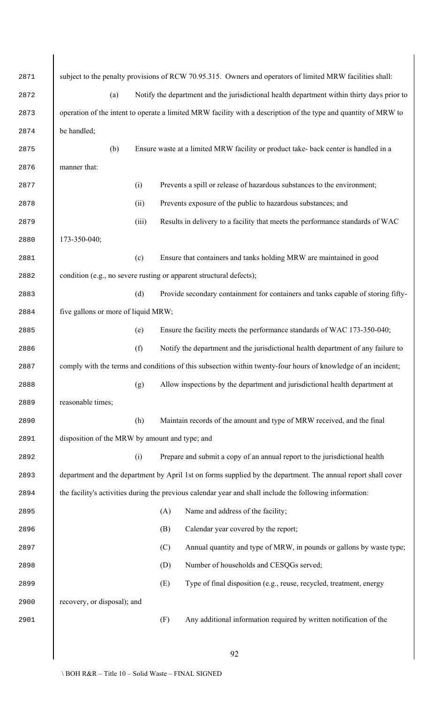| 2871 |                                                |       | subject to the penalty provisions of RCW 70.95.315. Owners and operators of limited MRW facilities shall:       |
|------|------------------------------------------------|-------|-----------------------------------------------------------------------------------------------------------------|
| 2872 | (a)                                            |       | Notify the department and the jurisdictional health department within thirty days prior to                      |
| 2873 |                                                |       | operation of the intent to operate a limited MRW facility with a description of the type and quantity of MRW to |
| 2874 | be handled;                                    |       |                                                                                                                 |
| 2875 | (b)                                            |       | Ensure waste at a limited MRW facility or product take- back center is handled in a                             |
| 2876 | manner that:                                   |       |                                                                                                                 |
| 2877 |                                                | (i)   | Prevents a spill or release of hazardous substances to the environment;                                         |
| 2878 |                                                | (ii)  | Prevents exposure of the public to hazardous substances; and                                                    |
| 2879 |                                                | (iii) | Results in delivery to a facility that meets the performance standards of WAC                                   |
| 2880 | 173-350-040;                                   |       |                                                                                                                 |
| 2881 |                                                | (c)   | Ensure that containers and tanks holding MRW are maintained in good                                             |
| 2882 |                                                |       | condition (e.g., no severe rusting or apparent structural defects);                                             |
| 2883 |                                                | (d)   | Provide secondary containment for containers and tanks capable of storing fifty-                                |
| 2884 | five gallons or more of liquid MRW;            |       |                                                                                                                 |
| 2885 |                                                | (e)   | Ensure the facility meets the performance standards of WAC 173-350-040;                                         |
| 2886 |                                                | (f)   | Notify the department and the jurisdictional health department of any failure to                                |
| 2887 |                                                |       | comply with the terms and conditions of this subsection within twenty-four hours of knowledge of an incident;   |
| 2888 |                                                | (g)   | Allow inspections by the department and jurisdictional health department at                                     |
| 2889 | reasonable times;                              |       |                                                                                                                 |
| 2890 |                                                | (h)   | Maintain records of the amount and type of MRW received, and the final                                          |
| 2891 | disposition of the MRW by amount and type; and |       |                                                                                                                 |
| 2892 |                                                | (i)   | Prepare and submit a copy of an annual report to the jurisdictional health                                      |
| 2893 |                                                |       | department and the department by April 1st on forms supplied by the department. The annual report shall cover   |
| 2894 |                                                |       | the facility's activities during the previous calendar year and shall include the following information:        |
| 2895 |                                                |       | Name and address of the facility;<br>(A)                                                                        |
| 2896 |                                                |       | Calendar year covered by the report;<br>(B)                                                                     |
| 2897 |                                                |       | (C)<br>Annual quantity and type of MRW, in pounds or gallons by waste type;                                     |
| 2898 |                                                |       | Number of households and CESQGs served;<br>(D)                                                                  |
| 2899 |                                                |       | Type of final disposition (e.g., reuse, recycled, treatment, energy<br>(E)                                      |
| 2900 | recovery, or disposal); and                    |       |                                                                                                                 |
| 2901 |                                                |       | Any additional information required by written notification of the<br>(F)                                       |
|      |                                                |       |                                                                                                                 |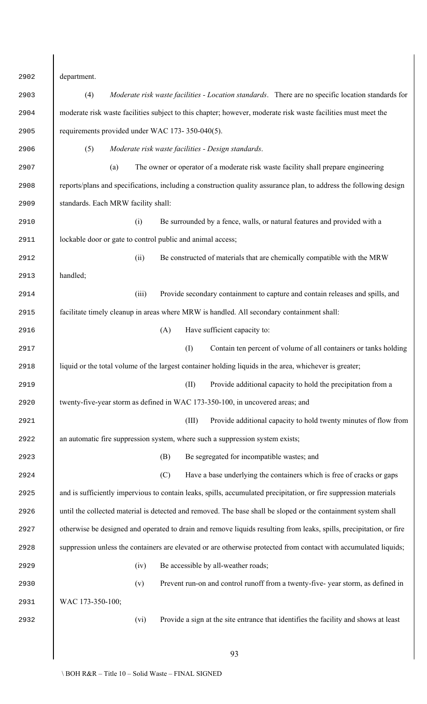| 2902 | department.                                                                                                         |
|------|---------------------------------------------------------------------------------------------------------------------|
| 2903 | Moderate risk waste facilities - Location standards. There are no specific location standards for<br>(4)            |
| 2904 | moderate risk waste facilities subject to this chapter; however, moderate risk waste facilities must meet the       |
| 2905 | requirements provided under WAC 173-350-040(5).                                                                     |
| 2906 | (5)<br>Moderate risk waste facilities - Design standards.                                                           |
| 2907 | The owner or operator of a moderate risk waste facility shall prepare engineering<br>(a)                            |
| 2908 | reports/plans and specifications, including a construction quality assurance plan, to address the following design  |
| 2909 | standards. Each MRW facility shall:                                                                                 |
| 2910 | Be surrounded by a fence, walls, or natural features and provided with a<br>(i)                                     |
| 2911 | lockable door or gate to control public and animal access;                                                          |
| 2912 | Be constructed of materials that are chemically compatible with the MRW<br>(ii)                                     |
| 2913 | handled;                                                                                                            |
| 2914 | Provide secondary containment to capture and contain releases and spills, and<br>(iii)                              |
| 2915 | facilitate timely cleanup in areas where MRW is handled. All secondary containment shall:                           |
| 2916 | Have sufficient capacity to:<br>(A)                                                                                 |
| 2917 | (I)<br>Contain ten percent of volume of all containers or tanks holding                                             |
| 2918 | liquid or the total volume of the largest container holding liquids in the area, whichever is greater;              |
| 2919 | (II)<br>Provide additional capacity to hold the precipitation from a                                                |
| 2920 | twenty-five-year storm as defined in WAC 173-350-100, in uncovered areas; and                                       |
| 2921 | Provide additional capacity to hold twenty minutes of flow from<br>(III)                                            |
| 2922 | an automatic fire suppression system, where such a suppression system exists;                                       |
| 2923 | Be segregated for incompatible wastes; and<br>(B)                                                                   |
| 2924 | (C)<br>Have a base underlying the containers which is free of cracks or gaps                                        |
| 2925 | and is sufficiently impervious to contain leaks, spills, accumulated precipitation, or fire suppression materials   |
| 2926 | until the collected material is detected and removed. The base shall be sloped or the containment system shall      |
| 2927 | otherwise be designed and operated to drain and remove liquids resulting from leaks, spills, precipitation, or fire |
| 2928 | suppression unless the containers are elevated or are otherwise protected from contact with accumulated liquids;    |
| 2929 | Be accessible by all-weather roads;<br>(iv)                                                                         |
| 2930 | Prevent run-on and control runoff from a twenty-five-year storm, as defined in<br>(v)                               |
| 2931 | WAC 173-350-100;                                                                                                    |
| 2932 | (vi)<br>Provide a sign at the site entrance that identifies the facility and shows at least                         |
|      |                                                                                                                     |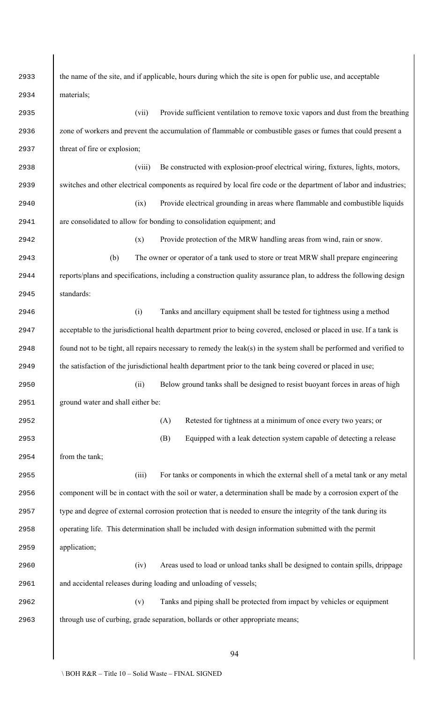| 2933 | the name of the site, and if applicable, hours during which the site is open for public use, and acceptable         |  |  |  |  |
|------|---------------------------------------------------------------------------------------------------------------------|--|--|--|--|
| 2934 | materials;                                                                                                          |  |  |  |  |
| 2935 | Provide sufficient ventilation to remove toxic vapors and dust from the breathing<br>(vii)                          |  |  |  |  |
| 2936 | zone of workers and prevent the accumulation of flammable or combustible gases or fumes that could present a        |  |  |  |  |
| 2937 | threat of fire or explosion;                                                                                        |  |  |  |  |
| 2938 | Be constructed with explosion-proof electrical wiring, fixtures, lights, motors,<br>(viii)                          |  |  |  |  |
| 2939 | switches and other electrical components as required by local fire code or the department of labor and industries;  |  |  |  |  |
| 2940 | Provide electrical grounding in areas where flammable and combustible liquids<br>(ix)                               |  |  |  |  |
| 2941 | are consolidated to allow for bonding to consolidation equipment; and                                               |  |  |  |  |
| 2942 | Provide protection of the MRW handling areas from wind, rain or snow.<br>(x)                                        |  |  |  |  |
| 2943 | The owner or operator of a tank used to store or treat MRW shall prepare engineering<br>(b)                         |  |  |  |  |
| 2944 | reports/plans and specifications, including a construction quality assurance plan, to address the following design  |  |  |  |  |
| 2945 | standards:                                                                                                          |  |  |  |  |
| 2946 | Tanks and ancillary equipment shall be tested for tightness using a method<br>(i)                                   |  |  |  |  |
| 2947 | acceptable to the jurisdictional health department prior to being covered, enclosed or placed in use. If a tank is  |  |  |  |  |
| 2948 | found not to be tight, all repairs necessary to remedy the leak(s) in the system shall be performed and verified to |  |  |  |  |
| 2949 | the satisfaction of the jurisdictional health department prior to the tank being covered or placed in use;          |  |  |  |  |
| 2950 | (ii)<br>Below ground tanks shall be designed to resist buoyant forces in areas of high                              |  |  |  |  |
| 2951 | ground water and shall either be:                                                                                   |  |  |  |  |
| 2952 | (A)<br>Retested for tightness at a minimum of once every two years; or                                              |  |  |  |  |
| 2953 | (B)<br>Equipped with a leak detection system capable of detecting a release                                         |  |  |  |  |
| 2954 | from the tank;                                                                                                      |  |  |  |  |
| 2955 | For tanks or components in which the external shell of a metal tank or any metal<br>(iii)                           |  |  |  |  |
| 2956 | component will be in contact with the soil or water, a determination shall be made by a corrosion expert of the     |  |  |  |  |
| 2957 | type and degree of external corrosion protection that is needed to ensure the integrity of the tank during its      |  |  |  |  |
| 2958 | operating life. This determination shall be included with design information submitted with the permit              |  |  |  |  |
| 2959 | application;                                                                                                        |  |  |  |  |
| 2960 | (iv)<br>Areas used to load or unload tanks shall be designed to contain spills, drippage                            |  |  |  |  |
| 2961 | and accidental releases during loading and unloading of vessels;                                                    |  |  |  |  |
| 2962 | Tanks and piping shall be protected from impact by vehicles or equipment<br>(v)                                     |  |  |  |  |
| 2963 | through use of curbing, grade separation, bollards or other appropriate means;                                      |  |  |  |  |
|      |                                                                                                                     |  |  |  |  |
|      | 94                                                                                                                  |  |  |  |  |

 $\overline{\phantom{a}}$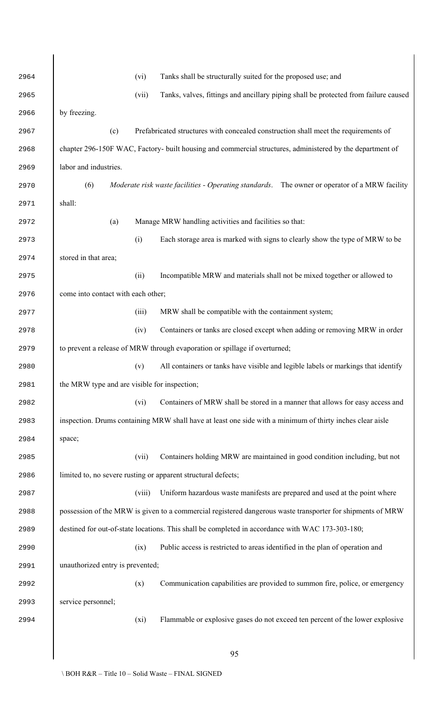| 2964 |                                              | (vi)   | Tanks shall be structurally suited for the proposed use; and                                               |
|------|----------------------------------------------|--------|------------------------------------------------------------------------------------------------------------|
| 2965 |                                              | (vii)  | Tanks, valves, fittings and ancillary piping shall be protected from failure caused                        |
| 2966 | by freezing.                                 |        |                                                                                                            |
| 2967 | (c)                                          |        | Prefabricated structures with concealed construction shall meet the requirements of                        |
| 2968 |                                              |        | chapter 296-150F WAC, Factory- built housing and commercial structures, administered by the department of  |
| 2969 | labor and industries.                        |        |                                                                                                            |
| 2970 | (6)                                          |        | Moderate risk waste facilities - Operating standards. The owner or operator of a MRW facility              |
| 2971 | shall:                                       |        |                                                                                                            |
| 2972 | (a)                                          |        | Manage MRW handling activities and facilities so that:                                                     |
| 2973 |                                              | (i)    | Each storage area is marked with signs to clearly show the type of MRW to be                               |
| 2974 | stored in that area;                         |        |                                                                                                            |
| 2975 |                                              | (ii)   | Incompatible MRW and materials shall not be mixed together or allowed to                                   |
| 2976 | come into contact with each other;           |        |                                                                                                            |
| 2977 |                                              | (iii)  | MRW shall be compatible with the containment system;                                                       |
| 2978 |                                              | (iv)   | Containers or tanks are closed except when adding or removing MRW in order                                 |
| 2979 |                                              |        | to prevent a release of MRW through evaporation or spillage if overturned;                                 |
| 2980 |                                              |        | (v) All containers or tanks have visible and legible labels or markings that identify                      |
| 2981 | the MRW type and are visible for inspection; |        |                                                                                                            |
| 2982 |                                              | (vi)   | Containers of MRW shall be stored in a manner that allows for easy access and                              |
| 2983 |                                              |        | inspection. Drums containing MRW shall have at least one side with a minimum of thirty inches clear aisle  |
| 2984 | space;                                       |        |                                                                                                            |
| 2985 |                                              | (vii)  | Containers holding MRW are maintained in good condition including, but not                                 |
| 2986 |                                              |        | limited to, no severe rusting or apparent structural defects;                                              |
| 2987 |                                              | (viii) | Uniform hazardous waste manifests are prepared and used at the point where                                 |
| 2988 |                                              |        | possession of the MRW is given to a commercial registered dangerous waste transporter for shipments of MRW |
| 2989 |                                              |        | destined for out-of-state locations. This shall be completed in accordance with WAC 173-303-180;           |
| 2990 |                                              | (ix)   | Public access is restricted to areas identified in the plan of operation and                               |
| 2991 | unauthorized entry is prevented;             |        |                                                                                                            |
| 2992 |                                              | (x)    | Communication capabilities are provided to summon fire, police, or emergency                               |
| 2993 | service personnel;                           |        |                                                                                                            |
| 2994 |                                              | (xi)   | Flammable or explosive gases do not exceed ten percent of the lower explosive                              |
|      |                                              |        |                                                                                                            |
|      |                                              |        | 95                                                                                                         |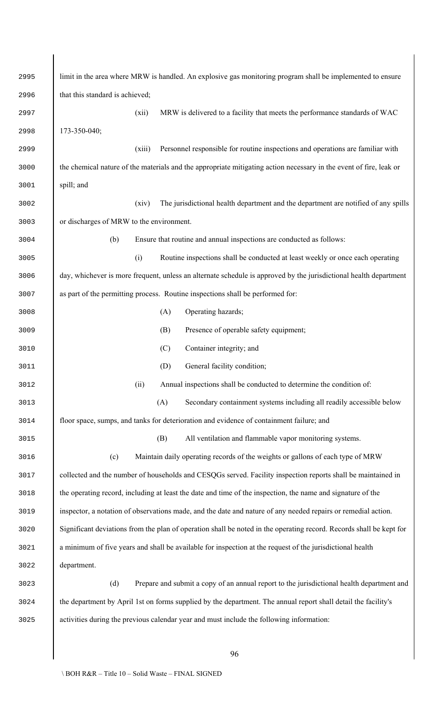| 2995 | limit in the area where MRW is handled. An explosive gas monitoring program shall be implemented to ensure          |  |  |  |  |
|------|---------------------------------------------------------------------------------------------------------------------|--|--|--|--|
| 2996 | that this standard is achieved;                                                                                     |  |  |  |  |
| 2997 | MRW is delivered to a facility that meets the performance standards of WAC<br>(xii)                                 |  |  |  |  |
| 2998 | 173-350-040;                                                                                                        |  |  |  |  |
| 2999 | Personnel responsible for routine inspections and operations are familiar with<br>(xiii)                            |  |  |  |  |
| 3000 | the chemical nature of the materials and the appropriate mitigating action necessary in the event of fire, leak or  |  |  |  |  |
| 3001 | spill; and                                                                                                          |  |  |  |  |
| 3002 | The jurisdictional health department and the department are notified of any spills<br>(xiv)                         |  |  |  |  |
| 3003 | or discharges of MRW to the environment.                                                                            |  |  |  |  |
| 3004 | Ensure that routine and annual inspections are conducted as follows:<br>(b)                                         |  |  |  |  |
| 3005 | (i)<br>Routine inspections shall be conducted at least weekly or once each operating                                |  |  |  |  |
| 3006 | day, whichever is more frequent, unless an alternate schedule is approved by the jurisdictional health department   |  |  |  |  |
| 3007 | as part of the permitting process. Routine inspections shall be performed for:                                      |  |  |  |  |
| 3008 | Operating hazards;<br>(A)                                                                                           |  |  |  |  |
| 3009 | Presence of operable safety equipment;<br>(B)                                                                       |  |  |  |  |
| 3010 | (C)<br>Container integrity; and                                                                                     |  |  |  |  |
| 3011 | (D)<br>General facility condition;                                                                                  |  |  |  |  |
| 3012 | Annual inspections shall be conducted to determine the condition of:<br>(ii)                                        |  |  |  |  |
| 3013 | (A)<br>Secondary containment systems including all readily accessible below                                         |  |  |  |  |
| 3014 | floor space, sumps, and tanks for deterioration and evidence of containment failure; and                            |  |  |  |  |
| 3015 | (B)<br>All ventilation and flammable vapor monitoring systems.                                                      |  |  |  |  |
| 3016 | Maintain daily operating records of the weights or gallons of each type of MRW<br>(c)                               |  |  |  |  |
| 3017 | collected and the number of households and CESQGs served. Facility inspection reports shall be maintained in        |  |  |  |  |
| 3018 | the operating record, including at least the date and time of the inspection, the name and signature of the         |  |  |  |  |
| 3019 | inspector, a notation of observations made, and the date and nature of any needed repairs or remedial action.       |  |  |  |  |
| 3020 | Significant deviations from the plan of operation shall be noted in the operating record. Records shall be kept for |  |  |  |  |
| 3021 | a minimum of five years and shall be available for inspection at the request of the jurisdictional health           |  |  |  |  |
| 3022 | department.                                                                                                         |  |  |  |  |
| 3023 | Prepare and submit a copy of an annual report to the jurisdictional health department and<br>(d)                    |  |  |  |  |
| 3024 | the department by April 1st on forms supplied by the department. The annual report shall detail the facility's      |  |  |  |  |
| 3025 | activities during the previous calendar year and must include the following information:                            |  |  |  |  |
|      |                                                                                                                     |  |  |  |  |

 $\begin{array}{c} \hline \end{array}$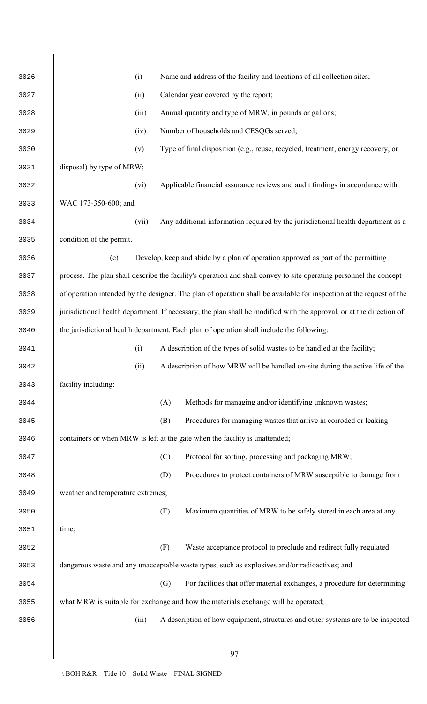| 3026 |                                   | (i)   |     | Name and address of the facility and locations of all collection sites;                                              |
|------|-----------------------------------|-------|-----|----------------------------------------------------------------------------------------------------------------------|
| 3027 |                                   | (ii)  |     | Calendar year covered by the report;                                                                                 |
| 3028 |                                   | (iii) |     | Annual quantity and type of MRW, in pounds or gallons;                                                               |
| 3029 |                                   | (iv)  |     | Number of households and CESQGs served;                                                                              |
| 3030 |                                   | (v)   |     | Type of final disposition (e.g., reuse, recycled, treatment, energy recovery, or                                     |
| 3031 | disposal) by type of MRW;         |       |     |                                                                                                                      |
| 3032 |                                   | (vi)  |     | Applicable financial assurance reviews and audit findings in accordance with                                         |
| 3033 | WAC 173-350-600; and              |       |     |                                                                                                                      |
| 3034 |                                   | (vii) |     | Any additional information required by the jurisdictional health department as a                                     |
| 3035 | condition of the permit.          |       |     |                                                                                                                      |
| 3036 | (e)                               |       |     | Develop, keep and abide by a plan of operation approved as part of the permitting                                    |
| 3037 |                                   |       |     | process. The plan shall describe the facility's operation and shall convey to site operating personnel the concept   |
| 3038 |                                   |       |     | of operation intended by the designer. The plan of operation shall be available for inspection at the request of the |
| 3039 |                                   |       |     | jurisdictional health department. If necessary, the plan shall be modified with the approval, or at the direction of |
| 3040 |                                   |       |     | the jurisdictional health department. Each plan of operation shall include the following:                            |
| 3041 |                                   | (i)   |     | A description of the types of solid wastes to be handled at the facility;                                            |
| 3042 |                                   | (ii)  |     | A description of how MRW will be handled on-site during the active life of the                                       |
| 3043 | facility including:               |       |     |                                                                                                                      |
| 3044 |                                   |       | (A) | Methods for managing and/or identifying unknown wastes;                                                              |
| 3045 |                                   |       | (B) | Procedures for managing wastes that arrive in corroded or leaking                                                    |
| 3046 |                                   |       |     | containers or when MRW is left at the gate when the facility is unattended;                                          |
| 3047 |                                   |       | (C) | Protocol for sorting, processing and packaging MRW;                                                                  |
| 3048 |                                   |       | (D) | Procedures to protect containers of MRW susceptible to damage from                                                   |
| 3049 | weather and temperature extremes; |       |     |                                                                                                                      |
| 3050 |                                   |       | (E) | Maximum quantities of MRW to be safely stored in each area at any                                                    |
| 3051 | time;                             |       |     |                                                                                                                      |
| 3052 |                                   |       | (F) | Waste acceptance protocol to preclude and redirect fully regulated                                                   |
| 3053 |                                   |       |     | dangerous waste and any unacceptable waste types, such as explosives and/or radioactives; and                        |
| 3054 |                                   |       | (G) | For facilities that offer material exchanges, a procedure for determining                                            |
| 3055 |                                   |       |     | what MRW is suitable for exchange and how the materials exchange will be operated;                                   |
| 3056 |                                   | (iii) |     | A description of how equipment, structures and other systems are to be inspected                                     |
|      |                                   |       |     |                                                                                                                      |
|      |                                   |       |     | 97                                                                                                                   |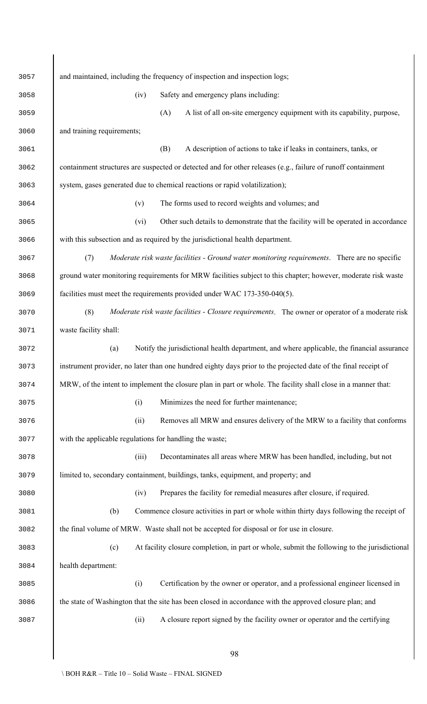| 3057 | and maintained, including the frequency of inspection and inspection logs;                                     |
|------|----------------------------------------------------------------------------------------------------------------|
| 3058 | Safety and emergency plans including:<br>(iv)                                                                  |
| 3059 | A list of all on-site emergency equipment with its capability, purpose,<br>(A)                                 |
| 3060 | and training requirements;                                                                                     |
| 3061 | (B)<br>A description of actions to take if leaks in containers, tanks, or                                      |
| 3062 | containment structures are suspected or detected and for other releases (e.g., failure of runoff containment   |
| 3063 | system, gases generated due to chemical reactions or rapid volatilization);                                    |
| 3064 | The forms used to record weights and volumes; and<br>(v)                                                       |
| 3065 | Other such details to demonstrate that the facility will be operated in accordance<br>(vi)                     |
| 3066 | with this subsection and as required by the jurisdictional health department.                                  |
| 3067 | Moderate risk waste facilities - Ground water monitoring requirements. There are no specific<br>(7)            |
| 3068 | ground water monitoring requirements for MRW facilities subject to this chapter; however, moderate risk waste  |
| 3069 | facilities must meet the requirements provided under WAC 173-350-040(5).                                       |
| 3070 | Moderate risk waste facilities - Closure requirements. The owner or operator of a moderate risk<br>(8)         |
| 3071 | waste facility shall:                                                                                          |
| 3072 | Notify the jurisdictional health department, and where applicable, the financial assurance<br>(a)              |
| 3073 | instrument provider, no later than one hundred eighty days prior to the projected date of the final receipt of |
| 3074 | MRW, of the intent to implement the closure plan in part or whole. The facility shall close in a manner that:  |
| 3075 | (i)<br>Minimizes the need for further maintenance;                                                             |
| 3076 | Removes all MRW and ensures delivery of the MRW to a facility that conforms<br>(ii)                            |
| 3077 | with the applicable regulations for handling the waste;                                                        |
| 3078 | (iii)<br>Decontaminates all areas where MRW has been handled, including, but not                               |
| 3079 | limited to, secondary containment, buildings, tanks, equipment, and property; and                              |
| 3080 | Prepares the facility for remedial measures after closure, if required.<br>(iv)                                |
| 3081 | Commence closure activities in part or whole within thirty days following the receipt of<br>(b)                |
| 3082 | the final volume of MRW. Waste shall not be accepted for disposal or for use in closure.                       |
| 3083 | At facility closure completion, in part or whole, submit the following to the jurisdictional<br>(c)            |
| 3084 | health department:                                                                                             |
| 3085 | (i)<br>Certification by the owner or operator, and a professional engineer licensed in                         |
| 3086 | the state of Washington that the site has been closed in accordance with the approved closure plan; and        |
| 3087 | (ii)<br>A closure report signed by the facility owner or operator and the certifying                           |
|      |                                                                                                                |
|      | 98                                                                                                             |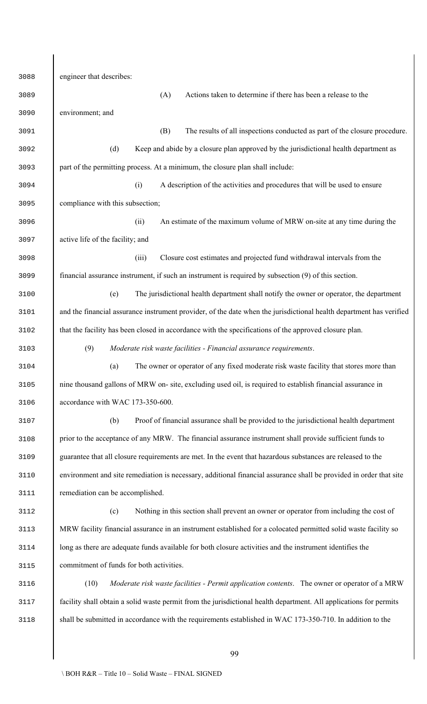engineer that describes: (A) Actions taken to determine if there has been a release to the environment; and (B) The results of all inspections conducted as part of the closure procedure. (d) Keep and abide by a closure plan approved by the jurisdictional health department as part of the permitting process. At a minimum, the closure plan shall include: (i) A description of the activities and procedures that will be used to ensure compliance with this subsection; (ii) An estimate of the maximum volume of MRW on-site at any time during the active life of the facility; and (iii) Closure cost estimates and projected fund withdrawal intervals from the financial assurance instrument, if such an instrument is required by subsection (9) of this section. (e) The jurisdictional health department shall notify the owner or operator, the department and the financial assurance instrument provider, of the date when the jurisdictional health department has verified 3102 htat the facility has been closed in accordance with the specifications of the approved closure plan. (9) *Moderate risk waste facilities - Financial assurance requirements*. (a) The owner or operator of any fixed moderate risk waste facility that stores more than nine thousand gallons of MRW on- site, excluding used oil, is required to establish financial assurance in accordance with WAC 173-350-600. (b) Proof of financial assurance shall be provided to the jurisdictional health department prior to the acceptance of any MRW. The financial assurance instrument shall provide sufficient funds to guarantee that all closure requirements are met. In the event that hazardous substances are released to the environment and site remediation is necessary, additional financial assurance shall be provided in order that site remediation can be accomplished. (c) Nothing in this section shall prevent an owner or operator from including the cost of MRW facility financial assurance in an instrument established for a colocated permitted solid waste facility so long as there are adequate funds available for both closure activities and the instrument identifies the commitment of funds for both activities. (10) *Moderate risk waste facilities - Permit application contents*. The owner or operator of a MRW facility shall obtain a solid waste permit from the jurisdictional health department. All applications for permits shall be submitted in accordance with the requirements established in WAC 173-350-710. In addition to the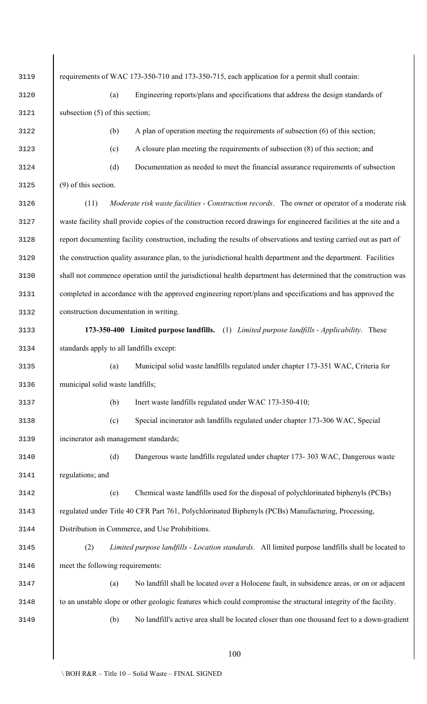|   | 3119             |      |
|---|------------------|------|
|   |                  | 3120 |
| 3 | 121              |      |
|   | 3122             |      |
|   | 3123             |      |
|   | 3124             |      |
|   | 3125             |      |
|   | 3126             |      |
|   | 3127             |      |
|   | 3128             |      |
|   | 3129             |      |
|   | 3130             |      |
|   | 3131             |      |
|   | 3132             |      |
|   | 3133             |      |
|   | 3134             |      |
|   | 3135             |      |
| š | $\mathfrak{1}$ . | 3 F  |
|   | 3137             |      |
|   | 3138             |      |
| ξ | 139              |      |
| ξ | 140              |      |
|   | 3141             |      |
| 3 | 142              |      |
| 3 | 143              |      |
|   | 3144             |      |
| 3 | 145              |      |
| 3 | 146              |      |
|   | 3147             |      |
|   | 3148             |      |
|   |                  | 3149 |

requirements of WAC 173-350-710 and 173-350-715, each application for a permit shall contain: 3120 (a) Engineering reports/plans and specifications that address the design standards of subsection  $(5)$  of this section;  $\alpha$  A plan of operation meeting the requirements of subsection  $\alpha$  (6) of this section; (c) A closure plan meeting the requirements of subsection (8) of this section; and 3124 (d) Documentation as needed to meet the financial assurance requirements of subsection  $(9)$  of this section. 3126 (11) *Moderate risk waste facilities - Construction records*. The owner or operator of a moderate risk waste facility shall provide copies of the construction record drawings for engineered facilities at the site and a report documenting facility construction, including the results of observations and testing carried out as part of 3129 the construction quality assurance plan, to the jurisdictional health department and the department. Facilities shall not commence operation until the jurisdictional health department has determined that the construction was completed in accordance with the approved engineering report/plans and specifications and has approved the construction documentation in writing. 3133 **173-350-400 Limited purpose landfills.** (1) *Limited purpose landfills - Applicability*. These standards apply to all landfills except: 3135 (a) Municipal solid waste landfills regulated under chapter 173-351 WAC, Criteria for municipal solid waste landfills; (b) Inert waste landfills regulated under WAC 173-350-410; 3138 (c) Special incinerator ash landfills regulated under chapter 173-306 WAC, Special incinerator ash management standards; 3140 (d) Dangerous waste landfills regulated under chapter 173- 303 WAC, Dangerous waste regulations; and 3142 (e) Chemical waste landfills used for the disposal of polychlorinated biphenyls (PCBs) regulated under Title 40 CFR Part 761, Polychlorinated Biphenyls (PCBs) Manufacturing, Processing, Distribution in Commerce, and Use Prohibitions. 3145 (2) *Limited purpose landfills - Location standards*. All limited purpose landfills shall be located to meet the following requirements: (a) No landfill shall be located over a Holocene fault, in subsidence areas, or on or adjacent 3148 to an unstable slope or other geologic features which could compromise the structural integrity of the facility. 3149 (b) No landfill's active area shall be located closer than one thousand feet to a down-gradient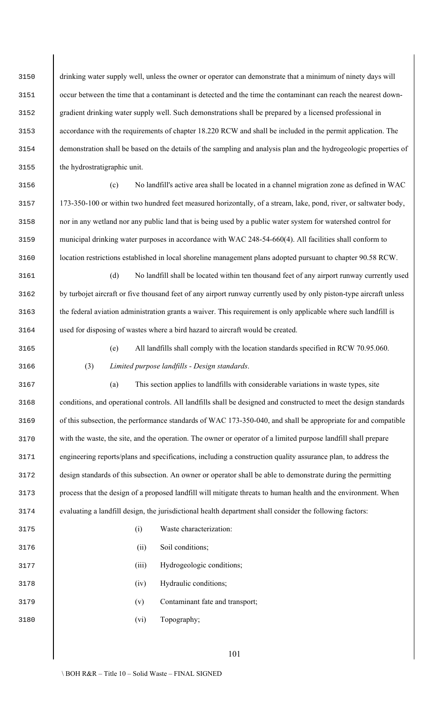(e) All landfills shall comply with the location standards specified in RCW 70.95.060.

 drinking water supply well, unless the owner or operator can demonstrate that a minimum of ninety days will occur between the time that a contaminant is detected and the time the contaminant can reach the nearest down- gradient drinking water supply well. Such demonstrations shall be prepared by a licensed professional in accordance with the requirements of chapter 18.220 RCW and shall be included in the permit application. The demonstration shall be based on the details of the sampling and analysis plan and the hydrogeologic properties of the hydrostratigraphic unit.

 (c) No landfill's active area shall be located in a channel migration zone as defined in WAC 173-350-100 or within two hundred feet measured horizontally, of a stream, lake, pond, river, or saltwater body, nor in any wetland nor any public land that is being used by a public water system for watershed control for municipal drinking water purposes in accordance with WAC 248-54-660(4). All facilities shall conform to location restrictions established in local shoreline management plans adopted pursuant to chapter 90.58 RCW.

 (d) No landfill shall be located within ten thousand feet of any airport runway currently used by turbojet aircraft or five thousand feet of any airport runway currently used by only piston-type aircraft unless the federal aviation administration grants a waiver. This requirement is only applicable where such landfill is used for disposing of wastes where a bird hazard to aircraft would be created.

(3) *Limited purpose landfills - Design standards*.

 (a) This section applies to landfills with considerable variations in waste types, site conditions, and operational controls. All landfills shall be designed and constructed to meet the design standards of this subsection, the performance standards of WAC 173-350-040, and shall be appropriate for and compatible with the waste, the site, and the operation. The owner or operator of a limited purpose landfill shall prepare engineering reports/plans and specifications, including a construction quality assurance plan, to address the design standards of this subsection. An owner or operator shall be able to demonstrate during the permitting process that the design of a proposed landfill will mitigate threats to human health and the environment. When evaluating a landfill design, the jurisdictional health department shall consider the following factors:

- (i) Waste characterization:
- (ii) Soil conditions;
- 3177 (iii) Hydrogeologic conditions;
- (iv) Hydraulic conditions;
- (v) Contaminant fate and transport;
- (vi) Topography;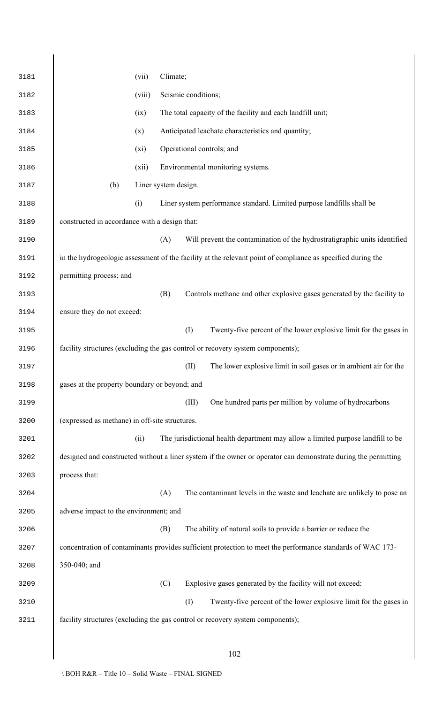| 3181 |                                                | (vii)  | Climate;             |                     |                                                                                                                |
|------|------------------------------------------------|--------|----------------------|---------------------|----------------------------------------------------------------------------------------------------------------|
| 3182 |                                                | (viii) |                      | Seismic conditions; |                                                                                                                |
| 3183 |                                                | (ix)   |                      |                     | The total capacity of the facility and each landfill unit;                                                     |
| 3184 |                                                | (x)    |                      |                     | Anticipated leachate characteristics and quantity;                                                             |
| 3185 |                                                | (xi)   |                      |                     | Operational controls; and                                                                                      |
| 3186 |                                                | (xii)  |                      |                     | Environmental monitoring systems.                                                                              |
| 3187 | (b)                                            |        | Liner system design. |                     |                                                                                                                |
| 3188 |                                                | (i)    |                      |                     | Liner system performance standard. Limited purpose landfills shall be                                          |
| 3189 | constructed in accordance with a design that:  |        |                      |                     |                                                                                                                |
| 3190 |                                                |        | (A)                  |                     | Will prevent the contamination of the hydrostratigraphic units identified                                      |
| 3191 |                                                |        |                      |                     | in the hydrogeologic assessment of the facility at the relevant point of compliance as specified during the    |
| 3192 | permitting process; and                        |        |                      |                     |                                                                                                                |
| 3193 |                                                |        | (B)                  |                     | Controls methane and other explosive gases generated by the facility to                                        |
| 3194 | ensure they do not exceed:                     |        |                      |                     |                                                                                                                |
| 3195 |                                                |        |                      | (I)                 | Twenty-five percent of the lower explosive limit for the gases in                                              |
| 3196 |                                                |        |                      |                     | facility structures (excluding the gas control or recovery system components);                                 |
| 3197 |                                                |        |                      | (II)                | The lower explosive limit in soil gases or in ambient air for the                                              |
| 3198 | gases at the property boundary or beyond; and  |        |                      |                     |                                                                                                                |
| 3199 |                                                |        |                      | (III)               | One hundred parts per million by volume of hydrocarbons                                                        |
| 3200 | (expressed as methane) in off-site structures. |        |                      |                     |                                                                                                                |
| 3201 |                                                | (ii)   |                      |                     | The jurisdictional health department may allow a limited purpose landfill to be                                |
| 3202 |                                                |        |                      |                     | designed and constructed without a liner system if the owner or operator can demonstrate during the permitting |
| 3203 | process that:                                  |        |                      |                     |                                                                                                                |
| 3204 |                                                |        | (A)                  |                     | The contaminant levels in the waste and leachate are unlikely to pose an                                       |
| 3205 | adverse impact to the environment; and         |        |                      |                     |                                                                                                                |
| 3206 |                                                |        | (B)                  |                     | The ability of natural soils to provide a barrier or reduce the                                                |
| 3207 |                                                |        |                      |                     | concentration of contaminants provides sufficient protection to meet the performance standards of WAC 173-     |
| 3208 | 350-040; and                                   |        |                      |                     |                                                                                                                |
| 3209 |                                                |        | (C)                  |                     | Explosive gases generated by the facility will not exceed:                                                     |
| 3210 |                                                |        |                      | (1)                 | Twenty-five percent of the lower explosive limit for the gases in                                              |
| 3211 |                                                |        |                      |                     | facility structures (excluding the gas control or recovery system components);                                 |
|      |                                                |        |                      |                     |                                                                                                                |
|      |                                                |        |                      |                     | 102                                                                                                            |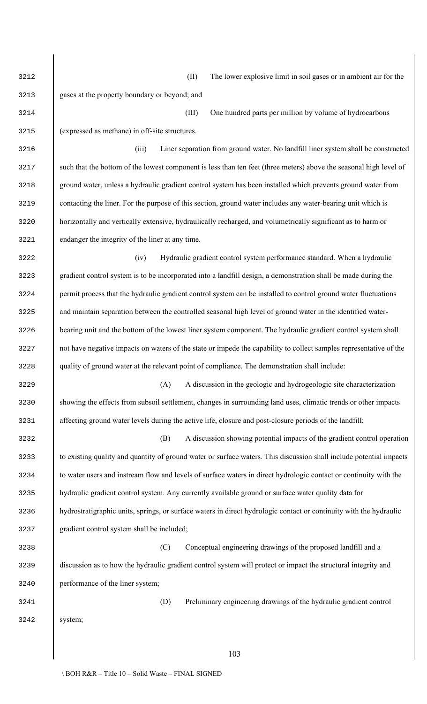(II) The lower explosive limit in soil gases or in ambient air for the

 gases at the property boundary or beyond; and (III) One hundred parts per million by volume of hydrocarbons (expressed as methane) in off-site structures. (iii) Liner separation from ground water. No landfill liner system shall be constructed such that the bottom of the lowest component is less than ten feet (three meters) above the seasonal high level of ground water, unless a hydraulic gradient control system has been installed which prevents ground water from contacting the liner. For the purpose of this section, ground water includes any water-bearing unit which is horizontally and vertically extensive, hydraulically recharged, and volumetrically significant as to harm or endanger the integrity of the liner at any time. (iv) Hydraulic gradient control system performance standard. When a hydraulic gradient control system is to be incorporated into a landfill design, a demonstration shall be made during the permit process that the hydraulic gradient control system can be installed to control ground water fluctuations and maintain separation between the controlled seasonal high level of ground water in the identified water-

 bearing unit and the bottom of the lowest liner system component. The hydraulic gradient control system shall 3227 hot have negative impacts on waters of the state or impede the capability to collect samples representative of the quality of ground water at the relevant point of compliance. The demonstration shall include:

 (A) A discussion in the geologic and hydrogeologic site characterization showing the effects from subsoil settlement, changes in surrounding land uses, climatic trends or other impacts affecting ground water levels during the active life, closure and post-closure periods of the landfill;

 (B) A discussion showing potential impacts of the gradient control operation to existing quality and quantity of ground water or surface waters. This discussion shall include potential impacts to water users and instream flow and levels of surface waters in direct hydrologic contact or continuity with the hydraulic gradient control system. Any currently available ground or surface water quality data for hydrostratigraphic units, springs, or surface waters in direct hydrologic contact or continuity with the hydraulic gradient control system shall be included;

 (C) Conceptual engineering drawings of the proposed landfill and a discussion as to how the hydraulic gradient control system will protect or impact the structural integrity and performance of the liner system;

(D) Preliminary engineering drawings of the hydraulic gradient control

system;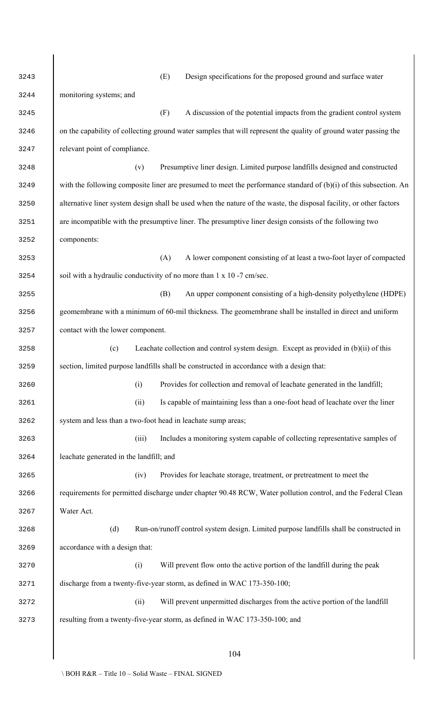| 3243 | (E)<br>Design specifications for the proposed ground and surface water                                              |
|------|---------------------------------------------------------------------------------------------------------------------|
| 3244 | monitoring systems; and                                                                                             |
| 3245 | (F)<br>A discussion of the potential impacts from the gradient control system                                       |
| 3246 | on the capability of collecting ground water samples that will represent the quality of ground water passing the    |
| 3247 | relevant point of compliance.                                                                                       |
| 3248 | Presumptive liner design. Limited purpose landfills designed and constructed<br>(v)                                 |
| 3249 | with the following composite liner are presumed to meet the performance standard of (b)(i) of this subsection. An   |
| 3250 | alternative liner system design shall be used when the nature of the waste, the disposal facility, or other factors |
| 3251 | are incompatible with the presumptive liner. The presumptive liner design consists of the following two             |
| 3252 | components:                                                                                                         |
| 3253 | A lower component consisting of at least a two-foot layer of compacted<br>(A)                                       |
| 3254 | soil with a hydraulic conductivity of no more than 1 x 10 -7 cm/sec.                                                |
| 3255 | (B)<br>An upper component consisting of a high-density polyethylene (HDPE)                                          |
| 3256 | geomembrane with a minimum of 60-mil thickness. The geomembrane shall be installed in direct and uniform            |
| 3257 | contact with the lower component.                                                                                   |
| 3258 | Leachate collection and control system design. Except as provided in (b)(ii) of this<br>(c)                         |
| 3259 | section, limited purpose landfills shall be constructed in accordance with a design that:                           |
| 3260 | Provides for collection and removal of leachate generated in the landfill;<br>(i)                                   |
| 3261 | Is capable of maintaining less than a one-foot head of leachate over the liner<br>(ii)                              |
| 3262 | system and less than a two-foot head in leachate sump areas;                                                        |
| 3263 | Includes a monitoring system capable of collecting representative samples of<br>(iii)                               |
| 3264 | leachate generated in the landfill; and                                                                             |
| 3265 | (iv)<br>Provides for leachate storage, treatment, or pretreatment to meet the                                       |
| 3266 | requirements for permitted discharge under chapter 90.48 RCW, Water pollution control, and the Federal Clean        |
| 3267 | Water Act.                                                                                                          |
| 3268 | (d)<br>Run-on/runoff control system design. Limited purpose landfills shall be constructed in                       |
| 3269 | accordance with a design that:                                                                                      |
| 3270 | Will prevent flow onto the active portion of the landfill during the peak<br>(i)                                    |
| 3271 | discharge from a twenty-five-year storm, as defined in WAC 173-350-100;                                             |
| 3272 | Will prevent unpermitted discharges from the active portion of the landfill<br>(ii)                                 |
| 3273 | resulting from a twenty-five-year storm, as defined in WAC 173-350-100; and                                         |
|      |                                                                                                                     |
|      | 104                                                                                                                 |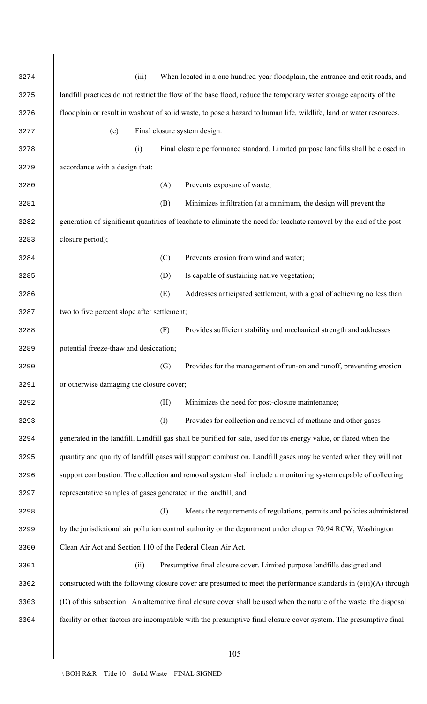| 3274 | When located in a one hundred-year floodplain, the entrance and exit roads, and<br>(iii)                            |
|------|---------------------------------------------------------------------------------------------------------------------|
| 3275 | landfill practices do not restrict the flow of the base flood, reduce the temporary water storage capacity of the   |
| 3276 | floodplain or result in washout of solid waste, to pose a hazard to human life, wildlife, land or water resources.  |
| 3277 | Final closure system design.<br>(e)                                                                                 |
| 3278 | (i)<br>Final closure performance standard. Limited purpose landfills shall be closed in                             |
| 3279 | accordance with a design that:                                                                                      |
| 3280 | Prevents exposure of waste;<br>(A)                                                                                  |
| 3281 | (B)<br>Minimizes infiltration (at a minimum, the design will prevent the                                            |
| 3282 | generation of significant quantities of leachate to eliminate the need for leachate removal by the end of the post- |
| 3283 | closure period);                                                                                                    |
| 3284 | Prevents erosion from wind and water;<br>(C)                                                                        |
| 3285 | Is capable of sustaining native vegetation;<br>(D)                                                                  |
| 3286 | (E)<br>Addresses anticipated settlement, with a goal of achieving no less than                                      |
| 3287 | two to five percent slope after settlement;                                                                         |
| 3288 | (F)<br>Provides sufficient stability and mechanical strength and addresses                                          |
| 3289 | potential freeze-thaw and desiccation;                                                                              |
| 3290 | Provides for the management of run-on and runoff, preventing erosion<br>(G)                                         |
| 3291 | or otherwise damaging the closure cover;                                                                            |
| 3292 | Minimizes the need for post-closure maintenance;<br>(H)                                                             |
| 3293 | (1)<br>Provides for collection and removal of methane and other gases                                               |
| 3294 | generated in the landfill. Landfill gas shall be purified for sale, used for its energy value, or flared when the   |
| 3295 | quantity and quality of landfill gases will support combustion. Landfill gases may be vented when they will not     |
| 3296 | support combustion. The collection and removal system shall include a monitoring system capable of collecting       |
| 3297 | representative samples of gases generated in the landfill; and                                                      |
| 3298 | Meets the requirements of regulations, permits and policies administered<br>$\left( J\right)$                       |
| 3299 | by the jurisdictional air pollution control authority or the department under chapter 70.94 RCW, Washington         |
| 3300 | Clean Air Act and Section 110 of the Federal Clean Air Act.                                                         |
| 3301 | Presumptive final closure cover. Limited purpose landfills designed and<br>(ii)                                     |
| 3302 | constructed with the following closure cover are presumed to meet the performance standards in $(e)(i)(A)$ through  |
| 3303 | (D) of this subsection. An alternative final closure cover shall be used when the nature of the waste, the disposal |
| 3304 | facility or other factors are incompatible with the presumptive final closure cover system. The presumptive final   |
|      |                                                                                                                     |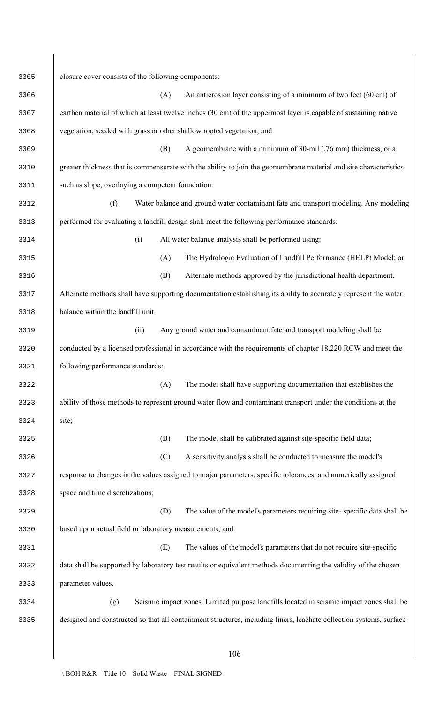| 3305 | closure cover consists of the following components:                                                                 |  |  |  |  |
|------|---------------------------------------------------------------------------------------------------------------------|--|--|--|--|
| 3306 | (A)<br>An antierosion layer consisting of a minimum of two feet (60 cm) of                                          |  |  |  |  |
| 3307 | earthen material of which at least twelve inches (30 cm) of the uppermost layer is capable of sustaining native     |  |  |  |  |
| 3308 | vegetation, seeded with grass or other shallow rooted vegetation; and                                               |  |  |  |  |
| 3309 | A geomembrane with a minimum of 30-mil (.76 mm) thickness, or a<br>(B)                                              |  |  |  |  |
| 3310 | greater thickness that is commensurate with the ability to join the geomembrane material and site characteristics   |  |  |  |  |
| 3311 | such as slope, overlaying a competent foundation.                                                                   |  |  |  |  |
| 3312 | (f)<br>Water balance and ground water contaminant fate and transport modeling. Any modeling                         |  |  |  |  |
| 3313 | performed for evaluating a landfill design shall meet the following performance standards:                          |  |  |  |  |
| 3314 | All water balance analysis shall be performed using:<br>(i)                                                         |  |  |  |  |
| 3315 | (A)<br>The Hydrologic Evaluation of Landfill Performance (HELP) Model; or                                           |  |  |  |  |
| 3316 | Alternate methods approved by the jurisdictional health department.<br>(B)                                          |  |  |  |  |
| 3317 | Alternate methods shall have supporting documentation establishing its ability to accurately represent the water    |  |  |  |  |
| 3318 | balance within the landfill unit.                                                                                   |  |  |  |  |
| 3319 | Any ground water and contaminant fate and transport modeling shall be<br>(ii)                                       |  |  |  |  |
| 3320 | conducted by a licensed professional in accordance with the requirements of chapter 18.220 RCW and meet the         |  |  |  |  |
| 3321 | following performance standards:                                                                                    |  |  |  |  |
| 3322 | (A)<br>The model shall have supporting documentation that establishes the                                           |  |  |  |  |
| 3323 | ability of those methods to represent ground water flow and contaminant transport under the conditions at the       |  |  |  |  |
| 3324 | site;                                                                                                               |  |  |  |  |
| 3325 | The model shall be calibrated against site-specific field data;<br>(B)                                              |  |  |  |  |
| 3326 | (C)<br>A sensitivity analysis shall be conducted to measure the model's                                             |  |  |  |  |
| 3327 | response to changes in the values assigned to major parameters, specific tolerances, and numerically assigned       |  |  |  |  |
| 3328 | space and time discretizations;                                                                                     |  |  |  |  |
| 3329 | (D)<br>The value of the model's parameters requiring site-specific data shall be                                    |  |  |  |  |
| 3330 | based upon actual field or laboratory measurements; and                                                             |  |  |  |  |
| 3331 | (E)<br>The values of the model's parameters that do not require site-specific                                       |  |  |  |  |
| 3332 | data shall be supported by laboratory test results or equivalent methods documenting the validity of the chosen     |  |  |  |  |
| 3333 | parameter values.                                                                                                   |  |  |  |  |
| 3334 | Seismic impact zones. Limited purpose landfills located in seismic impact zones shall be<br>(g)                     |  |  |  |  |
| 3335 | designed and constructed so that all containment structures, including liners, leachate collection systems, surface |  |  |  |  |
|      |                                                                                                                     |  |  |  |  |
|      | 106                                                                                                                 |  |  |  |  |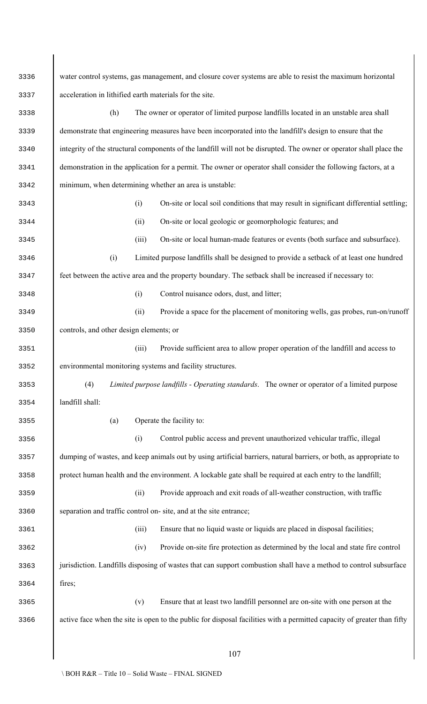| 3336 | water control systems, gas management, and closure cover systems are able to resist the maximum horizontal              |  |  |  |  |  |
|------|-------------------------------------------------------------------------------------------------------------------------|--|--|--|--|--|
| 3337 | acceleration in lithified earth materials for the site.                                                                 |  |  |  |  |  |
| 3338 | The owner or operator of limited purpose landfills located in an unstable area shall<br>(h)                             |  |  |  |  |  |
| 3339 | demonstrate that engineering measures have been incorporated into the landfill's design to ensure that the              |  |  |  |  |  |
| 3340 | integrity of the structural components of the landfill will not be disrupted. The owner or operator shall place the     |  |  |  |  |  |
| 3341 | demonstration in the application for a permit. The owner or operator shall consider the following factors, at a         |  |  |  |  |  |
| 3342 | minimum, when determining whether an area is unstable:                                                                  |  |  |  |  |  |
| 3343 | On-site or local soil conditions that may result in significant differential settling;<br>(i)                           |  |  |  |  |  |
| 3344 | On-site or local geologic or geomorphologic features; and<br>(ii)                                                       |  |  |  |  |  |
| 3345 | (iii)<br>On-site or local human-made features or events (both surface and subsurface).                                  |  |  |  |  |  |
| 3346 | Limited purpose landfills shall be designed to provide a setback of at least one hundred<br>(i)                         |  |  |  |  |  |
| 3347 | feet between the active area and the property boundary. The setback shall be increased if necessary to:                 |  |  |  |  |  |
| 3348 | Control nuisance odors, dust, and litter;<br>(i)                                                                        |  |  |  |  |  |
| 3349 | Provide a space for the placement of monitoring wells, gas probes, run-on/runoff<br>(ii)                                |  |  |  |  |  |
| 3350 | controls, and other design elements; or                                                                                 |  |  |  |  |  |
| 3351 | (iii)<br>Provide sufficient area to allow proper operation of the landfill and access to                                |  |  |  |  |  |
| 3352 | environmental monitoring systems and facility structures.                                                               |  |  |  |  |  |
| 3353 | (4)<br>Limited purpose landfills - Operating standards. The owner or operator of a limited purpose                      |  |  |  |  |  |
| 3354 | landfill shall:                                                                                                         |  |  |  |  |  |
| 3355 | Operate the facility to:<br>(a)                                                                                         |  |  |  |  |  |
| 3356 | Control public access and prevent unauthorized vehicular traffic, illegal<br>(i)                                        |  |  |  |  |  |
| 3357 | dumping of wastes, and keep animals out by using artificial barriers, natural barriers, or both, as appropriate to      |  |  |  |  |  |
| 3358 | protect human health and the environment. A lockable gate shall be required at each entry to the landfill;              |  |  |  |  |  |
| 3359 | Provide approach and exit roads of all-weather construction, with traffic<br>(ii)                                       |  |  |  |  |  |
| 3360 | separation and traffic control on-site, and at the site entrance;                                                       |  |  |  |  |  |
| 3361 | Ensure that no liquid waste or liquids are placed in disposal facilities;<br>(iii)                                      |  |  |  |  |  |
| 3362 | Provide on-site fire protection as determined by the local and state fire control<br>(iv)                               |  |  |  |  |  |
| 3363 | jurisdiction. Landfills disposing of wastes that can support combustion shall have a method to control subsurface       |  |  |  |  |  |
| 3364 | fires;                                                                                                                  |  |  |  |  |  |
| 3365 | Ensure that at least two landfill personnel are on-site with one person at the<br>(v)                                   |  |  |  |  |  |
| 3366 | active face when the site is open to the public for disposal facilities with a permitted capacity of greater than fifty |  |  |  |  |  |
|      |                                                                                                                         |  |  |  |  |  |
|      | 107                                                                                                                     |  |  |  |  |  |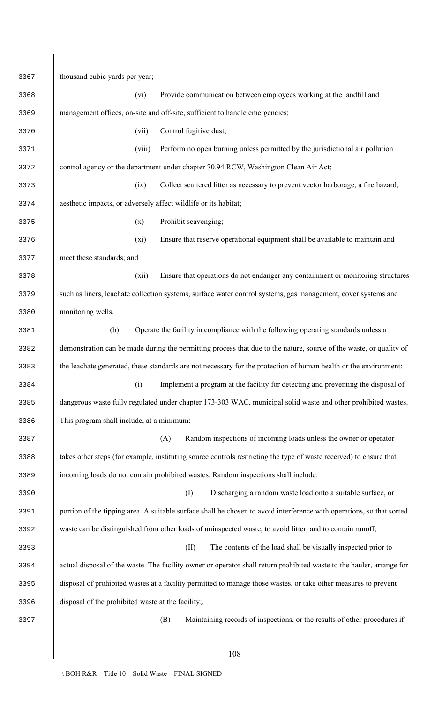thousand cubic yards per year; (vi) Provide communication between employees working at the landfill and management offices, on-site and off-site, sufficient to handle emergencies; (vii) Control fugitive dust; (viii) Perform no open burning unless permitted by the jurisdictional air pollution control agency or the department under chapter 70.94 RCW, Washington Clean Air Act; (ix) Collect scattered litter as necessary to prevent vector harborage, a fire hazard, aesthetic impacts, or adversely affect wildlife or its habitat; (x) Prohibit scavenging; (xi) Ensure that reserve operational equipment shall be available to maintain and meet these standards; and (xii) Ensure that operations do not endanger any containment or monitoring structures such as liners, leachate collection systems, surface water control systems, gas management, cover systems and monitoring wells. (b) Operate the facility in compliance with the following operating standards unless a demonstration can be made during the permitting process that due to the nature, source of the waste, or quality of the leachate generated, these standards are not necessary for the protection of human health or the environment: (i) Implement a program at the facility for detecting and preventing the disposal of dangerous waste fully regulated under chapter 173-303 WAC, municipal solid waste and other prohibited wastes. This program shall include, at a minimum: (A) Random inspections of incoming loads unless the owner or operator 3388 takes other steps (for example, instituting source controls restricting the type of waste received) to ensure that incoming loads do not contain prohibited wastes. Random inspections shall include: (I) Discharging a random waste load onto a suitable surface, or portion of the tipping area. A suitable surface shall be chosen to avoid interference with operations, so that sorted waste can be distinguished from other loads of uninspected waste, to avoid litter, and to contain runoff; (II) The contents of the load shall be visually inspected prior to actual disposal of the waste. The facility owner or operator shall return prohibited waste to the hauler, arrange for disposal of prohibited wastes at a facility permitted to manage those wastes, or take other measures to prevent disposal of the prohibited waste at the facility;. (B) Maintaining records of inspections, or the results of other procedures if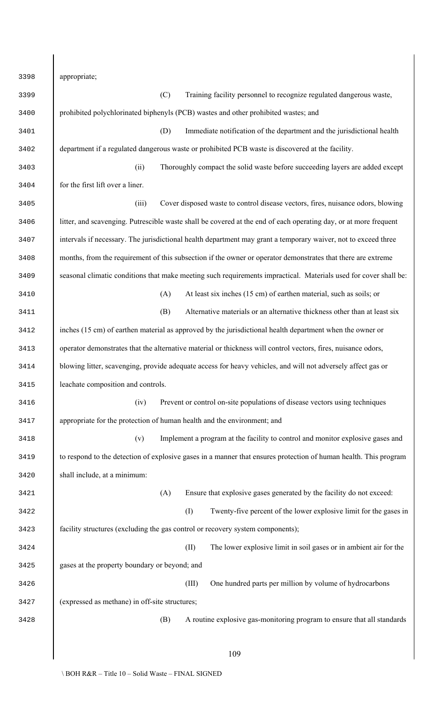| 3398 | appropriate;                                                                                                     |
|------|------------------------------------------------------------------------------------------------------------------|
| 3399 | (C)<br>Training facility personnel to recognize regulated dangerous waste,                                       |
| 3400 | prohibited polychlorinated biphenyls (PCB) wastes and other prohibited wastes; and                               |
| 3401 | (D)<br>Immediate notification of the department and the jurisdictional health                                    |
| 3402 | department if a regulated dangerous waste or prohibited PCB waste is discovered at the facility.                 |
| 3403 | Thoroughly compact the solid waste before succeeding layers are added except<br>(ii)                             |
| 3404 | for the first lift over a liner.                                                                                 |
| 3405 | Cover disposed waste to control disease vectors, fires, nuisance odors, blowing<br>(iii)                         |
| 3406 | litter, and scavenging. Putrescible waste shall be covered at the end of each operating day, or at more frequent |
| 3407 | intervals if necessary. The jurisdictional health department may grant a temporary waiver, not to exceed three   |
| 3408 | months, from the requirement of this subsection if the owner or operator demonstrates that there are extreme     |
| 3409 | seasonal climatic conditions that make meeting such requirements impractical. Materials used for cover shall be: |
| 3410 | At least six inches (15 cm) of earthen material, such as soils; or<br>(A)                                        |
| 3411 | Alternative materials or an alternative thickness other than at least six<br>(B)                                 |
| 3412 | inches (15 cm) of earthen material as approved by the jurisdictional health department when the owner or         |
| 3413 | operator demonstrates that the alternative material or thickness will control vectors, fires, nuisance odors,    |
| 3414 | blowing litter, scavenging, provide adequate access for heavy vehicles, and will not adversely affect gas or     |
| 3415 | leachate composition and controls.                                                                               |
| 3416 | Prevent or control on-site populations of disease vectors using techniques<br>(iv)                               |
| 3417 | appropriate for the protection of human health and the environment; and                                          |
| 3418 | (v)<br>Implement a program at the facility to control and monitor explosive gases and                            |
| 3419 | to respond to the detection of explosive gases in a manner that ensures protection of human health. This program |
| 3420 | shall include, at a minimum:                                                                                     |
| 3421 | Ensure that explosive gases generated by the facility do not exceed:<br>(A)                                      |
| 3422 | (1)<br>Twenty-five percent of the lower explosive limit for the gases in                                         |
| 3423 | facility structures (excluding the gas control or recovery system components);                                   |
| 3424 | (II)<br>The lower explosive limit in soil gases or in ambient air for the                                        |
| 3425 | gases at the property boundary or beyond; and                                                                    |
| 3426 | (III)<br>One hundred parts per million by volume of hydrocarbons                                                 |
| 3427 | (expressed as methane) in off-site structures;                                                                   |
| 3428 | A routine explosive gas-monitoring program to ensure that all standards<br>(B)                                   |
|      |                                                                                                                  |
|      | 109                                                                                                              |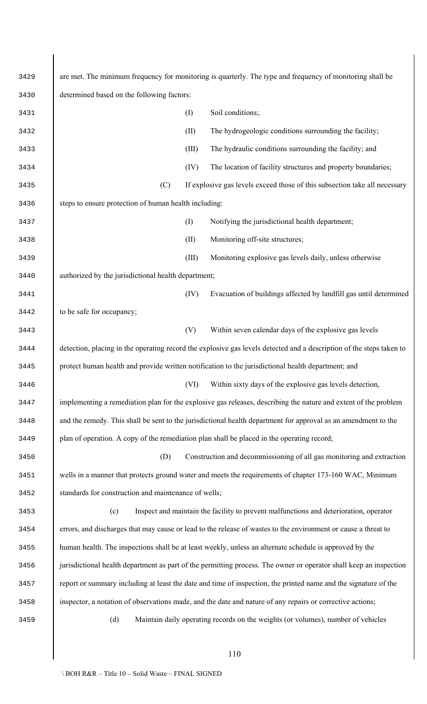| 3429 | are met. The minimum frequency for monitoring is quarterly. The type and frequency of monitoring shall be            |
|------|----------------------------------------------------------------------------------------------------------------------|
| 3430 | determined based on the following factors:                                                                           |
| 3431 | Soil conditions;.<br>(I)                                                                                             |
| 3432 | (II)<br>The hydrogeologic conditions surrounding the facility;                                                       |
| 3433 | The hydraulic conditions surrounding the facility; and<br>(III)                                                      |
| 3434 | (IV)<br>The location of facility structures and property boundaries;                                                 |
| 3435 | (C)<br>If explosive gas levels exceed those of this subsection take all necessary                                    |
| 3436 | steps to ensure protection of human health including:                                                                |
| 3437 | (I)<br>Notifying the jurisdictional health department;                                                               |
| 3438 | (II)<br>Monitoring off-site structures;                                                                              |
| 3439 | (III)<br>Monitoring explosive gas levels daily, unless otherwise                                                     |
| 3440 | authorized by the jurisdictional health department;                                                                  |
| 3441 | (IV)<br>Evacuation of buildings affected by landfill gas until determined                                            |
| 3442 | to be safe for occupancy;                                                                                            |
| 3443 | (V)<br>Within seven calendar days of the explosive gas levels                                                        |
| 3444 | detection, placing in the operating record the explosive gas levels detected and a description of the steps taken to |
| 3445 | protect human health and provide written notification to the jurisdictional health department; and                   |
| 3446 | Within sixty days of the explosive gas levels detection,<br>(VI)                                                     |
| 3447 | implementing a remediation plan for the explosive gas releases, describing the nature and extent of the problem      |
| 3448 | and the remedy. This shall be sent to the jurisdictional health department for approval as an amendment to the       |
| 3449 | plan of operation. A copy of the remediation plan shall be placed in the operating record;                           |
| 3450 | Construction and decommissioning of all gas monitoring and extraction<br>(D)                                         |
| 3451 | wells in a manner that protects ground water and meets the requirements of chapter 173-160 WAC, Minimum              |
| 3452 | standards for construction and maintenance of wells;                                                                 |
| 3453 | Inspect and maintain the facility to prevent malfunctions and deterioration, operator<br>(c)                         |
| 3454 | errors, and discharges that may cause or lead to the release of wastes to the environment or cause a threat to       |
| 3455 | human health. The inspections shall be at least weekly, unless an alternate schedule is approved by the              |
| 3456 | jurisdictional health department as part of the permitting process. The owner or operator shall keep an inspection   |
| 3457 | report or summary including at least the date and time of inspection, the printed name and the signature of the      |
| 3458 | inspector, a notation of observations made, and the date and nature of any repairs or corrective actions;            |
| 3459 | Maintain daily operating records on the weights (or volumes), number of vehicles<br>(d)                              |
|      |                                                                                                                      |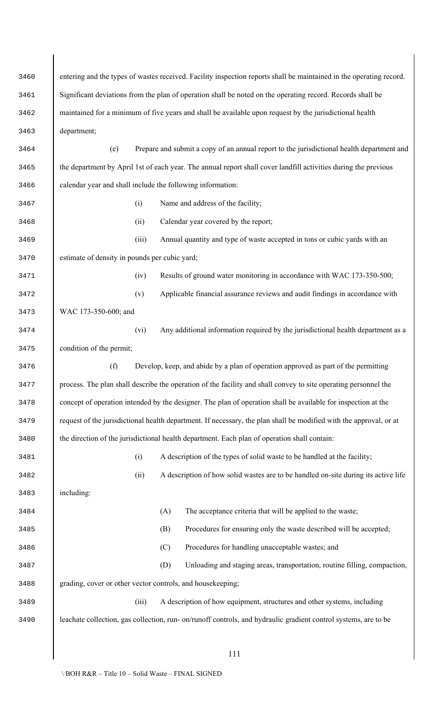| 3460 | entering and the types of wastes received. Facility inspection reports shall be maintained in the operating record. |  |  |  |  |  |
|------|---------------------------------------------------------------------------------------------------------------------|--|--|--|--|--|
| 3461 | Significant deviations from the plan of operation shall be noted on the operating record. Records shall be          |  |  |  |  |  |
| 3462 | maintained for a minimum of five years and shall be available upon request by the jurisdictional health             |  |  |  |  |  |
| 3463 | department;                                                                                                         |  |  |  |  |  |
| 3464 | Prepare and submit a copy of an annual report to the jurisdictional health department and<br>(e)                    |  |  |  |  |  |
| 3465 | the department by April 1st of each year. The annual report shall cover landfill activities during the previous     |  |  |  |  |  |
| 3466 | calendar year and shall include the following information:                                                          |  |  |  |  |  |
| 3467 | Name and address of the facility;<br>(i)                                                                            |  |  |  |  |  |
| 3468 | Calendar year covered by the report;<br>(ii)                                                                        |  |  |  |  |  |
| 3469 | (iii)<br>Annual quantity and type of waste accepted in tons or cubic yards with an                                  |  |  |  |  |  |
| 3470 | estimate of density in pounds per cubic yard;                                                                       |  |  |  |  |  |
| 3471 | Results of ground water monitoring in accordance with WAC 173-350-500;<br>(iv)                                      |  |  |  |  |  |
| 3472 | Applicable financial assurance reviews and audit findings in accordance with<br>(v)                                 |  |  |  |  |  |
| 3473 | WAC 173-350-600; and                                                                                                |  |  |  |  |  |
| 3474 | Any additional information required by the jurisdictional health department as a<br>(vi)                            |  |  |  |  |  |
| 3475 | condition of the permit;                                                                                            |  |  |  |  |  |
| 3476 | Develop, keep, and abide by a plan of operation approved as part of the permitting<br>(f)                           |  |  |  |  |  |
| 3477 | process. The plan shall describe the operation of the facility and shall convey to site operating personnel the     |  |  |  |  |  |
| 3478 | concept of operation intended by the designer. The plan of operation shall be available for inspection at the       |  |  |  |  |  |
| 3479 | request of the jurisdictional health department. If necessary, the plan shall be modified with the approval, or at  |  |  |  |  |  |
| 3480 | the direction of the jurisdictional health department. Each plan of operation shall contain:                        |  |  |  |  |  |
| 3481 | A description of the types of solid waste to be handled at the facility;<br>(i)                                     |  |  |  |  |  |
| 3482 | A description of how solid wastes are to be handled on-site during its active life<br>(ii)                          |  |  |  |  |  |
| 3483 | including:                                                                                                          |  |  |  |  |  |
| 3484 | The acceptance criteria that will be applied to the waste;<br>(A)                                                   |  |  |  |  |  |
| 3485 | Procedures for ensuring only the waste described will be accepted;<br>(B)                                           |  |  |  |  |  |
| 3486 | (C)<br>Procedures for handling unacceptable wastes; and                                                             |  |  |  |  |  |
| 3487 | (D)<br>Unloading and staging areas, transportation, routine filling, compaction,                                    |  |  |  |  |  |
| 3488 | grading, cover or other vector controls, and housekeeping;                                                          |  |  |  |  |  |
| 3489 | (iii)<br>A description of how equipment, structures and other systems, including                                    |  |  |  |  |  |
| 3490 | leachate collection, gas collection, run- on/runoff controls, and hydraulic gradient control systems, are to be     |  |  |  |  |  |
|      |                                                                                                                     |  |  |  |  |  |
|      | 111                                                                                                                 |  |  |  |  |  |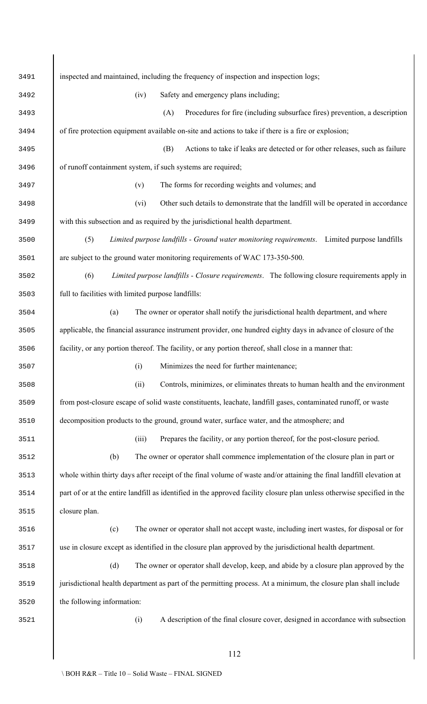| 3491 | inspected and maintained, including the frequency of inspection and inspection logs;                                    |  |  |  |  |  |
|------|-------------------------------------------------------------------------------------------------------------------------|--|--|--|--|--|
| 3492 | Safety and emergency plans including;<br>(iv)                                                                           |  |  |  |  |  |
| 3493 | Procedures for fire (including subsurface fires) prevention, a description<br>(A)                                       |  |  |  |  |  |
| 3494 | of fire protection equipment available on-site and actions to take if there is a fire or explosion;                     |  |  |  |  |  |
| 3495 | Actions to take if leaks are detected or for other releases, such as failure<br>(B)                                     |  |  |  |  |  |
| 3496 | of runoff containment system, if such systems are required;                                                             |  |  |  |  |  |
| 3497 | The forms for recording weights and volumes; and<br>(v)                                                                 |  |  |  |  |  |
| 3498 | Other such details to demonstrate that the landfill will be operated in accordance<br>(vi)                              |  |  |  |  |  |
| 3499 | with this subsection and as required by the jurisdictional health department.                                           |  |  |  |  |  |
| 3500 | Limited purpose landfills - Ground water monitoring requirements. Limited purpose landfills<br>(5)                      |  |  |  |  |  |
| 3501 | are subject to the ground water monitoring requirements of WAC 173-350-500.                                             |  |  |  |  |  |
| 3502 | Limited purpose landfills - Closure requirements. The following closure requirements apply in<br>(6)                    |  |  |  |  |  |
| 3503 | full to facilities with limited purpose landfills:                                                                      |  |  |  |  |  |
| 3504 | The owner or operator shall notify the jurisdictional health department, and where<br>(a)                               |  |  |  |  |  |
| 3505 | applicable, the financial assurance instrument provider, one hundred eighty days in advance of closure of the           |  |  |  |  |  |
| 3506 | facility, or any portion thereof. The facility, or any portion thereof, shall close in a manner that:                   |  |  |  |  |  |
| 3507 | (i) Minimizes the need for further maintenance;                                                                         |  |  |  |  |  |
| 3508 | (ii)<br>Controls, minimizes, or eliminates threats to human health and the environment                                  |  |  |  |  |  |
| 3509 | from post-closure escape of solid waste constituents, leachate, landfill gases, contaminated runoff, or waste           |  |  |  |  |  |
| 3510 | decomposition products to the ground, ground water, surface water, and the atmosphere; and                              |  |  |  |  |  |
| 3511 | Prepares the facility, or any portion thereof, for the post-closure period.<br>(iii)                                    |  |  |  |  |  |
| 3512 | The owner or operator shall commence implementation of the closure plan in part or<br>(b)                               |  |  |  |  |  |
| 3513 | whole within thirty days after receipt of the final volume of waste and/or attaining the final landfill elevation at    |  |  |  |  |  |
| 3514 | part of or at the entire landfill as identified in the approved facility closure plan unless otherwise specified in the |  |  |  |  |  |
| 3515 | closure plan.                                                                                                           |  |  |  |  |  |
| 3516 | (c)<br>The owner or operator shall not accept waste, including inert wastes, for disposal or for                        |  |  |  |  |  |
| 3517 | use in closure except as identified in the closure plan approved by the jurisdictional health department.               |  |  |  |  |  |
| 3518 | (d)<br>The owner or operator shall develop, keep, and abide by a closure plan approved by the                           |  |  |  |  |  |
| 3519 | jurisdictional health department as part of the permitting process. At a minimum, the closure plan shall include        |  |  |  |  |  |
| 3520 | the following information:                                                                                              |  |  |  |  |  |
| 3521 | (i)<br>A description of the final closure cover, designed in accordance with subsection                                 |  |  |  |  |  |
|      |                                                                                                                         |  |  |  |  |  |
|      | 112                                                                                                                     |  |  |  |  |  |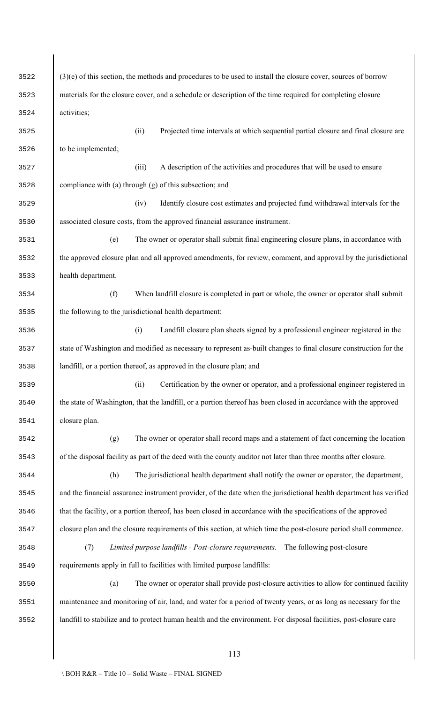| 3522 | $(3)(e)$ of this section, the methods and procedures to be used to install the closure cover, sources of borrow     |
|------|---------------------------------------------------------------------------------------------------------------------|
| 3523 | materials for the closure cover, and a schedule or description of the time required for completing closure          |
| 3524 | activities;                                                                                                         |
| 3525 | Projected time intervals at which sequential partial closure and final closure are<br>(ii)                          |
| 3526 | to be implemented;                                                                                                  |
| 3527 | A description of the activities and procedures that will be used to ensure<br>(iii)                                 |
| 3528 | compliance with (a) through (g) of this subsection; and                                                             |
| 3529 | Identify closure cost estimates and projected fund withdrawal intervals for the<br>(iv)                             |
| 3530 | associated closure costs, from the approved financial assurance instrument.                                         |
| 3531 | The owner or operator shall submit final engineering closure plans, in accordance with<br>(e)                       |
| 3532 | the approved closure plan and all approved amendments, for review, comment, and approval by the jurisdictional      |
| 3533 | health department.                                                                                                  |
| 3534 | (f)<br>When landfill closure is completed in part or whole, the owner or operator shall submit                      |
| 3535 | the following to the jurisdictional health department:                                                              |
| 3536 | Landfill closure plan sheets signed by a professional engineer registered in the<br>(i)                             |
| 3537 | state of Washington and modified as necessary to represent as-built changes to final closure construction for the   |
| 3538 | landfill, or a portion thereof, as approved in the closure plan; and                                                |
| 3539 | Certification by the owner or operator, and a professional engineer registered in<br>(ii)                           |
| 3540 | the state of Washington, that the landfill, or a portion thereof has been closed in accordance with the approved    |
| 3541 | closure plan.                                                                                                       |
| 3542 | The owner or operator shall record maps and a statement of fact concerning the location<br>(g)                      |
| 3543 | of the disposal facility as part of the deed with the county auditor not later than three months after closure.     |
| 3544 | (h)<br>The jurisdictional health department shall notify the owner or operator, the department,                     |
| 3545 | and the financial assurance instrument provider, of the date when the jurisdictional health department has verified |
| 3546 | that the facility, or a portion thereof, has been closed in accordance with the specifications of the approved      |
| 3547 | closure plan and the closure requirements of this section, at which time the post-closure period shall commence.    |
| 3548 | Limited purpose landfills - Post-closure requirements. The following post-closure<br>(7)                            |
| 3549 | requirements apply in full to facilities with limited purpose landfills:                                            |
| 3550 | The owner or operator shall provide post-closure activities to allow for continued facility<br>(a)                  |
| 3551 | maintenance and monitoring of air, land, and water for a period of twenty years, or as long as necessary for the    |
| 3552 | landfill to stabilize and to protect human health and the environment. For disposal facilities, post-closure care   |
|      |                                                                                                                     |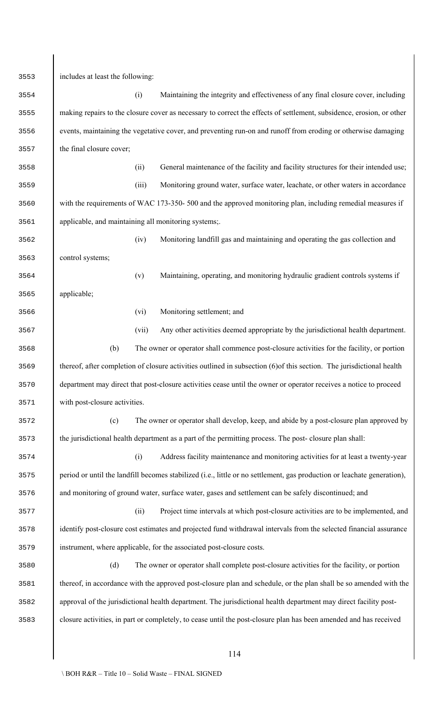includes at least the following: (i) Maintaining the integrity and effectiveness of any final closure cover, including making repairs to the closure cover as necessary to correct the effects of settlement, subsidence, erosion, or other events, maintaining the vegetative cover, and preventing run-on and runoff from eroding or otherwise damaging the final closure cover; (ii) General maintenance of the facility and facility structures for their intended use; (iii) Monitoring ground water, surface water, leachate, or other waters in accordance with the requirements of WAC 173-350- 500 and the approved monitoring plan, including remedial measures if applicable, and maintaining all monitoring systems;. (iv) Monitoring landfill gas and maintaining and operating the gas collection and control systems; (v) Maintaining, operating, and monitoring hydraulic gradient controls systems if applicable; (vi) Monitoring settlement; and (vii) Any other activities deemed appropriate by the jurisdictional health department. (b) The owner or operator shall commence post-closure activities for the facility, or portion thereof, after completion of closure activities outlined in subsection (6)of this section. The jurisdictional health department may direct that post-closure activities cease until the owner or operator receives a notice to proceed with post-closure activities. (c) The owner or operator shall develop, keep, and abide by a post-closure plan approved by the jurisdictional health department as a part of the permitting process. The post- closure plan shall: (i) Address facility maintenance and monitoring activities for at least a twenty-year period or until the landfill becomes stabilized (i.e., little or no settlement, gas production or leachate generation), and monitoring of ground water, surface water, gases and settlement can be safely discontinued; and (ii) Project time intervals at which post-closure activities are to be implemented, and identify post-closure cost estimates and projected fund withdrawal intervals from the selected financial assurance instrument, where applicable, for the associated post-closure costs. (d) The owner or operator shall complete post-closure activities for the facility, or portion thereof, in accordance with the approved post-closure plan and schedule, or the plan shall be so amended with the approval of the jurisdictional health department. The jurisdictional health department may direct facility post-closure activities, in part or completely, to cease until the post-closure plan has been amended and has received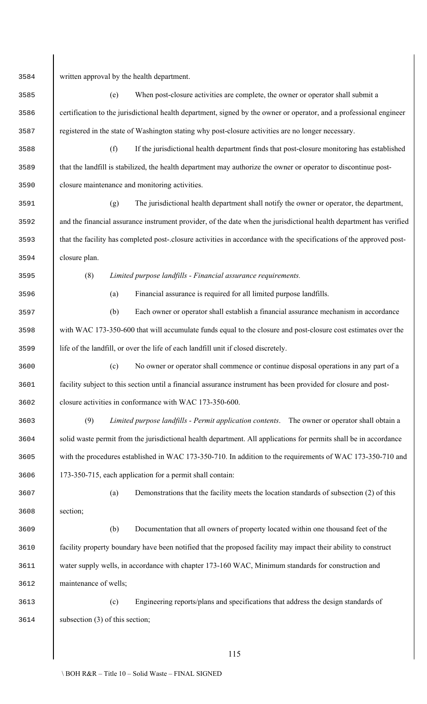written approval by the health department. (e) When post-closure activities are complete, the owner or operator shall submit a certification to the jurisdictional health department, signed by the owner or operator, and a professional engineer registered in the state of Washington stating why post-closure activities are no longer necessary. (f) If the jurisdictional health department finds that post-closure monitoring has established that the landfill is stabilized, the health department may authorize the owner or operator to discontinue post- closure maintenance and monitoring activities. (g) The jurisdictional health department shall notify the owner or operator, the department, and the financial assurance instrument provider, of the date when the jurisdictional health department has verified that the facility has completed post-.closure activities in accordance with the specifications of the approved post- closure plan. (8) *Limited purpose landfills - Financial assurance requirements.* (a) Financial assurance is required for all limited purpose landfills. (b) Each owner or operator shall establish a financial assurance mechanism in accordance 3598 with WAC 173-350-600 that will accumulate funds equal to the closure and post-closure cost estimates over the life of the landfill, or over the life of each landfill unit if closed discretely. (c) No owner or operator shall commence or continue disposal operations in any part of a facility subject to this section until a financial assurance instrument has been provided for closure and post- closure activities in conformance with WAC 173-350-600. (9) *Limited purpose landfills - Permit application contents*. The owner or operator shall obtain a solid waste permit from the jurisdictional health department. All applications for permits shall be in accordance with the procedures established in WAC 173-350-710. In addition to the requirements of WAC 173-350-710 and 173-350-715, each application for a permit shall contain: (a) Demonstrations that the facility meets the location standards of subsection (2) of this section; (b) Documentation that all owners of property located within one thousand feet of the facility property boundary have been notified that the proposed facility may impact their ability to construct water supply wells, in accordance with chapter 173-160 WAC, Minimum standards for construction and maintenance of wells; (c) Engineering reports/plans and specifications that address the design standards of subsection (3) of this section;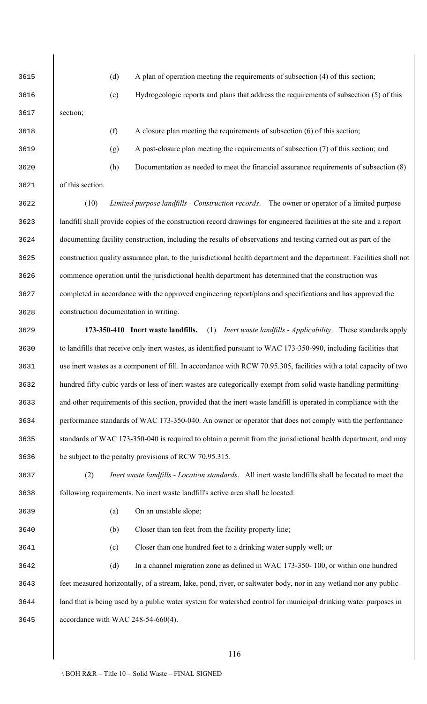section;

(d) A plan of operation meeting the requirements of subsection (4) of this section;

(e) Hydrogeologic reports and plans that address the requirements of subsection (5) of this

 (f) A closure plan meeting the requirements of subsection (6) of this section; (g) A post-closure plan meeting the requirements of subsection (7) of this section; and (h) Documentation as needed to meet the financial assurance requirements of subsection (8)

of this section.

 (10) *Limited purpose landfills - Construction records*. The owner or operator of a limited purpose landfill shall provide copies of the construction record drawings for engineered facilities at the site and a report documenting facility construction, including the results of observations and testing carried out as part of the construction quality assurance plan, to the jurisdictional health department and the department. Facilities shall not commence operation until the jurisdictional health department has determined that the construction was completed in accordance with the approved engineering report/plans and specifications and has approved the construction documentation in writing.

 **173-350-410 Inert waste landfills.** (1) *Inert waste landfills - Applicability*. These standards apply to landfills that receive only inert wastes, as identified pursuant to WAC 173-350-990, including facilities that use inert wastes as a component of fill. In accordance with RCW 70.95.305, facilities with a total capacity of two hundred fifty cubic yards or less of inert wastes are categorically exempt from solid waste handling permitting and other requirements of this section, provided that the inert waste landfill is operated in compliance with the performance standards of WAC 173-350-040. An owner or operator that does not comply with the performance standards of WAC 173-350-040 is required to obtain a permit from the jurisdictional health department, and may be subject to the penalty provisions of RCW 70.95.315.

 (2) *Inert waste landfills - Location standards*. All inert waste landfills shall be located to meet the following requirements. No inert waste landfill's active area shall be located:

- (a) On an unstable slope;
- (b) Closer than ten feet from the facility property line;

(c) Closer than one hundred feet to a drinking water supply well; or

 (d) In a channel migration zone as defined in WAC 173-350- 100, or within one hundred feet measured horizontally, of a stream, lake, pond, river, or saltwater body, nor in any wetland nor any public land that is being used by a public water system for watershed control for municipal drinking water purposes in accordance with WAC 248-54-660(4).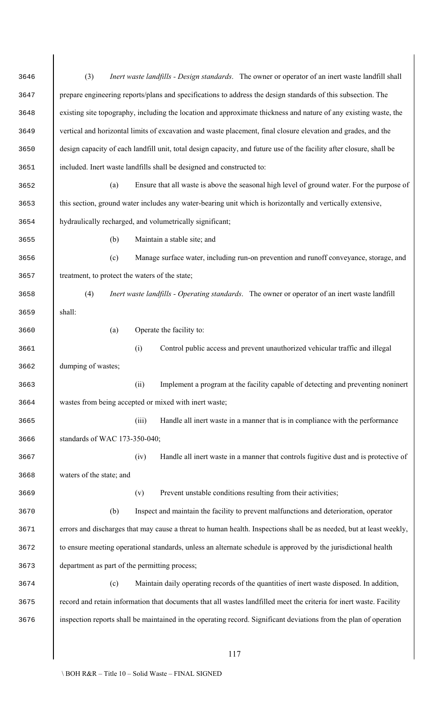| 3646 | (3)<br><i>Inert waste landfills - Design standards.</i> The owner or operator of an inert waste landfill shall       |  |  |  |  |  |  |  |
|------|----------------------------------------------------------------------------------------------------------------------|--|--|--|--|--|--|--|
| 3647 | prepare engineering reports/plans and specifications to address the design standards of this subsection. The         |  |  |  |  |  |  |  |
| 3648 | existing site topography, including the location and approximate thickness and nature of any existing waste, the     |  |  |  |  |  |  |  |
| 3649 | vertical and horizontal limits of excavation and waste placement, final closure elevation and grades, and the        |  |  |  |  |  |  |  |
| 3650 | design capacity of each landfill unit, total design capacity, and future use of the facility after closure, shall be |  |  |  |  |  |  |  |
| 3651 | included. Inert waste landfills shall be designed and constructed to:                                                |  |  |  |  |  |  |  |
| 3652 | Ensure that all waste is above the seasonal high level of ground water. For the purpose of<br>(a)                    |  |  |  |  |  |  |  |
| 3653 | this section, ground water includes any water-bearing unit which is horizontally and vertically extensive,           |  |  |  |  |  |  |  |
| 3654 | hydraulically recharged, and volumetrically significant;                                                             |  |  |  |  |  |  |  |
| 3655 | Maintain a stable site; and<br>(b)                                                                                   |  |  |  |  |  |  |  |
| 3656 | Manage surface water, including run-on prevention and runoff conveyance, storage, and<br>(c)                         |  |  |  |  |  |  |  |
| 3657 | treatment, to protect the waters of the state;                                                                       |  |  |  |  |  |  |  |
| 3658 | (4)<br><i>Inert waste landfills - Operating standards.</i> The owner or operator of an inert waste landfill          |  |  |  |  |  |  |  |
| 3659 | shall:                                                                                                               |  |  |  |  |  |  |  |
| 3660 | Operate the facility to:<br>(a)                                                                                      |  |  |  |  |  |  |  |
| 3661 | Control public access and prevent unauthorized vehicular traffic and illegal<br>(i)                                  |  |  |  |  |  |  |  |
| 3662 | dumping of wastes;                                                                                                   |  |  |  |  |  |  |  |
| 3663 | Implement a program at the facility capable of detecting and preventing noninert<br>(ii)                             |  |  |  |  |  |  |  |
| 3664 | wastes from being accepted or mixed with inert waste;                                                                |  |  |  |  |  |  |  |
| 3665 | Handle all inert waste in a manner that is in compliance with the performance<br>(iii)                               |  |  |  |  |  |  |  |
| 3666 | standards of WAC 173-350-040;                                                                                        |  |  |  |  |  |  |  |
| 3667 | Handle all inert waste in a manner that controls fugitive dust and is protective of<br>(iv)                          |  |  |  |  |  |  |  |
| 3668 | waters of the state; and                                                                                             |  |  |  |  |  |  |  |
| 3669 | Prevent unstable conditions resulting from their activities;<br>(v)                                                  |  |  |  |  |  |  |  |
| 3670 | Inspect and maintain the facility to prevent malfunctions and deterioration, operator<br>(b)                         |  |  |  |  |  |  |  |
| 3671 | errors and discharges that may cause a threat to human health. Inspections shall be as needed, but at least weekly,  |  |  |  |  |  |  |  |
| 3672 | to ensure meeting operational standards, unless an alternate schedule is approved by the jurisdictional health       |  |  |  |  |  |  |  |
| 3673 | department as part of the permitting process;                                                                        |  |  |  |  |  |  |  |
| 3674 | (c)<br>Maintain daily operating records of the quantities of inert waste disposed. In addition,                      |  |  |  |  |  |  |  |
| 3675 | record and retain information that documents that all wastes landfilled meet the criteria for inert waste. Facility  |  |  |  |  |  |  |  |
| 3676 | inspection reports shall be maintained in the operating record. Significant deviations from the plan of operation    |  |  |  |  |  |  |  |
|      |                                                                                                                      |  |  |  |  |  |  |  |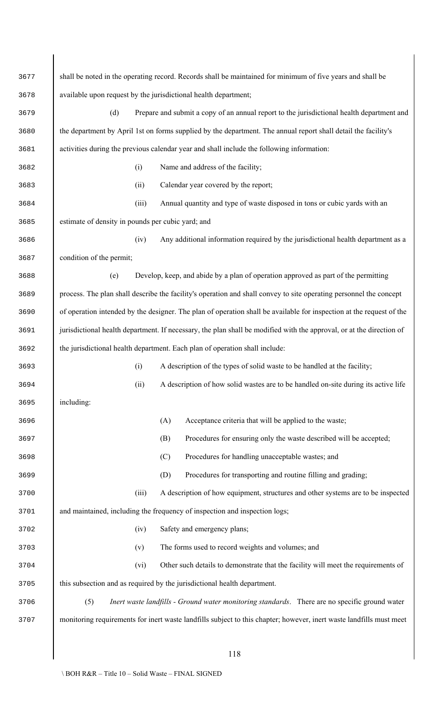| 3677 |                                                   |       | shall be noted in the operating record. Records shall be maintained for minimum of five years and shall be           |
|------|---------------------------------------------------|-------|----------------------------------------------------------------------------------------------------------------------|
| 3678 |                                                   |       | available upon request by the jurisdictional health department;                                                      |
| 3679 | (d)                                               |       | Prepare and submit a copy of an annual report to the jurisdictional health department and                            |
| 3680 |                                                   |       | the department by April 1st on forms supplied by the department. The annual report shall detail the facility's       |
| 3681 |                                                   |       | activities during the previous calendar year and shall include the following information:                            |
| 3682 |                                                   | (i)   | Name and address of the facility;                                                                                    |
| 3683 |                                                   | (ii)  | Calendar year covered by the report;                                                                                 |
| 3684 |                                                   | (iii) | Annual quantity and type of waste disposed in tons or cubic yards with an                                            |
| 3685 | estimate of density in pounds per cubic yard; and |       |                                                                                                                      |
| 3686 |                                                   | (iv)  | Any additional information required by the jurisdictional health department as a                                     |
| 3687 | condition of the permit;                          |       |                                                                                                                      |
| 3688 | (e)                                               |       | Develop, keep, and abide by a plan of operation approved as part of the permitting                                   |
| 3689 |                                                   |       | process. The plan shall describe the facility's operation and shall convey to site operating personnel the concept   |
| 3690 |                                                   |       | of operation intended by the designer. The plan of operation shall be available for inspection at the request of the |
| 3691 |                                                   |       | jurisdictional health department. If necessary, the plan shall be modified with the approval, or at the direction of |
| 3692 |                                                   |       | the jurisdictional health department. Each plan of operation shall include:                                          |
| 3693 |                                                   | (i)   | A description of the types of solid waste to be handled at the facility;                                             |
| 3694 |                                                   | (ii)  | A description of how solid wastes are to be handled on-site during its active life                                   |
| 3695 | including:                                        |       |                                                                                                                      |
| 3696 |                                                   |       | (A)<br>Acceptance criteria that will be applied to the waste;                                                        |
| 3697 |                                                   |       | Procedures for ensuring only the waste described will be accepted;<br>(B)                                            |
| 3698 |                                                   |       | Procedures for handling unacceptable wastes; and<br>(C)                                                              |
| 3699 |                                                   |       | (D)<br>Procedures for transporting and routine filling and grading;                                                  |
| 3700 |                                                   | (iii) | A description of how equipment, structures and other systems are to be inspected                                     |
| 3701 |                                                   |       | and maintained, including the frequency of inspection and inspection logs;                                           |
| 3702 |                                                   | (iv)  | Safety and emergency plans;                                                                                          |
| 3703 |                                                   | (v)   | The forms used to record weights and volumes; and                                                                    |
| 3704 |                                                   | (vi)  | Other such details to demonstrate that the facility will meet the requirements of                                    |
| 3705 |                                                   |       | this subsection and as required by the jurisdictional health department.                                             |
| 3706 | (5)                                               |       | Inert waste landfills - Ground water monitoring standards. There are no specific ground water                        |
| 3707 |                                                   |       | monitoring requirements for inert waste landfills subject to this chapter; however, inert waste landfills must meet  |
|      |                                                   |       |                                                                                                                      |
|      |                                                   |       | 118                                                                                                                  |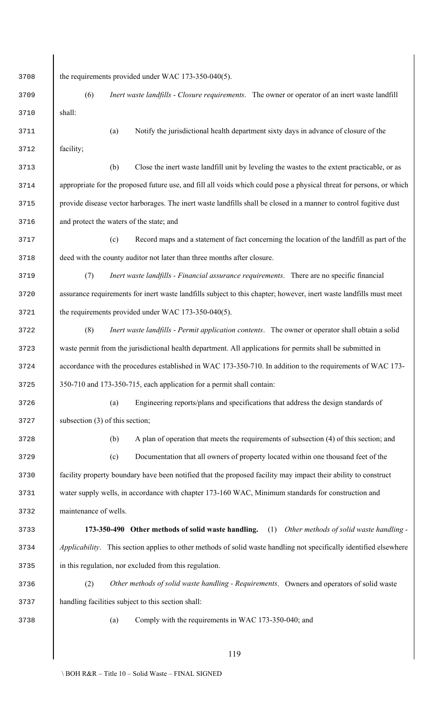| 3708 | the requirements provided under WAC 173-350-040(5).                                                                  |
|------|----------------------------------------------------------------------------------------------------------------------|
| 3709 | <i>Inert waste landfills - Closure requirements.</i> The owner or operator of an inert waste landfill<br>(6)         |
| 3710 | shall:                                                                                                               |
| 3711 | Notify the jurisdictional health department sixty days in advance of closure of the<br>(a)                           |
| 3712 | facility;                                                                                                            |
| 3713 | Close the inert waste landfill unit by leveling the wastes to the extent practicable, or as<br>(b)                   |
| 3714 | appropriate for the proposed future use, and fill all voids which could pose a physical threat for persons, or which |
| 3715 | provide disease vector harborages. The inert waste landfills shall be closed in a manner to control fugitive dust    |
| 3716 | and protect the waters of the state; and                                                                             |
| 3717 | Record maps and a statement of fact concerning the location of the landfill as part of the<br>(c)                    |
| 3718 | deed with the county auditor not later than three months after closure.                                              |
| 3719 | Inert waste landfills - Financial assurance requirements. There are no specific financial<br>(7)                     |
| 3720 | assurance requirements for inert waste landfills subject to this chapter; however, inert waste landfills must meet   |
| 3721 | the requirements provided under WAC 173-350-040(5).                                                                  |
| 3722 | (8)<br>Inert waste landfills - Permit application contents. The owner or operator shall obtain a solid               |
| 3723 | waste permit from the jurisdictional health department. All applications for permits shall be submitted in           |
| 3724 | accordance with the procedures established in WAC 173-350-710. In addition to the requirements of WAC 173-           |
| 3725 | 350-710 and 173-350-715, each application for a permit shall contain:                                                |
| 3726 | Engineering reports/plans and specifications that address the design standards of<br>(a)                             |
| 3727 | subsection $(3)$ of this section;                                                                                    |
| 3728 | A plan of operation that meets the requirements of subsection (4) of this section; and<br>(b)                        |
| 3729 | Documentation that all owners of property located within one thousand feet of the<br>(c)                             |
| 3730 | facility property boundary have been notified that the proposed facility may impact their ability to construct       |
| 3731 | water supply wells, in accordance with chapter 173-160 WAC, Minimum standards for construction and                   |
| 3732 | maintenance of wells.                                                                                                |
| 3733 | 173-350-490 Other methods of solid waste handling.<br>Other methods of solid waste handling -<br>(1)                 |
| 3734 | Applicability. This section applies to other methods of solid waste handling not specifically identified elsewhere   |
| 3735 | in this regulation, nor excluded from this regulation.                                                               |
| 3736 | (2)<br>Other methods of solid waste handling - Requirements. Owners and operators of solid waste                     |
| 3737 | handling facilities subject to this section shall:                                                                   |
| 3738 | Comply with the requirements in WAC 173-350-040; and<br>(a)                                                          |
|      |                                                                                                                      |
|      | 119                                                                                                                  |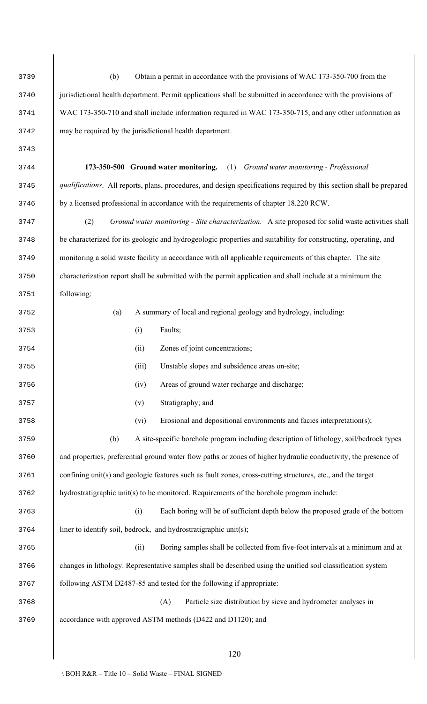jurisdictional health department. Permit applications shall be submitted in accordance with the provisions of WAC 173-350-710 and shall include information required in WAC 173-350-715, and any other information as may be required by the jurisdictional health department. **173-350-500 Ground water monitoring.** (1) *Ground water monitoring - Professional qualifications*. All reports, plans, procedures, and design specifications required by this section shall be prepared by a licensed professional in accordance with the requirements of chapter 18.220 RCW. (2) *Ground water monitoring - Site characterization*. A site proposed for solid waste activities shall be characterized for its geologic and hydrogeologic properties and suitability for constructing, operating, and monitoring a solid waste facility in accordance with all applicable requirements of this chapter. The site characterization report shall be submitted with the permit application and shall include at a minimum the following: (a) A summary of local and regional geology and hydrology, including: (i) Faults; (ii) Zones of joint concentrations; (iii) Unstable slopes and subsidence areas on-site; (iv) Areas of ground water recharge and discharge; (v) Stratigraphy; and (vi) Erosional and depositional environments and facies interpretation(s); (b) A site-specific borehole program including description of lithology, soil/bedrock types and properties, preferential ground water flow paths or zones of higher hydraulic conductivity, the presence of 3761 confining unit(s) and geologic features such as fault zones, cross-cutting structures, etc., and the target hydrostratigraphic unit(s) to be monitored. Requirements of the borehole program include: (i) Each boring will be of sufficient depth below the proposed grade of the bottom 3764 liner to identify soil, bedrock, and hydrostratigraphic unit(s); (ii) Boring samples shall be collected from five-foot intervals at a minimum and at changes in lithology. Representative samples shall be described using the unified soil classification system following ASTM D2487-85 and tested for the following if appropriate: (A) Particle size distribution by sieve and hydrometer analyses in accordance with approved ASTM methods (D422 and D1120); and

(b) Obtain a permit in accordance with the provisions of WAC 173-350-700 from the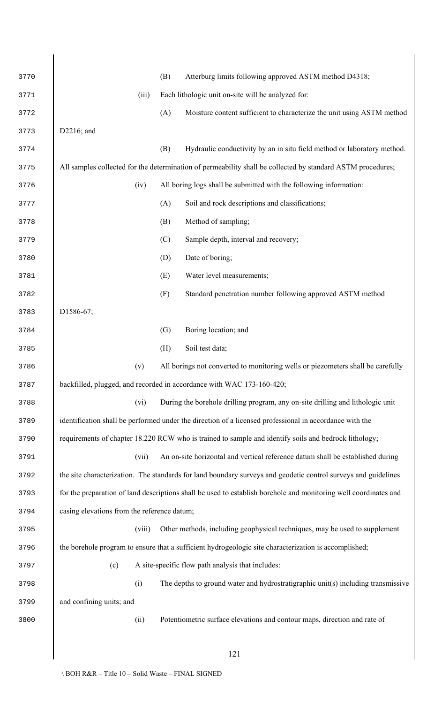| 3770 |                                             | (B) | Atterburg limits following approved ASTM method D4318;                                                           |
|------|---------------------------------------------|-----|------------------------------------------------------------------------------------------------------------------|
| 3771 | (iii)                                       |     | Each lithologic unit on-site will be analyzed for:                                                               |
| 3772 |                                             | (A) | Moisture content sufficient to characterize the unit using ASTM method                                           |
| 3773 | D2216; and                                  |     |                                                                                                                  |
| 3774 |                                             | (B) | Hydraulic conductivity by an in situ field method or laboratory method.                                          |
| 3775 |                                             |     | All samples collected for the determination of permeability shall be collected by standard ASTM procedures;      |
| 3776 | (iv)                                        |     | All boring logs shall be submitted with the following information:                                               |
| 3777 |                                             | (A) | Soil and rock descriptions and classifications;                                                                  |
| 3778 |                                             | (B) | Method of sampling;                                                                                              |
| 3779 |                                             | (C) | Sample depth, interval and recovery;                                                                             |
| 3780 |                                             | (D) | Date of boring;                                                                                                  |
| 3781 |                                             | (E) | Water level measurements;                                                                                        |
| 3782 |                                             | (F) | Standard penetration number following approved ASTM method                                                       |
| 3783 | D1586-67;                                   |     |                                                                                                                  |
| 3784 |                                             | (G) | Boring location; and                                                                                             |
| 3785 |                                             | (H) | Soil test data;                                                                                                  |
| 3786 | (v)                                         |     | All borings not converted to monitoring wells or piezometers shall be carefully                                  |
| 3787 |                                             |     | backfilled, plugged, and recorded in accordance with WAC 173-160-420;                                            |
| 3788 | (vi)                                        |     | During the borehole drilling program, any on-site drilling and lithologic unit                                   |
| 3789 |                                             |     | identification shall be performed under the direction of a licensed professional in accordance with the          |
| 3790 |                                             |     | requirements of chapter 18.220 RCW who is trained to sample and identify soils and bedrock lithology;            |
| 3791 | (vii)                                       |     | An on-site horizontal and vertical reference datum shall be established during                                   |
| 3792 |                                             |     | the site characterization. The standards for land boundary surveys and geodetic control surveys and guidelines   |
| 3793 |                                             |     | for the preparation of land descriptions shall be used to establish borehole and monitoring well coordinates and |
| 3794 | casing elevations from the reference datum; |     |                                                                                                                  |
| 3795 | (viii)                                      |     | Other methods, including geophysical techniques, may be used to supplement                                       |
| 3796 |                                             |     | the borehole program to ensure that a sufficient hydrogeologic site characterization is accomplished;            |
| 3797 | (c)                                         |     | A site-specific flow path analysis that includes:                                                                |
| 3798 | (i)                                         |     | The depths to ground water and hydrostratigraphic unit(s) including transmissive                                 |
| 3799 | and confining units; and                    |     |                                                                                                                  |
| 3800 | (ii)                                        |     | Potentiometric surface elevations and contour maps, direction and rate of                                        |
|      |                                             |     |                                                                                                                  |
|      |                                             |     | 121                                                                                                              |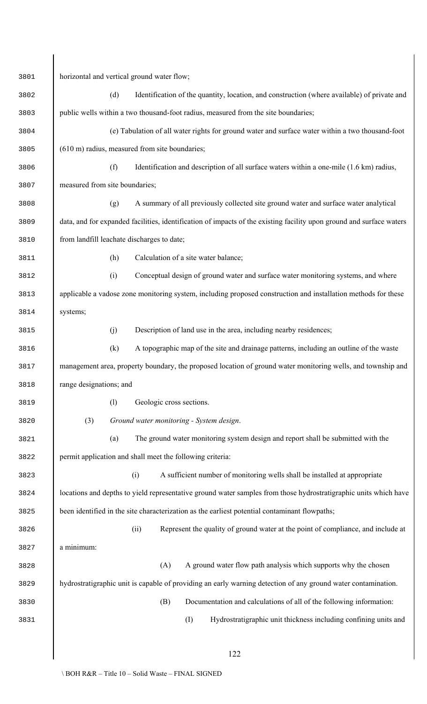| 3801 | horizontal and vertical ground water flow;                                                                           |  |  |  |  |  |  |  |  |
|------|----------------------------------------------------------------------------------------------------------------------|--|--|--|--|--|--|--|--|
| 3802 | (d)<br>Identification of the quantity, location, and construction (where available) of private and                   |  |  |  |  |  |  |  |  |
| 3803 | public wells within a two thousand-foot radius, measured from the site boundaries;                                   |  |  |  |  |  |  |  |  |
| 3804 | (e) Tabulation of all water rights for ground water and surface water within a two thousand-foot                     |  |  |  |  |  |  |  |  |
| 3805 | (610 m) radius, measured from site boundaries;                                                                       |  |  |  |  |  |  |  |  |
| 3806 | (f)<br>Identification and description of all surface waters within a one-mile (1.6 km) radius,                       |  |  |  |  |  |  |  |  |
| 3807 | measured from site boundaries;                                                                                       |  |  |  |  |  |  |  |  |
| 3808 | A summary of all previously collected site ground water and surface water analytical<br>(g)                          |  |  |  |  |  |  |  |  |
| 3809 | data, and for expanded facilities, identification of impacts of the existing facility upon ground and surface waters |  |  |  |  |  |  |  |  |
| 3810 | from landfill leachate discharges to date;                                                                           |  |  |  |  |  |  |  |  |
| 3811 | Calculation of a site water balance;<br>(h)                                                                          |  |  |  |  |  |  |  |  |
| 3812 | Conceptual design of ground water and surface water monitoring systems, and where<br>(i)                             |  |  |  |  |  |  |  |  |
| 3813 | applicable a vadose zone monitoring system, including proposed construction and installation methods for these       |  |  |  |  |  |  |  |  |
| 3814 | systems;                                                                                                             |  |  |  |  |  |  |  |  |
| 3815 | Description of land use in the area, including nearby residences;<br>(j)                                             |  |  |  |  |  |  |  |  |
| 3816 | A topographic map of the site and drainage patterns, including an outline of the waste<br>(k)                        |  |  |  |  |  |  |  |  |
| 3817 | management area, property boundary, the proposed location of ground water monitoring wells, and township and         |  |  |  |  |  |  |  |  |
| 3818 | range designations; and                                                                                              |  |  |  |  |  |  |  |  |
| 3819 | (1)<br>Geologic cross sections.                                                                                      |  |  |  |  |  |  |  |  |
| 3820 | (3)<br>Ground water monitoring - System design.                                                                      |  |  |  |  |  |  |  |  |
| 3821 | The ground water monitoring system design and report shall be submitted with the<br>(a)                              |  |  |  |  |  |  |  |  |
| 3822 | permit application and shall meet the following criteria:                                                            |  |  |  |  |  |  |  |  |
| 3823 | (i)<br>A sufficient number of monitoring wells shall be installed at appropriate                                     |  |  |  |  |  |  |  |  |
| 3824 | locations and depths to yield representative ground water samples from those hydrostratigraphic units which have     |  |  |  |  |  |  |  |  |
| 3825 | been identified in the site characterization as the earliest potential contaminant flowpaths;                        |  |  |  |  |  |  |  |  |
| 3826 | Represent the quality of ground water at the point of compliance, and include at<br>(ii)                             |  |  |  |  |  |  |  |  |
| 3827 | a minimum:                                                                                                           |  |  |  |  |  |  |  |  |
| 3828 | A ground water flow path analysis which supports why the chosen<br>(A)                                               |  |  |  |  |  |  |  |  |
| 3829 | hydrostratigraphic unit is capable of providing an early warning detection of any ground water contamination.        |  |  |  |  |  |  |  |  |
| 3830 | (B)<br>Documentation and calculations of all of the following information:                                           |  |  |  |  |  |  |  |  |
| 3831 | (I)<br>Hydrostratigraphic unit thickness including confining units and                                               |  |  |  |  |  |  |  |  |
|      |                                                                                                                      |  |  |  |  |  |  |  |  |
|      | 122                                                                                                                  |  |  |  |  |  |  |  |  |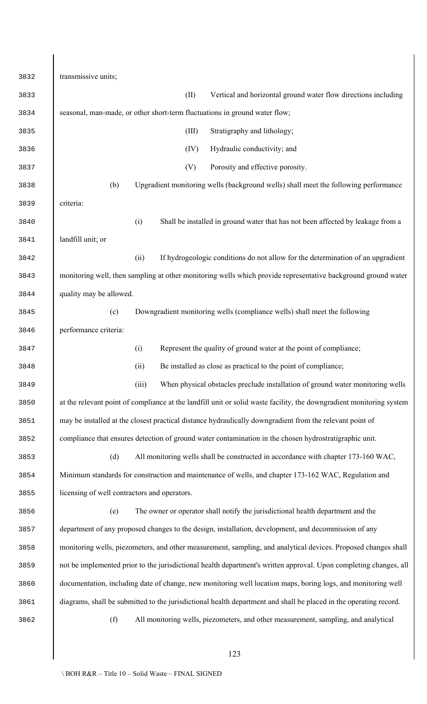transmissive units; (II) Vertical and horizontal ground water flow directions including seasonal, man-made, or other short-term fluctuations in ground water flow; (III) Stratigraphy and lithology; (IV) Hydraulic conductivity; and (V) Porosity and effective porosity. (b) Upgradient monitoring wells (background wells) shall meet the following performance criteria: (i) Shall be installed in ground water that has not been affected by leakage from a landfill unit; or (ii) If hydrogeologic conditions do not allow for the determination of an upgradient monitoring well, then sampling at other monitoring wells which provide representative background ground water quality may be allowed. (c) Downgradient monitoring wells (compliance wells) shall meet the following performance criteria: (i) Represent the quality of ground water at the point of compliance; (ii) Be installed as close as practical to the point of compliance; (iii) When physical obstacles preclude installation of ground water monitoring wells at the relevant point of compliance at the landfill unit or solid waste facility, the downgradient monitoring system may be installed at the closest practical distance hydraulically downgradient from the relevant point of compliance that ensures detection of ground water contamination in the chosen hydrostratigraphic unit. (d) All monitoring wells shall be constructed in accordance with chapter 173-160 WAC, Minimum standards for construction and maintenance of wells, and chapter 173-162 WAC, Regulation and licensing of well contractors and operators. (e) The owner or operator shall notify the jurisdictional health department and the department of any proposed changes to the design, installation, development, and decommission of any monitoring wells, piezometers, and other measurement, sampling, and analytical devices. Proposed changes shall not be implemented prior to the jurisdictional health department's written approval. Upon completing changes, all documentation, including date of change, new monitoring well location maps, boring logs, and monitoring well diagrams, shall be submitted to the jurisdictional health department and shall be placed in the operating record. (f) All monitoring wells, piezometers, and other measurement, sampling, and analytical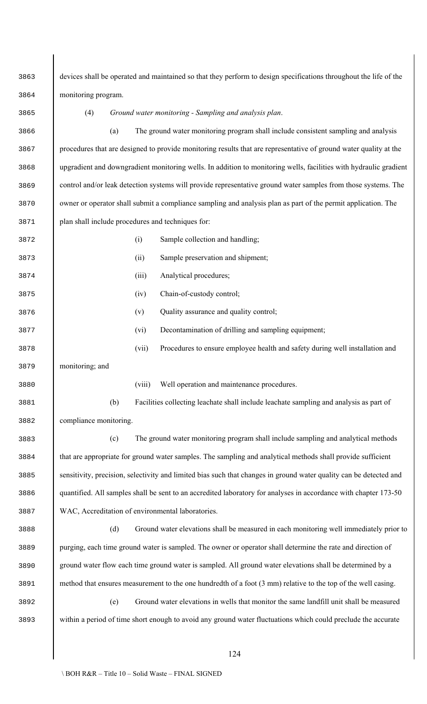devices shall be operated and maintained so that they perform to design specifications throughout the life of the monitoring program. (4) *Ground water monitoring - Sampling and analysis plan*. (a) The ground water monitoring program shall include consistent sampling and analysis procedures that are designed to provide monitoring results that are representative of ground water quality at the upgradient and downgradient monitoring wells. In addition to monitoring wells, facilities with hydraulic gradient control and/or leak detection systems will provide representative ground water samples from those systems. The owner or operator shall submit a compliance sampling and analysis plan as part of the permit application. The plan shall include procedures and techniques for: (i) Sample collection and handling; (ii) Sample preservation and shipment; (iii) Analytical procedures; (iv) Chain-of-custody control; (v) Quality assurance and quality control; (vi) Decontamination of drilling and sampling equipment; (vii) Procedures to ensure employee health and safety during well installation and monitoring; and (viii) Well operation and maintenance procedures. (b) Facilities collecting leachate shall include leachate sampling and analysis as part of compliance monitoring. (c) The ground water monitoring program shall include sampling and analytical methods that are appropriate for ground water samples. The sampling and analytical methods shall provide sufficient sensitivity, precision, selectivity and limited bias such that changes in ground water quality can be detected and quantified. All samples shall be sent to an accredited laboratory for analyses in accordance with chapter 173-50 WAC, Accreditation of environmental laboratories. (d) Ground water elevations shall be measured in each monitoring well immediately prior to purging, each time ground water is sampled. The owner or operator shall determine the rate and direction of ground water flow each time ground water is sampled. All ground water elevations shall be determined by a method that ensures measurement to the one hundredth of a foot (3 mm) relative to the top of the well casing. (e) Ground water elevations in wells that monitor the same landfill unit shall be measured within a period of time short enough to avoid any ground water fluctuations which could preclude the accurate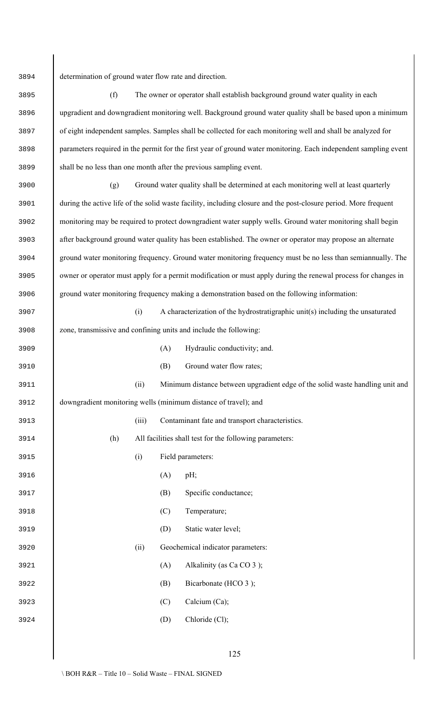determination of ground water flow rate and direction.

 (f) The owner or operator shall establish background ground water quality in each upgradient and downgradient monitoring well. Background ground water quality shall be based upon a minimum of eight independent samples. Samples shall be collected for each monitoring well and shall be analyzed for parameters required in the permit for the first year of ground water monitoring. Each independent sampling event shall be no less than one month after the previous sampling event.

 (g) Ground water quality shall be determined at each monitoring well at least quarterly during the active life of the solid waste facility, including closure and the post-closure period. More frequent monitoring may be required to protect downgradient water supply wells. Ground water monitoring shall begin after background ground water quality has been established. The owner or operator may propose an alternate ground water monitoring frequency. Ground water monitoring frequency must be no less than semiannually. The owner or operator must apply for a permit modification or must apply during the renewal process for changes in ground water monitoring frequency making a demonstration based on the following information:

 (i) A characterization of the hydrostratigraphic unit(s) including the unsaturated zone, transmissive and confining units and include the following:

| 3909 |     |       | (A) | Hydraulic conductivity; and.                                                  |
|------|-----|-------|-----|-------------------------------------------------------------------------------|
| 3910 |     |       | (B) | Ground water flow rates;                                                      |
| 3911 |     | (ii)  |     | Minimum distance between upgradient edge of the solid waste handling unit and |
| 3912 |     |       |     | downgradient monitoring wells (minimum distance of travel); and               |
| 3913 |     | (iii) |     | Contaminant fate and transport characteristics.                               |
| 3914 | (h) |       |     | All facilities shall test for the following parameters:                       |
| 3915 |     | (i)   |     | Field parameters:                                                             |
| 3916 |     |       | (A) | $pH$ ;                                                                        |
| 3917 |     |       | (B) | Specific conductance;                                                         |
| 3918 |     |       | (C) | Temperature;                                                                  |
| 3919 |     |       | (D) | Static water level;                                                           |
| 3920 |     | (ii)  |     | Geochemical indicator parameters:                                             |
| 3921 |     |       | (A) | Alkalinity (as Ca CO 3);                                                      |
| 3922 |     |       | (B) | Bicarbonate (HCO 3);                                                          |
| 3923 |     |       | (C) | Calcium (Ca);                                                                 |
| 3924 |     |       | (D) | Chloride (Cl);                                                                |
|      |     |       |     |                                                                               |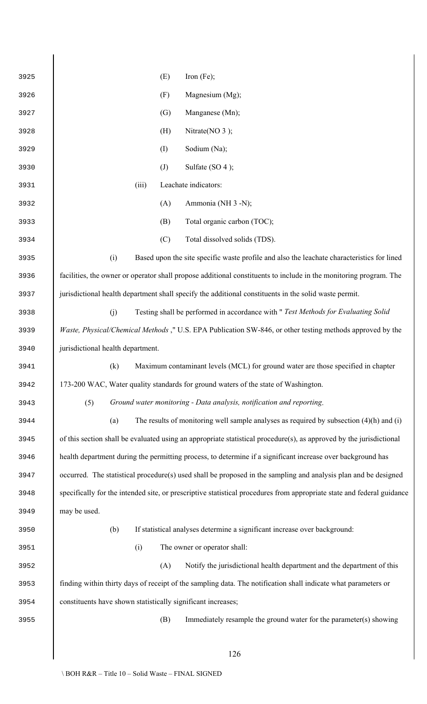| 3925 | Iron $(Fe)$ ;<br>(E)                                                                                                   |  |  |  |  |
|------|------------------------------------------------------------------------------------------------------------------------|--|--|--|--|
| 3926 | (F)<br>Magnesium (Mg);                                                                                                 |  |  |  |  |
| 3927 | (G)<br>Manganese (Mn);                                                                                                 |  |  |  |  |
| 3928 | Nitrate( $NO$ 3);<br>(H)                                                                                               |  |  |  |  |
| 3929 | Sodium (Na);<br>(I)                                                                                                    |  |  |  |  |
| 3930 | $\left( J\right)$<br>Sulfate $(SO 4)$ ;                                                                                |  |  |  |  |
| 3931 | (iii)<br>Leachate indicators:                                                                                          |  |  |  |  |
| 3932 | Ammonia (NH 3 -N);<br>(A)                                                                                              |  |  |  |  |
| 3933 | Total organic carbon (TOC);<br>(B)                                                                                     |  |  |  |  |
| 3934 | Total dissolved solids (TDS).<br>(C)                                                                                   |  |  |  |  |
| 3935 | (i)<br>Based upon the site specific waste profile and also the leachate characteristics for lined                      |  |  |  |  |
| 3936 | facilities, the owner or operator shall propose additional constituents to include in the monitoring program. The      |  |  |  |  |
| 3937 | jurisdictional health department shall specify the additional constituents in the solid waste permit.                  |  |  |  |  |
| 3938 | (j)<br>Testing shall be performed in accordance with " Test Methods for Evaluating Solid                               |  |  |  |  |
| 3939 | <i>Waste, Physical/Chemical Methods</i> ," U.S. EPA Publication SW-846, or other testing methods approved by the       |  |  |  |  |
| 3940 | jurisdictional health department.                                                                                      |  |  |  |  |
| 3941 | (k)<br>Maximum contaminant levels (MCL) for ground water are those specified in chapter                                |  |  |  |  |
| 3942 | 173-200 WAC, Water quality standards for ground waters of the state of Washington.                                     |  |  |  |  |
| 3943 | Ground water monitoring - Data analysis, notification and reporting.<br>(5)                                            |  |  |  |  |
| 3944 | (a)<br>The results of monitoring well sample analyses as required by subsection $(4)(h)$ and $(i)$                     |  |  |  |  |
| 3945 | of this section shall be evaluated using an appropriate statistical procedure(s), as approved by the jurisdictional    |  |  |  |  |
| 3946 | health department during the permitting process, to determine if a significant increase over background has            |  |  |  |  |
| 3947 | occurred. The statistical procedure(s) used shall be proposed in the sampling and analysis plan and be designed        |  |  |  |  |
| 3948 | specifically for the intended site, or prescriptive statistical procedures from appropriate state and federal guidance |  |  |  |  |
| 3949 | may be used.                                                                                                           |  |  |  |  |
| 3950 | (b)<br>If statistical analyses determine a significant increase over background:                                       |  |  |  |  |
| 3951 | The owner or operator shall:<br>(i)                                                                                    |  |  |  |  |
| 3952 | (A)<br>Notify the jurisdictional health department and the department of this                                          |  |  |  |  |
| 3953 | finding within thirty days of receipt of the sampling data. The notification shall indicate what parameters or         |  |  |  |  |
| 3954 | constituents have shown statistically significant increases;                                                           |  |  |  |  |
| 3955 | (B)<br>Immediately resample the ground water for the parameter(s) showing                                              |  |  |  |  |
|      |                                                                                                                        |  |  |  |  |
|      | 126                                                                                                                    |  |  |  |  |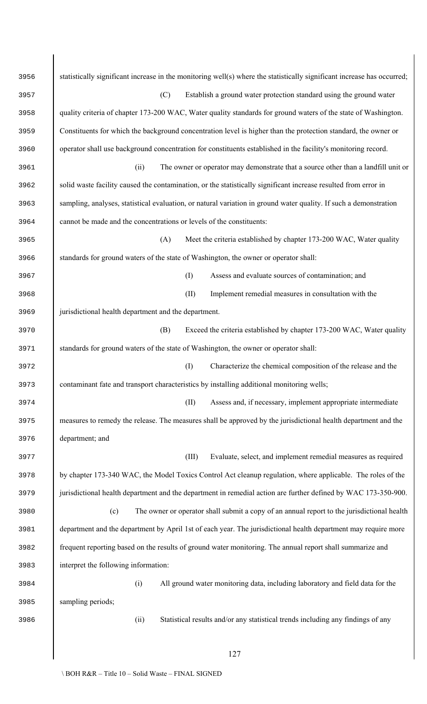| 3956 | statistically significant increase in the monitoring well(s) where the statistically significant increase has occurred; |
|------|-------------------------------------------------------------------------------------------------------------------------|
| 3957 | (C)<br>Establish a ground water protection standard using the ground water                                              |
| 3958 | quality criteria of chapter 173-200 WAC, Water quality standards for ground waters of the state of Washington.          |
| 3959 | Constituents for which the background concentration level is higher than the protection standard, the owner or          |
| 3960 | operator shall use background concentration for constituents established in the facility's monitoring record.           |
| 3961 | The owner or operator may demonstrate that a source other than a landfill unit or<br>(ii)                               |
| 3962 | solid waste facility caused the contamination, or the statistically significant increase resulted from error in         |
| 3963 | sampling, analyses, statistical evaluation, or natural variation in ground water quality. If such a demonstration       |
| 3964 | cannot be made and the concentrations or levels of the constituents:                                                    |
| 3965 | Meet the criteria established by chapter 173-200 WAC, Water quality<br>(A)                                              |
| 3966 | standards for ground waters of the state of Washington, the owner or operator shall:                                    |
| 3967 | (I)<br>Assess and evaluate sources of contamination; and                                                                |
| 3968 | (II)<br>Implement remedial measures in consultation with the                                                            |
| 3969 | jurisdictional health department and the department.                                                                    |
| 3970 | Exceed the criteria established by chapter 173-200 WAC, Water quality<br>(B)                                            |
| 3971 | standards for ground waters of the state of Washington, the owner or operator shall:                                    |
| 3972 | Characterize the chemical composition of the release and the<br>(I)                                                     |
| 3973 | contaminant fate and transport characteristics by installing additional monitoring wells;                               |
| 3974 | Assess and, if necessary, implement appropriate intermediate<br>(II)                                                    |
| 3975 | measures to remedy the release. The measures shall be approved by the jurisdictional health department and the          |
| 3976 | department; and                                                                                                         |
| 3977 | Evaluate, select, and implement remedial measures as required<br>(III)                                                  |
| 3978 | by chapter 173-340 WAC, the Model Toxics Control Act cleanup regulation, where applicable. The roles of the             |
| 3979 | jurisdictional health department and the department in remedial action are further defined by WAC 173-350-900.          |
| 3980 | The owner or operator shall submit a copy of an annual report to the jurisdictional health<br>(c)                       |
| 3981 | department and the department by April 1st of each year. The jurisdictional health department may require more          |
| 3982 | frequent reporting based on the results of ground water monitoring. The annual report shall summarize and               |
| 3983 | interpret the following information:                                                                                    |
| 3984 | All ground water monitoring data, including laboratory and field data for the<br>(i)                                    |
| 3985 | sampling periods;                                                                                                       |
| 3986 | (ii)<br>Statistical results and/or any statistical trends including any findings of any                                 |
|      |                                                                                                                         |
|      | 127                                                                                                                     |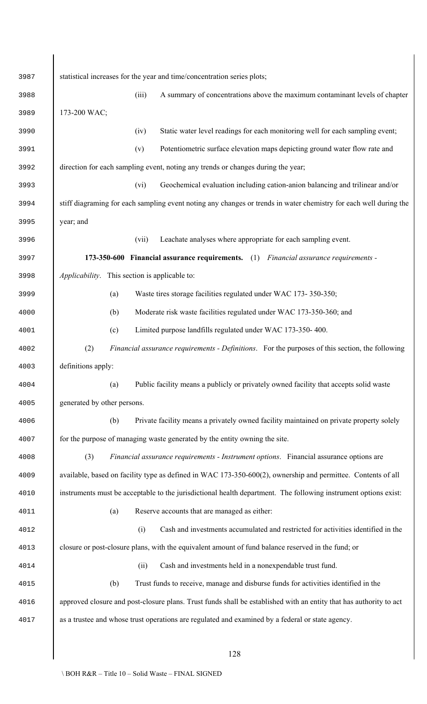| 3987 | statistical increases for the year and time/concentration series plots;                                            |
|------|--------------------------------------------------------------------------------------------------------------------|
| 3988 | (iii)<br>A summary of concentrations above the maximum contaminant levels of chapter                               |
| 3989 | 173-200 WAC;                                                                                                       |
| 3990 | Static water level readings for each monitoring well for each sampling event;<br>(iv)                              |
| 3991 | Potentiometric surface elevation maps depicting ground water flow rate and<br>(v)                                  |
| 3992 | direction for each sampling event, noting any trends or changes during the year;                                   |
| 3993 | Geochemical evaluation including cation-anion balancing and trilinear and/or<br>(vi)                               |
| 3994 | stiff diagraming for each sampling event noting any changes or trends in water chemistry for each well during the  |
| 3995 | year; and                                                                                                          |
| 3996 | Leachate analyses where appropriate for each sampling event.<br>(vii)                                              |
| 3997 | 173-350-600 Financial assurance requirements. (1) Financial assurance requirements -                               |
| 3998 | Applicability. This section is applicable to:                                                                      |
| 3999 | Waste tires storage facilities regulated under WAC 173-350-350;<br>(a)                                             |
| 4000 | Moderate risk waste facilities regulated under WAC 173-350-360; and<br>(b)                                         |
| 4001 | Limited purpose landfills regulated under WAC 173-350-400.<br>(c)                                                  |
| 4002 | (2)<br>Financial assurance requirements - Definitions. For the purposes of this section, the following             |
| 4003 | definitions apply:                                                                                                 |
| 4004 | Public facility means a publicly or privately owned facility that accepts solid waste<br>(a)                       |
| 4005 | generated by other persons.                                                                                        |
| 4006 | Private facility means a privately owned facility maintained on private property solely<br>(b)                     |
| 4007 | for the purpose of managing waste generated by the entity owning the site.                                         |
| 4008 | (3)<br>Financial assurance requirements - Instrument options. Financial assurance options are                      |
| 4009 | available, based on facility type as defined in WAC 173-350-600(2), ownership and permittee. Contents of all       |
| 4010 | instruments must be acceptable to the jurisdictional health department. The following instrument options exist:    |
| 4011 | Reserve accounts that are managed as either:<br>(a)                                                                |
| 4012 | (i)<br>Cash and investments accumulated and restricted for activities identified in the                            |
| 4013 | closure or post-closure plans, with the equivalent amount of fund balance reserved in the fund; or                 |
| 4014 | Cash and investments held in a nonexpendable trust fund.<br>(ii)                                                   |
| 4015 | Trust funds to receive, manage and disburse funds for activities identified in the<br>(b)                          |
| 4016 | approved closure and post-closure plans. Trust funds shall be established with an entity that has authority to act |
| 4017 | as a trustee and whose trust operations are regulated and examined by a federal or state agency.                   |
|      |                                                                                                                    |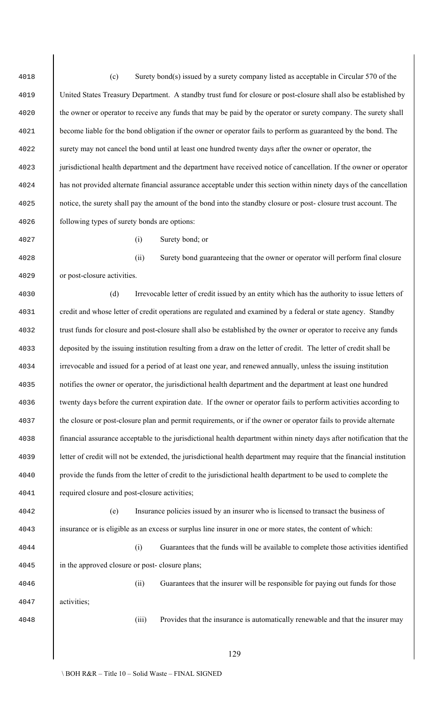(c) Surety bond(s) issued by a surety company listed as acceptable in Circular 570 of the United States Treasury Department. A standby trust fund for closure or post-closure shall also be established by <sup>4020</sup> the owner or operator to receive any funds that may be paid by the operator or surety company. The surety shall become liable for the bond obligation if the owner or operator fails to perform as guaranteed by the bond. The surety may not cancel the bond until at least one hundred twenty days after the owner or operator, the jurisdictional health department and the department have received notice of cancellation. If the owner or operator has not provided alternate financial assurance acceptable under this section within ninety days of the cancellation notice, the surety shall pay the amount of the bond into the standby closure or post- closure trust account. The following types of surety bonds are options:

(i) Surety bond; or

 (ii) Surety bond guaranteeing that the owner or operator will perform final closure or post-closure activities.

 (d) Irrevocable letter of credit issued by an entity which has the authority to issue letters of credit and whose letter of credit operations are regulated and examined by a federal or state agency. Standby trust funds for closure and post-closure shall also be established by the owner or operator to receive any funds deposited by the issuing institution resulting from a draw on the letter of credit. The letter of credit shall be irrevocable and issued for a period of at least one year, and renewed annually, unless the issuing institution notifies the owner or operator, the jurisdictional health department and the department at least one hundred twenty days before the current expiration date. If the owner or operator fails to perform activities according to <sup>4037</sup> the closure or post-closure plan and permit requirements, or if the owner or operator fails to provide alternate financial assurance acceptable to the jurisdictional health department within ninety days after notification that the letter of credit will not be extended, the jurisdictional health department may require that the financial institution provide the funds from the letter of credit to the jurisdictional health department to be used to complete the required closure and post-closure activities;

 (e) Insurance policies issued by an insurer who is licensed to transact the business of insurance or is eligible as an excess or surplus line insurer in one or more states, the content of which:

 (i) Guarantees that the funds will be available to complete those activities identified in the approved closure or post- closure plans;

 (ii) Guarantees that the insurer will be responsible for paying out funds for those activities;

(iii) Provides that the insurance is automatically renewable and that the insurer may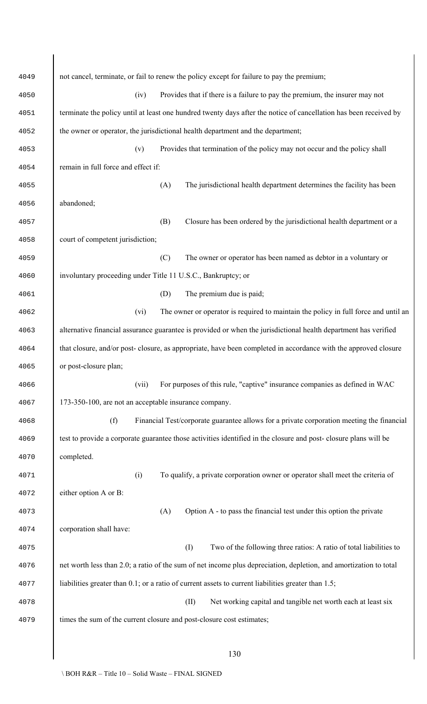| 4049 | not cancel, terminate, or fail to renew the policy except for failure to pay the premium;                         |
|------|-------------------------------------------------------------------------------------------------------------------|
| 4050 | Provides that if there is a failure to pay the premium, the insurer may not<br>(iv)                               |
| 4051 | terminate the policy until at least one hundred twenty days after the notice of cancellation has been received by |
| 4052 | the owner or operator, the jurisdictional health department and the department;                                   |
| 4053 | Provides that termination of the policy may not occur and the policy shall<br>(v)                                 |
| 4054 | remain in full force and effect if:                                                                               |
| 4055 | (A)<br>The jurisdictional health department determines the facility has been                                      |
| 4056 | abandoned;                                                                                                        |
| 4057 | Closure has been ordered by the jurisdictional health department or a<br>(B)                                      |
| 4058 | court of competent jurisdiction;                                                                                  |
| 4059 | The owner or operator has been named as debtor in a voluntary or<br>(C)                                           |
| 4060 | involuntary proceeding under Title 11 U.S.C., Bankruptcy; or                                                      |
| 4061 | The premium due is paid;<br>(D)                                                                                   |
| 4062 | The owner or operator is required to maintain the policy in full force and until an<br>(vi)                       |
| 4063 | alternative financial assurance guarantee is provided or when the jurisdictional health department has verified   |
| 4064 | that closure, and/or post-closure, as appropriate, have been completed in accordance with the approved closure    |
| 4065 | or post-closure plan;                                                                                             |
| 4066 | For purposes of this rule, "captive" insurance companies as defined in WAC<br>(vii)                               |
| 4067 | 173-350-100, are not an acceptable insurance company.                                                             |
| 4068 | (f)<br>Financial Test/corporate guarantee allows for a private corporation meeting the financial                  |
| 4069 | test to provide a corporate guarantee those activities identified in the closure and post-closure plans will be   |
| 4070 | completed.                                                                                                        |
| 4071 | (i)<br>To qualify, a private corporation owner or operator shall meet the criteria of                             |
| 4072 | either option A or B:                                                                                             |
| 4073 | Option A - to pass the financial test under this option the private<br>(A)                                        |
| 4074 | corporation shall have:                                                                                           |
| 4075 | (I)<br>Two of the following three ratios: A ratio of total liabilities to                                         |
| 4076 | net worth less than 2.0; a ratio of the sum of net income plus depreciation, depletion, and amortization to total |
| 4077 | liabilities greater than 0.1; or a ratio of current assets to current liabilities greater than 1.5;               |
| 4078 | (II)<br>Net working capital and tangible net worth each at least six                                              |
| 4079 | times the sum of the current closure and post-closure cost estimates;                                             |
|      |                                                                                                                   |
|      | 130                                                                                                               |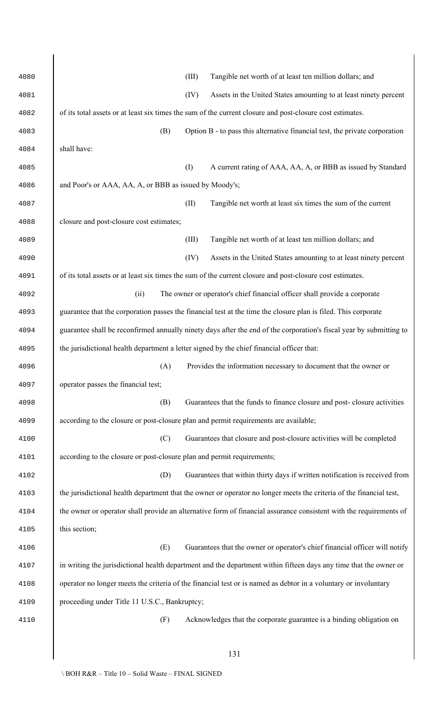| 4080 | (III)<br>Tangible net worth of at least ten million dollars; and                                                    |
|------|---------------------------------------------------------------------------------------------------------------------|
| 4081 | (IV)<br>Assets in the United States amounting to at least ninety percent                                            |
| 4082 | of its total assets or at least six times the sum of the current closure and post-closure cost estimates.           |
| 4083 | (B)<br>Option B - to pass this alternative financial test, the private corporation                                  |
| 4084 | shall have:                                                                                                         |
| 4085 | (I)<br>A current rating of AAA, AA, A, or BBB as issued by Standard                                                 |
| 4086 | and Poor's or AAA, AA, A, or BBB as issued by Moody's;                                                              |
| 4087 | (II)<br>Tangible net worth at least six times the sum of the current                                                |
| 4088 | closure and post-closure cost estimates;                                                                            |
| 4089 | (III)<br>Tangible net worth of at least ten million dollars; and                                                    |
| 4090 | (IV)<br>Assets in the United States amounting to at least ninety percent                                            |
| 4091 | of its total assets or at least six times the sum of the current closure and post-closure cost estimates.           |
| 4092 | The owner or operator's chief financial officer shall provide a corporate<br>(ii)                                   |
| 4093 | guarantee that the corporation passes the financial test at the time the closure plan is filed. This corporate      |
| 4094 | guarantee shall be reconfirmed annually ninety days after the end of the corporation's fiscal year by submitting to |
| 4095 | the jurisdictional health department a letter signed by the chief financial officer that:                           |
| 4096 | (A) Provides the information necessary to document that the owner or                                                |
| 4097 | operator passes the financial test;                                                                                 |
| 4098 | Guarantees that the funds to finance closure and post-closure activities<br>(B)                                     |
| 4099 | according to the closure or post-closure plan and permit requirements are available;                                |
| 4100 | (C)<br>Guarantees that closure and post-closure activities will be completed                                        |
| 4101 | according to the closure or post-closure plan and permit requirements;                                              |
| 4102 | Guarantees that within thirty days if written notification is received from<br>(D)                                  |
| 4103 | the jurisdictional health department that the owner or operator no longer meets the criteria of the financial test, |
| 4104 | the owner or operator shall provide an alternative form of financial assurance consistent with the requirements of  |
| 4105 | this section;                                                                                                       |
| 4106 | (E)<br>Guarantees that the owner or operator's chief financial officer will notify                                  |
| 4107 | in writing the jurisdictional health department and the department within fifteen days any time that the owner or   |
| 4108 | operator no longer meets the criteria of the financial test or is named as debtor in a voluntary or involuntary     |
| 4109 | proceeding under Title 11 U.S.C., Bankruptcy;                                                                       |
| 4110 | Acknowledges that the corporate guarantee is a binding obligation on<br>(F)                                         |
|      |                                                                                                                     |
|      | 131                                                                                                                 |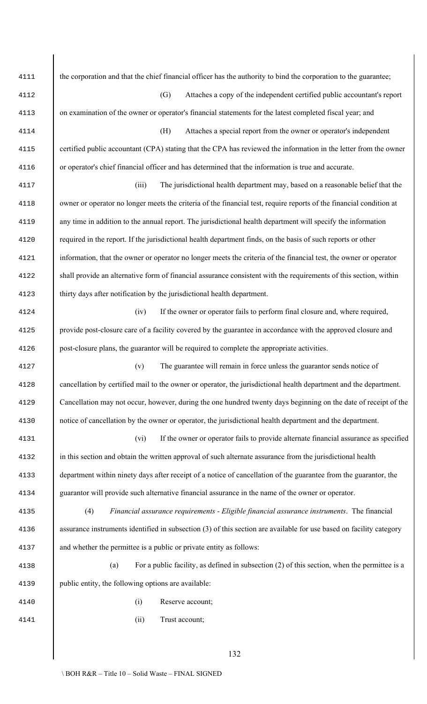the corporation and that the chief financial officer has the authority to bind the corporation to the guarantee; (G) Attaches a copy of the independent certified public accountant's report on examination of the owner or operator's financial statements for the latest completed fiscal year; and (H) Attaches a special report from the owner or operator's independent certified public accountant (CPA) stating that the CPA has reviewed the information in the letter from the owner or operator's chief financial officer and has determined that the information is true and accurate. (iii) The jurisdictional health department may, based on a reasonable belief that the owner or operator no longer meets the criteria of the financial test, require reports of the financial condition at any time in addition to the annual report. The jurisdictional health department will specify the information required in the report. If the jurisdictional health department finds, on the basis of such reports or other information, that the owner or operator no longer meets the criteria of the financial test, the owner or operator shall provide an alternative form of financial assurance consistent with the requirements of this section, within thirty days after notification by the jurisdictional health department. (iv) If the owner or operator fails to perform final closure and, where required, provide post-closure care of a facility covered by the guarantee in accordance with the approved closure and post-closure plans, the guarantor will be required to complete the appropriate activities. (v) The guarantee will remain in force unless the guarantor sends notice of cancellation by certified mail to the owner or operator, the jurisdictional health department and the department. Cancellation may not occur, however, during the one hundred twenty days beginning on the date of receipt of the notice of cancellation by the owner or operator, the jurisdictional health department and the department. (vi) If the owner or operator fails to provide alternate financial assurance as specified in this section and obtain the written approval of such alternate assurance from the jurisdictional health department within ninety days after receipt of a notice of cancellation of the guarantee from the guarantor, the guarantor will provide such alternative financial assurance in the name of the owner or operator. (4) *Financial assurance requirements - Eligible financial assurance instruments*. The financial 4136 assurance instruments identified in subsection (3) of this section are available for use based on facility category and whether the permittee is a public or private entity as follows: (a) For a public facility, as defined in subsection (2) of this section, when the permittee is a public entity, the following options are available: (i) Reserve account; (ii) Trust account;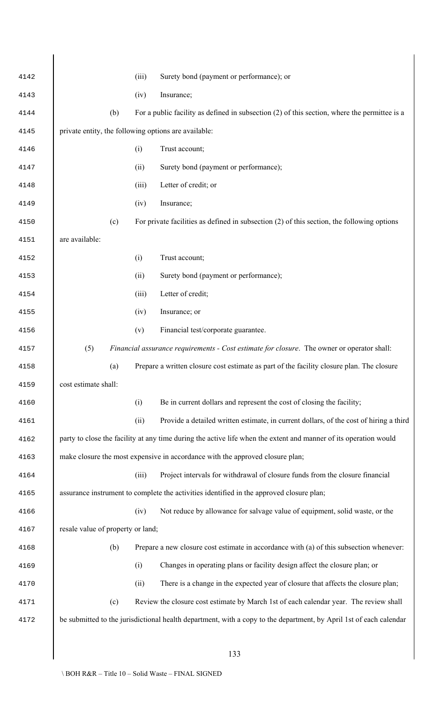| 4142 |                                                      | (iii) | Surety bond (payment or performance); or                                                                           |
|------|------------------------------------------------------|-------|--------------------------------------------------------------------------------------------------------------------|
| 4143 |                                                      | (iv)  | Insurance;                                                                                                         |
| 4144 | (b)                                                  |       | For a public facility as defined in subsection $(2)$ of this section, where the permittee is a                     |
| 4145 | private entity, the following options are available: |       |                                                                                                                    |
| 4146 |                                                      | (i)   | Trust account;                                                                                                     |
| 4147 |                                                      | (ii)  | Surety bond (payment or performance);                                                                              |
| 4148 |                                                      | (iii) | Letter of credit; or                                                                                               |
| 4149 |                                                      | (iv)  | Insurance;                                                                                                         |
| 4150 | (c)                                                  |       | For private facilities as defined in subsection $(2)$ of this section, the following options                       |
| 4151 | are available:                                       |       |                                                                                                                    |
| 4152 |                                                      | (i)   | Trust account;                                                                                                     |
| 4153 |                                                      | (ii)  | Surety bond (payment or performance);                                                                              |
| 4154 |                                                      | (iii) | Letter of credit;                                                                                                  |
| 4155 |                                                      | (iv)  | Insurance; or                                                                                                      |
| 4156 |                                                      | (v)   | Financial test/corporate guarantee.                                                                                |
| 4157 | (5)                                                  |       | Financial assurance requirements - Cost estimate for closure. The owner or operator shall:                         |
| 4158 | (a)                                                  |       | Prepare a written closure cost estimate as part of the facility closure plan. The closure                          |
| 4159 | cost estimate shall:                                 |       |                                                                                                                    |
| 4160 |                                                      | (i)   | Be in current dollars and represent the cost of closing the facility;                                              |
| 4161 |                                                      | (ii)  | Provide a detailed written estimate, in current dollars, of the cost of hiring a third                             |
| 4162 |                                                      |       | party to close the facility at any time during the active life when the extent and manner of its operation would   |
| 4163 |                                                      |       | make closure the most expensive in accordance with the approved closure plan;                                      |
| 4164 |                                                      | (iii) | Project intervals for withdrawal of closure funds from the closure financial                                       |
| 4165 |                                                      |       | assurance instrument to complete the activities identified in the approved closure plan;                           |
| 4166 |                                                      | (iv)  | Not reduce by allowance for salvage value of equipment, solid waste, or the                                        |
| 4167 | resale value of property or land;                    |       |                                                                                                                    |
| 4168 | (b)                                                  |       | Prepare a new closure cost estimate in accordance with (a) of this subsection whenever:                            |
| 4169 |                                                      | (i)   | Changes in operating plans or facility design affect the closure plan; or                                          |
| 4170 |                                                      | (ii)  | There is a change in the expected year of closure that affects the closure plan;                                   |
| 4171 | (c)                                                  |       | Review the closure cost estimate by March 1st of each calendar year. The review shall                              |
| 4172 |                                                      |       | be submitted to the jurisdictional health department, with a copy to the department, by April 1st of each calendar |
|      |                                                      |       |                                                                                                                    |
|      |                                                      |       | 133                                                                                                                |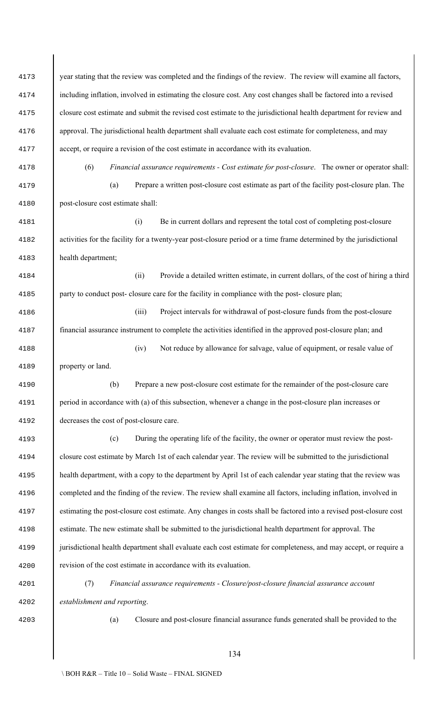| 4173 | year stating that the review was completed and the findings of the review. The review will examine all factors,    |  |  |  |  |
|------|--------------------------------------------------------------------------------------------------------------------|--|--|--|--|
| 4174 | including inflation, involved in estimating the closure cost. Any cost changes shall be factored into a revised    |  |  |  |  |
| 4175 | closure cost estimate and submit the revised cost estimate to the jurisdictional health department for review and  |  |  |  |  |
| 4176 | approval. The jurisdictional health department shall evaluate each cost estimate for completeness, and may         |  |  |  |  |
| 4177 | accept, or require a revision of the cost estimate in accordance with its evaluation.                              |  |  |  |  |
| 4178 | (6)<br>Financial assurance requirements - Cost estimate for post-closure. The owner or operator shall:             |  |  |  |  |
| 4179 | Prepare a written post-closure cost estimate as part of the facility post-closure plan. The<br>(a)                 |  |  |  |  |
| 4180 | post-closure cost estimate shall:                                                                                  |  |  |  |  |
| 4181 | (i)<br>Be in current dollars and represent the total cost of completing post-closure                               |  |  |  |  |
| 4182 | activities for the facility for a twenty-year post-closure period or a time frame determined by the jurisdictional |  |  |  |  |
| 4183 | health department;                                                                                                 |  |  |  |  |
| 4184 | Provide a detailed written estimate, in current dollars, of the cost of hiring a third<br>(ii)                     |  |  |  |  |
| 4185 | party to conduct post-closure care for the facility in compliance with the post-closure plan;                      |  |  |  |  |
| 4186 | (iii)<br>Project intervals for withdrawal of post-closure funds from the post-closure                              |  |  |  |  |
| 4187 | financial assurance instrument to complete the activities identified in the approved post-closure plan; and        |  |  |  |  |
| 4188 | Not reduce by allowance for salvage, value of equipment, or resale value of<br>(iv)                                |  |  |  |  |
| 4189 | property or land.                                                                                                  |  |  |  |  |
| 4190 | Prepare a new post-closure cost estimate for the remainder of the post-closure care<br>(b)                         |  |  |  |  |
| 4191 | period in accordance with (a) of this subsection, whenever a change in the post-closure plan increases or          |  |  |  |  |
| 4192 | decreases the cost of post-closure care.                                                                           |  |  |  |  |
| 4193 | During the operating life of the facility, the owner or operator must review the post-<br>(c)                      |  |  |  |  |
| 4194 | closure cost estimate by March 1st of each calendar year. The review will be submitted to the jurisdictional       |  |  |  |  |
| 4195 | health department, with a copy to the department by April 1st of each calendar year stating that the review was    |  |  |  |  |
| 4196 | completed and the finding of the review. The review shall examine all factors, including inflation, involved in    |  |  |  |  |
| 4197 | estimating the post-closure cost estimate. Any changes in costs shall be factored into a revised post-closure cost |  |  |  |  |
| 4198 | estimate. The new estimate shall be submitted to the jurisdictional health department for approval. The            |  |  |  |  |
| 4199 | jurisdictional health department shall evaluate each cost estimate for completeness, and may accept, or require a  |  |  |  |  |
| 4200 | revision of the cost estimate in accordance with its evaluation.                                                   |  |  |  |  |
| 4201 | (7)<br>Financial assurance requirements - Closure/post-closure financial assurance account                         |  |  |  |  |
| 4202 | establishment and reporting.                                                                                       |  |  |  |  |
| 4203 | Closure and post-closure financial assurance funds generated shall be provided to the<br>(a)                       |  |  |  |  |
|      |                                                                                                                    |  |  |  |  |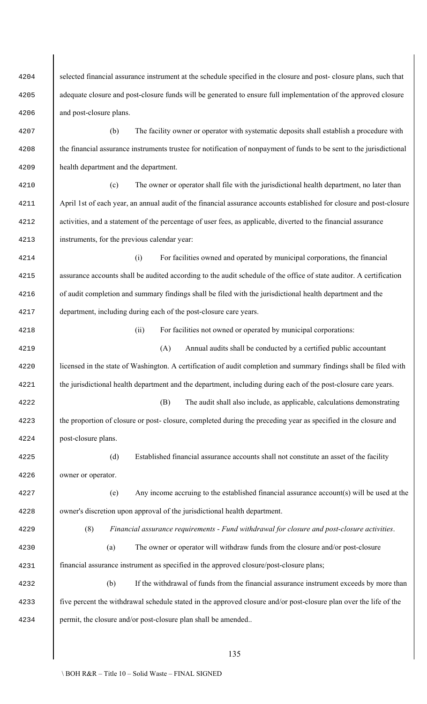selected financial assurance instrument at the schedule specified in the closure and post- closure plans, such that adequate closure and post-closure funds will be generated to ensure full implementation of the approved closure and post-closure plans. (b) The facility owner or operator with systematic deposits shall establish a procedure with the financial assurance instruments trustee for notification of nonpayment of funds to be sent to the jurisdictional health department and the department. (c) The owner or operator shall file with the jurisdictional health department, no later than April 1st of each year, an annual audit of the financial assurance accounts established for closure and post-closure activities, and a statement of the percentage of user fees, as applicable, diverted to the financial assurance instruments, for the previous calendar year: (i) For facilities owned and operated by municipal corporations, the financial assurance accounts shall be audited according to the audit schedule of the office of state auditor. A certification of audit completion and summary findings shall be filed with the jurisdictional health department and the department, including during each of the post-closure care years. (ii) For facilities not owned or operated by municipal corporations: 4219 (A) Annual audits shall be conducted by a certified public accountant 4220 licensed in the state of Washington. A certification of audit completion and summary findings shall be filed with the jurisdictional health department and the department, including during each of the post-closure care years. (B) The audit shall also include, as applicable, calculations demonstrating the proportion of closure or post- closure, completed during the preceding year as specified in the closure and post-closure plans. (d) Established financial assurance accounts shall not constitute an asset of the facility owner or operator. (e) Any income accruing to the established financial assurance account(s) will be used at the owner's discretion upon approval of the jurisdictional health department. (8) *Financial assurance requirements - Fund withdrawal for closure and post-closure activities*. (a) The owner or operator will withdraw funds from the closure and/or post-closure financial assurance instrument as specified in the approved closure/post-closure plans; (b) If the withdrawal of funds from the financial assurance instrument exceeds by more than five percent the withdrawal schedule stated in the approved closure and/or post-closure plan over the life of the permit, the closure and/or post-closure plan shall be amended..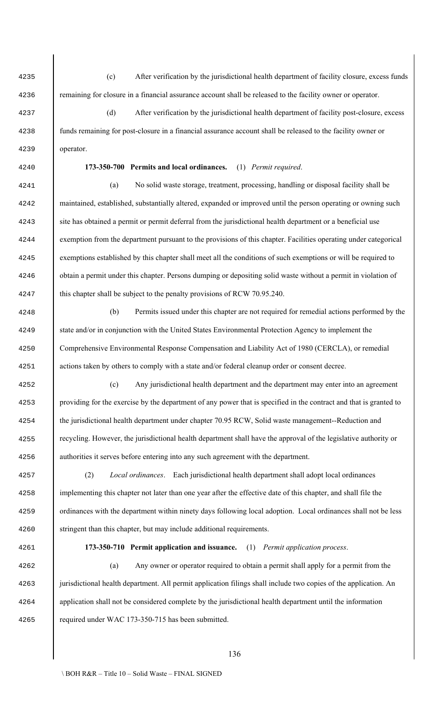operator. **173-350-710 Permit application and issuance.** (1) *Permit application process*. (a) Any owner or operator required to obtain a permit shall apply for a permit from the 4263 | jurisdictional health department. All permit application filings shall include two copies of the application. An application shall not be considered complete by the jurisdictional health department until the information required under WAC 173-350-715 has been submitted.

 (c) After verification by the jurisdictional health department of facility closure, excess funds remaining for closure in a financial assurance account shall be released to the facility owner or operator.

 (d) After verification by the jurisdictional health department of facility post-closure, excess funds remaining for post-closure in a financial assurance account shall be released to the facility owner or

**173-350-700 Permits and local ordinances.** (1) *Permit required*.

 (a) No solid waste storage, treatment, processing, handling or disposal facility shall be maintained, established, substantially altered, expanded or improved until the person operating or owning such 4243 site has obtained a permit or permit deferral from the jurisdictional health department or a beneficial use exemption from the department pursuant to the provisions of this chapter. Facilities operating under categorical exemptions established by this chapter shall meet all the conditions of such exemptions or will be required to obtain a permit under this chapter. Persons dumping or depositing solid waste without a permit in violation of 4247 this chapter shall be subject to the penalty provisions of RCW 70.95.240.

 (b) Permits issued under this chapter are not required for remedial actions performed by the state and/or in conjunction with the United States Environmental Protection Agency to implement the Comprehensive Environmental Response Compensation and Liability Act of 1980 (CERCLA), or remedial actions taken by others to comply with a state and/or federal cleanup order or consent decree.

 (c) Any jurisdictional health department and the department may enter into an agreement providing for the exercise by the department of any power that is specified in the contract and that is granted to the jurisdictional health department under chapter 70.95 RCW, Solid waste management--Reduction and recycling. However, the jurisdictional health department shall have the approval of the legislative authority or authorities it serves before entering into any such agreement with the department.

 (2) *Local ordinances*. Each jurisdictional health department shall adopt local ordinances implementing this chapter not later than one year after the effective date of this chapter, and shall file the ordinances with the department within ninety days following local adoption. Local ordinances shall not be less 4260 stringent than this chapter, but may include additional requirements.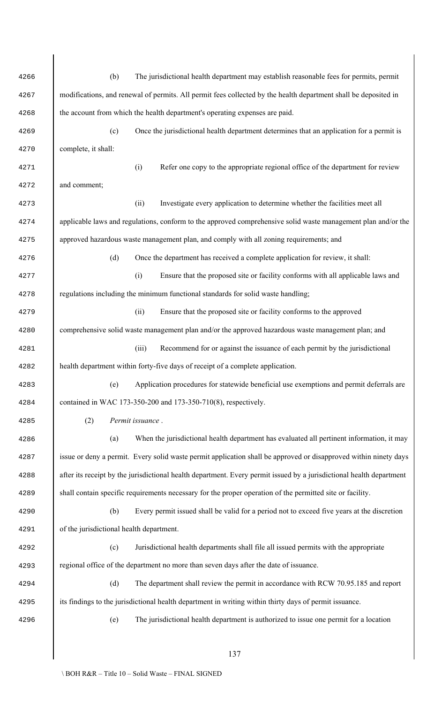| 4266 |                                                                                                                      | (b) | The jurisdictional health department may establish reasonable fees for permits, permit                           |  |  |
|------|----------------------------------------------------------------------------------------------------------------------|-----|------------------------------------------------------------------------------------------------------------------|--|--|
| 4267 | modifications, and renewal of permits. All permit fees collected by the health department shall be deposited in      |     |                                                                                                                  |  |  |
| 4268 | the account from which the health department's operating expenses are paid.                                          |     |                                                                                                                  |  |  |
| 4269 |                                                                                                                      | (c) | Once the jurisdictional health department determines that an application for a permit is                         |  |  |
| 4270 | complete, it shall:                                                                                                  |     |                                                                                                                  |  |  |
| 4271 |                                                                                                                      |     | Refer one copy to the appropriate regional office of the department for review<br>(i)                            |  |  |
| 4272 | and comment;                                                                                                         |     |                                                                                                                  |  |  |
| 4273 |                                                                                                                      |     | Investigate every application to determine whether the facilities meet all<br>(ii)                               |  |  |
| 4274 |                                                                                                                      |     | applicable laws and regulations, conform to the approved comprehensive solid waste management plan and/or the    |  |  |
| 4275 |                                                                                                                      |     | approved hazardous waste management plan, and comply with all zoning requirements; and                           |  |  |
| 4276 |                                                                                                                      | (d) | Once the department has received a complete application for review, it shall:                                    |  |  |
| 4277 |                                                                                                                      |     | Ensure that the proposed site or facility conforms with all applicable laws and<br>(i)                           |  |  |
| 4278 | regulations including the minimum functional standards for solid waste handling;                                     |     |                                                                                                                  |  |  |
| 4279 |                                                                                                                      |     | (ii)<br>Ensure that the proposed site or facility conforms to the approved                                       |  |  |
| 4280 | comprehensive solid waste management plan and/or the approved hazardous waste management plan; and                   |     |                                                                                                                  |  |  |
| 4281 |                                                                                                                      |     | Recommend for or against the issuance of each permit by the jurisdictional<br>(iii)                              |  |  |
| 4282 | health department within forty-five days of receipt of a complete application.                                       |     |                                                                                                                  |  |  |
| 4283 |                                                                                                                      | (e) | Application procedures for statewide beneficial use exemptions and permit deferrals are                          |  |  |
| 4284 |                                                                                                                      |     | contained in WAC 173-350-200 and 173-350-710(8), respectively.                                                   |  |  |
| 4285 | (2)                                                                                                                  |     | Permit issuance.                                                                                                 |  |  |
| 4286 |                                                                                                                      | (a) | When the jurisdictional health department has evaluated all pertinent information, it may                        |  |  |
| 4287 |                                                                                                                      |     | issue or deny a permit. Every solid waste permit application shall be approved or disapproved within ninety days |  |  |
| 4288 | after its receipt by the jurisdictional health department. Every permit issued by a jurisdictional health department |     |                                                                                                                  |  |  |
| 4289 |                                                                                                                      |     | shall contain specific requirements necessary for the proper operation of the permitted site or facility.        |  |  |
| 4290 |                                                                                                                      | (b) | Every permit issued shall be valid for a period not to exceed five years at the discretion                       |  |  |
| 4291 |                                                                                                                      |     | of the jurisdictional health department.                                                                         |  |  |
| 4292 |                                                                                                                      | (c) | Jurisdictional health departments shall file all issued permits with the appropriate                             |  |  |
| 4293 |                                                                                                                      |     | regional office of the department no more than seven days after the date of issuance.                            |  |  |
| 4294 |                                                                                                                      | (d) | The department shall review the permit in accordance with RCW 70.95.185 and report                               |  |  |
| 4295 |                                                                                                                      |     | its findings to the jurisdictional health department in writing within thirty days of permit issuance.           |  |  |
| 4296 |                                                                                                                      | (e) | The jurisdictional health department is authorized to issue one permit for a location                            |  |  |
|      |                                                                                                                      |     |                                                                                                                  |  |  |
|      |                                                                                                                      |     | 137                                                                                                              |  |  |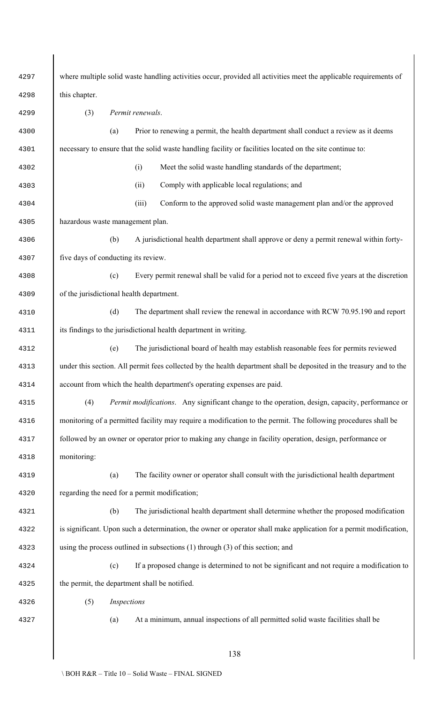| 4297 | where multiple solid waste handling activities occur, provided all activities meet the applicable requirements of    |  |  |  |  |
|------|----------------------------------------------------------------------------------------------------------------------|--|--|--|--|
| 4298 | this chapter.                                                                                                        |  |  |  |  |
| 4299 | (3)<br>Permit renewals.                                                                                              |  |  |  |  |
| 4300 | Prior to renewing a permit, the health department shall conduct a review as it deems<br>(a)                          |  |  |  |  |
| 4301 | necessary to ensure that the solid waste handling facility or facilities located on the site continue to:            |  |  |  |  |
| 4302 | Meet the solid waste handling standards of the department;<br>(i)                                                    |  |  |  |  |
| 4303 | Comply with applicable local regulations; and<br>(ii)                                                                |  |  |  |  |
| 4304 | (iii)<br>Conform to the approved solid waste management plan and/or the approved                                     |  |  |  |  |
| 4305 | hazardous waste management plan.                                                                                     |  |  |  |  |
| 4306 | (b)<br>A jurisdictional health department shall approve or deny a permit renewal within forty-                       |  |  |  |  |
| 4307 | five days of conducting its review.                                                                                  |  |  |  |  |
| 4308 | (c)<br>Every permit renewal shall be valid for a period not to exceed five years at the discretion                   |  |  |  |  |
| 4309 | of the jurisdictional health department.                                                                             |  |  |  |  |
| 4310 | (d)<br>The department shall review the renewal in accordance with RCW 70.95.190 and report                           |  |  |  |  |
| 4311 | its findings to the jurisdictional health department in writing.                                                     |  |  |  |  |
| 4312 | (e)<br>The jurisdictional board of health may establish reasonable fees for permits reviewed                         |  |  |  |  |
| 4313 | under this section. All permit fees collected by the health department shall be deposited in the treasury and to the |  |  |  |  |
| 4314 | account from which the health department's operating expenses are paid.                                              |  |  |  |  |
| 4315 | (4)<br><i>Permit modifications.</i> Any significant change to the operation, design, capacity, performance or        |  |  |  |  |
| 4316 | monitoring of a permitted facility may require a modification to the permit. The following procedures shall be       |  |  |  |  |
| 4317 | followed by an owner or operator prior to making any change in facility operation, design, performance or            |  |  |  |  |
| 4318 | monitoring:                                                                                                          |  |  |  |  |
| 4319 | (a)<br>The facility owner or operator shall consult with the jurisdictional health department                        |  |  |  |  |
| 4320 | regarding the need for a permit modification;                                                                        |  |  |  |  |
| 4321 | (b)<br>The jurisdictional health department shall determine whether the proposed modification                        |  |  |  |  |
| 4322 | is significant. Upon such a determination, the owner or operator shall make application for a permit modification,   |  |  |  |  |
| 4323 | using the process outlined in subsections $(1)$ through $(3)$ of this section; and                                   |  |  |  |  |
| 4324 | If a proposed change is determined to not be significant and not require a modification to<br>(c)                    |  |  |  |  |
| 4325 | the permit, the department shall be notified.                                                                        |  |  |  |  |
| 4326 | (5)<br>Inspections                                                                                                   |  |  |  |  |
| 4327 | At a minimum, annual inspections of all permitted solid waste facilities shall be<br>(a)                             |  |  |  |  |
|      |                                                                                                                      |  |  |  |  |
|      | 138                                                                                                                  |  |  |  |  |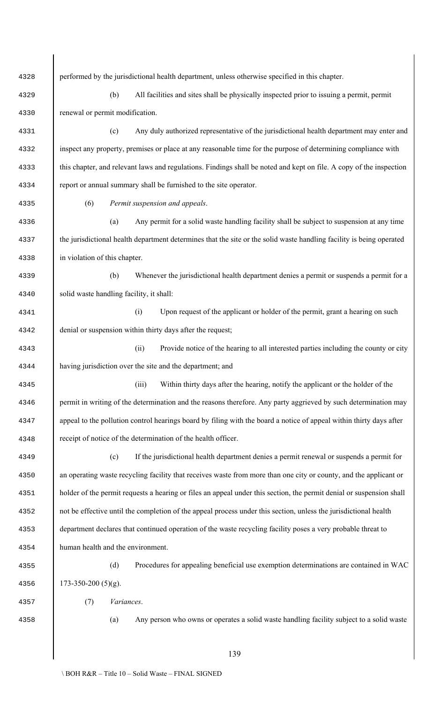| 4328 | performed by the jurisdictional health department, unless otherwise specified in this chapter.                       |  |  |  |  |
|------|----------------------------------------------------------------------------------------------------------------------|--|--|--|--|
| 4329 | (b)<br>All facilities and sites shall be physically inspected prior to issuing a permit, permit                      |  |  |  |  |
| 4330 | renewal or permit modification.                                                                                      |  |  |  |  |
| 4331 | Any duly authorized representative of the jurisdictional health department may enter and<br>(c)                      |  |  |  |  |
| 4332 | inspect any property, premises or place at any reasonable time for the purpose of determining compliance with        |  |  |  |  |
| 4333 | this chapter, and relevant laws and regulations. Findings shall be noted and kept on file. A copy of the inspection  |  |  |  |  |
| 4334 | report or annual summary shall be furnished to the site operator.                                                    |  |  |  |  |
|      | (6)<br>Permit suspension and appeals.                                                                                |  |  |  |  |
| 4335 |                                                                                                                      |  |  |  |  |
| 4336 | (a)<br>Any permit for a solid waste handling facility shall be subject to suspension at any time                     |  |  |  |  |
| 4337 | the jurisdictional health department determines that the site or the solid waste handling facility is being operated |  |  |  |  |
| 4338 | in violation of this chapter.                                                                                        |  |  |  |  |
| 4339 | (b)<br>Whenever the jurisdictional health department denies a permit or suspends a permit for a                      |  |  |  |  |
| 4340 | solid waste handling facility, it shall:                                                                             |  |  |  |  |
| 4341 | (i)<br>Upon request of the applicant or holder of the permit, grant a hearing on such                                |  |  |  |  |
| 4342 | denial or suspension within thirty days after the request;                                                           |  |  |  |  |
| 4343 | Provide notice of the hearing to all interested parties including the county or city<br>(ii)                         |  |  |  |  |
| 4344 | having jurisdiction over the site and the department; and                                                            |  |  |  |  |
| 4345 | Within thirty days after the hearing, notify the applicant or the holder of the<br>(iii)                             |  |  |  |  |
| 4346 | permit in writing of the determination and the reasons therefore. Any party aggrieved by such determination may      |  |  |  |  |
| 4347 | appeal to the pollution control hearings board by filing with the board a notice of appeal within thirty days after  |  |  |  |  |
| 4348 | receipt of notice of the determination of the health officer.                                                        |  |  |  |  |
| 4349 | If the jurisdictional health department denies a permit renewal or suspends a permit for<br>(c)                      |  |  |  |  |
| 4350 | an operating waste recycling facility that receives waste from more than one city or county, and the applicant or    |  |  |  |  |
| 4351 | holder of the permit requests a hearing or files an appeal under this section, the permit denial or suspension shall |  |  |  |  |
| 4352 | not be effective until the completion of the appeal process under this section, unless the jurisdictional health     |  |  |  |  |
| 4353 | department declares that continued operation of the waste recycling facility poses a very probable threat to         |  |  |  |  |
| 4354 | human health and the environment.                                                                                    |  |  |  |  |
| 4355 | (d)<br>Procedures for appealing beneficial use exemption determinations are contained in WAC                         |  |  |  |  |
| 4356 | $173 - 350 - 200$ (5)(g).                                                                                            |  |  |  |  |
| 4357 | Variances.<br>(7)                                                                                                    |  |  |  |  |
| 4358 | Any person who owns or operates a solid waste handling facility subject to a solid waste<br>(a)                      |  |  |  |  |
|      |                                                                                                                      |  |  |  |  |
|      | 139                                                                                                                  |  |  |  |  |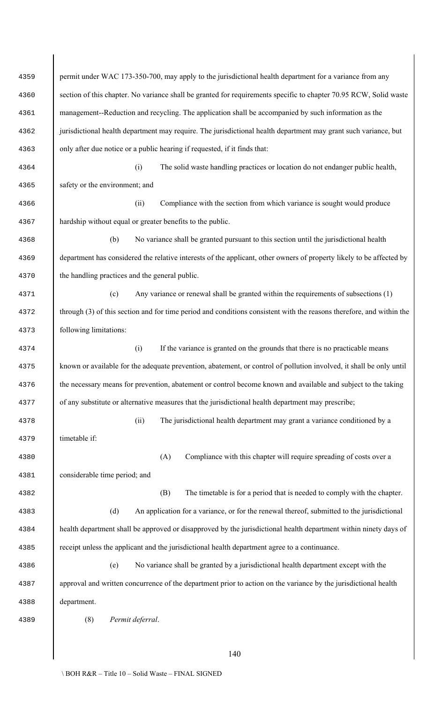| 4359 | permit under WAC 173-350-700, may apply to the jurisdictional health department for a variance from any              |  |  |  |  |
|------|----------------------------------------------------------------------------------------------------------------------|--|--|--|--|
| 4360 | section of this chapter. No variance shall be granted for requirements specific to chapter 70.95 RCW, Solid waste    |  |  |  |  |
| 4361 | management--Reduction and recycling. The application shall be accompanied by such information as the                 |  |  |  |  |
| 4362 | jurisdictional health department may require. The jurisdictional health department may grant such variance, but      |  |  |  |  |
| 4363 | only after due notice or a public hearing if requested, if it finds that:                                            |  |  |  |  |
| 4364 | The solid waste handling practices or location do not endanger public health,<br>(i)                                 |  |  |  |  |
| 4365 | safety or the environment; and                                                                                       |  |  |  |  |
| 4366 | Compliance with the section from which variance is sought would produce<br>(ii)                                      |  |  |  |  |
| 4367 | hardship without equal or greater benefits to the public.                                                            |  |  |  |  |
| 4368 | (b)<br>No variance shall be granted pursuant to this section until the jurisdictional health                         |  |  |  |  |
| 4369 | department has considered the relative interests of the applicant, other owners of property likely to be affected by |  |  |  |  |
| 4370 | the handling practices and the general public.                                                                       |  |  |  |  |
| 4371 | Any variance or renewal shall be granted within the requirements of subsections (1)<br>(c)                           |  |  |  |  |
| 4372 | through (3) of this section and for time period and conditions consistent with the reasons therefore, and within the |  |  |  |  |
| 4373 | following limitations:                                                                                               |  |  |  |  |
| 4374 | If the variance is granted on the grounds that there is no practicable means<br>(i)                                  |  |  |  |  |
| 4375 | known or available for the adequate prevention, abatement, or control of pollution involved, it shall be only until  |  |  |  |  |
| 4376 | the necessary means for prevention, abatement or control become known and available and subject to the taking        |  |  |  |  |
| 4377 | of any substitute or alternative measures that the jurisdictional health department may prescribe;                   |  |  |  |  |
| 4378 | (ii)<br>The jurisdictional health department may grant a variance conditioned by a                                   |  |  |  |  |
| 4379 | timetable if:                                                                                                        |  |  |  |  |
| 4380 | (A)<br>Compliance with this chapter will require spreading of costs over a                                           |  |  |  |  |
| 4381 | considerable time period; and                                                                                        |  |  |  |  |
| 4382 | (B)<br>The timetable is for a period that is needed to comply with the chapter.                                      |  |  |  |  |
| 4383 | (d)<br>An application for a variance, or for the renewal thereof, submitted to the jurisdictional                    |  |  |  |  |
| 4384 | health department shall be approved or disapproved by the jurisdictional health department within ninety days of     |  |  |  |  |
| 4385 | receipt unless the applicant and the jurisdictional health department agree to a continuance.                        |  |  |  |  |
| 4386 | No variance shall be granted by a jurisdictional health department except with the<br>(e)                            |  |  |  |  |
| 4387 | approval and written concurrence of the department prior to action on the variance by the jurisdictional health      |  |  |  |  |
| 4388 | department.                                                                                                          |  |  |  |  |
| 4389 | (8)<br>Permit deferral.                                                                                              |  |  |  |  |
|      |                                                                                                                      |  |  |  |  |
|      | 140                                                                                                                  |  |  |  |  |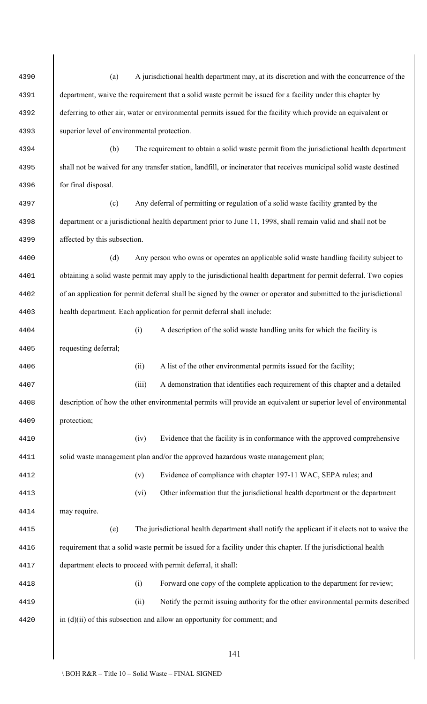| 4390 | (a)                                                                                                                |                                                                                                            | A jurisdictional health department may, at its discretion and with the concurrence of the                           |  |  |
|------|--------------------------------------------------------------------------------------------------------------------|------------------------------------------------------------------------------------------------------------|---------------------------------------------------------------------------------------------------------------------|--|--|
| 4391 |                                                                                                                    | department, waive the requirement that a solid waste permit be issued for a facility under this chapter by |                                                                                                                     |  |  |
| 4392 |                                                                                                                    |                                                                                                            | deferring to other air, water or environmental permits issued for the facility which provide an equivalent or       |  |  |
| 4393 | superior level of environmental protection.                                                                        |                                                                                                            |                                                                                                                     |  |  |
| 4394 | (b)                                                                                                                |                                                                                                            | The requirement to obtain a solid waste permit from the jurisdictional health department                            |  |  |
| 4395 |                                                                                                                    |                                                                                                            | shall not be waived for any transfer station, landfill, or incinerator that receives municipal solid waste destined |  |  |
| 4396 | for final disposal.                                                                                                |                                                                                                            |                                                                                                                     |  |  |
| 4397 | (c)                                                                                                                |                                                                                                            | Any deferral of permitting or regulation of a solid waste facility granted by the                                   |  |  |
| 4398 |                                                                                                                    |                                                                                                            | department or a jurisdictional health department prior to June 11, 1998, shall remain valid and shall not be        |  |  |
| 4399 | affected by this subsection.                                                                                       |                                                                                                            |                                                                                                                     |  |  |
| 4400 | (d)                                                                                                                |                                                                                                            | Any person who owns or operates an applicable solid waste handling facility subject to                              |  |  |
| 4401 | obtaining a solid waste permit may apply to the jurisdictional health department for permit deferral. Two copies   |                                                                                                            |                                                                                                                     |  |  |
| 4402 | of an application for permit deferral shall be signed by the owner or operator and submitted to the jurisdictional |                                                                                                            |                                                                                                                     |  |  |
| 4403 |                                                                                                                    |                                                                                                            | health department. Each application for permit deferral shall include:                                              |  |  |
| 4404 |                                                                                                                    | (i)                                                                                                        | A description of the solid waste handling units for which the facility is                                           |  |  |
| 4405 | requesting deferral;                                                                                               |                                                                                                            |                                                                                                                     |  |  |
| 4406 |                                                                                                                    | (ii)                                                                                                       | A list of the other environmental permits issued for the facility;                                                  |  |  |
| 4407 |                                                                                                                    | (iii)                                                                                                      | A demonstration that identifies each requirement of this chapter and a detailed                                     |  |  |
| 4408 |                                                                                                                    |                                                                                                            | description of how the other environmental permits will provide an equivalent or superior level of environmental    |  |  |
| 4409 | protection;                                                                                                        |                                                                                                            |                                                                                                                     |  |  |
| 4410 |                                                                                                                    | (iv)                                                                                                       | Evidence that the facility is in conformance with the approved comprehensive                                        |  |  |
| 4411 |                                                                                                                    |                                                                                                            | solid waste management plan and/or the approved hazardous waste management plan;                                    |  |  |
| 4412 |                                                                                                                    | (v)                                                                                                        | Evidence of compliance with chapter 197-11 WAC, SEPA rules; and                                                     |  |  |
| 4413 |                                                                                                                    | (vi)                                                                                                       | Other information that the jurisdictional health department or the department                                       |  |  |
| 4414 | may require.                                                                                                       |                                                                                                            |                                                                                                                     |  |  |
| 4415 | (e)                                                                                                                |                                                                                                            | The jurisdictional health department shall notify the applicant if it elects not to waive the                       |  |  |
| 4416 |                                                                                                                    |                                                                                                            | requirement that a solid waste permit be issued for a facility under this chapter. If the jurisdictional health     |  |  |
| 4417 |                                                                                                                    |                                                                                                            | department elects to proceed with permit deferral, it shall:                                                        |  |  |
| 4418 |                                                                                                                    | (i)                                                                                                        | Forward one copy of the complete application to the department for review;                                          |  |  |
| 4419 |                                                                                                                    | (ii)                                                                                                       | Notify the permit issuing authority for the other environmental permits described                                   |  |  |
| 4420 |                                                                                                                    |                                                                                                            | in $(d)(ii)$ of this subsection and allow an opportunity for comment; and                                           |  |  |
|      |                                                                                                                    |                                                                                                            |                                                                                                                     |  |  |
|      |                                                                                                                    |                                                                                                            | 141                                                                                                                 |  |  |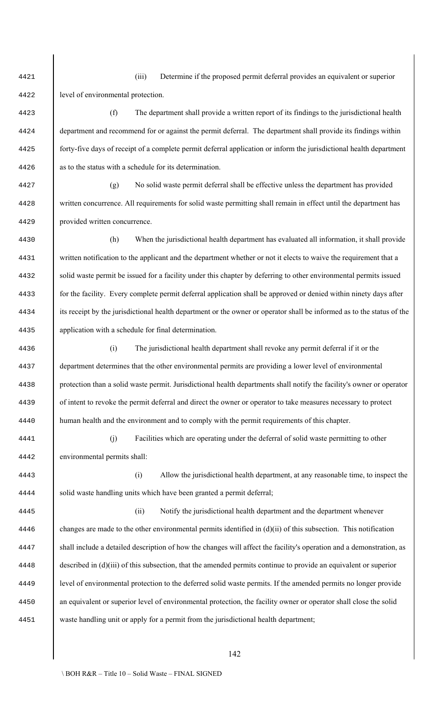(iii) Determine if the proposed permit deferral provides an equivalent or superior level of environmental protection.

 (f) The department shall provide a written report of its findings to the jurisdictional health department and recommend for or against the permit deferral. The department shall provide its findings within forty-five days of receipt of a complete permit deferral application or inform the jurisdictional health department as to the status with a schedule for its determination.

 (g) No solid waste permit deferral shall be effective unless the department has provided written concurrence. All requirements for solid waste permitting shall remain in effect until the department has provided written concurrence.

 (h) When the jurisdictional health department has evaluated all information, it shall provide 4431 written notification to the applicant and the department whether or not it elects to waive the requirement that a solid waste permit be issued for a facility under this chapter by deferring to other environmental permits issued for the facility. Every complete permit deferral application shall be approved or denied within ninety days after its receipt by the jurisdictional health department or the owner or operator shall be informed as to the status of the application with a schedule for final determination.

 (i) The jurisdictional health department shall revoke any permit deferral if it or the department determines that the other environmental permits are providing a lower level of environmental protection than a solid waste permit. Jurisdictional health departments shall notify the facility's owner or operator of intent to revoke the permit deferral and direct the owner or operator to take measures necessary to protect human health and the environment and to comply with the permit requirements of this chapter.

 (j) Facilities which are operating under the deferral of solid waste permitting to other environmental permits shall:

 (i) Allow the jurisdictional health department, at any reasonable time, to inspect the 4444 solid waste handling units which have been granted a permit deferral;

 (ii) Notify the jurisdictional health department and the department whenever changes are made to the other environmental permits identified in (d)(ii) of this subsection. This notification shall include a detailed description of how the changes will affect the facility's operation and a demonstration, as described in (d)(iii) of this subsection, that the amended permits continue to provide an equivalent or superior level of environmental protection to the deferred solid waste permits. If the amended permits no longer provide an equivalent or superior level of environmental protection, the facility owner or operator shall close the solid waste handling unit or apply for a permit from the jurisdictional health department;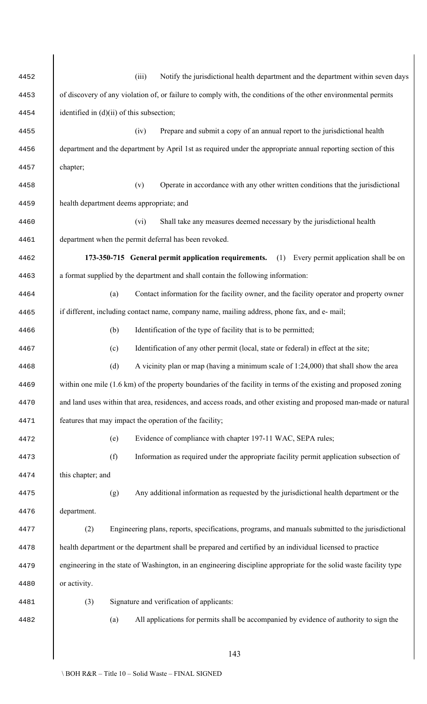| 4452 | (iii)<br>Notify the jurisdictional health department and the department within seven days                          |  |  |  |  |
|------|--------------------------------------------------------------------------------------------------------------------|--|--|--|--|
| 4453 | of discovery of any violation of, or failure to comply with, the conditions of the other environmental permits     |  |  |  |  |
| 4454 | identified in $(d)(ii)$ of this subsection;                                                                        |  |  |  |  |
| 4455 | Prepare and submit a copy of an annual report to the jurisdictional health<br>(iv)                                 |  |  |  |  |
| 4456 | department and the department by April 1st as required under the appropriate annual reporting section of this      |  |  |  |  |
| 4457 | chapter;                                                                                                           |  |  |  |  |
| 4458 | (v)<br>Operate in accordance with any other written conditions that the jurisdictional                             |  |  |  |  |
| 4459 | health department deems appropriate; and                                                                           |  |  |  |  |
| 4460 | Shall take any measures deemed necessary by the jurisdictional health<br>(vi)                                      |  |  |  |  |
| 4461 | department when the permit deferral has been revoked.                                                              |  |  |  |  |
| 4462 | Every permit application shall be on<br>173-350-715 General permit application requirements.<br>(1)                |  |  |  |  |
| 4463 | a format supplied by the department and shall contain the following information:                                   |  |  |  |  |
| 4464 | (a)<br>Contact information for the facility owner, and the facility operator and property owner                    |  |  |  |  |
| 4465 | if different, including contact name, company name, mailing address, phone fax, and e- mail;                       |  |  |  |  |
| 4466 | (b)<br>Identification of the type of facility that is to be permitted;                                             |  |  |  |  |
| 4467 | Identification of any other permit (local, state or federal) in effect at the site;<br>(c)                         |  |  |  |  |
| 4468 | A vicinity plan or map (having a minimum scale of 1:24,000) that shall show the area<br>(d)                        |  |  |  |  |
| 4469 | within one mile (1.6 km) of the property boundaries of the facility in terms of the existing and proposed zoning   |  |  |  |  |
| 4470 | and land uses within that area, residences, and access roads, and other existing and proposed man-made or natural  |  |  |  |  |
| 4471 | features that may impact the operation of the facility;                                                            |  |  |  |  |
| 4472 | Evidence of compliance with chapter 197-11 WAC, SEPA rules;<br>(e)                                                 |  |  |  |  |
| 4473 | Information as required under the appropriate facility permit application subsection of<br>(f)                     |  |  |  |  |
| 4474 | this chapter; and                                                                                                  |  |  |  |  |
| 4475 | Any additional information as requested by the jurisdictional health department or the<br>(g)                      |  |  |  |  |
| 4476 | department.                                                                                                        |  |  |  |  |
| 4477 | Engineering plans, reports, specifications, programs, and manuals submitted to the jurisdictional<br>(2)           |  |  |  |  |
| 4478 | health department or the department shall be prepared and certified by an individual licensed to practice          |  |  |  |  |
| 4479 | engineering in the state of Washington, in an engineering discipline appropriate for the solid waste facility type |  |  |  |  |
| 4480 | or activity.                                                                                                       |  |  |  |  |
| 4481 | (3)<br>Signature and verification of applicants:                                                                   |  |  |  |  |
| 4482 | All applications for permits shall be accompanied by evidence of authority to sign the<br>(a)                      |  |  |  |  |
|      |                                                                                                                    |  |  |  |  |
|      | 143                                                                                                                |  |  |  |  |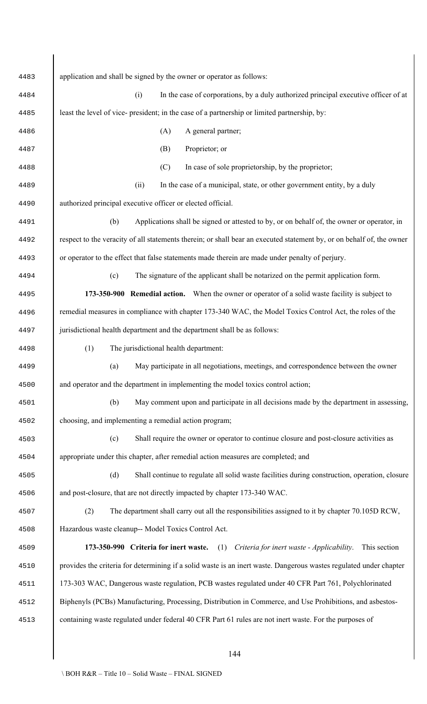| 4483 | application and shall be signed by the owner or operator as follows:                                                  |
|------|-----------------------------------------------------------------------------------------------------------------------|
| 4484 | In the case of corporations, by a duly authorized principal executive officer of at<br>(i)                            |
| 4485 | least the level of vice- president; in the case of a partnership or limited partnership, by:                          |
| 4486 | A general partner;<br>(A)                                                                                             |
| 4487 | Proprietor; or<br>(B)                                                                                                 |
| 4488 | In case of sole proprietorship, by the proprietor;<br>(C)                                                             |
| 4489 | (ii)<br>In the case of a municipal, state, or other government entity, by a duly                                      |
| 4490 | authorized principal executive officer or elected official.                                                           |
| 4491 | (b)<br>Applications shall be signed or attested to by, or on behalf of, the owner or operator, in                     |
| 4492 | respect to the veracity of all statements therein; or shall bear an executed statement by, or on behalf of, the owner |
| 4493 | or operator to the effect that false statements made therein are made under penalty of perjury.                       |
| 4494 | (c)<br>The signature of the applicant shall be notarized on the permit application form.                              |
| 4495 | 173-350-900 Remedial action. When the owner or operator of a solid waste facility is subject to                       |
| 4496 | remedial measures in compliance with chapter 173-340 WAC, the Model Toxics Control Act, the roles of the              |
| 4497 | jurisdictional health department and the department shall be as follows:                                              |
| 4498 | (1)<br>The jurisdictional health department:                                                                          |
| 4499 | May participate in all negotiations, meetings, and correspondence between the owner<br>(a)                            |
| 4500 | and operator and the department in implementing the model toxics control action;                                      |
| 4501 | (b)<br>May comment upon and participate in all decisions made by the department in assessing,                         |
| 4502 | choosing, and implementing a remedial action program;                                                                 |
| 4503 | (c)<br>Shall require the owner or operator to continue closure and post-closure activities as                         |
| 4504 | appropriate under this chapter, after remedial action measures are completed; and                                     |
| 4505 | (d)<br>Shall continue to regulate all solid waste facilities during construction, operation, closure                  |
| 4506 | and post-closure, that are not directly impacted by chapter 173-340 WAC.                                              |
| 4507 | (2)<br>The department shall carry out all the responsibilities assigned to it by chapter 70.105D RCW,                 |
| 4508 | Hazardous waste cleanup-- Model Toxics Control Act.                                                                   |
| 4509 | 173-350-990 Criteria for inert waste.<br>(1)<br>Criteria for inert waste - Applicability.<br>This section             |
| 4510 | provides the criteria for determining if a solid waste is an inert waste. Dangerous wastes regulated under chapter    |
| 4511 | 173-303 WAC, Dangerous waste regulation, PCB wastes regulated under 40 CFR Part 761, Polychlorinated                  |
| 4512 | Biphenyls (PCBs) Manufacturing, Processing, Distribution in Commerce, and Use Prohibitions, and asbestos-             |
| 4513 | containing waste regulated under federal 40 CFR Part 61 rules are not inert waste. For the purposes of                |
|      |                                                                                                                       |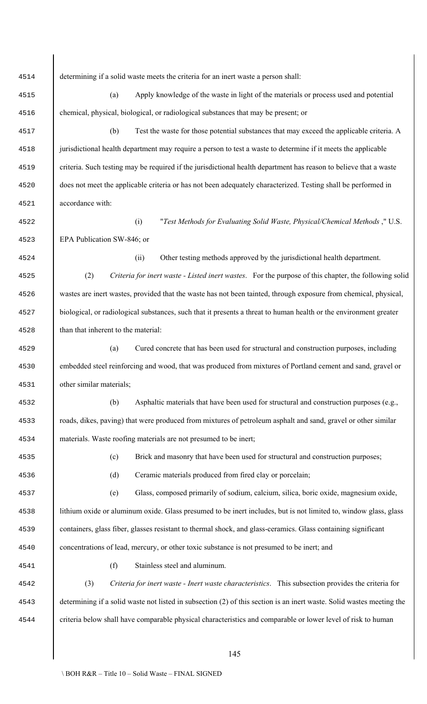determining if a solid waste meets the criteria for an inert waste a person shall: (a) Apply knowledge of the waste in light of the materials or process used and potential chemical, physical, biological, or radiological substances that may be present; or (b) Test the waste for those potential substances that may exceed the applicable criteria. A jurisdictional health department may require a person to test a waste to determine if it meets the applicable criteria. Such testing may be required if the jurisdictional health department has reason to believe that a waste does not meet the applicable criteria or has not been adequately characterized. Testing shall be performed in accordance with: (i) "*Test Methods for Evaluating Solid Waste, Physical/Chemical Methods* ," U.S. EPA Publication SW-846; or (ii) Other testing methods approved by the jurisdictional health department. (2) *Criteria for inert waste - Listed inert wastes*. For the purpose of this chapter, the following solid wastes are inert wastes, provided that the waste has not been tainted, through exposure from chemical, physical, biological, or radiological substances, such that it presents a threat to human health or the environment greater than that inherent to the material: (a) Cured concrete that has been used for structural and construction purposes, including embedded steel reinforcing and wood, that was produced from mixtures of Portland cement and sand, gravel or other similar materials; (b) Asphaltic materials that have been used for structural and construction purposes (e.g., roads, dikes, paving) that were produced from mixtures of petroleum asphalt and sand, gravel or other similar materials. Waste roofing materials are not presumed to be inert; (c) Brick and masonry that have been used for structural and construction purposes; (d) Ceramic materials produced from fired clay or porcelain; (e) Glass, composed primarily of sodium, calcium, silica, boric oxide, magnesium oxide, lithium oxide or aluminum oxide. Glass presumed to be inert includes, but is not limited to, window glass, glass containers, glass fiber, glasses resistant to thermal shock, and glass-ceramics. Glass containing significant concentrations of lead, mercury, or other toxic substance is not presumed to be inert; and (f) Stainless steel and aluminum. (3) *Criteria for inert waste - Inert waste characteristics*. This subsection provides the criteria for determining if a solid waste not listed in subsection (2) of this section is an inert waste. Solid wastes meeting the criteria below shall have comparable physical characteristics and comparable or lower level of risk to human